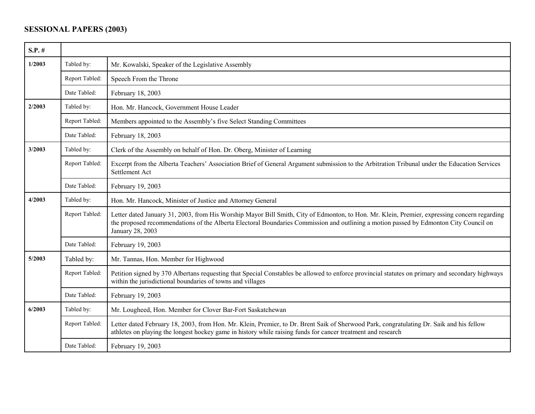## **SESSIONAL PAPERS (2003)**

| $S.P.$ # |                |                                                                                                                                                                                                                                                                                                           |
|----------|----------------|-----------------------------------------------------------------------------------------------------------------------------------------------------------------------------------------------------------------------------------------------------------------------------------------------------------|
| 1/2003   | Tabled by:     | Mr. Kowalski, Speaker of the Legislative Assembly                                                                                                                                                                                                                                                         |
|          | Report Tabled: | Speech From the Throne                                                                                                                                                                                                                                                                                    |
|          | Date Tabled:   | February 18, 2003                                                                                                                                                                                                                                                                                         |
| 2/2003   | Tabled by:     | Hon. Mr. Hancock, Government House Leader                                                                                                                                                                                                                                                                 |
|          | Report Tabled: | Members appointed to the Assembly's five Select Standing Committees                                                                                                                                                                                                                                       |
|          | Date Tabled:   | February 18, 2003                                                                                                                                                                                                                                                                                         |
| 3/2003   | Tabled by:     | Clerk of the Assembly on behalf of Hon. Dr. Oberg, Minister of Learning                                                                                                                                                                                                                                   |
|          | Report Tabled: | Excerpt from the Alberta Teachers' Association Brief of General Argument submission to the Arbitration Tribunal under the Education Services<br>Settlement Act                                                                                                                                            |
|          | Date Tabled:   | February 19, 2003                                                                                                                                                                                                                                                                                         |
| 4/2003   | Tabled by:     | Hon. Mr. Hancock, Minister of Justice and Attorney General                                                                                                                                                                                                                                                |
|          | Report Tabled: | Letter dated January 31, 2003, from His Worship Mayor Bill Smith, City of Edmonton, to Hon. Mr. Klein, Premier, expressing concern regarding<br>the proposed recommendations of the Alberta Electoral Boundaries Commission and outlining a motion passed by Edmonton City Council on<br>January 28, 2003 |
|          | Date Tabled:   | February 19, 2003                                                                                                                                                                                                                                                                                         |
| 5/2003   | Tabled by:     | Mr. Tannas, Hon. Member for Highwood                                                                                                                                                                                                                                                                      |
|          | Report Tabled: | Petition signed by 370 Albertans requesting that Special Constables be allowed to enforce provincial statutes on primary and secondary highways<br>within the jurisdictional boundaries of towns and villages                                                                                             |
|          | Date Tabled:   | February 19, 2003                                                                                                                                                                                                                                                                                         |
| 6/2003   | Tabled by:     | Mr. Lougheed, Hon. Member for Clover Bar-Fort Saskatchewan                                                                                                                                                                                                                                                |
|          | Report Tabled: | Letter dated February 18, 2003, from Hon. Mr. Klein, Premier, to Dr. Brent Saik of Sherwood Park, congratulating Dr. Saik and his fellow<br>athletes on playing the longest hockey game in history while raising funds for cancer treatment and research                                                  |
|          | Date Tabled:   | February 19, 2003                                                                                                                                                                                                                                                                                         |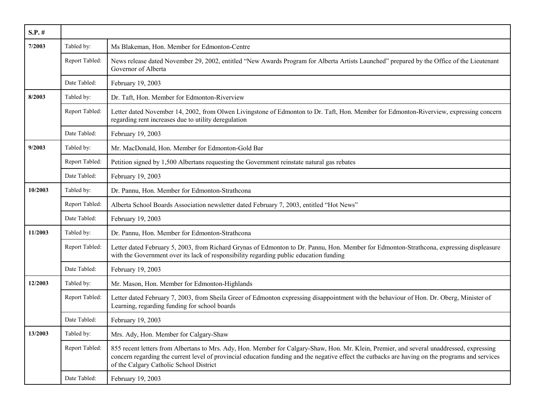| $S.P.$ # |                |                                                                                                                                                                                                                                                                                                                                          |
|----------|----------------|------------------------------------------------------------------------------------------------------------------------------------------------------------------------------------------------------------------------------------------------------------------------------------------------------------------------------------------|
| 7/2003   | Tabled by:     | Ms Blakeman, Hon. Member for Edmonton-Centre                                                                                                                                                                                                                                                                                             |
|          | Report Tabled: | News release dated November 29, 2002, entitled "New Awards Program for Alberta Artists Launched" prepared by the Office of the Lieutenant<br>Governor of Alberta                                                                                                                                                                         |
|          | Date Tabled:   | February 19, 2003                                                                                                                                                                                                                                                                                                                        |
| 8/2003   | Tabled by:     | Dr. Taft, Hon. Member for Edmonton-Riverview                                                                                                                                                                                                                                                                                             |
|          | Report Tabled: | Letter dated November 14, 2002, from Olwen Livingstone of Edmonton to Dr. Taft, Hon. Member for Edmonton-Riverview, expressing concern<br>regarding rent increases due to utility deregulation                                                                                                                                           |
|          | Date Tabled:   | February 19, 2003                                                                                                                                                                                                                                                                                                                        |
| 9/2003   | Tabled by:     | Mr. MacDonald, Hon. Member for Edmonton-Gold Bar                                                                                                                                                                                                                                                                                         |
|          | Report Tabled: | Petition signed by 1,500 Albertans requesting the Government reinstate natural gas rebates                                                                                                                                                                                                                                               |
|          | Date Tabled:   | February 19, 2003                                                                                                                                                                                                                                                                                                                        |
| 10/2003  | Tabled by:     | Dr. Pannu, Hon. Member for Edmonton-Strathcona                                                                                                                                                                                                                                                                                           |
|          | Report Tabled: | Alberta School Boards Association newsletter dated February 7, 2003, entitled "Hot News"                                                                                                                                                                                                                                                 |
|          | Date Tabled:   | February 19, 2003                                                                                                                                                                                                                                                                                                                        |
| 11/2003  | Tabled by:     | Dr. Pannu, Hon. Member for Edmonton-Strathcona                                                                                                                                                                                                                                                                                           |
|          | Report Tabled: | Letter dated February 5, 2003, from Richard Grynas of Edmonton to Dr. Pannu, Hon. Member for Edmonton-Strathcona, expressing displeasure<br>with the Government over its lack of responsibility regarding public education funding                                                                                                       |
|          | Date Tabled:   | February 19, 2003                                                                                                                                                                                                                                                                                                                        |
| 12/2003  | Tabled by:     | Mr. Mason, Hon. Member for Edmonton-Highlands                                                                                                                                                                                                                                                                                            |
|          | Report Tabled: | Letter dated February 7, 2003, from Sheila Greer of Edmonton expressing disappointment with the behaviour of Hon. Dr. Oberg, Minister of<br>Learning, regarding funding for school boards                                                                                                                                                |
|          | Date Tabled:   | February 19, 2003                                                                                                                                                                                                                                                                                                                        |
| 13/2003  | Tabled by:     | Mrs. Ady, Hon. Member for Calgary-Shaw                                                                                                                                                                                                                                                                                                   |
|          | Report Tabled: | 855 recent letters from Albertans to Mrs. Ady, Hon. Member for Calgary-Shaw, Hon. Mr. Klein, Premier, and several unaddressed, expressing<br>concern regarding the current level of provincial education funding and the negative effect the cutbacks are having on the programs and services<br>of the Calgary Catholic School District |
|          | Date Tabled:   | February 19, 2003                                                                                                                                                                                                                                                                                                                        |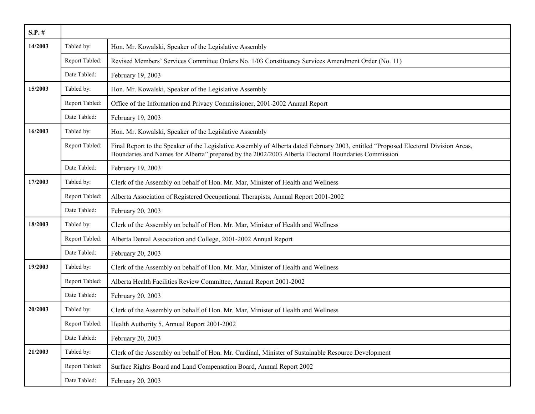| $S.P.$ # |                |                                                                                                                                                                                                                                             |
|----------|----------------|---------------------------------------------------------------------------------------------------------------------------------------------------------------------------------------------------------------------------------------------|
| 14/2003  | Tabled by:     | Hon. Mr. Kowalski, Speaker of the Legislative Assembly                                                                                                                                                                                      |
|          | Report Tabled: | Revised Members' Services Committee Orders No. 1/03 Constituency Services Amendment Order (No. 11)                                                                                                                                          |
|          | Date Tabled:   | February 19, 2003                                                                                                                                                                                                                           |
| 15/2003  | Tabled by:     | Hon. Mr. Kowalski, Speaker of the Legislative Assembly                                                                                                                                                                                      |
|          | Report Tabled: | Office of the Information and Privacy Commissioner, 2001-2002 Annual Report                                                                                                                                                                 |
|          | Date Tabled:   | February 19, 2003                                                                                                                                                                                                                           |
| 16/2003  | Tabled by:     | Hon. Mr. Kowalski, Speaker of the Legislative Assembly                                                                                                                                                                                      |
|          | Report Tabled: | Final Report to the Speaker of the Legislative Assembly of Alberta dated February 2003, entitled "Proposed Electoral Division Areas,<br>Boundaries and Names for Alberta" prepared by the 2002/2003 Alberta Electoral Boundaries Commission |
|          | Date Tabled:   | February 19, 2003                                                                                                                                                                                                                           |
| 17/2003  | Tabled by:     | Clerk of the Assembly on behalf of Hon. Mr. Mar, Minister of Health and Wellness                                                                                                                                                            |
|          | Report Tabled: | Alberta Association of Registered Occupational Therapists, Annual Report 2001-2002                                                                                                                                                          |
|          | Date Tabled:   | February 20, 2003                                                                                                                                                                                                                           |
| 18/2003  | Tabled by:     | Clerk of the Assembly on behalf of Hon. Mr. Mar, Minister of Health and Wellness                                                                                                                                                            |
|          | Report Tabled: | Alberta Dental Association and College, 2001-2002 Annual Report                                                                                                                                                                             |
|          | Date Tabled:   | February 20, 2003                                                                                                                                                                                                                           |
| 19/2003  | Tabled by:     | Clerk of the Assembly on behalf of Hon. Mr. Mar, Minister of Health and Wellness                                                                                                                                                            |
|          | Report Tabled: | Alberta Health Facilities Review Committee, Annual Report 2001-2002                                                                                                                                                                         |
|          | Date Tabled:   | February 20, 2003                                                                                                                                                                                                                           |
| 20/2003  | Tabled by:     | Clerk of the Assembly on behalf of Hon. Mr. Mar, Minister of Health and Wellness                                                                                                                                                            |
|          | Report Tabled: | Health Authority 5, Annual Report 2001-2002                                                                                                                                                                                                 |
|          | Date Tabled:   | February 20, 2003                                                                                                                                                                                                                           |
| 21/2003  | Tabled by:     | Clerk of the Assembly on behalf of Hon. Mr. Cardinal, Minister of Sustainable Resource Development                                                                                                                                          |
|          | Report Tabled: | Surface Rights Board and Land Compensation Board, Annual Report 2002                                                                                                                                                                        |
|          | Date Tabled:   | February 20, 2003                                                                                                                                                                                                                           |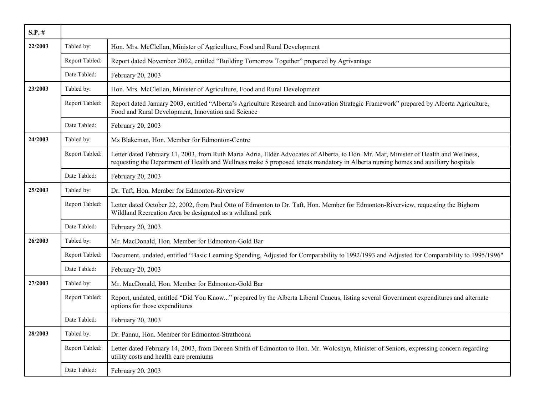| $S.P.$ # |                |                                                                                                                                                                                                                                                                            |
|----------|----------------|----------------------------------------------------------------------------------------------------------------------------------------------------------------------------------------------------------------------------------------------------------------------------|
| 22/2003  | Tabled by:     | Hon. Mrs. McClellan, Minister of Agriculture, Food and Rural Development                                                                                                                                                                                                   |
|          | Report Tabled: | Report dated November 2002, entitled "Building Tomorrow Together" prepared by Agrivantage                                                                                                                                                                                  |
|          | Date Tabled:   | February 20, 2003                                                                                                                                                                                                                                                          |
| 23/2003  | Tabled by:     | Hon. Mrs. McClellan, Minister of Agriculture, Food and Rural Development                                                                                                                                                                                                   |
|          | Report Tabled: | Report dated January 2003, entitled "Alberta's Agriculture Research and Innovation Strategic Framework" prepared by Alberta Agriculture,<br>Food and Rural Development, Innovation and Science                                                                             |
|          | Date Tabled:   | February 20, 2003                                                                                                                                                                                                                                                          |
| 24/2003  | Tabled by:     | Ms Blakeman, Hon. Member for Edmonton-Centre                                                                                                                                                                                                                               |
|          | Report Tabled: | Letter dated February 11, 2003, from Ruth Maria Adria, Elder Advocates of Alberta, to Hon. Mr. Mar, Minister of Health and Wellness,<br>requesting the Department of Health and Wellness make 5 proposed tenets mandatory in Alberta nursing homes and auxiliary hospitals |
|          | Date Tabled:   | February 20, 2003                                                                                                                                                                                                                                                          |
| 25/2003  | Tabled by:     | Dr. Taft, Hon. Member for Edmonton-Riverview                                                                                                                                                                                                                               |
|          | Report Tabled: | Letter dated October 22, 2002, from Paul Otto of Edmonton to Dr. Taft, Hon. Member for Edmonton-Riverview, requesting the Bighorn<br>Wildland Recreation Area be designated as a wildland park                                                                             |
|          | Date Tabled:   | February 20, 2003                                                                                                                                                                                                                                                          |
| 26/2003  | Tabled by:     | Mr. MacDonald, Hon. Member for Edmonton-Gold Bar                                                                                                                                                                                                                           |
|          | Report Tabled: | Document, undated, entitled "Basic Learning Spending, Adjusted for Comparability to 1992/1993 and Adjusted for Comparability to 1995/1996"                                                                                                                                 |
|          | Date Tabled:   | February 20, 2003                                                                                                                                                                                                                                                          |
| 27/2003  | Tabled by:     | Mr. MacDonald, Hon. Member for Edmonton-Gold Bar                                                                                                                                                                                                                           |
|          | Report Tabled: | Report, undated, entitled "Did You Know" prepared by the Alberta Liberal Caucus, listing several Government expenditures and alternate<br>options for those expenditures                                                                                                   |
|          | Date Tabled:   | February 20, 2003                                                                                                                                                                                                                                                          |
| 28/2003  | Tabled by:     | Dr. Pannu, Hon. Member for Edmonton-Strathcona                                                                                                                                                                                                                             |
|          | Report Tabled: | Letter dated February 14, 2003, from Doreen Smith of Edmonton to Hon. Mr. Woloshyn, Minister of Seniors, expressing concern regarding<br>utility costs and health care premiums                                                                                            |
|          | Date Tabled:   | February 20, 2003                                                                                                                                                                                                                                                          |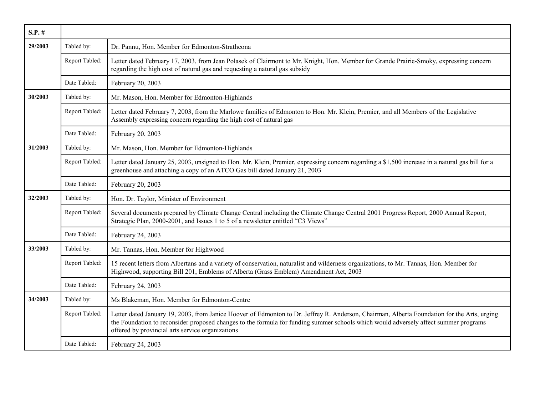| $S.P.$ # |                |                                                                                                                                                                                                                                                                                                                                         |
|----------|----------------|-----------------------------------------------------------------------------------------------------------------------------------------------------------------------------------------------------------------------------------------------------------------------------------------------------------------------------------------|
| 29/2003  | Tabled by:     | Dr. Pannu, Hon. Member for Edmonton-Strathcona                                                                                                                                                                                                                                                                                          |
|          | Report Tabled: | Letter dated February 17, 2003, from Jean Polasek of Clairmont to Mr. Knight, Hon. Member for Grande Prairie-Smoky, expressing concern<br>regarding the high cost of natural gas and requesting a natural gas subsidy                                                                                                                   |
|          | Date Tabled:   | February 20, 2003                                                                                                                                                                                                                                                                                                                       |
| 30/2003  | Tabled by:     | Mr. Mason, Hon. Member for Edmonton-Highlands                                                                                                                                                                                                                                                                                           |
|          | Report Tabled: | Letter dated February 7, 2003, from the Marlowe families of Edmonton to Hon. Mr. Klein, Premier, and all Members of the Legislative<br>Assembly expressing concern regarding the high cost of natural gas                                                                                                                               |
|          | Date Tabled:   | February 20, 2003                                                                                                                                                                                                                                                                                                                       |
| 31/2003  | Tabled by:     | Mr. Mason, Hon. Member for Edmonton-Highlands                                                                                                                                                                                                                                                                                           |
|          | Report Tabled: | Letter dated January 25, 2003, unsigned to Hon. Mr. Klein, Premier, expressing concern regarding a \$1,500 increase in a natural gas bill for a<br>greenhouse and attaching a copy of an ATCO Gas bill dated January 21, 2003                                                                                                           |
|          | Date Tabled:   | February 20, 2003                                                                                                                                                                                                                                                                                                                       |
| 32/2003  | Tabled by:     | Hon. Dr. Taylor, Minister of Environment                                                                                                                                                                                                                                                                                                |
|          | Report Tabled: | Several documents prepared by Climate Change Central including the Climate Change Central 2001 Progress Report, 2000 Annual Report,<br>Strategic Plan, 2000-2001, and Issues 1 to 5 of a newsletter entitled "C3 Views"                                                                                                                 |
|          | Date Tabled:   | February 24, 2003                                                                                                                                                                                                                                                                                                                       |
| 33/2003  | Tabled by:     | Mr. Tannas, Hon. Member for Highwood                                                                                                                                                                                                                                                                                                    |
|          | Report Tabled: | 15 recent letters from Albertans and a variety of conservation, naturalist and wilderness organizations, to Mr. Tannas, Hon. Member for<br>Highwood, supporting Bill 201, Emblems of Alberta (Grass Emblem) Amendment Act, 2003                                                                                                         |
|          | Date Tabled:   | February 24, 2003                                                                                                                                                                                                                                                                                                                       |
| 34/2003  | Tabled by:     | Ms Blakeman, Hon. Member for Edmonton-Centre                                                                                                                                                                                                                                                                                            |
|          | Report Tabled: | Letter dated January 19, 2003, from Janice Hoover of Edmonton to Dr. Jeffrey R. Anderson, Chairman, Alberta Foundation for the Arts, urging<br>the Foundation to reconsider proposed changes to the formula for funding summer schools which would adversely affect summer programs<br>offered by provincial arts service organizations |
|          | Date Tabled:   | February 24, 2003                                                                                                                                                                                                                                                                                                                       |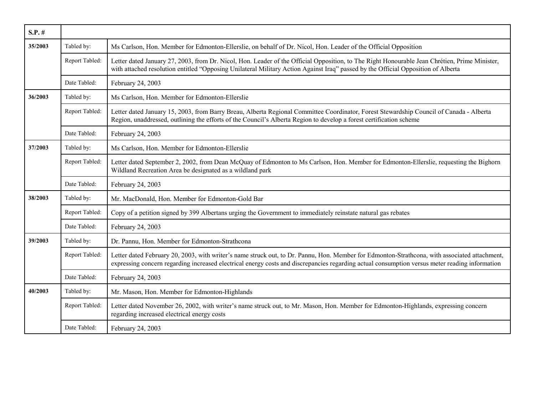| $S.P.$ # |                |                                                                                                                                                                                                                                                                                                 |
|----------|----------------|-------------------------------------------------------------------------------------------------------------------------------------------------------------------------------------------------------------------------------------------------------------------------------------------------|
| 35/2003  | Tabled by:     | Ms Carlson, Hon. Member for Edmonton-Ellerslie, on behalf of Dr. Nicol, Hon. Leader of the Official Opposition                                                                                                                                                                                  |
|          | Report Tabled: | Letter dated January 27, 2003, from Dr. Nicol, Hon. Leader of the Official Opposition, to The Right Honourable Jean Chrétien, Prime Minister,<br>with attached resolution entitled "Opposing Unilateral Military Action Against Iraq" passed by the Official Opposition of Alberta              |
|          | Date Tabled:   | February 24, 2003                                                                                                                                                                                                                                                                               |
| 36/2003  | Tabled by:     | Ms Carlson, Hon. Member for Edmonton-Ellerslie                                                                                                                                                                                                                                                  |
|          | Report Tabled: | Letter dated January 15, 2003, from Barry Breau, Alberta Regional Committee Coordinator, Forest Stewardship Council of Canada - Alberta<br>Region, unaddressed, outlining the efforts of the Council's Alberta Region to develop a forest certification scheme                                  |
|          | Date Tabled:   | February 24, 2003                                                                                                                                                                                                                                                                               |
| 37/2003  | Tabled by:     | Ms Carlson, Hon. Member for Edmonton-Ellerslie                                                                                                                                                                                                                                                  |
|          | Report Tabled: | Letter dated September 2, 2002, from Dean McQuay of Edmonton to Ms Carlson, Hon. Member for Edmonton-Ellerslie, requesting the Bighorn<br>Wildland Recreation Area be designated as a wildland park                                                                                             |
|          | Date Tabled:   | February 24, 2003                                                                                                                                                                                                                                                                               |
| 38/2003  | Tabled by:     | Mr. MacDonald, Hon. Member for Edmonton-Gold Bar                                                                                                                                                                                                                                                |
|          | Report Tabled: | Copy of a petition signed by 399 Albertans urging the Government to immediately reinstate natural gas rebates                                                                                                                                                                                   |
|          | Date Tabled:   | February 24, 2003                                                                                                                                                                                                                                                                               |
| 39/2003  | Tabled by:     | Dr. Pannu, Hon. Member for Edmonton-Strathcona                                                                                                                                                                                                                                                  |
|          | Report Tabled: | Letter dated February 20, 2003, with writer's name struck out, to Dr. Pannu, Hon. Member for Edmonton-Strathcona, with associated attachment,<br>expressing concern regarding increased electrical energy costs and discrepancies regarding actual consumption versus meter reading information |
|          | Date Tabled:   | February 24, 2003                                                                                                                                                                                                                                                                               |
| 40/2003  | Tabled by:     | Mr. Mason, Hon. Member for Edmonton-Highlands                                                                                                                                                                                                                                                   |
|          | Report Tabled: | Letter dated November 26, 2002, with writer's name struck out, to Mr. Mason, Hon. Member for Edmonton-Highlands, expressing concern<br>regarding increased electrical energy costs                                                                                                              |
|          | Date Tabled:   | February 24, 2003                                                                                                                                                                                                                                                                               |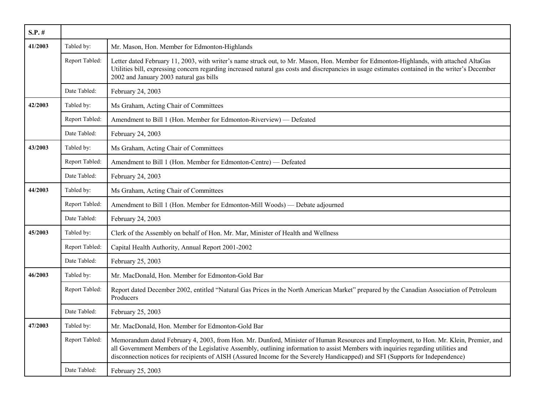| $S.P.$ # |                |                                                                                                                                                                                                                                                                                                                                                                                                               |
|----------|----------------|---------------------------------------------------------------------------------------------------------------------------------------------------------------------------------------------------------------------------------------------------------------------------------------------------------------------------------------------------------------------------------------------------------------|
| 41/2003  | Tabled by:     | Mr. Mason, Hon. Member for Edmonton-Highlands                                                                                                                                                                                                                                                                                                                                                                 |
|          | Report Tabled: | Letter dated February 11, 2003, with writer's name struck out, to Mr. Mason, Hon. Member for Edmonton-Highlands, with attached AltaGas<br>Utilities bill, expressing concern regarding increased natural gas costs and discrepancies in usage estimates contained in the writer's December<br>2002 and January 2003 natural gas bills                                                                         |
|          | Date Tabled:   | February 24, 2003                                                                                                                                                                                                                                                                                                                                                                                             |
| 42/2003  | Tabled by:     | Ms Graham, Acting Chair of Committees                                                                                                                                                                                                                                                                                                                                                                         |
|          | Report Tabled: | Amendment to Bill 1 (Hon. Member for Edmonton-Riverview) — Defeated                                                                                                                                                                                                                                                                                                                                           |
|          | Date Tabled:   | February 24, 2003                                                                                                                                                                                                                                                                                                                                                                                             |
| 43/2003  | Tabled by:     | Ms Graham, Acting Chair of Committees                                                                                                                                                                                                                                                                                                                                                                         |
|          | Report Tabled: | Amendment to Bill 1 (Hon. Member for Edmonton-Centre) — Defeated                                                                                                                                                                                                                                                                                                                                              |
|          | Date Tabled:   | February 24, 2003                                                                                                                                                                                                                                                                                                                                                                                             |
| 44/2003  | Tabled by:     | Ms Graham, Acting Chair of Committees                                                                                                                                                                                                                                                                                                                                                                         |
|          | Report Tabled: | Amendment to Bill 1 (Hon. Member for Edmonton-Mill Woods) — Debate adjourned                                                                                                                                                                                                                                                                                                                                  |
|          | Date Tabled:   | February 24, 2003                                                                                                                                                                                                                                                                                                                                                                                             |
| 45/2003  | Tabled by:     | Clerk of the Assembly on behalf of Hon. Mr. Mar, Minister of Health and Wellness                                                                                                                                                                                                                                                                                                                              |
|          | Report Tabled: | Capital Health Authority, Annual Report 2001-2002                                                                                                                                                                                                                                                                                                                                                             |
|          | Date Tabled:   | February 25, 2003                                                                                                                                                                                                                                                                                                                                                                                             |
| 46/2003  | Tabled by:     | Mr. MacDonald, Hon. Member for Edmonton-Gold Bar                                                                                                                                                                                                                                                                                                                                                              |
|          | Report Tabled: | Report dated December 2002, entitled "Natural Gas Prices in the North American Market" prepared by the Canadian Association of Petroleum<br>Producers                                                                                                                                                                                                                                                         |
|          | Date Tabled:   | February 25, 2003                                                                                                                                                                                                                                                                                                                                                                                             |
| 47/2003  | Tabled by:     | Mr. MacDonald, Hon. Member for Edmonton-Gold Bar                                                                                                                                                                                                                                                                                                                                                              |
|          | Report Tabled: | Memorandum dated February 4, 2003, from Hon. Mr. Dunford, Minister of Human Resources and Employment, to Hon. Mr. Klein, Premier, and<br>all Government Members of the Legislative Assembly, outlining information to assist Members with inquiries regarding utilities and<br>disconnection notices for recipients of AISH (Assured Income for the Severely Handicapped) and SFI (Supports for Independence) |
|          | Date Tabled:   | February 25, 2003                                                                                                                                                                                                                                                                                                                                                                                             |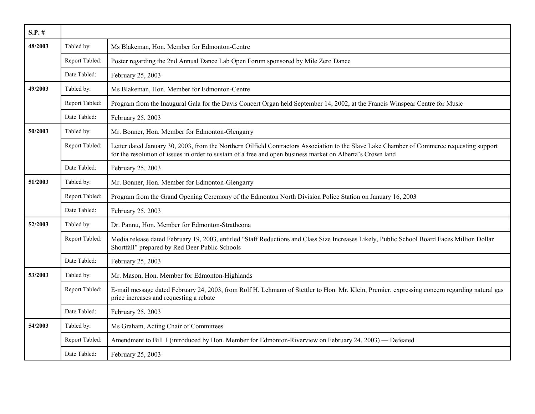| $S.P.$ # |                |                                                                                                                                                                                                                                                           |
|----------|----------------|-----------------------------------------------------------------------------------------------------------------------------------------------------------------------------------------------------------------------------------------------------------|
| 48/2003  | Tabled by:     | Ms Blakeman, Hon. Member for Edmonton-Centre                                                                                                                                                                                                              |
|          | Report Tabled: | Poster regarding the 2nd Annual Dance Lab Open Forum sponsored by Mile Zero Dance                                                                                                                                                                         |
|          | Date Tabled:   | February 25, 2003                                                                                                                                                                                                                                         |
| 49/2003  | Tabled by:     | Ms Blakeman, Hon. Member for Edmonton-Centre                                                                                                                                                                                                              |
|          | Report Tabled: | Program from the Inaugural Gala for the Davis Concert Organ held September 14, 2002, at the Francis Winspear Centre for Music                                                                                                                             |
|          | Date Tabled:   | February 25, 2003                                                                                                                                                                                                                                         |
| 50/2003  | Tabled by:     | Mr. Bonner, Hon. Member for Edmonton-Glengarry                                                                                                                                                                                                            |
|          | Report Tabled: | Letter dated January 30, 2003, from the Northern Oilfield Contractors Association to the Slave Lake Chamber of Commerce requesting support<br>for the resolution of issues in order to sustain of a free and open business market on Alberta's Crown land |
|          | Date Tabled:   | February 25, 2003                                                                                                                                                                                                                                         |
| 51/2003  | Tabled by:     | Mr. Bonner, Hon. Member for Edmonton-Glengarry                                                                                                                                                                                                            |
|          | Report Tabled: | Program from the Grand Opening Ceremony of the Edmonton North Division Police Station on January 16, 2003                                                                                                                                                 |
|          | Date Tabled:   | February 25, 2003                                                                                                                                                                                                                                         |
| 52/2003  | Tabled by:     | Dr. Pannu, Hon. Member for Edmonton-Strathcona                                                                                                                                                                                                            |
|          | Report Tabled: | Media release dated February 19, 2003, entitled "Staff Reductions and Class Size Increases Likely, Public School Board Faces Million Dollar<br>Shortfall" prepared by Red Deer Public Schools                                                             |
|          | Date Tabled:   | February 25, 2003                                                                                                                                                                                                                                         |
| 53/2003  | Tabled by:     | Mr. Mason, Hon. Member for Edmonton-Highlands                                                                                                                                                                                                             |
|          | Report Tabled: | E-mail message dated February 24, 2003, from Rolf H. Lehmann of Stettler to Hon. Mr. Klein, Premier, expressing concern regarding natural gas<br>price increases and requesting a rebate                                                                  |
|          | Date Tabled:   | February 25, 2003                                                                                                                                                                                                                                         |
| 54/2003  | Tabled by:     | Ms Graham, Acting Chair of Committees                                                                                                                                                                                                                     |
|          | Report Tabled: | Amendment to Bill 1 (introduced by Hon. Member for Edmonton-Riverview on February 24, 2003) — Defeated                                                                                                                                                    |
|          | Date Tabled:   | February 25, 2003                                                                                                                                                                                                                                         |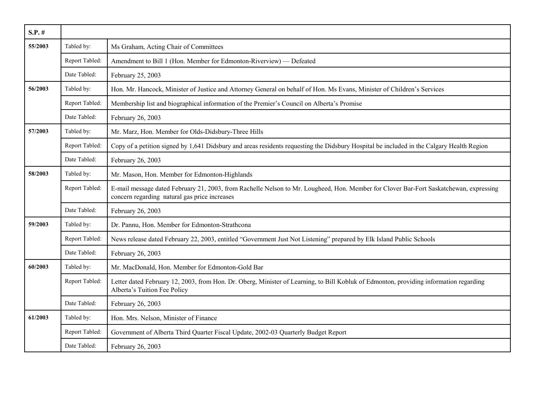| $S.P.$ # |                |                                                                                                                                                                                         |
|----------|----------------|-----------------------------------------------------------------------------------------------------------------------------------------------------------------------------------------|
| 55/2003  | Tabled by:     | Ms Graham, Acting Chair of Committees                                                                                                                                                   |
|          | Report Tabled: | Amendment to Bill 1 (Hon. Member for Edmonton-Riverview) — Defeated                                                                                                                     |
|          | Date Tabled:   | February 25, 2003                                                                                                                                                                       |
| 56/2003  | Tabled by:     | Hon. Mr. Hancock, Minister of Justice and Attorney General on behalf of Hon. Ms Evans, Minister of Children's Services                                                                  |
|          | Report Tabled: | Membership list and biographical information of the Premier's Council on Alberta's Promise                                                                                              |
|          | Date Tabled:   | February 26, 2003                                                                                                                                                                       |
| 57/2003  | Tabled by:     | Mr. Marz, Hon. Member for Olds-Didsbury-Three Hills                                                                                                                                     |
|          | Report Tabled: | Copy of a petition signed by 1,641 Didsbury and areas residents requesting the Didsbury Hospital be included in the Calgary Health Region                                               |
|          | Date Tabled:   | February 26, 2003                                                                                                                                                                       |
| 58/2003  | Tabled by:     | Mr. Mason, Hon. Member for Edmonton-Highlands                                                                                                                                           |
|          | Report Tabled: | E-mail message dated February 21, 2003, from Rachelle Nelson to Mr. Lougheed, Hon. Member for Clover Bar-Fort Saskatchewan, expressing<br>concern regarding natural gas price increases |
|          | Date Tabled:   | February 26, 2003                                                                                                                                                                       |
| 59/2003  | Tabled by:     | Dr. Pannu, Hon. Member for Edmonton-Strathcona                                                                                                                                          |
|          | Report Tabled: | News release dated February 22, 2003, entitled "Government Just Not Listening" prepared by Elk Island Public Schools                                                                    |
|          | Date Tabled:   | February 26, 2003                                                                                                                                                                       |
| 60/2003  | Tabled by:     | Mr. MacDonald, Hon. Member for Edmonton-Gold Bar                                                                                                                                        |
|          | Report Tabled: | Letter dated February 12, 2003, from Hon. Dr. Oberg, Minister of Learning, to Bill Kobluk of Edmonton, providing information regarding<br>Alberta's Tuition Fee Policy                  |
|          | Date Tabled:   | February 26, 2003                                                                                                                                                                       |
| 61/2003  | Tabled by:     | Hon. Mrs. Nelson, Minister of Finance                                                                                                                                                   |
|          | Report Tabled: | Government of Alberta Third Quarter Fiscal Update, 2002-03 Quarterly Budget Report                                                                                                      |
|          | Date Tabled:   | February 26, 2003                                                                                                                                                                       |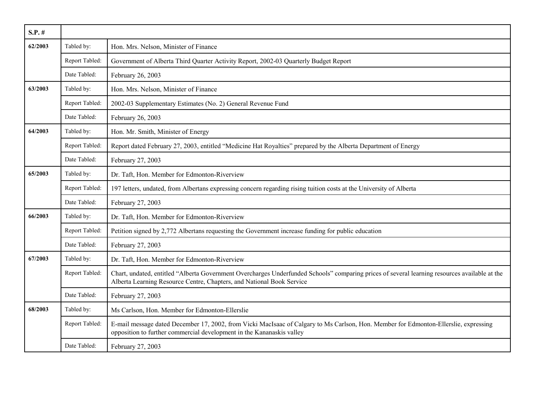| $S.P.$ # |                |                                                                                                                                                                                                                        |
|----------|----------------|------------------------------------------------------------------------------------------------------------------------------------------------------------------------------------------------------------------------|
| 62/2003  | Tabled by:     | Hon. Mrs. Nelson, Minister of Finance                                                                                                                                                                                  |
|          | Report Tabled: | Government of Alberta Third Quarter Activity Report, 2002-03 Quarterly Budget Report                                                                                                                                   |
|          | Date Tabled:   | February 26, 2003                                                                                                                                                                                                      |
| 63/2003  | Tabled by:     | Hon. Mrs. Nelson, Minister of Finance                                                                                                                                                                                  |
|          | Report Tabled: | 2002-03 Supplementary Estimates (No. 2) General Revenue Fund                                                                                                                                                           |
|          | Date Tabled:   | February 26, 2003                                                                                                                                                                                                      |
| 64/2003  | Tabled by:     | Hon. Mr. Smith, Minister of Energy                                                                                                                                                                                     |
|          | Report Tabled: | Report dated February 27, 2003, entitled "Medicine Hat Royalties" prepared by the Alberta Department of Energy                                                                                                         |
|          | Date Tabled:   | February 27, 2003                                                                                                                                                                                                      |
| 65/2003  | Tabled by:     | Dr. Taft, Hon. Member for Edmonton-Riverview                                                                                                                                                                           |
|          | Report Tabled: | 197 letters, undated, from Albertans expressing concern regarding rising tuition costs at the University of Alberta                                                                                                    |
|          | Date Tabled:   | February 27, 2003                                                                                                                                                                                                      |
| 66/2003  | Tabled by:     | Dr. Taft, Hon. Member for Edmonton-Riverview                                                                                                                                                                           |
|          | Report Tabled: | Petition signed by 2,772 Albertans requesting the Government increase funding for public education                                                                                                                     |
|          | Date Tabled:   | February 27, 2003                                                                                                                                                                                                      |
| 67/2003  | Tabled by:     | Dr. Taft, Hon. Member for Edmonton-Riverview                                                                                                                                                                           |
|          | Report Tabled: | Chart, undated, entitled "Alberta Government Overcharges Underfunded Schools" comparing prices of several learning resources available at the<br>Alberta Learning Resource Centre, Chapters, and National Book Service |
|          | Date Tabled:   | February 27, 2003                                                                                                                                                                                                      |
| 68/2003  | Tabled by:     | Ms Carlson, Hon. Member for Edmonton-Ellerslie                                                                                                                                                                         |
|          | Report Tabled: | E-mail message dated December 17, 2002, from Vicki MacIsaac of Calgary to Ms Carlson, Hon. Member for Edmonton-Ellerslie, expressing<br>opposition to further commercial development in the Kananaskis valley          |
|          | Date Tabled:   | February 27, 2003                                                                                                                                                                                                      |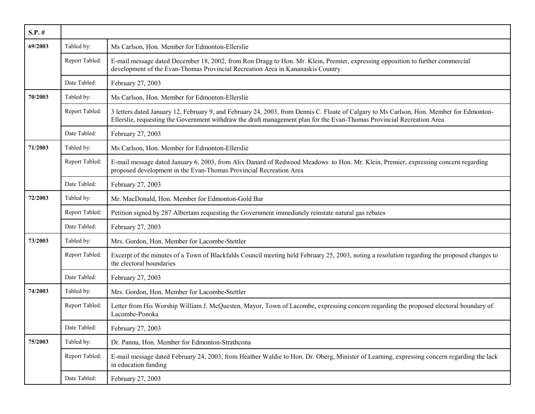| $S.P.$ # |                |                                                                                                                                                                                                                                                                    |
|----------|----------------|--------------------------------------------------------------------------------------------------------------------------------------------------------------------------------------------------------------------------------------------------------------------|
| 69/2003  | Tabled by:     | Ms Carlson, Hon. Member for Edmonton-Ellerslie                                                                                                                                                                                                                     |
|          | Report Tabled: | E-mail message dated December 18, 2002, from Ron Dragg to Hon. Mr. Klein, Premier, expressing opposition to further commercial<br>development of the Evan-Thomas Provincial Recreation Area in Kananaskis Country                                                  |
|          | Date Tabled:   | February 27, 2003                                                                                                                                                                                                                                                  |
| 70/2003  | Tabled by:     | Ms Carlson, Hon. Member for Edmonton-Ellerslie                                                                                                                                                                                                                     |
|          | Report Tabled: | 3 letters dated January 12, February 9, and February 24, 2003, from Dennis C. Floate of Calgary to Ms Carlson, Hon. Member for Edmonton-<br>Ellerslie, requesting the Government withdraw the draft management plan for the Evan-Thomas Provincial Recreation Area |
|          | Date Tabled:   | February 27, 2003                                                                                                                                                                                                                                                  |
| 71/2003  | Tabled by:     | Ms Carlson, Hon. Member for Edmonton-Ellerslie                                                                                                                                                                                                                     |
|          | Report Tabled: | E-mail message dated January 6, 2003, from Alix Danard of Redwood Meadows to Hon. Mr. Klein, Premier, expressing concern regarding<br>proposed development in the Evan-Thomas Provincial Recreation Area                                                           |
|          | Date Tabled:   | February 27, 2003                                                                                                                                                                                                                                                  |
| 72/2003  | Tabled by:     | Mr. MacDonald, Hon. Member for Edmonton-Gold Bar                                                                                                                                                                                                                   |
|          | Report Tabled: | Petition signed by 287 Albertans requesting the Government immediately reinstate natural gas rebates                                                                                                                                                               |
|          | Date Tabled:   | February 27, 2003                                                                                                                                                                                                                                                  |
| 73/2003  | Tabled by:     | Mrs. Gordon, Hon. Member for Lacombe-Stettler                                                                                                                                                                                                                      |
|          | Report Tabled: | Excerpt of the minutes of a Town of Blackfalds Council meeting held February 25, 2003, noting a resolution regarding the proposed changes to<br>the electoral boundaries                                                                                           |
|          | Date Tabled:   | February 27, 2003                                                                                                                                                                                                                                                  |
| 74/2003  | Tabled by:     | Mrs. Gordon, Hon. Member for Lacombe-Stettler                                                                                                                                                                                                                      |
|          | Report Tabled: | Letter from His Worship William J. McQuesten, Mayor, Town of Lacombe, expressing concern regarding the proposed electoral boundary of<br>Lacombe-Ponoka                                                                                                            |
|          | Date Tabled:   | February 27, 2003                                                                                                                                                                                                                                                  |
| 75/2003  | Tabled by:     | Dr. Pannu, Hon. Member for Edmonton-Strathcona                                                                                                                                                                                                                     |
|          | Report Tabled: | E-mail message dated February 24, 2003, from Heather Waldie to Hon. Dr. Oberg, Minister of Learning, expressing concern regarding the lack<br>in education funding                                                                                                 |
|          | Date Tabled:   | February 27, 2003                                                                                                                                                                                                                                                  |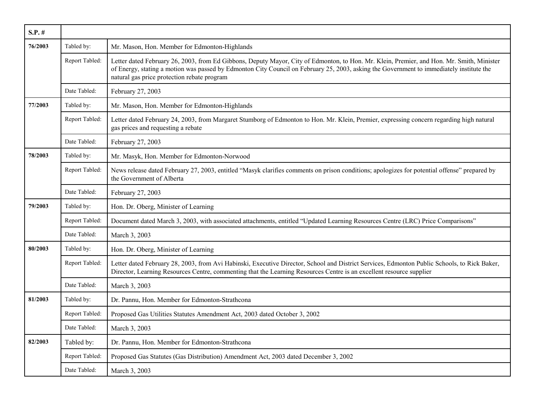| $S.P.$ # |                |                                                                                                                                                                                                                                                                                                                                      |
|----------|----------------|--------------------------------------------------------------------------------------------------------------------------------------------------------------------------------------------------------------------------------------------------------------------------------------------------------------------------------------|
| 76/2003  | Tabled by:     | Mr. Mason, Hon. Member for Edmonton-Highlands                                                                                                                                                                                                                                                                                        |
|          | Report Tabled: | Letter dated February 26, 2003, from Ed Gibbons, Deputy Mayor, City of Edmonton, to Hon. Mr. Klein, Premier, and Hon. Mr. Smith, Minister<br>of Energy, stating a motion was passed by Edmonton City Council on February 25, 2003, asking the Government to immediately institute the<br>natural gas price protection rebate program |
|          | Date Tabled:   | February 27, 2003                                                                                                                                                                                                                                                                                                                    |
| 77/2003  | Tabled by:     | Mr. Mason, Hon. Member for Edmonton-Highlands                                                                                                                                                                                                                                                                                        |
|          | Report Tabled: | Letter dated February 24, 2003, from Margaret Stumborg of Edmonton to Hon. Mr. Klein, Premier, expressing concern regarding high natural<br>gas prices and requesting a rebate                                                                                                                                                       |
|          | Date Tabled:   | February 27, 2003                                                                                                                                                                                                                                                                                                                    |
| 78/2003  | Tabled by:     | Mr. Masyk, Hon. Member for Edmonton-Norwood                                                                                                                                                                                                                                                                                          |
|          | Report Tabled: | News release dated February 27, 2003, entitled "Masyk clarifies comments on prison conditions; apologizes for potential offense" prepared by<br>the Government of Alberta                                                                                                                                                            |
|          | Date Tabled:   | February 27, 2003                                                                                                                                                                                                                                                                                                                    |
| 79/2003  | Tabled by:     | Hon. Dr. Oberg, Minister of Learning                                                                                                                                                                                                                                                                                                 |
|          | Report Tabled: | Document dated March 3, 2003, with associated attachments, entitled "Updated Learning Resources Centre (LRC) Price Comparisons"                                                                                                                                                                                                      |
|          | Date Tabled:   | March 3, 2003                                                                                                                                                                                                                                                                                                                        |
| 80/2003  | Tabled by:     | Hon. Dr. Oberg, Minister of Learning                                                                                                                                                                                                                                                                                                 |
|          | Report Tabled: | Letter dated February 28, 2003, from Avi Habinski, Executive Director, School and District Services, Edmonton Public Schools, to Rick Baker,<br>Director, Learning Resources Centre, commenting that the Learning Resources Centre is an excellent resource supplier                                                                 |
|          | Date Tabled:   | March 3, 2003                                                                                                                                                                                                                                                                                                                        |
| 81/2003  | Tabled by:     | Dr. Pannu, Hon. Member for Edmonton-Strathcona                                                                                                                                                                                                                                                                                       |
|          | Report Tabled: | Proposed Gas Utilities Statutes Amendment Act, 2003 dated October 3, 2002                                                                                                                                                                                                                                                            |
|          | Date Tabled:   | March 3, 2003                                                                                                                                                                                                                                                                                                                        |
| 82/2003  | Tabled by:     | Dr. Pannu, Hon. Member for Edmonton-Strathcona                                                                                                                                                                                                                                                                                       |
|          | Report Tabled: | Proposed Gas Statutes (Gas Distribution) Amendment Act, 2003 dated December 3, 2002                                                                                                                                                                                                                                                  |
|          | Date Tabled:   | March 3, 2003                                                                                                                                                                                                                                                                                                                        |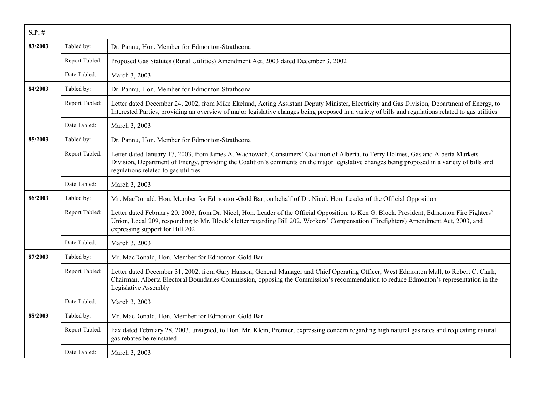| $S.P.$ # |                |                                                                                                                                                                                                                                                                                                                           |
|----------|----------------|---------------------------------------------------------------------------------------------------------------------------------------------------------------------------------------------------------------------------------------------------------------------------------------------------------------------------|
| 83/2003  | Tabled by:     | Dr. Pannu, Hon. Member for Edmonton-Strathcona                                                                                                                                                                                                                                                                            |
|          | Report Tabled: | Proposed Gas Statutes (Rural Utilities) Amendment Act, 2003 dated December 3, 2002                                                                                                                                                                                                                                        |
|          | Date Tabled:   | March 3, 2003                                                                                                                                                                                                                                                                                                             |
| 84/2003  | Tabled by:     | Dr. Pannu, Hon. Member for Edmonton-Strathcona                                                                                                                                                                                                                                                                            |
|          | Report Tabled: | Letter dated December 24, 2002, from Mike Ekelund, Acting Assistant Deputy Minister, Electricity and Gas Division, Department of Energy, to<br>Interested Parties, providing an overview of major legislative changes being proposed in a variety of bills and regulations related to gas utilities                       |
|          | Date Tabled:   | March 3, 2003                                                                                                                                                                                                                                                                                                             |
| 85/2003  | Tabled by:     | Dr. Pannu, Hon. Member for Edmonton-Strathcona                                                                                                                                                                                                                                                                            |
|          | Report Tabled: | Letter dated January 17, 2003, from James A. Wachowich, Consumers' Coalition of Alberta, to Terry Holmes, Gas and Alberta Markets<br>Division, Department of Energy, providing the Coalition's comments on the major legislative changes being proposed in a variety of bills and<br>regulations related to gas utilities |
|          | Date Tabled:   | March 3, 2003                                                                                                                                                                                                                                                                                                             |
| 86/2003  | Tabled by:     | Mr. MacDonald, Hon. Member for Edmonton-Gold Bar, on behalf of Dr. Nicol, Hon. Leader of the Official Opposition                                                                                                                                                                                                          |
|          | Report Tabled: | Letter dated February 20, 2003, from Dr. Nicol, Hon. Leader of the Official Opposition, to Ken G. Block, President, Edmonton Fire Fighters'<br>Union, Local 209, responding to Mr. Block's letter regarding Bill 202, Workers' Compensation (Firefighters) Amendment Act, 2003, and<br>expressing support for Bill 202    |
|          | Date Tabled:   | March 3, 2003                                                                                                                                                                                                                                                                                                             |
| 87/2003  | Tabled by:     | Mr. MacDonald, Hon. Member for Edmonton-Gold Bar                                                                                                                                                                                                                                                                          |
|          | Report Tabled: | Letter dated December 31, 2002, from Gary Hanson, General Manager and Chief Operating Officer, West Edmonton Mall, to Robert C. Clark,<br>Chairman, Alberta Electoral Boundaries Commission, opposing the Commission's recommendation to reduce Edmonton's representation in the<br>Legislative Assembly                  |
|          | Date Tabled:   | March 3, 2003                                                                                                                                                                                                                                                                                                             |
| 88/2003  | Tabled by:     | Mr. MacDonald, Hon. Member for Edmonton-Gold Bar                                                                                                                                                                                                                                                                          |
|          | Report Tabled: | Fax dated February 28, 2003, unsigned, to Hon. Mr. Klein, Premier, expressing concern regarding high natural gas rates and requesting natural<br>gas rebates be reinstated                                                                                                                                                |
|          | Date Tabled:   | March 3, 2003                                                                                                                                                                                                                                                                                                             |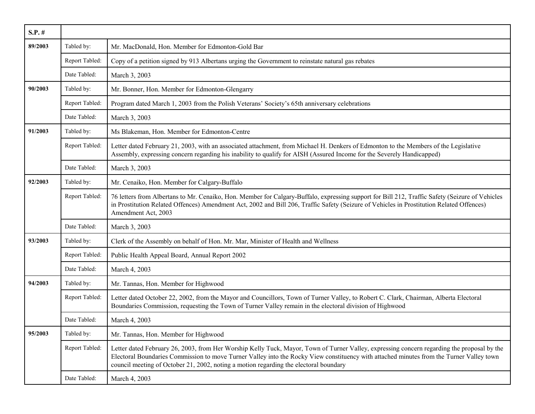| $S.P.$ # |                |                                                                                                                                                                                                                                                                                                                                                                                  |
|----------|----------------|----------------------------------------------------------------------------------------------------------------------------------------------------------------------------------------------------------------------------------------------------------------------------------------------------------------------------------------------------------------------------------|
| 89/2003  | Tabled by:     | Mr. MacDonald, Hon. Member for Edmonton-Gold Bar                                                                                                                                                                                                                                                                                                                                 |
|          | Report Tabled: | Copy of a petition signed by 913 Albertans urging the Government to reinstate natural gas rebates                                                                                                                                                                                                                                                                                |
|          | Date Tabled:   | March 3, 2003                                                                                                                                                                                                                                                                                                                                                                    |
| 90/2003  | Tabled by:     | Mr. Bonner, Hon. Member for Edmonton-Glengarry                                                                                                                                                                                                                                                                                                                                   |
|          | Report Tabled: | Program dated March 1, 2003 from the Polish Veterans' Society's 65th anniversary celebrations                                                                                                                                                                                                                                                                                    |
|          | Date Tabled:   | March 3, 2003                                                                                                                                                                                                                                                                                                                                                                    |
| 91/2003  | Tabled by:     | Ms Blakeman, Hon. Member for Edmonton-Centre                                                                                                                                                                                                                                                                                                                                     |
|          | Report Tabled: | Letter dated February 21, 2003, with an associated attachment, from Michael H. Denkers of Edmonton to the Members of the Legislative<br>Assembly, expressing concern regarding his inability to qualify for AISH (Assured Income for the Severely Handicapped)                                                                                                                   |
|          | Date Tabled:   | March 3, 2003                                                                                                                                                                                                                                                                                                                                                                    |
| 92/2003  | Tabled by:     | Mr. Cenaiko, Hon. Member for Calgary-Buffalo                                                                                                                                                                                                                                                                                                                                     |
|          | Report Tabled: | 76 letters from Albertans to Mr. Cenaiko, Hon. Member for Calgary-Buffalo, expressing support for Bill 212, Traffic Safety (Seizure of Vehicles<br>in Prostitution Related Offences) Amendment Act, 2002 and Bill 206, Traffic Safety (Seizure of Vehicles in Prostitution Related Offences)<br>Amendment Act, 2003                                                              |
|          | Date Tabled:   | March 3, 2003                                                                                                                                                                                                                                                                                                                                                                    |
| 93/2003  | Tabled by:     | Clerk of the Assembly on behalf of Hon. Mr. Mar, Minister of Health and Wellness                                                                                                                                                                                                                                                                                                 |
|          | Report Tabled: | Public Health Appeal Board, Annual Report 2002                                                                                                                                                                                                                                                                                                                                   |
|          | Date Tabled:   | March 4, 2003                                                                                                                                                                                                                                                                                                                                                                    |
| 94/2003  | Tabled by:     | Mr. Tannas, Hon. Member for Highwood                                                                                                                                                                                                                                                                                                                                             |
|          | Report Tabled: | Letter dated October 22, 2002, from the Mayor and Councillors, Town of Turner Valley, to Robert C. Clark, Chairman, Alberta Electoral<br>Boundaries Commission, requesting the Town of Turner Valley remain in the electoral division of Highwood                                                                                                                                |
|          | Date Tabled:   | March 4, 2003                                                                                                                                                                                                                                                                                                                                                                    |
| 95/2003  | Tabled by:     | Mr. Tannas, Hon. Member for Highwood                                                                                                                                                                                                                                                                                                                                             |
|          | Report Tabled: | Letter dated February 26, 2003, from Her Worship Kelly Tuck, Mayor, Town of Turner Valley, expressing concern regarding the proposal by the<br>Electoral Boundaries Commission to move Turner Valley into the Rocky View constituency with attached minutes from the Turner Valley town<br>council meeting of October 21, 2002, noting a motion regarding the electoral boundary |
|          | Date Tabled:   | March 4, 2003                                                                                                                                                                                                                                                                                                                                                                    |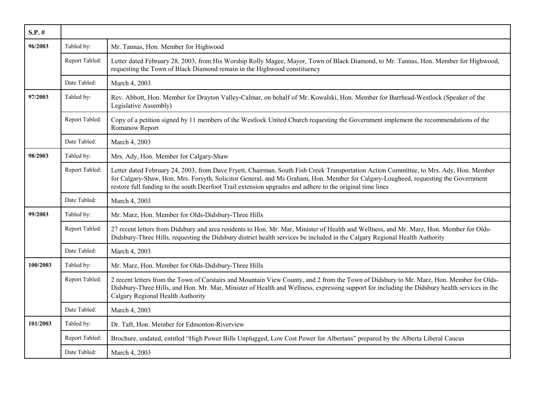| $S.P.$ # |                |                                                                                                                                                                                                                                                                                                                                                                                           |
|----------|----------------|-------------------------------------------------------------------------------------------------------------------------------------------------------------------------------------------------------------------------------------------------------------------------------------------------------------------------------------------------------------------------------------------|
| 96/2003  | Tabled by:     | Mr. Tannas, Hon. Member for Highwood                                                                                                                                                                                                                                                                                                                                                      |
|          | Report Tabled: | Letter dated February 28, 2003, from His Worship Rolly Magee, Mayor, Town of Black Diamond, to Mr. Tannas, Hon. Member for Highwood,<br>requesting the Town of Black Diamond remain in the Highwood constituency                                                                                                                                                                          |
|          | Date Tabled:   | March 4, 2003                                                                                                                                                                                                                                                                                                                                                                             |
| 97/2003  | Tabled by:     | Rev. Abbott, Hon. Member for Drayton Valley-Calmar, on behalf of Mr. Kowalski, Hon. Member for Barrhead-Westlock (Speaker of the<br>Legislative Assembly)                                                                                                                                                                                                                                 |
|          | Report Tabled: | Copy of a petition signed by 11 members of the Westlock United Church requesting the Government implement the recommendations of the<br>Romanow Report                                                                                                                                                                                                                                    |
|          | Date Tabled:   | March 4, 2003                                                                                                                                                                                                                                                                                                                                                                             |
| 98/2003  | Tabled by:     | Mrs. Ady, Hon. Member for Calgary-Shaw                                                                                                                                                                                                                                                                                                                                                    |
|          | Report Tabled: | Letter dated February 24, 2003, from Dave Fryett, Chairman, South Fish Creek Transportation Action Committee, to Mrs. Ady, Hon. Member<br>for Calgary-Shaw, Hon. Mrs. Forsyth, Solicitor General, and Ms Graham, Hon. Member for Calgary-Lougheed, requesting the Government<br>restore full funding to the south Deerfoot Trail extension upgrades and adhere to the original time lines |
|          | Date Tabled:   | March 4, 2003                                                                                                                                                                                                                                                                                                                                                                             |
| 99/2003  | Tabled by:     | Mr. Marz, Hon. Member for Olds-Didsbury-Three Hills                                                                                                                                                                                                                                                                                                                                       |
|          | Report Tabled: | 27 recent letters from Didsbury and area residents to Hon. Mr. Mar, Minister of Health and Wellness, and Mr. Marz, Hon. Member for Olds-<br>Didsbury-Three Hills, requesting the Didsbury district health services be included in the Calgary Regional Health Authority                                                                                                                   |
|          | Date Tabled:   | March 4, 2003                                                                                                                                                                                                                                                                                                                                                                             |
| 100/2003 | Tabled by:     | Mr. Marz, Hon. Member for Olds-Didsbury-Three Hills                                                                                                                                                                                                                                                                                                                                       |
|          | Report Tabled: | 2 recent letters from the Town of Carstairs and Mountain View County, and 2 from the Town of Didsbury to Mr. Marz, Hon. Member for Olds-<br>Didsbury-Three Hills, and Hon. Mr. Mar, Minister of Health and Wellness, expressing support for including the Didsbury health services in the<br>Calgary Regional Health Authority                                                            |
|          | Date Tabled:   | March 4, 2003                                                                                                                                                                                                                                                                                                                                                                             |
| 101/2003 | Tabled by:     | Dr. Taft, Hon. Member for Edmonton-Riverview                                                                                                                                                                                                                                                                                                                                              |
|          | Report Tabled: | Brochure, undated, entitled "High Power Bills Unplugged, Low Cost Power for Albertans" prepared by the Alberta Liberal Caucus                                                                                                                                                                                                                                                             |
|          | Date Tabled:   | March 4, 2003                                                                                                                                                                                                                                                                                                                                                                             |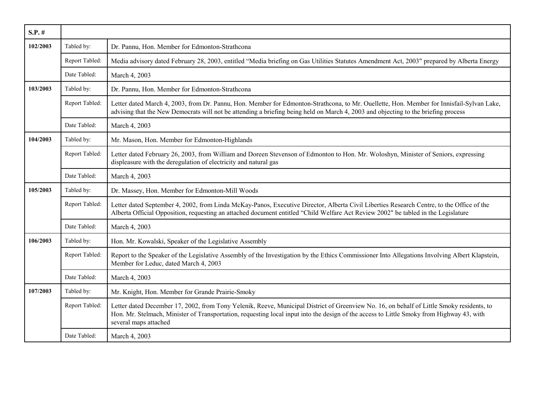| $S.P.$ # |                |                                                                                                                                                                                                                                                                                                                 |
|----------|----------------|-----------------------------------------------------------------------------------------------------------------------------------------------------------------------------------------------------------------------------------------------------------------------------------------------------------------|
| 102/2003 | Tabled by:     | Dr. Pannu, Hon. Member for Edmonton-Strathcona                                                                                                                                                                                                                                                                  |
|          | Report Tabled: | Media advisory dated February 28, 2003, entitled "Media briefing on Gas Utilities Statutes Amendment Act, 2003" prepared by Alberta Energy                                                                                                                                                                      |
|          | Date Tabled:   | March 4, 2003                                                                                                                                                                                                                                                                                                   |
| 103/2003 | Tabled by:     | Dr. Pannu, Hon. Member for Edmonton-Strathcona                                                                                                                                                                                                                                                                  |
|          | Report Tabled: | Letter dated March 4, 2003, from Dr. Pannu, Hon. Member for Edmonton-Strathcona, to Mr. Ouellette, Hon. Member for Innisfail-Sylvan Lake,<br>advising that the New Democrats will not be attending a briefing being held on March 4, 2003 and objecting to the briefing process                                 |
|          | Date Tabled:   | March 4, 2003                                                                                                                                                                                                                                                                                                   |
| 104/2003 | Tabled by:     | Mr. Mason, Hon. Member for Edmonton-Highlands                                                                                                                                                                                                                                                                   |
|          | Report Tabled: | Letter dated February 26, 2003, from William and Doreen Stevenson of Edmonton to Hon. Mr. Woloshyn, Minister of Seniors, expressing<br>displeasure with the deregulation of electricity and natural gas                                                                                                         |
|          | Date Tabled:   | March 4, 2003                                                                                                                                                                                                                                                                                                   |
| 105/2003 | Tabled by:     | Dr. Massey, Hon. Member for Edmonton-Mill Woods                                                                                                                                                                                                                                                                 |
|          | Report Tabled: | Letter dated September 4, 2002, from Linda McKay-Panos, Executive Director, Alberta Civil Liberties Research Centre, to the Office of the<br>Alberta Official Opposition, requesting an attached document entitled "Child Welfare Act Review 2002" be tabled in the Legislature                                 |
|          | Date Tabled:   | March 4, 2003                                                                                                                                                                                                                                                                                                   |
| 106/2003 | Tabled by:     | Hon. Mr. Kowalski, Speaker of the Legislative Assembly                                                                                                                                                                                                                                                          |
|          | Report Tabled: | Report to the Speaker of the Legislative Assembly of the Investigation by the Ethics Commissioner Into Allegations Involving Albert Klapstein,<br>Member for Leduc, dated March 4, 2003                                                                                                                         |
|          | Date Tabled:   | March 4, 2003                                                                                                                                                                                                                                                                                                   |
| 107/2003 | Tabled by:     | Mr. Knight, Hon. Member for Grande Prairie-Smoky                                                                                                                                                                                                                                                                |
|          | Report Tabled: | Letter dated December 17, 2002, from Tony Yelenik, Reeve, Municipal District of Greenview No. 16, on behalf of Little Smoky residents, to<br>Hon. Mr. Stelmach, Minister of Transportation, requesting local input into the design of the access to Little Smoky from Highway 43, with<br>several maps attached |
|          | Date Tabled:   | March 4, 2003                                                                                                                                                                                                                                                                                                   |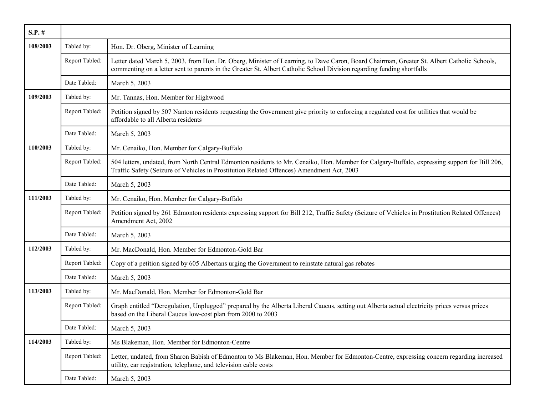| $S.P.$ # |                |                                                                                                                                                                                                                                                                      |
|----------|----------------|----------------------------------------------------------------------------------------------------------------------------------------------------------------------------------------------------------------------------------------------------------------------|
| 108/2003 | Tabled by:     | Hon. Dr. Oberg, Minister of Learning                                                                                                                                                                                                                                 |
|          | Report Tabled: | Letter dated March 5, 2003, from Hon. Dr. Oberg, Minister of Learning, to Dave Caron, Board Chairman, Greater St. Albert Catholic Schools,<br>commenting on a letter sent to parents in the Greater St. Albert Catholic School Division regarding funding shortfalls |
|          | Date Tabled:   | March 5, 2003                                                                                                                                                                                                                                                        |
| 109/2003 | Tabled by:     | Mr. Tannas, Hon. Member for Highwood                                                                                                                                                                                                                                 |
|          | Report Tabled: | Petition signed by 507 Nanton residents requesting the Government give priority to enforcing a regulated cost for utilities that would be<br>affordable to all Alberta residents                                                                                     |
|          | Date Tabled:   | March 5, 2003                                                                                                                                                                                                                                                        |
| 110/2003 | Tabled by:     | Mr. Cenaiko, Hon. Member for Calgary-Buffalo                                                                                                                                                                                                                         |
|          | Report Tabled: | 504 letters, undated, from North Central Edmonton residents to Mr. Cenaiko, Hon. Member for Calgary-Buffalo, expressing support for Bill 206,<br>Traffic Safety (Seizure of Vehicles in Prostitution Related Offences) Amendment Act, 2003                           |
|          | Date Tabled:   | March 5, 2003                                                                                                                                                                                                                                                        |
| 111/2003 | Tabled by:     | Mr. Cenaiko, Hon. Member for Calgary-Buffalo                                                                                                                                                                                                                         |
|          | Report Tabled: | Petition signed by 261 Edmonton residents expressing support for Bill 212, Traffic Safety (Seizure of Vehicles in Prostitution Related Offences)<br>Amendment Act, 2002                                                                                              |
|          | Date Tabled:   | March 5, 2003                                                                                                                                                                                                                                                        |
| 112/2003 | Tabled by:     | Mr. MacDonald, Hon. Member for Edmonton-Gold Bar                                                                                                                                                                                                                     |
|          | Report Tabled: | Copy of a petition signed by 605 Albertans urging the Government to reinstate natural gas rebates                                                                                                                                                                    |
|          | Date Tabled:   | March 5, 2003                                                                                                                                                                                                                                                        |
| 113/2003 | Tabled by:     | Mr. MacDonald, Hon. Member for Edmonton-Gold Bar                                                                                                                                                                                                                     |
|          | Report Tabled: | Graph entitled "Deregulation, Unplugged" prepared by the Alberta Liberal Caucus, setting out Alberta actual electricity prices versus prices<br>based on the Liberal Caucus low-cost plan from 2000 to 2003                                                          |
|          | Date Tabled:   | March 5, 2003                                                                                                                                                                                                                                                        |
| 114/2003 | Tabled by:     | Ms Blakeman, Hon. Member for Edmonton-Centre                                                                                                                                                                                                                         |
|          | Report Tabled: | Letter, undated, from Sharon Babish of Edmonton to Ms Blakeman, Hon. Member for Edmonton-Centre, expressing concern regarding increased<br>utility, car registration, telephone, and television cable costs                                                          |
|          | Date Tabled:   | March 5, 2003                                                                                                                                                                                                                                                        |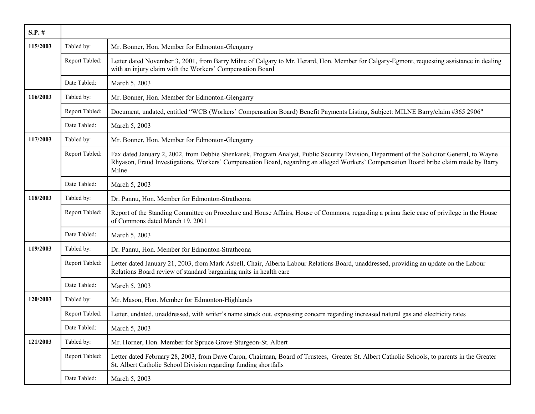| $S.P.$ # |                |                                                                                                                                                                                                                                                                                               |
|----------|----------------|-----------------------------------------------------------------------------------------------------------------------------------------------------------------------------------------------------------------------------------------------------------------------------------------------|
| 115/2003 | Tabled by:     | Mr. Bonner, Hon. Member for Edmonton-Glengarry                                                                                                                                                                                                                                                |
|          | Report Tabled: | Letter dated November 3, 2001, from Barry Milne of Calgary to Mr. Herard, Hon. Member for Calgary-Egmont, requesting assistance in dealing<br>with an injury claim with the Workers' Compensation Board                                                                                       |
|          | Date Tabled:   | March 5, 2003                                                                                                                                                                                                                                                                                 |
| 116/2003 | Tabled by:     | Mr. Bonner, Hon. Member for Edmonton-Glengarry                                                                                                                                                                                                                                                |
|          | Report Tabled: | Document, undated, entitled "WCB (Workers' Compensation Board) Benefit Payments Listing, Subject: MILNE Barry/claim #365 2906"                                                                                                                                                                |
|          | Date Tabled:   | March 5, 2003                                                                                                                                                                                                                                                                                 |
| 117/2003 | Tabled by:     | Mr. Bonner, Hon. Member for Edmonton-Glengarry                                                                                                                                                                                                                                                |
|          | Report Tabled: | Fax dated January 2, 2002, from Debbie Shenkarek, Program Analyst, Public Security Division, Department of the Solicitor General, to Wayne<br>Rhyason, Fraud Investigations, Workers' Compensation Board, regarding an alleged Workers' Compensation Board bribe claim made by Barry<br>Milne |
|          | Date Tabled:   | March 5, 2003                                                                                                                                                                                                                                                                                 |
| 118/2003 | Tabled by:     | Dr. Pannu, Hon. Member for Edmonton-Strathcona                                                                                                                                                                                                                                                |
|          | Report Tabled: | Report of the Standing Committee on Procedure and House Affairs, House of Commons, regarding a prima facie case of privilege in the House<br>of Commons dated March 19, 2001                                                                                                                  |
|          | Date Tabled:   | March 5, 2003                                                                                                                                                                                                                                                                                 |
| 119/2003 | Tabled by:     | Dr. Pannu, Hon. Member for Edmonton-Strathcona                                                                                                                                                                                                                                                |
|          | Report Tabled: | Letter dated January 21, 2003, from Mark Asbell, Chair, Alberta Labour Relations Board, unaddressed, providing an update on the Labour<br>Relations Board review of standard bargaining units in health care                                                                                  |
|          | Date Tabled:   | March 5, 2003                                                                                                                                                                                                                                                                                 |
| 120/2003 | Tabled by:     | Mr. Mason, Hon. Member for Edmonton-Highlands                                                                                                                                                                                                                                                 |
|          | Report Tabled: | Letter, undated, unaddressed, with writer's name struck out, expressing concern regarding increased natural gas and electricity rates                                                                                                                                                         |
|          | Date Tabled:   | March 5, 2003                                                                                                                                                                                                                                                                                 |
| 121/2003 | Tabled by:     | Mr. Horner, Hon. Member for Spruce Grove-Sturgeon-St. Albert                                                                                                                                                                                                                                  |
|          | Report Tabled: | Letter dated February 28, 2003, from Dave Caron, Chairman, Board of Trustees, Greater St. Albert Catholic Schools, to parents in the Greater<br>St. Albert Catholic School Division regarding funding shortfalls                                                                              |
|          | Date Tabled:   | March 5, 2003                                                                                                                                                                                                                                                                                 |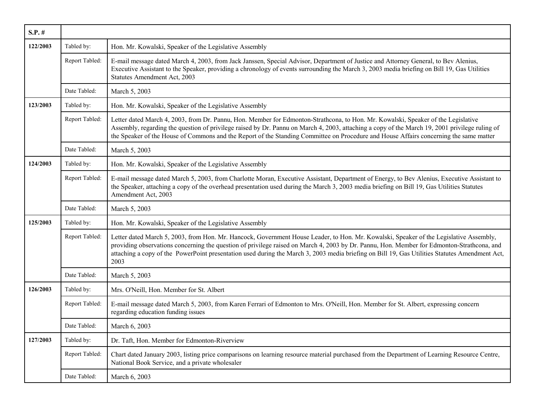| $S.P.$ # |                |                                                                                                                                                                                                                                                                                                                                                                                                                                                |
|----------|----------------|------------------------------------------------------------------------------------------------------------------------------------------------------------------------------------------------------------------------------------------------------------------------------------------------------------------------------------------------------------------------------------------------------------------------------------------------|
| 122/2003 | Tabled by:     | Hon. Mr. Kowalski, Speaker of the Legislative Assembly                                                                                                                                                                                                                                                                                                                                                                                         |
|          | Report Tabled: | E-mail message dated March 4, 2003, from Jack Janssen, Special Advisor, Department of Justice and Attorney General, to Bev Alenius,<br>Executive Assistant to the Speaker, providing a chronology of events surrounding the March 3, 2003 media briefing on Bill 19, Gas Utilities<br><b>Statutes Amendment Act, 2003</b>                                                                                                                      |
|          | Date Tabled:   | March 5, 2003                                                                                                                                                                                                                                                                                                                                                                                                                                  |
| 123/2003 | Tabled by:     | Hon. Mr. Kowalski, Speaker of the Legislative Assembly                                                                                                                                                                                                                                                                                                                                                                                         |
|          | Report Tabled: | Letter dated March 4, 2003, from Dr. Pannu, Hon. Member for Edmonton-Strathcona, to Hon. Mr. Kowalski, Speaker of the Legislative<br>Assembly, regarding the question of privilege raised by Dr. Pannu on March 4, 2003, attaching a copy of the March 19, 2001 privilege ruling of<br>the Speaker of the House of Commons and the Report of the Standing Committee on Procedure and House Affairs concerning the same matter                  |
|          | Date Tabled:   | March 5, 2003                                                                                                                                                                                                                                                                                                                                                                                                                                  |
| 124/2003 | Tabled by:     | Hon. Mr. Kowalski, Speaker of the Legislative Assembly                                                                                                                                                                                                                                                                                                                                                                                         |
|          | Report Tabled: | E-mail message dated March 5, 2003, from Charlotte Moran, Executive Assistant, Department of Energy, to Bev Alenius, Executive Assistant to<br>the Speaker, attaching a copy of the overhead presentation used during the March 3, 2003 media briefing on Bill 19, Gas Utilities Statutes<br>Amendment Act, 2003                                                                                                                               |
|          | Date Tabled:   | March 5, 2003                                                                                                                                                                                                                                                                                                                                                                                                                                  |
| 125/2003 | Tabled by:     | Hon. Mr. Kowalski, Speaker of the Legislative Assembly                                                                                                                                                                                                                                                                                                                                                                                         |
|          | Report Tabled: | Letter dated March 5, 2003, from Hon. Mr. Hancock, Government House Leader, to Hon. Mr. Kowalski, Speaker of the Legislative Assembly,<br>providing observations concerning the question of privilege raised on March 4, 2003 by Dr. Pannu, Hon. Member for Edmonton-Strathcona, and<br>attaching a copy of the PowerPoint presentation used during the March 3, 2003 media briefing on Bill 19, Gas Utilities Statutes Amendment Act,<br>2003 |
|          | Date Tabled:   | March 5, 2003                                                                                                                                                                                                                                                                                                                                                                                                                                  |
| 126/2003 | Tabled by:     | Mrs. O'Neill, Hon. Member for St. Albert                                                                                                                                                                                                                                                                                                                                                                                                       |
|          | Report Tabled: | E-mail message dated March 5, 2003, from Karen Ferrari of Edmonton to Mrs. O'Neill, Hon. Member for St. Albert, expressing concern<br>regarding education funding issues                                                                                                                                                                                                                                                                       |
|          | Date Tabled:   | March 6, 2003                                                                                                                                                                                                                                                                                                                                                                                                                                  |
| 127/2003 | Tabled by:     | Dr. Taft, Hon. Member for Edmonton-Riverview                                                                                                                                                                                                                                                                                                                                                                                                   |
|          | Report Tabled: | Chart dated January 2003, listing price comparisons on learning resource material purchased from the Department of Learning Resource Centre,<br>National Book Service, and a private wholesaler                                                                                                                                                                                                                                                |
|          | Date Tabled:   | March 6, 2003                                                                                                                                                                                                                                                                                                                                                                                                                                  |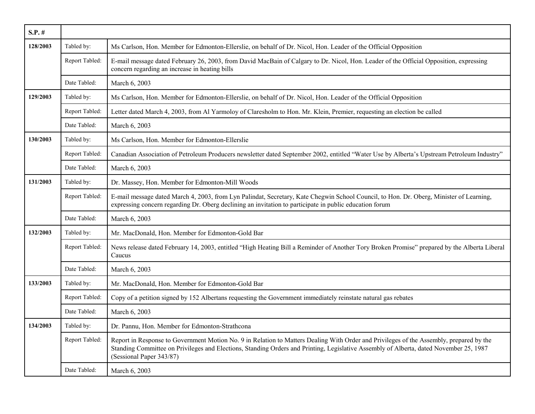| $S.P.$ # |                |                                                                                                                                                                                                                                                                                                               |
|----------|----------------|---------------------------------------------------------------------------------------------------------------------------------------------------------------------------------------------------------------------------------------------------------------------------------------------------------------|
| 128/2003 | Tabled by:     | Ms Carlson, Hon. Member for Edmonton-Ellerslie, on behalf of Dr. Nicol, Hon. Leader of the Official Opposition                                                                                                                                                                                                |
|          | Report Tabled: | E-mail message dated February 26, 2003, from David MacBain of Calgary to Dr. Nicol, Hon. Leader of the Official Opposition, expressing<br>concern regarding an increase in heating bills                                                                                                                      |
|          | Date Tabled:   | March 6, 2003                                                                                                                                                                                                                                                                                                 |
| 129/2003 | Tabled by:     | Ms Carlson, Hon. Member for Edmonton-Ellerslie, on behalf of Dr. Nicol, Hon. Leader of the Official Opposition                                                                                                                                                                                                |
|          | Report Tabled: | Letter dated March 4, 2003, from Al Yarmoloy of Claresholm to Hon. Mr. Klein, Premier, requesting an election be called                                                                                                                                                                                       |
|          | Date Tabled:   | March 6, 2003                                                                                                                                                                                                                                                                                                 |
| 130/2003 | Tabled by:     | Ms Carlson, Hon. Member for Edmonton-Ellerslie                                                                                                                                                                                                                                                                |
|          | Report Tabled: | Canadian Association of Petroleum Producers newsletter dated September 2002, entitled "Water Use by Alberta's Upstream Petroleum Industry"                                                                                                                                                                    |
|          | Date Tabled:   | March 6, 2003                                                                                                                                                                                                                                                                                                 |
| 131/2003 | Tabled by:     | Dr. Massey, Hon. Member for Edmonton-Mill Woods                                                                                                                                                                                                                                                               |
|          | Report Tabled: | E-mail message dated March 4, 2003, from Lyn Palindat, Secretary, Kate Chegwin School Council, to Hon. Dr. Oberg, Minister of Learning,<br>expressing concern regarding Dr. Oberg declining an invitation to participate in public education forum                                                            |
|          | Date Tabled:   | March 6, 2003                                                                                                                                                                                                                                                                                                 |
| 132/2003 | Tabled by:     | Mr. MacDonald, Hon. Member for Edmonton-Gold Bar                                                                                                                                                                                                                                                              |
|          | Report Tabled: | News release dated February 14, 2003, entitled "High Heating Bill a Reminder of Another Tory Broken Promise" prepared by the Alberta Liberal<br>Caucus                                                                                                                                                        |
|          | Date Tabled:   | March 6, 2003                                                                                                                                                                                                                                                                                                 |
| 133/2003 | Tabled by:     | Mr. MacDonald, Hon. Member for Edmonton-Gold Bar                                                                                                                                                                                                                                                              |
|          | Report Tabled: | Copy of a petition signed by 152 Albertans requesting the Government immediately reinstate natural gas rebates                                                                                                                                                                                                |
|          | Date Tabled:   | March 6, 2003                                                                                                                                                                                                                                                                                                 |
| 134/2003 | Tabled by:     | Dr. Pannu, Hon. Member for Edmonton-Strathcona                                                                                                                                                                                                                                                                |
|          | Report Tabled: | Report in Response to Government Motion No. 9 in Relation to Matters Dealing With Order and Privileges of the Assembly, prepared by the<br>Standing Committee on Privileges and Elections, Standing Orders and Printing, Legislative Assembly of Alberta, dated November 25, 1987<br>(Sessional Paper 343/87) |
|          | Date Tabled:   | March 6, 2003                                                                                                                                                                                                                                                                                                 |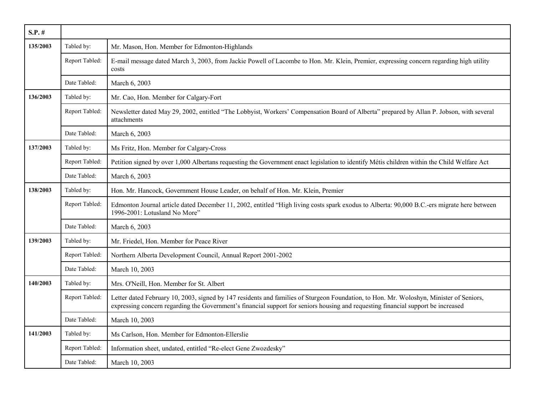| $S.P.$ # |                |                                                                                                                                                                                                                                                                              |
|----------|----------------|------------------------------------------------------------------------------------------------------------------------------------------------------------------------------------------------------------------------------------------------------------------------------|
| 135/2003 | Tabled by:     | Mr. Mason, Hon. Member for Edmonton-Highlands                                                                                                                                                                                                                                |
|          | Report Tabled: | E-mail message dated March 3, 2003, from Jackie Powell of Lacombe to Hon. Mr. Klein, Premier, expressing concern regarding high utility<br>costs                                                                                                                             |
|          | Date Tabled:   | March 6, 2003                                                                                                                                                                                                                                                                |
| 136/2003 | Tabled by:     | Mr. Cao, Hon. Member for Calgary-Fort                                                                                                                                                                                                                                        |
|          | Report Tabled: | Newsletter dated May 29, 2002, entitled "The Lobbyist, Workers' Compensation Board of Alberta" prepared by Allan P. Jobson, with several<br>attachments                                                                                                                      |
|          | Date Tabled:   | March 6, 2003                                                                                                                                                                                                                                                                |
| 137/2003 | Tabled by:     | Ms Fritz, Hon. Member for Calgary-Cross                                                                                                                                                                                                                                      |
|          | Report Tabled: | Petition signed by over 1,000 Albertans requesting the Government enact legislation to identify Métis children within the Child Welfare Act                                                                                                                                  |
|          | Date Tabled:   | March 6, 2003                                                                                                                                                                                                                                                                |
| 138/2003 | Tabled by:     | Hon. Mr. Hancock, Government House Leader, on behalf of Hon. Mr. Klein, Premier                                                                                                                                                                                              |
|          | Report Tabled: | Edmonton Journal article dated December 11, 2002, entitled "High living costs spark exodus to Alberta: 90,000 B.C.-ers migrate here between<br>1996-2001: Lotusland No More"                                                                                                 |
|          | Date Tabled:   | March 6, 2003                                                                                                                                                                                                                                                                |
| 139/2003 | Tabled by:     | Mr. Friedel, Hon. Member for Peace River                                                                                                                                                                                                                                     |
|          | Report Tabled: | Northern Alberta Development Council, Annual Report 2001-2002                                                                                                                                                                                                                |
|          | Date Tabled:   | March 10, 2003                                                                                                                                                                                                                                                               |
| 140/2003 | Tabled by:     | Mrs. O'Neill, Hon. Member for St. Albert                                                                                                                                                                                                                                     |
|          | Report Tabled: | Letter dated February 10, 2003, signed by 147 residents and families of Sturgeon Foundation, to Hon. Mr. Woloshyn, Minister of Seniors,<br>expressing concern regarding the Government's financial support for seniors housing and requesting financial support be increased |
|          | Date Tabled:   | March 10, 2003                                                                                                                                                                                                                                                               |
| 141/2003 | Tabled by:     | Ms Carlson, Hon. Member for Edmonton-Ellerslie                                                                                                                                                                                                                               |
|          | Report Tabled: | Information sheet, undated, entitled "Re-elect Gene Zwozdesky"                                                                                                                                                                                                               |
|          | Date Tabled:   | March 10, 2003                                                                                                                                                                                                                                                               |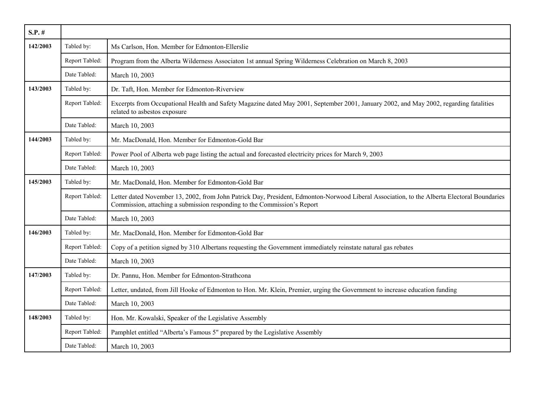| $S.P.$ # |                |                                                                                                                                                                                                                         |
|----------|----------------|-------------------------------------------------------------------------------------------------------------------------------------------------------------------------------------------------------------------------|
| 142/2003 | Tabled by:     | Ms Carlson, Hon. Member for Edmonton-Ellerslie                                                                                                                                                                          |
|          | Report Tabled: | Program from the Alberta Wilderness Associaton 1st annual Spring Wilderness Celebration on March 8, 2003                                                                                                                |
|          | Date Tabled:   | March 10, 2003                                                                                                                                                                                                          |
| 143/2003 | Tabled by:     | Dr. Taft, Hon. Member for Edmonton-Riverview                                                                                                                                                                            |
|          | Report Tabled: | Excerpts from Occupational Health and Safety Magazine dated May 2001, September 2001, January 2002, and May 2002, regarding fatalities<br>related to asbestos exposure                                                  |
|          | Date Tabled:   | March 10, 2003                                                                                                                                                                                                          |
| 144/2003 | Tabled by:     | Mr. MacDonald, Hon. Member for Edmonton-Gold Bar                                                                                                                                                                        |
|          | Report Tabled: | Power Pool of Alberta web page listing the actual and forecasted electricity prices for March 9, 2003                                                                                                                   |
|          | Date Tabled:   | March 10, 2003                                                                                                                                                                                                          |
| 145/2003 | Tabled by:     | Mr. MacDonald, Hon. Member for Edmonton-Gold Bar                                                                                                                                                                        |
|          | Report Tabled: | Letter dated November 13, 2002, from John Patrick Day, President, Edmonton-Norwood Liberal Association, to the Alberta Electoral Boundaries<br>Commission, attaching a submission responding to the Commission's Report |
|          | Date Tabled:   | March 10, 2003                                                                                                                                                                                                          |
| 146/2003 | Tabled by:     | Mr. MacDonald, Hon. Member for Edmonton-Gold Bar                                                                                                                                                                        |
|          | Report Tabled: | Copy of a petition signed by 310 Albertans requesting the Government immediately reinstate natural gas rebates                                                                                                          |
|          | Date Tabled:   | March 10, 2003                                                                                                                                                                                                          |
| 147/2003 | Tabled by:     | Dr. Pannu, Hon. Member for Edmonton-Strathcona                                                                                                                                                                          |
|          | Report Tabled: | Letter, undated, from Jill Hooke of Edmonton to Hon. Mr. Klein, Premier, urging the Government to increase education funding                                                                                            |
|          | Date Tabled:   | March 10, 2003                                                                                                                                                                                                          |
| 148/2003 | Tabled by:     | Hon. Mr. Kowalski, Speaker of the Legislative Assembly                                                                                                                                                                  |
|          | Report Tabled: | Pamphlet entitled "Alberta's Famous 5" prepared by the Legislative Assembly                                                                                                                                             |
|          | Date Tabled:   | March 10, 2003                                                                                                                                                                                                          |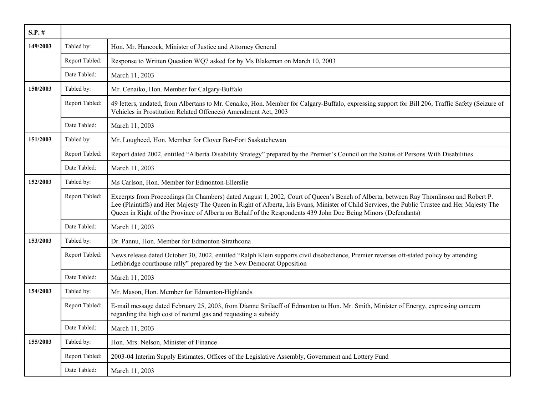| $S.P.$ # |                |                                                                                                                                                                                                                                                                                                                                                                                                          |
|----------|----------------|----------------------------------------------------------------------------------------------------------------------------------------------------------------------------------------------------------------------------------------------------------------------------------------------------------------------------------------------------------------------------------------------------------|
| 149/2003 | Tabled by:     | Hon. Mr. Hancock, Minister of Justice and Attorney General                                                                                                                                                                                                                                                                                                                                               |
|          | Report Tabled: | Response to Written Question WQ7 asked for by Ms Blakeman on March 10, 2003                                                                                                                                                                                                                                                                                                                              |
|          | Date Tabled:   | March 11, 2003                                                                                                                                                                                                                                                                                                                                                                                           |
| 150/2003 | Tabled by:     | Mr. Cenaiko, Hon. Member for Calgary-Buffalo                                                                                                                                                                                                                                                                                                                                                             |
|          | Report Tabled: | 49 letters, undated, from Albertans to Mr. Cenaiko, Hon. Member for Calgary-Buffalo, expressing support for Bill 206, Traffic Safety (Seizure of<br>Vehicles in Prostitution Related Offences) Amendment Act, 2003                                                                                                                                                                                       |
|          | Date Tabled:   | March 11, 2003                                                                                                                                                                                                                                                                                                                                                                                           |
| 151/2003 | Tabled by:     | Mr. Lougheed, Hon. Member for Clover Bar-Fort Saskatchewan                                                                                                                                                                                                                                                                                                                                               |
|          | Report Tabled: | Report dated 2002, entitled "Alberta Disability Strategy" prepared by the Premier's Council on the Status of Persons With Disabilities                                                                                                                                                                                                                                                                   |
|          | Date Tabled:   | March 11, 2003                                                                                                                                                                                                                                                                                                                                                                                           |
| 152/2003 | Tabled by:     | Ms Carlson, Hon. Member for Edmonton-Ellerslie                                                                                                                                                                                                                                                                                                                                                           |
|          | Report Tabled: | Excerpts from Proceedings (In Chambers) dated August 1, 2002, Court of Queen's Bench of Alberta, between Ray Thomlinson and Robert P.<br>Lee (Plaintiffs) and Her Majesty The Queen in Right of Alberta, Iris Evans, Minister of Child Services, the Public Trustee and Her Majesty The<br>Queen in Right of the Province of Alberta on Behalf of the Respondents 439 John Doe Being Minors (Defendants) |
|          | Date Tabled:   | March 11, 2003                                                                                                                                                                                                                                                                                                                                                                                           |
| 153/2003 | Tabled by:     | Dr. Pannu, Hon. Member for Edmonton-Strathcona                                                                                                                                                                                                                                                                                                                                                           |
|          | Report Tabled: | News release dated October 30, 2002, entitled "Ralph Klein supports civil disobedience, Premier reverses oft-stated policy by attending<br>Lethbridge courthouse rally" prepared by the New Democrat Opposition                                                                                                                                                                                          |
|          | Date Tabled:   | March 11, 2003                                                                                                                                                                                                                                                                                                                                                                                           |
| 154/2003 | Tabled by:     | Mr. Mason, Hon. Member for Edmonton-Highlands                                                                                                                                                                                                                                                                                                                                                            |
|          | Report Tabled: | E-mail message dated February 25, 2003, from Dianne Strilaeff of Edmonton to Hon. Mr. Smith, Minister of Energy, expressing concern<br>regarding the high cost of natural gas and requesting a subsidy                                                                                                                                                                                                   |
|          | Date Tabled:   | March 11, 2003                                                                                                                                                                                                                                                                                                                                                                                           |
| 155/2003 | Tabled by:     | Hon. Mrs. Nelson, Minister of Finance                                                                                                                                                                                                                                                                                                                                                                    |
|          | Report Tabled: | 2003-04 Interim Supply Estimates, Offices of the Legislative Assembly, Government and Lottery Fund                                                                                                                                                                                                                                                                                                       |
|          | Date Tabled:   | March 11, 2003                                                                                                                                                                                                                                                                                                                                                                                           |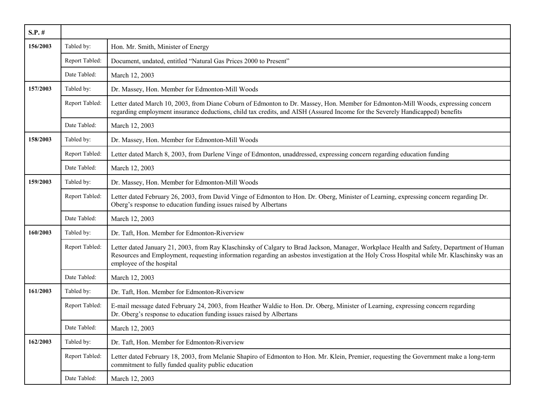| $S.P.$ # |                |                                                                                                                                                                                                                                                                                                                       |
|----------|----------------|-----------------------------------------------------------------------------------------------------------------------------------------------------------------------------------------------------------------------------------------------------------------------------------------------------------------------|
| 156/2003 | Tabled by:     | Hon. Mr. Smith, Minister of Energy                                                                                                                                                                                                                                                                                    |
|          | Report Tabled: | Document, undated, entitled "Natural Gas Prices 2000 to Present"                                                                                                                                                                                                                                                      |
|          | Date Tabled:   | March 12, 2003                                                                                                                                                                                                                                                                                                        |
| 157/2003 | Tabled by:     | Dr. Massey, Hon. Member for Edmonton-Mill Woods                                                                                                                                                                                                                                                                       |
|          | Report Tabled: | Letter dated March 10, 2003, from Diane Coburn of Edmonton to Dr. Massey, Hon. Member for Edmonton-Mill Woods, expressing concern<br>regarding employment insurance deductions, child tax credits, and AISH (Assured Income for the Severely Handicapped) benefits                                                    |
|          | Date Tabled:   | March 12, 2003                                                                                                                                                                                                                                                                                                        |
| 158/2003 | Tabled by:     | Dr. Massey, Hon. Member for Edmonton-Mill Woods                                                                                                                                                                                                                                                                       |
|          | Report Tabled: | Letter dated March 8, 2003, from Darlene Vinge of Edmonton, unaddressed, expressing concern regarding education funding                                                                                                                                                                                               |
|          | Date Tabled:   | March 12, 2003                                                                                                                                                                                                                                                                                                        |
| 159/2003 | Tabled by:     | Dr. Massey, Hon. Member for Edmonton-Mill Woods                                                                                                                                                                                                                                                                       |
|          | Report Tabled: | Letter dated February 26, 2003, from David Vinge of Edmonton to Hon. Dr. Oberg, Minister of Learning, expressing concern regarding Dr.<br>Oberg's response to education funding issues raised by Albertans                                                                                                            |
|          | Date Tabled:   | March 12, 2003                                                                                                                                                                                                                                                                                                        |
| 160/2003 | Tabled by:     | Dr. Taft, Hon. Member for Edmonton-Riverview                                                                                                                                                                                                                                                                          |
|          | Report Tabled: | Letter dated January 21, 2003, from Ray Klaschinsky of Calgary to Brad Jackson, Manager, Workplace Health and Safety, Department of Human<br>Resources and Employment, requesting information regarding an asbestos investigation at the Holy Cross Hospital while Mr. Klaschinsky was an<br>employee of the hospital |
|          | Date Tabled:   | March 12, 2003                                                                                                                                                                                                                                                                                                        |
| 161/2003 | Tabled by:     | Dr. Taft, Hon. Member for Edmonton-Riverview                                                                                                                                                                                                                                                                          |
|          | Report Tabled: | E-mail message dated February 24, 2003, from Heather Waldie to Hon. Dr. Oberg, Minister of Learning, expressing concern regarding<br>Dr. Oberg's response to education funding issues raised by Albertans                                                                                                             |
|          | Date Tabled:   | March 12, 2003                                                                                                                                                                                                                                                                                                        |
| 162/2003 | Tabled by:     | Dr. Taft, Hon. Member for Edmonton-Riverview                                                                                                                                                                                                                                                                          |
|          | Report Tabled: | Letter dated February 18, 2003, from Melanie Shapiro of Edmonton to Hon. Mr. Klein, Premier, requesting the Government make a long-term<br>commitment to fully funded quality public education                                                                                                                        |
|          | Date Tabled:   | March 12, 2003                                                                                                                                                                                                                                                                                                        |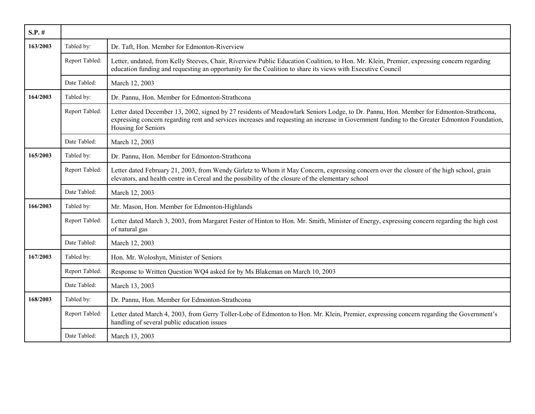| $S.P.$ # |                |                                                                                                                                                                                                                                                                                                                |
|----------|----------------|----------------------------------------------------------------------------------------------------------------------------------------------------------------------------------------------------------------------------------------------------------------------------------------------------------------|
| 163/2003 | Tabled by:     | Dr. Taft, Hon. Member for Edmonton-Riverview                                                                                                                                                                                                                                                                   |
|          | Report Tabled: | Letter, undated, from Kelly Steeves, Chair, Riverview Public Education Coalition, to Hon. Mr. Klein, Premier, expressing concern regarding<br>education funding and requesting an opportunity for the Coalition to share its views with Executive Council                                                      |
|          | Date Tabled:   | March 12, 2003                                                                                                                                                                                                                                                                                                 |
| 164/2003 | Tabled by:     | Dr. Pannu, Hon. Member for Edmonton-Strathcona                                                                                                                                                                                                                                                                 |
|          | Report Tabled: | Letter dated December 13, 2002, signed by 27 residents of Meadowlark Seniors Lodge, to Dr. Pannu, Hon. Member for Edmonton-Strathcona,<br>expressing concern regarding rent and services increases and requesting an increase in Government funding to the Greater Edmonton Foundation,<br>Housing for Seniors |
|          | Date Tabled:   | March 12, 2003                                                                                                                                                                                                                                                                                                 |
| 165/2003 | Tabled by:     | Dr. Pannu, Hon. Member for Edmonton-Strathcona                                                                                                                                                                                                                                                                 |
|          | Report Tabled: | Letter dated February 21, 2003, from Wendy Girletz to Whom it May Concern, expressing concern over the closure of the high school, grain<br>elevators, and health centre in Cereal and the possibility of the closure of the elementary school                                                                 |
|          | Date Tabled:   | March 12, 2003                                                                                                                                                                                                                                                                                                 |
| 166/2003 | Tabled by:     | Mr. Mason, Hon. Member for Edmonton-Highlands                                                                                                                                                                                                                                                                  |
|          | Report Tabled: | Letter dated March 3, 2003, from Margaret Fester of Hinton to Hon. Mr. Smith, Minister of Energy, expressing concern regarding the high cost<br>of natural gas                                                                                                                                                 |
|          | Date Tabled:   | March 12, 2003                                                                                                                                                                                                                                                                                                 |
| 167/2003 | Tabled by:     | Hon. Mr. Woloshyn, Minister of Seniors                                                                                                                                                                                                                                                                         |
|          | Report Tabled: | Response to Written Question WQ4 asked for by Ms Blakeman on March 10, 2003                                                                                                                                                                                                                                    |
|          | Date Tabled:   | March 13, 2003                                                                                                                                                                                                                                                                                                 |
| 168/2003 | Tabled by:     | Dr. Pannu, Hon. Member for Edmonton-Strathcona                                                                                                                                                                                                                                                                 |
|          | Report Tabled: | Letter dated March 4, 2003, from Gerry Toller-Lobe of Edmonton to Hon. Mr. Klein, Premier, expressing concern regarding the Government's<br>handling of several public education issues                                                                                                                        |
|          | Date Tabled:   | March 13, 2003                                                                                                                                                                                                                                                                                                 |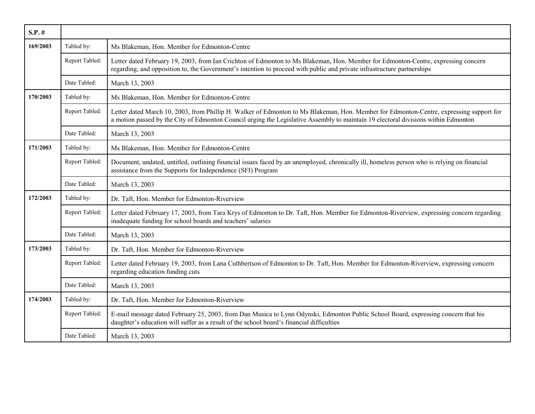| $S.P.$ # |                |                                                                                                                                                                                                                                                                               |
|----------|----------------|-------------------------------------------------------------------------------------------------------------------------------------------------------------------------------------------------------------------------------------------------------------------------------|
| 169/2003 | Tabled by:     | Ms Blakeman, Hon. Member for Edmonton-Centre                                                                                                                                                                                                                                  |
|          | Report Tabled: | Letter dated February 19, 2003, from Ian Crichton of Edmonton to Ms Blakeman, Hon. Member for Edmonton-Centre, expressing concern<br>regarding, and opposition to, the Government's intention to proceed with public and private infrastructure partnerships                  |
|          | Date Tabled:   | March 13, 2003                                                                                                                                                                                                                                                                |
| 170/2003 | Tabled by:     | Ms Blakeman, Hon. Member for Edmonton-Centre                                                                                                                                                                                                                                  |
|          | Report Tabled: | Letter dated March 10, 2003, from Phillip H. Walker of Edmonton to Ms Blakeman, Hon. Member for Edmonton-Centre, expressing support for<br>a motion passed by the City of Edmonton Council urging the Legislative Assembly to maintain 19 electoral divisions within Edmonton |
|          | Date Tabled:   | March 13, 2003                                                                                                                                                                                                                                                                |
| 171/2003 | Tabled by:     | Ms Blakeman, Hon. Member for Edmonton-Centre                                                                                                                                                                                                                                  |
|          | Report Tabled: | Document, undated, untitled, outlining financial issues faced by an unemployed, chronically ill, homeless person who is relying on financial<br>assistance from the Supports for Independence (SFI) Program                                                                   |
|          | Date Tabled:   | March 13, 2003                                                                                                                                                                                                                                                                |
| 172/2003 | Tabled by:     | Dr. Taft, Hon. Member for Edmonton-Riverview                                                                                                                                                                                                                                  |
|          | Report Tabled: | Letter dated February 17, 2003, from Tara Krys of Edmonton to Dr. Taft, Hon. Member for Edmonton-Riverview, expressing concern regarding<br>inadequate funding for school boards and teachers' salaries                                                                       |
|          | Date Tabled:   | March 13, 2003                                                                                                                                                                                                                                                                |
| 173/2003 | Tabled by:     | Dr. Taft, Hon. Member for Edmonton-Riverview                                                                                                                                                                                                                                  |
|          | Report Tabled: | Letter dated February 19, 2003, from Lana Cuthbertson of Edmonton to Dr. Taft, Hon. Member for Edmonton-Riverview, expressing concern<br>regarding education funding cuts                                                                                                     |
|          | Date Tabled:   | March 13, 2003                                                                                                                                                                                                                                                                |
| 174/2003 | Tabled by:     | Dr. Taft, Hon. Member for Edmonton-Riverview                                                                                                                                                                                                                                  |
|          | Report Tabled: | E-mail message dated February 25, 2003, from Dan Musica to Lynn Odynski, Edmonton Public School Board, expressing concern that his<br>daughter's education will suffer as a result of the school board's financial difficulties                                               |
|          | Date Tabled:   | March 13, 2003                                                                                                                                                                                                                                                                |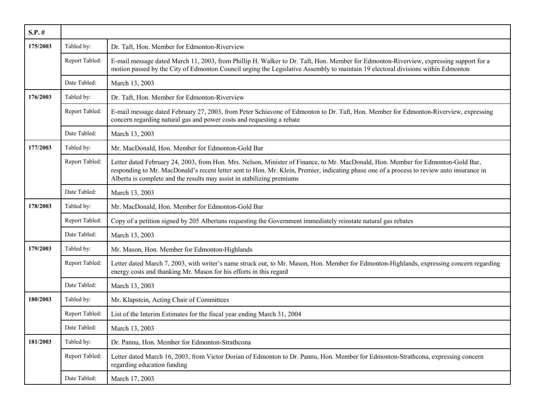| $S.P.$ # |                |                                                                                                                                                                                                                                                                                                                                                          |
|----------|----------------|----------------------------------------------------------------------------------------------------------------------------------------------------------------------------------------------------------------------------------------------------------------------------------------------------------------------------------------------------------|
| 175/2003 | Tabled by:     | Dr. Taft, Hon. Member for Edmonton-Riverview                                                                                                                                                                                                                                                                                                             |
|          | Report Tabled: | E-mail message dated March 11, 2003, from Phillip H. Walker to Dr. Taft, Hon. Member for Edmonton-Riverview, expressing support for a<br>motion passed by the City of Edmonton Council urging the Legislative Assembly to maintain 19 electoral divisions within Edmonton                                                                                |
|          | Date Tabled:   | March 13, 2003                                                                                                                                                                                                                                                                                                                                           |
| 176/2003 | Tabled by:     | Dr. Taft, Hon. Member for Edmonton-Riverview                                                                                                                                                                                                                                                                                                             |
|          | Report Tabled: | E-mail message dated February 27, 2003, from Peter Schiavone of Edmonton to Dr. Taft, Hon. Member for Edmonton-Riverview, expressing<br>concern regarding natural gas and power costs and requesting a rebate                                                                                                                                            |
|          | Date Tabled:   | March 13, 2003                                                                                                                                                                                                                                                                                                                                           |
| 177/2003 | Tabled by:     | Mr. MacDonald, Hon. Member for Edmonton-Gold Bar                                                                                                                                                                                                                                                                                                         |
|          | Report Tabled: | Letter dated February 24, 2003, from Hon. Mrs. Nelson, Minister of Finance, to Mr. MacDonald, Hon. Member for Edmonton-Gold Bar,<br>responding to Mr. MacDonald's recent letter sent to Hon. Mr. Klein, Premier, indicating phase one of a process to review auto insurance in<br>Alberta is complete and the results may assist in stabilizing premiums |
|          | Date Tabled:   | March 13, 2003                                                                                                                                                                                                                                                                                                                                           |
| 178/2003 | Tabled by:     | Mr. MacDonald, Hon. Member for Edmonton-Gold Bar                                                                                                                                                                                                                                                                                                         |
|          | Report Tabled: | Copy of a petition signed by 205 Albertans requesting the Government immediately reinstate natural gas rebates                                                                                                                                                                                                                                           |
|          | Date Tabled:   | March 13, 2003                                                                                                                                                                                                                                                                                                                                           |
| 179/2003 | Tabled by:     | Mr. Mason, Hon. Member for Edmonton-Highlands                                                                                                                                                                                                                                                                                                            |
|          | Report Tabled: | Letter dated March 7, 2003, with writer's name struck out, to Mr. Mason, Hon. Member for Edmonton-Highlands, expressing concern regarding<br>energy costs and thanking Mr. Mason for his efforts in this regard                                                                                                                                          |
|          | Date Tabled:   | March 13, 2003                                                                                                                                                                                                                                                                                                                                           |
| 180/2003 | Tabled by:     | Mr. Klapstein, Acting Chair of Committees                                                                                                                                                                                                                                                                                                                |
|          | Report Tabled: | List of the Interim Estimates for the fiscal year ending March 31, 2004                                                                                                                                                                                                                                                                                  |
|          | Date Tabled:   | March 13, 2003                                                                                                                                                                                                                                                                                                                                           |
| 181/2003 | Tabled by:     | Dr. Pannu, Hon. Member for Edmonton-Strathcona                                                                                                                                                                                                                                                                                                           |
|          | Report Tabled: | Letter dated March 16, 2003, from Victor Dorian of Edmonton to Dr. Pannu, Hon. Member for Edmonton-Strathcona, expressing concern<br>regarding education funding                                                                                                                                                                                         |
|          | Date Tabled:   | March 17, 2003                                                                                                                                                                                                                                                                                                                                           |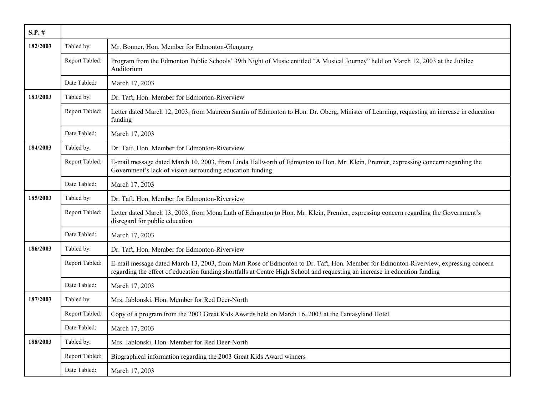| $S.P.$ # |                |                                                                                                                                                                                                                                                                   |
|----------|----------------|-------------------------------------------------------------------------------------------------------------------------------------------------------------------------------------------------------------------------------------------------------------------|
| 182/2003 | Tabled by:     | Mr. Bonner, Hon. Member for Edmonton-Glengarry                                                                                                                                                                                                                    |
|          | Report Tabled: | Program from the Edmonton Public Schools' 39th Night of Music entitled "A Musical Journey" held on March 12, 2003 at the Jubilee<br>Auditorium                                                                                                                    |
|          | Date Tabled:   | March 17, 2003                                                                                                                                                                                                                                                    |
| 183/2003 | Tabled by:     | Dr. Taft, Hon. Member for Edmonton-Riverview                                                                                                                                                                                                                      |
|          | Report Tabled: | Letter dated March 12, 2003, from Maureen Santin of Edmonton to Hon. Dr. Oberg, Minister of Learning, requesting an increase in education<br>funding                                                                                                              |
|          | Date Tabled:   | March 17, 2003                                                                                                                                                                                                                                                    |
| 184/2003 | Tabled by:     | Dr. Taft, Hon. Member for Edmonton-Riverview                                                                                                                                                                                                                      |
|          | Report Tabled: | E-mail message dated March 10, 2003, from Linda Hallworth of Edmonton to Hon. Mr. Klein, Premier, expressing concern regarding the<br>Government's lack of vision surrounding education funding                                                                   |
|          | Date Tabled:   | March 17, 2003                                                                                                                                                                                                                                                    |
| 185/2003 | Tabled by:     | Dr. Taft, Hon. Member for Edmonton-Riverview                                                                                                                                                                                                                      |
|          | Report Tabled: | Letter dated March 13, 2003, from Mona Luth of Edmonton to Hon. Mr. Klein, Premier, expressing concern regarding the Government's<br>disregard for public education                                                                                               |
|          | Date Tabled:   | March 17, 2003                                                                                                                                                                                                                                                    |
| 186/2003 | Tabled by:     | Dr. Taft, Hon. Member for Edmonton-Riverview                                                                                                                                                                                                                      |
|          | Report Tabled: | E-mail message dated March 13, 2003, from Matt Rose of Edmonton to Dr. Taft, Hon. Member for Edmonton-Riverview, expressing concern<br>regarding the effect of education funding shortfalls at Centre High School and requesting an increase in education funding |
|          | Date Tabled:   | March 17, 2003                                                                                                                                                                                                                                                    |
| 187/2003 | Tabled by:     | Mrs. Jablonski, Hon. Member for Red Deer-North                                                                                                                                                                                                                    |
|          | Report Tabled: | Copy of a program from the 2003 Great Kids Awards held on March 16, 2003 at the Fantasyland Hotel                                                                                                                                                                 |
|          | Date Tabled:   | March 17, 2003                                                                                                                                                                                                                                                    |
| 188/2003 | Tabled by:     | Mrs. Jablonski, Hon. Member for Red Deer-North                                                                                                                                                                                                                    |
|          | Report Tabled: | Biographical information regarding the 2003 Great Kids Award winners                                                                                                                                                                                              |
|          | Date Tabled:   | March 17, 2003                                                                                                                                                                                                                                                    |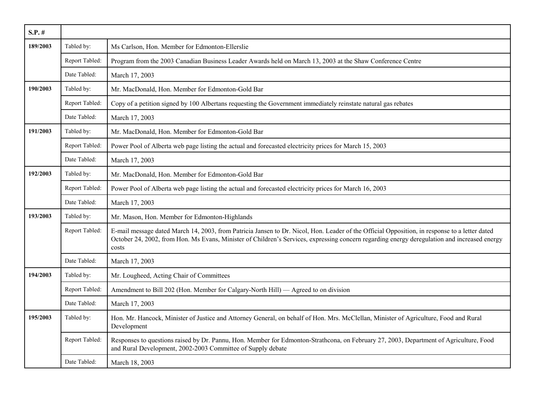| $S.P.$ # |                |                                                                                                                                                                                                                                                                                                        |
|----------|----------------|--------------------------------------------------------------------------------------------------------------------------------------------------------------------------------------------------------------------------------------------------------------------------------------------------------|
| 189/2003 | Tabled by:     | Ms Carlson, Hon. Member for Edmonton-Ellerslie                                                                                                                                                                                                                                                         |
|          | Report Tabled: | Program from the 2003 Canadian Business Leader Awards held on March 13, 2003 at the Shaw Conference Centre                                                                                                                                                                                             |
|          | Date Tabled:   | March 17, 2003                                                                                                                                                                                                                                                                                         |
| 190/2003 | Tabled by:     | Mr. MacDonald, Hon. Member for Edmonton-Gold Bar                                                                                                                                                                                                                                                       |
|          | Report Tabled: | Copy of a petition signed by 100 Albertans requesting the Government immediately reinstate natural gas rebates                                                                                                                                                                                         |
|          | Date Tabled:   | March 17, 2003                                                                                                                                                                                                                                                                                         |
| 191/2003 | Tabled by:     | Mr. MacDonald, Hon. Member for Edmonton-Gold Bar                                                                                                                                                                                                                                                       |
|          | Report Tabled: | Power Pool of Alberta web page listing the actual and forecasted electricity prices for March 15, 2003                                                                                                                                                                                                 |
|          | Date Tabled:   | March 17, 2003                                                                                                                                                                                                                                                                                         |
| 192/2003 | Tabled by:     | Mr. MacDonald, Hon. Member for Edmonton-Gold Bar                                                                                                                                                                                                                                                       |
|          | Report Tabled: | Power Pool of Alberta web page listing the actual and forecasted electricity prices for March 16, 2003                                                                                                                                                                                                 |
|          | Date Tabled:   | March 17, 2003                                                                                                                                                                                                                                                                                         |
| 193/2003 | Tabled by:     | Mr. Mason, Hon. Member for Edmonton-Highlands                                                                                                                                                                                                                                                          |
|          | Report Tabled: | E-mail message dated March 14, 2003, from Patricia Jansen to Dr. Nicol, Hon. Leader of the Official Opposition, in response to a letter dated<br>October 24, 2002, from Hon. Ms Evans, Minister of Children's Services, expressing concern regarding energy deregulation and increased energy<br>costs |
|          | Date Tabled:   | March 17, 2003                                                                                                                                                                                                                                                                                         |
| 194/2003 | Tabled by:     | Mr. Lougheed, Acting Chair of Committees                                                                                                                                                                                                                                                               |
|          | Report Tabled: | Amendment to Bill 202 (Hon. Member for Calgary-North Hill) — Agreed to on division                                                                                                                                                                                                                     |
|          | Date Tabled:   | March 17, 2003                                                                                                                                                                                                                                                                                         |
| 195/2003 | Tabled by:     | Hon. Mr. Hancock, Minister of Justice and Attorney General, on behalf of Hon. Mrs. McClellan, Minister of Agriculture, Food and Rural<br>Development                                                                                                                                                   |
|          | Report Tabled: | Responses to questions raised by Dr. Pannu, Hon. Member for Edmonton-Strathcona, on February 27, 2003, Department of Agriculture, Food<br>and Rural Development, 2002-2003 Committee of Supply debate                                                                                                  |
|          | Date Tabled:   | March 18, 2003                                                                                                                                                                                                                                                                                         |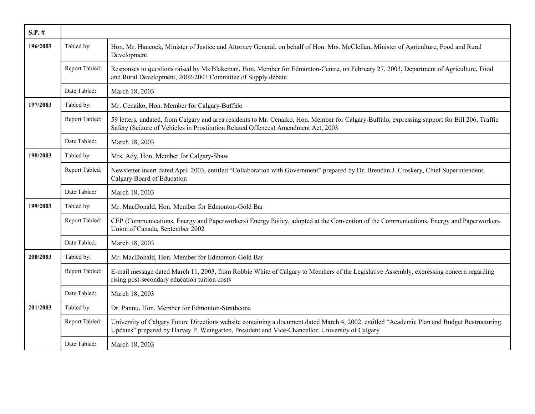| $S.P.$ # |                |                                                                                                                                                                                                                                                |
|----------|----------------|------------------------------------------------------------------------------------------------------------------------------------------------------------------------------------------------------------------------------------------------|
| 196/2003 | Tabled by:     | Hon. Mr. Hancock, Minister of Justice and Attorney General, on behalf of Hon. Mrs. McClellan, Minister of Agriculture, Food and Rural<br>Development                                                                                           |
|          | Report Tabled: | Responses to questions raised by Ms Blakeman, Hon. Member for Edmonton-Centre, on February 27, 2003, Department of Agriculture, Food<br>and Rural Development, 2002-2003 Committee of Supply debate                                            |
|          | Date Tabled:   | March 18, 2003                                                                                                                                                                                                                                 |
| 197/2003 | Tabled by:     | Mr. Cenaiko, Hon. Member for Calgary-Buffalo                                                                                                                                                                                                   |
|          | Report Tabled: | 59 letters, undated, from Calgary and area residents to Mr. Cenaiko, Hon. Member for Calgary-Buffalo, expressing support for Bill 206, Traffic<br>Safety (Seizure of Vehicles in Prostitution Related Offences) Amendment Act, 2003            |
|          | Date Tabled:   | March 18, 2003                                                                                                                                                                                                                                 |
| 198/2003 | Tabled by:     | Mrs. Ady, Hon. Member for Calgary-Shaw                                                                                                                                                                                                         |
|          | Report Tabled: | Newsletter insert dated April 2003, entitled "Collaboration with Government" prepared by Dr. Brendan J. Croskery, Chief Superintendent,<br>Calgary Board of Education                                                                          |
|          | Date Tabled:   | March 18, 2003                                                                                                                                                                                                                                 |
| 199/2003 | Tabled by:     | Mr. MacDonald, Hon. Member for Edmonton-Gold Bar                                                                                                                                                                                               |
|          | Report Tabled: | CEP (Communications, Energy and Paperworkers) Energy Policy, adopted at the Convention of the Communications, Energy and Paperworkers<br>Union of Canada, September 2002                                                                       |
|          | Date Tabled:   | March 18, 2003                                                                                                                                                                                                                                 |
| 200/2003 | Tabled by:     | Mr. MacDonald, Hon. Member for Edmonton-Gold Bar                                                                                                                                                                                               |
|          | Report Tabled: | E-mail message dated March 11, 2003, from Robbie White of Calgary to Members of the Legislative Assembly, expressing concern regarding<br>rising post-secondary education tuition costs                                                        |
|          | Date Tabled:   | March 18, 2003                                                                                                                                                                                                                                 |
| 201/2003 | Tabled by:     | Dr. Pannu, Hon. Member for Edmonton-Strathcona                                                                                                                                                                                                 |
|          | Report Tabled: | University of Calgary Future Directions website containing a document dated March 4, 2002, entitled "Academic Plan and Budget Restructuring<br>Updates" prepared by Harvey P. Weingarten, President and Vice-Chancellor, University of Calgary |
|          | Date Tabled:   | March 18, 2003                                                                                                                                                                                                                                 |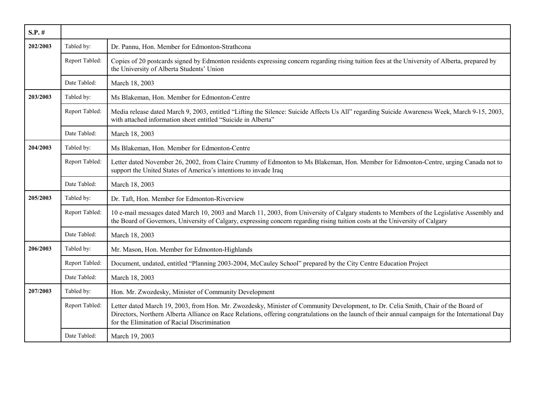| $S.P.$ # |                |                                                                                                                                                                                                                                                                                                                                         |
|----------|----------------|-----------------------------------------------------------------------------------------------------------------------------------------------------------------------------------------------------------------------------------------------------------------------------------------------------------------------------------------|
| 202/2003 | Tabled by:     | Dr. Pannu, Hon. Member for Edmonton-Strathcona                                                                                                                                                                                                                                                                                          |
|          | Report Tabled: | Copies of 20 postcards signed by Edmonton residents expressing concern regarding rising tuition fees at the University of Alberta, prepared by<br>the University of Alberta Students' Union                                                                                                                                             |
|          | Date Tabled:   | March 18, 2003                                                                                                                                                                                                                                                                                                                          |
| 203/2003 | Tabled by:     | Ms Blakeman, Hon. Member for Edmonton-Centre                                                                                                                                                                                                                                                                                            |
|          | Report Tabled: | Media release dated March 9, 2003, entitled "Lifting the Silence: Suicide Affects Us All" regarding Suicide Awareness Week, March 9-15, 2003,<br>with attached information sheet entitled "Suicide in Alberta"                                                                                                                          |
|          | Date Tabled:   | March 18, 2003                                                                                                                                                                                                                                                                                                                          |
| 204/2003 | Tabled by:     | Ms Blakeman, Hon. Member for Edmonton-Centre                                                                                                                                                                                                                                                                                            |
|          | Report Tabled: | Letter dated November 26, 2002, from Claire Crummy of Edmonton to Ms Blakeman, Hon. Member for Edmonton-Centre, urging Canada not to<br>support the United States of America's intentions to invade Iraq                                                                                                                                |
|          | Date Tabled:   | March 18, 2003                                                                                                                                                                                                                                                                                                                          |
| 205/2003 | Tabled by:     | Dr. Taft, Hon. Member for Edmonton-Riverview                                                                                                                                                                                                                                                                                            |
|          | Report Tabled: | 10 e-mail messages dated March 10, 2003 and March 11, 2003, from University of Calgary students to Members of the Legislative Assembly and<br>the Board of Governors, University of Calgary, expressing concern regarding rising tuition costs at the University of Calgary                                                             |
|          | Date Tabled:   | March 18, 2003                                                                                                                                                                                                                                                                                                                          |
| 206/2003 | Tabled by:     | Mr. Mason, Hon. Member for Edmonton-Highlands                                                                                                                                                                                                                                                                                           |
|          | Report Tabled: | Document, undated, entitled "Planning 2003-2004, McCauley School" prepared by the City Centre Education Project                                                                                                                                                                                                                         |
|          | Date Tabled:   | March 18, 2003                                                                                                                                                                                                                                                                                                                          |
| 207/2003 | Tabled by:     | Hon. Mr. Zwozdesky, Minister of Community Development                                                                                                                                                                                                                                                                                   |
|          | Report Tabled: | Letter dated March 19, 2003, from Hon. Mr. Zwozdesky, Minister of Community Development, to Dr. Celia Smith, Chair of the Board of<br>Directors, Northern Alberta Alliance on Race Relations, offering congratulations on the launch of their annual campaign for the International Day<br>for the Elimination of Racial Discrimination |
|          | Date Tabled:   | March 19, 2003                                                                                                                                                                                                                                                                                                                          |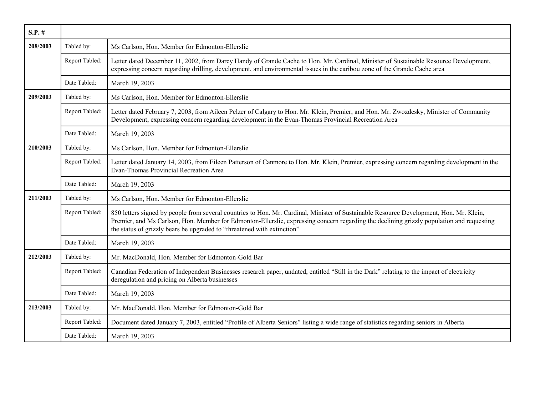| $S.P.$ # |                |                                                                                                                                                                                                                                                                                                                                                                 |
|----------|----------------|-----------------------------------------------------------------------------------------------------------------------------------------------------------------------------------------------------------------------------------------------------------------------------------------------------------------------------------------------------------------|
| 208/2003 | Tabled by:     | Ms Carlson, Hon. Member for Edmonton-Ellerslie                                                                                                                                                                                                                                                                                                                  |
|          | Report Tabled: | Letter dated December 11, 2002, from Darcy Handy of Grande Cache to Hon. Mr. Cardinal, Minister of Sustainable Resource Development,<br>expressing concern regarding drilling, development, and environmental issues in the caribou zone of the Grande Cache area                                                                                               |
|          | Date Tabled:   | March 19, 2003                                                                                                                                                                                                                                                                                                                                                  |
| 209/2003 | Tabled by:     | Ms Carlson, Hon. Member for Edmonton-Ellerslie                                                                                                                                                                                                                                                                                                                  |
|          | Report Tabled: | Letter dated February 7, 2003, from Aileen Pelzer of Calgary to Hon. Mr. Klein, Premier, and Hon. Mr. Zwozdesky, Minister of Community<br>Development, expressing concern regarding development in the Evan-Thomas Provincial Recreation Area                                                                                                                   |
|          | Date Tabled:   | March 19, 2003                                                                                                                                                                                                                                                                                                                                                  |
| 210/2003 | Tabled by:     | Ms Carlson, Hon. Member for Edmonton-Ellerslie                                                                                                                                                                                                                                                                                                                  |
|          | Report Tabled: | Letter dated January 14, 2003, from Eileen Patterson of Canmore to Hon. Mr. Klein, Premier, expressing concern regarding development in the<br>Evan-Thomas Provincial Recreation Area                                                                                                                                                                           |
|          | Date Tabled:   | March 19, 2003                                                                                                                                                                                                                                                                                                                                                  |
| 211/2003 | Tabled by:     | Ms Carlson, Hon. Member for Edmonton-Ellerslie                                                                                                                                                                                                                                                                                                                  |
|          | Report Tabled: | 850 letters signed by people from several countries to Hon. Mr. Cardinal, Minister of Sustainable Resource Development, Hon. Mr. Klein,<br>Premier, and Ms Carlson, Hon. Member for Edmonton-Ellerslie, expressing concern regarding the declining grizzly population and requesting<br>the status of grizzly bears be upgraded to "threatened with extinction" |
|          | Date Tabled:   | March 19, 2003                                                                                                                                                                                                                                                                                                                                                  |
| 212/2003 | Tabled by:     | Mr. MacDonald, Hon. Member for Edmonton-Gold Bar                                                                                                                                                                                                                                                                                                                |
|          | Report Tabled: | Canadian Federation of Independent Businesses research paper, undated, entitled "Still in the Dark" relating to the impact of electricity<br>deregulation and pricing on Alberta businesses                                                                                                                                                                     |
|          | Date Tabled:   | March 19, 2003                                                                                                                                                                                                                                                                                                                                                  |
| 213/2003 | Tabled by:     | Mr. MacDonald, Hon. Member for Edmonton-Gold Bar                                                                                                                                                                                                                                                                                                                |
|          | Report Tabled: | Document dated January 7, 2003, entitled "Profile of Alberta Seniors" listing a wide range of statistics regarding seniors in Alberta                                                                                                                                                                                                                           |
|          | Date Tabled:   | March 19, 2003                                                                                                                                                                                                                                                                                                                                                  |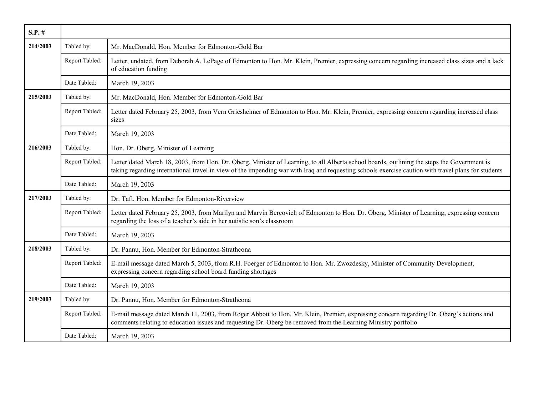| $S.P.$ # |                |                                                                                                                                                                                                                                                                                                    |
|----------|----------------|----------------------------------------------------------------------------------------------------------------------------------------------------------------------------------------------------------------------------------------------------------------------------------------------------|
| 214/2003 | Tabled by:     | Mr. MacDonald, Hon. Member for Edmonton-Gold Bar                                                                                                                                                                                                                                                   |
|          | Report Tabled: | Letter, undated, from Deborah A. LePage of Edmonton to Hon. Mr. Klein, Premier, expressing concern regarding increased class sizes and a lack<br>of education funding                                                                                                                              |
|          | Date Tabled:   | March 19, 2003                                                                                                                                                                                                                                                                                     |
| 215/2003 | Tabled by:     | Mr. MacDonald, Hon. Member for Edmonton-Gold Bar                                                                                                                                                                                                                                                   |
|          | Report Tabled: | Letter dated February 25, 2003, from Vern Griesheimer of Edmonton to Hon. Mr. Klein, Premier, expressing concern regarding increased class<br>sizes                                                                                                                                                |
|          | Date Tabled:   | March 19, 2003                                                                                                                                                                                                                                                                                     |
| 216/2003 | Tabled by:     | Hon. Dr. Oberg, Minister of Learning                                                                                                                                                                                                                                                               |
|          | Report Tabled: | Letter dated March 18, 2003, from Hon. Dr. Oberg, Minister of Learning, to all Alberta school boards, outlining the steps the Government is<br>taking regarding international travel in view of the impending war with Iraq and requesting schools exercise caution with travel plans for students |
|          | Date Tabled:   | March 19, 2003                                                                                                                                                                                                                                                                                     |
| 217/2003 | Tabled by:     | Dr. Taft, Hon. Member for Edmonton-Riverview                                                                                                                                                                                                                                                       |
|          | Report Tabled: | Letter dated February 25, 2003, from Marilyn and Marvin Bercovich of Edmonton to Hon. Dr. Oberg, Minister of Learning, expressing concern<br>regarding the loss of a teacher's aide in her autistic son's classroom                                                                                |
|          | Date Tabled:   | March 19, 2003                                                                                                                                                                                                                                                                                     |
| 218/2003 | Tabled by:     | Dr. Pannu, Hon. Member for Edmonton-Strathcona                                                                                                                                                                                                                                                     |
|          | Report Tabled: | E-mail message dated March 5, 2003, from R.H. Foerger of Edmonton to Hon. Mr. Zwozdesky, Minister of Community Development,<br>expressing concern regarding school board funding shortages                                                                                                         |
|          | Date Tabled:   | March 19, 2003                                                                                                                                                                                                                                                                                     |
| 219/2003 | Tabled by:     | Dr. Pannu, Hon. Member for Edmonton-Strathcona                                                                                                                                                                                                                                                     |
|          | Report Tabled: | E-mail message dated March 11, 2003, from Roger Abbott to Hon. Mr. Klein, Premier, expressing concern regarding Dr. Oberg's actions and<br>comments relating to education issues and requesting Dr. Oberg be removed from the Learning Ministry portfolio                                          |
|          | Date Tabled:   | March 19, 2003                                                                                                                                                                                                                                                                                     |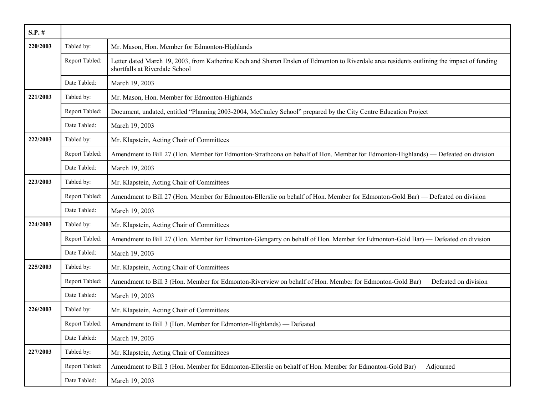| $S.P.$ # |                |                                                                                                                                                                              |
|----------|----------------|------------------------------------------------------------------------------------------------------------------------------------------------------------------------------|
| 220/2003 | Tabled by:     | Mr. Mason, Hon. Member for Edmonton-Highlands                                                                                                                                |
|          | Report Tabled: | Letter dated March 19, 2003, from Katherine Koch and Sharon Enslen of Edmonton to Riverdale area residents outlining the impact of funding<br>shortfalls at Riverdale School |
|          | Date Tabled:   | March 19, 2003                                                                                                                                                               |
| 221/2003 | Tabled by:     | Mr. Mason, Hon. Member for Edmonton-Highlands                                                                                                                                |
|          | Report Tabled: | Document, undated, entitled "Planning 2003-2004, McCauley School" prepared by the City Centre Education Project                                                              |
|          | Date Tabled:   | March 19, 2003                                                                                                                                                               |
| 222/2003 | Tabled by:     | Mr. Klapstein, Acting Chair of Committees                                                                                                                                    |
|          | Report Tabled: | Amendment to Bill 27 (Hon. Member for Edmonton-Strathcona on behalf of Hon. Member for Edmonton-Highlands) — Defeated on division                                            |
|          | Date Tabled:   | March 19, 2003                                                                                                                                                               |
| 223/2003 | Tabled by:     | Mr. Klapstein, Acting Chair of Committees                                                                                                                                    |
|          | Report Tabled: | Amendment to Bill 27 (Hon. Member for Edmonton-Ellerslie on behalf of Hon. Member for Edmonton-Gold Bar) — Defeated on division                                              |
|          | Date Tabled:   | March 19, 2003                                                                                                                                                               |
| 224/2003 | Tabled by:     | Mr. Klapstein, Acting Chair of Committees                                                                                                                                    |
|          | Report Tabled: | Amendment to Bill 27 (Hon. Member for Edmonton-Glengarry on behalf of Hon. Member for Edmonton-Gold Bar) — Defeated on division                                              |
|          | Date Tabled:   | March 19, 2003                                                                                                                                                               |
| 225/2003 | Tabled by:     | Mr. Klapstein, Acting Chair of Committees                                                                                                                                    |
|          | Report Tabled: | Amendment to Bill 3 (Hon. Member for Edmonton-Riverview on behalf of Hon. Member for Edmonton-Gold Bar) — Defeated on division                                               |
|          | Date Tabled:   | March 19, 2003                                                                                                                                                               |
| 226/2003 | Tabled by:     | Mr. Klapstein, Acting Chair of Committees                                                                                                                                    |
|          | Report Tabled: | Amendment to Bill 3 (Hon. Member for Edmonton-Highlands) — Defeated                                                                                                          |
|          | Date Tabled:   | March 19, 2003                                                                                                                                                               |
| 227/2003 | Tabled by:     | Mr. Klapstein, Acting Chair of Committees                                                                                                                                    |
|          | Report Tabled: | Amendment to Bill 3 (Hon. Member for Edmonton-Ellerslie on behalf of Hon. Member for Edmonton-Gold Bar) — Adjourned                                                          |
|          | Date Tabled:   | March 19, 2003                                                                                                                                                               |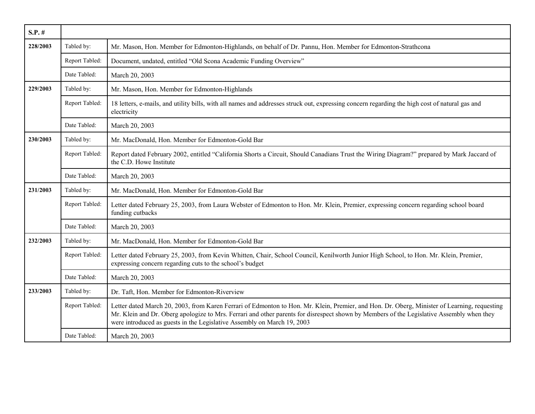| $S.P.$ # |                |                                                                                                                                                                                                                                                                                                                                                                      |
|----------|----------------|----------------------------------------------------------------------------------------------------------------------------------------------------------------------------------------------------------------------------------------------------------------------------------------------------------------------------------------------------------------------|
| 228/2003 | Tabled by:     | Mr. Mason, Hon. Member for Edmonton-Highlands, on behalf of Dr. Pannu, Hon. Member for Edmonton-Strathcona                                                                                                                                                                                                                                                           |
|          | Report Tabled: | Document, undated, entitled "Old Scona Academic Funding Overview"                                                                                                                                                                                                                                                                                                    |
|          | Date Tabled:   | March 20, 2003                                                                                                                                                                                                                                                                                                                                                       |
| 229/2003 | Tabled by:     | Mr. Mason, Hon. Member for Edmonton-Highlands                                                                                                                                                                                                                                                                                                                        |
|          | Report Tabled: | 18 letters, e-mails, and utility bills, with all names and addresses struck out, expressing concern regarding the high cost of natural gas and<br>electricity                                                                                                                                                                                                        |
|          | Date Tabled:   | March 20, 2003                                                                                                                                                                                                                                                                                                                                                       |
| 230/2003 | Tabled by:     | Mr. MacDonald, Hon. Member for Edmonton-Gold Bar                                                                                                                                                                                                                                                                                                                     |
|          | Report Tabled: | Report dated February 2002, entitled "California Shorts a Circuit, Should Canadians Trust the Wiring Diagram?" prepared by Mark Jaccard of<br>the C.D. Howe Institute                                                                                                                                                                                                |
|          | Date Tabled:   | March 20, 2003                                                                                                                                                                                                                                                                                                                                                       |
| 231/2003 | Tabled by:     | Mr. MacDonald, Hon. Member for Edmonton-Gold Bar                                                                                                                                                                                                                                                                                                                     |
|          | Report Tabled: | Letter dated February 25, 2003, from Laura Webster of Edmonton to Hon. Mr. Klein, Premier, expressing concern regarding school board<br>funding cutbacks                                                                                                                                                                                                             |
|          | Date Tabled:   | March 20, 2003                                                                                                                                                                                                                                                                                                                                                       |
| 232/2003 | Tabled by:     | Mr. MacDonald, Hon. Member for Edmonton-Gold Bar                                                                                                                                                                                                                                                                                                                     |
|          | Report Tabled: | Letter dated February 25, 2003, from Kevin Whitten, Chair, School Council, Kenilworth Junior High School, to Hon. Mr. Klein, Premier,<br>expressing concern regarding cuts to the school's budget                                                                                                                                                                    |
|          | Date Tabled:   | March 20, 2003                                                                                                                                                                                                                                                                                                                                                       |
| 233/2003 | Tabled by:     | Dr. Taft, Hon. Member for Edmonton-Riverview                                                                                                                                                                                                                                                                                                                         |
|          | Report Tabled: | Letter dated March 20, 2003, from Karen Ferrari of Edmonton to Hon. Mr. Klein, Premier, and Hon. Dr. Oberg, Minister of Learning, requesting<br>Mr. Klein and Dr. Oberg apologize to Mrs. Ferrari and other parents for disrespect shown by Members of the Legislative Assembly when they<br>were introduced as guests in the Legislative Assembly on March 19, 2003 |
|          | Date Tabled:   | March 20, 2003                                                                                                                                                                                                                                                                                                                                                       |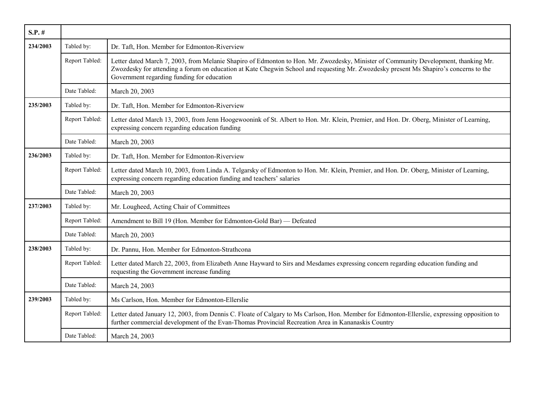| $S.P.$ # |                |                                                                                                                                                                                                                                                                                                                            |
|----------|----------------|----------------------------------------------------------------------------------------------------------------------------------------------------------------------------------------------------------------------------------------------------------------------------------------------------------------------------|
| 234/2003 | Tabled by:     | Dr. Taft, Hon. Member for Edmonton-Riverview                                                                                                                                                                                                                                                                               |
|          | Report Tabled: | Letter dated March 7, 2003, from Melanie Shapiro of Edmonton to Hon. Mr. Zwozdesky, Minister of Community Development, thanking Mr.<br>Zwozdesky for attending a forum on education at Kate Chegwin School and requesting Mr. Zwozdesky present Ms Shapiro's concerns to the<br>Government regarding funding for education |
|          | Date Tabled:   | March 20, 2003                                                                                                                                                                                                                                                                                                             |
| 235/2003 | Tabled by:     | Dr. Taft, Hon. Member for Edmonton-Riverview                                                                                                                                                                                                                                                                               |
|          | Report Tabled: | Letter dated March 13, 2003, from Jenn Hoogewoonink of St. Albert to Hon. Mr. Klein, Premier, and Hon. Dr. Oberg, Minister of Learning,<br>expressing concern regarding education funding                                                                                                                                  |
|          | Date Tabled:   | March 20, 2003                                                                                                                                                                                                                                                                                                             |
| 236/2003 | Tabled by:     | Dr. Taft, Hon. Member for Edmonton-Riverview                                                                                                                                                                                                                                                                               |
|          | Report Tabled: | Letter dated March 10, 2003, from Linda A. Telgarsky of Edmonton to Hon. Mr. Klein, Premier, and Hon. Dr. Oberg, Minister of Learning,<br>expressing concern regarding education funding and teachers' salaries                                                                                                            |
|          | Date Tabled:   | March 20, 2003                                                                                                                                                                                                                                                                                                             |
| 237/2003 | Tabled by:     | Mr. Lougheed, Acting Chair of Committees                                                                                                                                                                                                                                                                                   |
|          | Report Tabled: | Amendment to Bill 19 (Hon. Member for Edmonton-Gold Bar) — Defeated                                                                                                                                                                                                                                                        |
|          | Date Tabled:   | March 20, 2003                                                                                                                                                                                                                                                                                                             |
| 238/2003 | Tabled by:     | Dr. Pannu, Hon. Member for Edmonton-Strathcona                                                                                                                                                                                                                                                                             |
|          | Report Tabled: | Letter dated March 22, 2003, from Elizabeth Anne Hayward to Sirs and Mesdames expressing concern regarding education funding and<br>requesting the Government increase funding                                                                                                                                             |
|          | Date Tabled:   | March 24, 2003                                                                                                                                                                                                                                                                                                             |
| 239/2003 | Tabled by:     | Ms Carlson, Hon. Member for Edmonton-Ellerslie                                                                                                                                                                                                                                                                             |
|          | Report Tabled: | Letter dated January 12, 2003, from Dennis C. Floate of Calgary to Ms Carlson, Hon. Member for Edmonton-Ellerslie, expressing opposition to<br>further commercial development of the Evan-Thomas Provincial Recreation Area in Kananaskis Country                                                                          |
|          | Date Tabled:   | March 24, 2003                                                                                                                                                                                                                                                                                                             |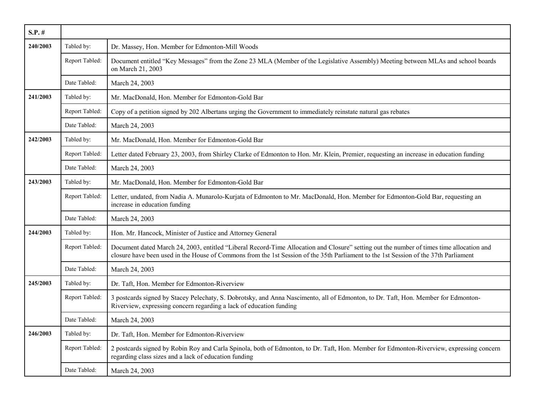| $S.P.$ # |                |                                                                                                                                                                                                                                                                                  |
|----------|----------------|----------------------------------------------------------------------------------------------------------------------------------------------------------------------------------------------------------------------------------------------------------------------------------|
| 240/2003 | Tabled by:     | Dr. Massey, Hon. Member for Edmonton-Mill Woods                                                                                                                                                                                                                                  |
|          | Report Tabled: | Document entitled "Key Messages" from the Zone 23 MLA (Member of the Legislative Assembly) Meeting between MLAs and school boards<br>on March 21, 2003                                                                                                                           |
|          | Date Tabled:   | March 24, 2003                                                                                                                                                                                                                                                                   |
| 241/2003 | Tabled by:     | Mr. MacDonald, Hon. Member for Edmonton-Gold Bar                                                                                                                                                                                                                                 |
|          | Report Tabled: | Copy of a petition signed by 202 Albertans urging the Government to immediately reinstate natural gas rebates                                                                                                                                                                    |
|          | Date Tabled:   | March 24, 2003                                                                                                                                                                                                                                                                   |
| 242/2003 | Tabled by:     | Mr. MacDonald, Hon. Member for Edmonton-Gold Bar                                                                                                                                                                                                                                 |
|          | Report Tabled: | Letter dated February 23, 2003, from Shirley Clarke of Edmonton to Hon. Mr. Klein, Premier, requesting an increase in education funding                                                                                                                                          |
|          | Date Tabled:   | March 24, 2003                                                                                                                                                                                                                                                                   |
| 243/2003 | Tabled by:     | Mr. MacDonald, Hon. Member for Edmonton-Gold Bar                                                                                                                                                                                                                                 |
|          | Report Tabled: | Letter, undated, from Nadia A. Munarolo-Kurjata of Edmonton to Mr. MacDonald, Hon. Member for Edmonton-Gold Bar, requesting an<br>increase in education funding                                                                                                                  |
|          | Date Tabled:   | March 24, 2003                                                                                                                                                                                                                                                                   |
| 244/2003 | Tabled by:     | Hon. Mr. Hancock, Minister of Justice and Attorney General                                                                                                                                                                                                                       |
|          | Report Tabled: | Document dated March 24, 2003, entitled "Liberal Record-Time Allocation and Closure" setting out the number of times time allocation and<br>closure have been used in the House of Commons from the 1st Session of the 35th Parliament to the 1st Session of the 37th Parliament |
|          | Date Tabled:   | March 24, 2003                                                                                                                                                                                                                                                                   |
| 245/2003 | Tabled by:     | Dr. Taft, Hon. Member for Edmonton-Riverview                                                                                                                                                                                                                                     |
|          | Report Tabled: | 3 postcards signed by Stacey Pelechaty, S. Dobrotsky, and Anna Nascimento, all of Edmonton, to Dr. Taft, Hon. Member for Edmonton-<br>Riverview, expressing concern regarding a lack of education funding                                                                        |
|          | Date Tabled:   | March 24, 2003                                                                                                                                                                                                                                                                   |
| 246/2003 | Tabled by:     | Dr. Taft, Hon. Member for Edmonton-Riverview                                                                                                                                                                                                                                     |
|          | Report Tabled: | 2 postcards signed by Robin Roy and Carla Spinola, both of Edmonton, to Dr. Taft, Hon. Member for Edmonton-Riverview, expressing concern<br>regarding class sizes and a lack of education funding                                                                                |
|          | Date Tabled:   | March 24, 2003                                                                                                                                                                                                                                                                   |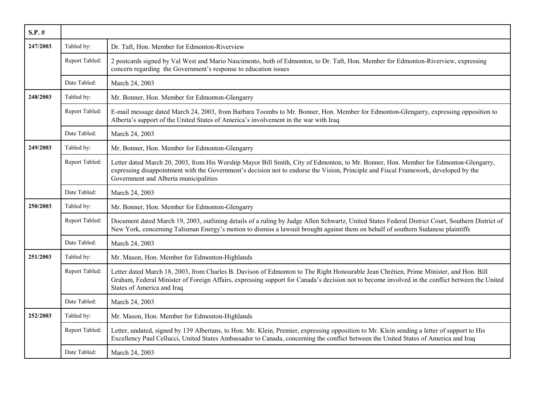| $S.P.$ # |                |                                                                                                                                                                                                                                                                                                                        |
|----------|----------------|------------------------------------------------------------------------------------------------------------------------------------------------------------------------------------------------------------------------------------------------------------------------------------------------------------------------|
| 247/2003 | Tabled by:     | Dr. Taft, Hon. Member for Edmonton-Riverview                                                                                                                                                                                                                                                                           |
|          | Report Tabled: | 2 postcards signed by Val West and Mario Nascimento, both of Edmonton, to Dr. Taft, Hon. Member for Edmonton-Riverview, expressing<br>concern regarding the Government's response to education issues                                                                                                                  |
|          | Date Tabled:   | March 24, 2003                                                                                                                                                                                                                                                                                                         |
| 248/2003 | Tabled by:     | Mr. Bonner, Hon. Member for Edmonton-Glengarry                                                                                                                                                                                                                                                                         |
|          | Report Tabled: | E-mail message dated March 24, 2003, from Barbara Toombs to Mr. Bonner, Hon. Member for Edmonton-Glengarry, expressing opposition to<br>Alberta's support of the United States of America's involvement in the war with Iraq                                                                                           |
|          | Date Tabled:   | March 24, 2003                                                                                                                                                                                                                                                                                                         |
| 249/2003 | Tabled by:     | Mr. Bonner, Hon. Member for Edmonton-Glengarry                                                                                                                                                                                                                                                                         |
|          | Report Tabled: | Letter dated March 20, 2003, from His Worship Mayor Bill Smith, City of Edmonton, to Mr. Bonner, Hon. Member for Edmonton-Glengarry,<br>expressing disappointment with the Government's decision not to endorse the Vision, Principle and Fiscal Framework, developed by the<br>Government and Alberta municipalities  |
|          | Date Tabled:   | March 24, 2003                                                                                                                                                                                                                                                                                                         |
| 250/2003 | Tabled by:     | Mr. Bonner, Hon. Member for Edmonton-Glengarry                                                                                                                                                                                                                                                                         |
|          | Report Tabled: | Document dated March 19, 2003, outlining details of a ruling by Judge Allen Schwartz, United States Federal District Court, Southern District of<br>New York, concerning Talisman Energy's motion to dismiss a lawsuit brought against them on behalf of southern Sudanese plaintiffs                                  |
|          | Date Tabled:   | March 24, 2003                                                                                                                                                                                                                                                                                                         |
| 251/2003 | Tabled by:     | Mr. Mason, Hon. Member for Edmonton-Highlands                                                                                                                                                                                                                                                                          |
|          | Report Tabled: | Letter dated March 18, 2003, from Charles B. Davison of Edmonton to The Right Honourable Jean Chrétien, Prime Minister, and Hon. Bill<br>Graham, Federal Minister of Foreign Affairs, expressing support for Canada's decision not to become involved in the conflict between the United<br>States of America and Iraq |
|          | Date Tabled:   | March 24, 2003                                                                                                                                                                                                                                                                                                         |
| 252/2003 | Tabled by:     | Mr. Mason, Hon. Member for Edmonton-Highlands                                                                                                                                                                                                                                                                          |
|          | Report Tabled: | Letter, undated, signed by 139 Albertans, to Hon. Mr. Klein, Premier, expressing opposition to Mr. Klein sending a letter of support to His<br>Excellency Paul Cellucci, United States Ambassador to Canada, concerning the conflict between the United States of America and Iraq                                     |
|          | Date Tabled:   | March 24, 2003                                                                                                                                                                                                                                                                                                         |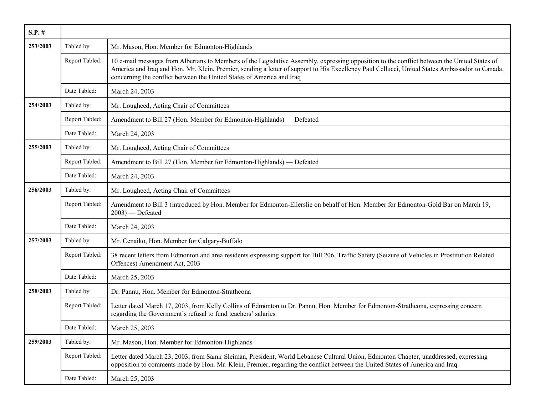| $S.P.$ # |                |                                                                                                                                                                                                                                                                                                                                                                         |
|----------|----------------|-------------------------------------------------------------------------------------------------------------------------------------------------------------------------------------------------------------------------------------------------------------------------------------------------------------------------------------------------------------------------|
| 253/2003 | Tabled by:     | Mr. Mason, Hon. Member for Edmonton-Highlands                                                                                                                                                                                                                                                                                                                           |
|          | Report Tabled: | 10 e-mail messages from Albertans to Members of the Legislative Assembly, expressing opposition to the conflict between the United States of<br>America and Iraq and Hon. Mr. Klein, Premier, sending a letter of support to His Excellency Paul Cellucci, United States Ambassador to Canada,<br>concerning the conflict between the United States of America and Iraq |
|          | Date Tabled:   | March 24, 2003                                                                                                                                                                                                                                                                                                                                                          |
| 254/2003 | Tabled by:     | Mr. Lougheed, Acting Chair of Committees                                                                                                                                                                                                                                                                                                                                |
|          | Report Tabled: | Amendment to Bill 27 (Hon. Member for Edmonton-Highlands) — Defeated                                                                                                                                                                                                                                                                                                    |
|          | Date Tabled:   | March 24, 2003                                                                                                                                                                                                                                                                                                                                                          |
| 255/2003 | Tabled by:     | Mr. Lougheed, Acting Chair of Committees                                                                                                                                                                                                                                                                                                                                |
|          | Report Tabled: | Amendment to Bill 27 (Hon. Member for Edmonton-Highlands) — Defeated                                                                                                                                                                                                                                                                                                    |
|          | Date Tabled:   | March 24, 2003                                                                                                                                                                                                                                                                                                                                                          |
| 256/2003 | Tabled by:     | Mr. Lougheed, Acting Chair of Committees                                                                                                                                                                                                                                                                                                                                |
|          | Report Tabled: | Amendment to Bill 3 (introduced by Hon. Member for Edmonton-Ellerslie on behalf of Hon. Member for Edmonton-Gold Bar on March 19,<br>$2003$ ) — Defeated                                                                                                                                                                                                                |
|          | Date Tabled:   | March 24, 2003                                                                                                                                                                                                                                                                                                                                                          |
| 257/2003 | Tabled by:     | Mr. Cenaiko, Hon. Member for Calgary-Buffalo                                                                                                                                                                                                                                                                                                                            |
|          | Report Tabled: | 38 recent letters from Edmonton and area residents expressing support for Bill 206, Traffic Safety (Seizure of Vehicles in Prostitution Related<br>Offences) Amendment Act, 2003                                                                                                                                                                                        |
|          | Date Tabled:   | March 25, 2003                                                                                                                                                                                                                                                                                                                                                          |
| 258/2003 | Tabled by:     | Dr. Pannu, Hon. Member for Edmonton-Strathcona                                                                                                                                                                                                                                                                                                                          |
|          | Report Tabled: | Letter dated March 17, 2003, from Kelly Collins of Edmonton to Dr. Pannu, Hon. Member for Edmonton-Strathcona, expressing concern<br>regarding the Government's refusal to fund teachers' salaries                                                                                                                                                                      |
|          | Date Tabled:   | March 25, 2003                                                                                                                                                                                                                                                                                                                                                          |
| 259/2003 | Tabled by:     | Mr. Mason, Hon. Member for Edmonton-Highlands                                                                                                                                                                                                                                                                                                                           |
|          | Report Tabled: | Letter dated March 23, 2003, from Samir Sleiman, President, World Lebanese Cultural Union, Edmonton Chapter, unaddressed, expressing<br>opposition to comments made by Hon. Mr. Klein, Premier, regarding the conflict between the United States of America and Iraq                                                                                                    |
|          | Date Tabled:   | March 25, 2003                                                                                                                                                                                                                                                                                                                                                          |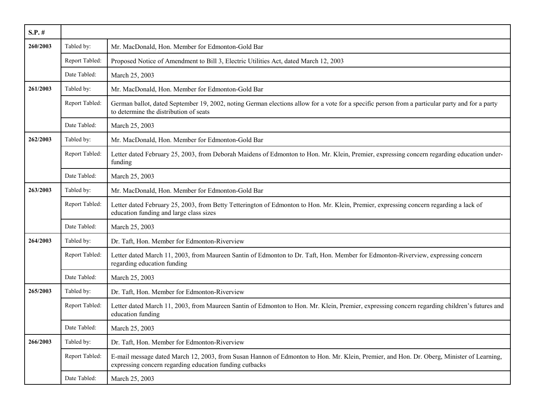| $S.P.$ # |                |                                                                                                                                                                                                     |
|----------|----------------|-----------------------------------------------------------------------------------------------------------------------------------------------------------------------------------------------------|
| 260/2003 | Tabled by:     | Mr. MacDonald, Hon. Member for Edmonton-Gold Bar                                                                                                                                                    |
|          | Report Tabled: | Proposed Notice of Amendment to Bill 3, Electric Utilities Act, dated March 12, 2003                                                                                                                |
|          | Date Tabled:   | March 25, 2003                                                                                                                                                                                      |
| 261/2003 | Tabled by:     | Mr. MacDonald, Hon. Member for Edmonton-Gold Bar                                                                                                                                                    |
|          | Report Tabled: | German ballot, dated September 19, 2002, noting German elections allow for a vote for a specific person from a particular party and for a party<br>to determine the distribution of seats           |
|          | Date Tabled:   | March 25, 2003                                                                                                                                                                                      |
| 262/2003 | Tabled by:     | Mr. MacDonald, Hon. Member for Edmonton-Gold Bar                                                                                                                                                    |
|          | Report Tabled: | Letter dated February 25, 2003, from Deborah Maidens of Edmonton to Hon. Mr. Klein, Premier, expressing concern regarding education under-<br>funding                                               |
|          | Date Tabled:   | March 25, 2003                                                                                                                                                                                      |
| 263/2003 | Tabled by:     | Mr. MacDonald, Hon. Member for Edmonton-Gold Bar                                                                                                                                                    |
|          | Report Tabled: | Letter dated February 25, 2003, from Betty Tetterington of Edmonton to Hon. Mr. Klein, Premier, expressing concern regarding a lack of<br>education funding and large class sizes                   |
|          | Date Tabled:   | March 25, 2003                                                                                                                                                                                      |
| 264/2003 | Tabled by:     | Dr. Taft, Hon. Member for Edmonton-Riverview                                                                                                                                                        |
|          | Report Tabled: | Letter dated March 11, 2003, from Maureen Santin of Edmonton to Dr. Taft, Hon. Member for Edmonton-Riverview, expressing concern<br>regarding education funding                                     |
|          | Date Tabled:   | March 25, 2003                                                                                                                                                                                      |
| 265/2003 | Tabled by:     | Dr. Taft, Hon. Member for Edmonton-Riverview                                                                                                                                                        |
|          | Report Tabled: | Letter dated March 11, 2003, from Maureen Santin of Edmonton to Hon. Mr. Klein, Premier, expressing concern regarding children's futures and<br>education funding                                   |
|          | Date Tabled:   | March 25, 2003                                                                                                                                                                                      |
| 266/2003 | Tabled by:     | Dr. Taft, Hon. Member for Edmonton-Riverview                                                                                                                                                        |
|          | Report Tabled: | E-mail message dated March 12, 2003, from Susan Hannon of Edmonton to Hon. Mr. Klein, Premier, and Hon. Dr. Oberg, Minister of Learning,<br>expressing concern regarding education funding cutbacks |
|          | Date Tabled:   | March 25, 2003                                                                                                                                                                                      |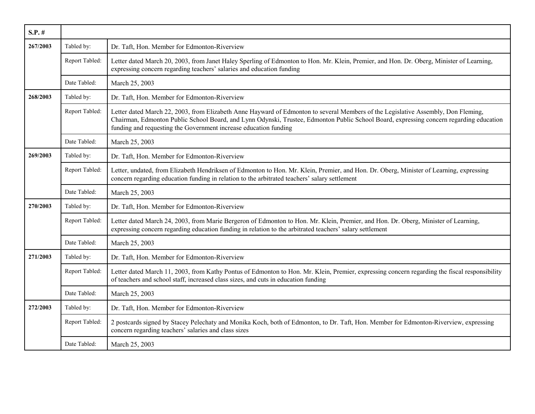| $S.P.$ # |                |                                                                                                                                                                                                                                                                                                                                                  |
|----------|----------------|--------------------------------------------------------------------------------------------------------------------------------------------------------------------------------------------------------------------------------------------------------------------------------------------------------------------------------------------------|
| 267/2003 | Tabled by:     | Dr. Taft, Hon. Member for Edmonton-Riverview                                                                                                                                                                                                                                                                                                     |
|          | Report Tabled: | Letter dated March 20, 2003, from Janet Haley Sperling of Edmonton to Hon. Mr. Klein, Premier, and Hon. Dr. Oberg, Minister of Learning,<br>expressing concern regarding teachers' salaries and education funding                                                                                                                                |
|          | Date Tabled:   | March 25, 2003                                                                                                                                                                                                                                                                                                                                   |
| 268/2003 | Tabled by:     | Dr. Taft, Hon. Member for Edmonton-Riverview                                                                                                                                                                                                                                                                                                     |
|          | Report Tabled: | Letter dated March 22, 2003, from Elizabeth Anne Hayward of Edmonton to several Members of the Legislative Assembly, Don Fleming,<br>Chairman, Edmonton Public School Board, and Lynn Odynski, Trustee, Edmonton Public School Board, expressing concern regarding education<br>funding and requesting the Government increase education funding |
|          | Date Tabled:   | March 25, 2003                                                                                                                                                                                                                                                                                                                                   |
| 269/2003 | Tabled by:     | Dr. Taft, Hon. Member for Edmonton-Riverview                                                                                                                                                                                                                                                                                                     |
|          | Report Tabled: | Letter, undated, from Elizabeth Hendriksen of Edmonton to Hon. Mr. Klein, Premier, and Hon. Dr. Oberg, Minister of Learning, expressing<br>concern regarding education funding in relation to the arbitrated teachers' salary settlement                                                                                                         |
|          | Date Tabled:   | March 25, 2003                                                                                                                                                                                                                                                                                                                                   |
| 270/2003 | Tabled by:     | Dr. Taft, Hon. Member for Edmonton-Riverview                                                                                                                                                                                                                                                                                                     |
|          | Report Tabled: | Letter dated March 24, 2003, from Marie Bergeron of Edmonton to Hon. Mr. Klein, Premier, and Hon. Dr. Oberg, Minister of Learning,<br>expressing concern regarding education funding in relation to the arbitrated teachers' salary settlement                                                                                                   |
|          | Date Tabled:   | March 25, 2003                                                                                                                                                                                                                                                                                                                                   |
| 271/2003 | Tabled by:     | Dr. Taft, Hon. Member for Edmonton-Riverview                                                                                                                                                                                                                                                                                                     |
|          | Report Tabled: | Letter dated March 11, 2003, from Kathy Pontus of Edmonton to Hon. Mr. Klein, Premier, expressing concern regarding the fiscal responsibility<br>of teachers and school staff, increased class sizes, and cuts in education funding                                                                                                              |
|          | Date Tabled:   | March 25, 2003                                                                                                                                                                                                                                                                                                                                   |
| 272/2003 | Tabled by:     | Dr. Taft, Hon. Member for Edmonton-Riverview                                                                                                                                                                                                                                                                                                     |
|          | Report Tabled: | 2 postcards signed by Stacey Pelechaty and Monika Koch, both of Edmonton, to Dr. Taft, Hon. Member for Edmonton-Riverview, expressing<br>concern regarding teachers' salaries and class sizes                                                                                                                                                    |
|          | Date Tabled:   | March 25, 2003                                                                                                                                                                                                                                                                                                                                   |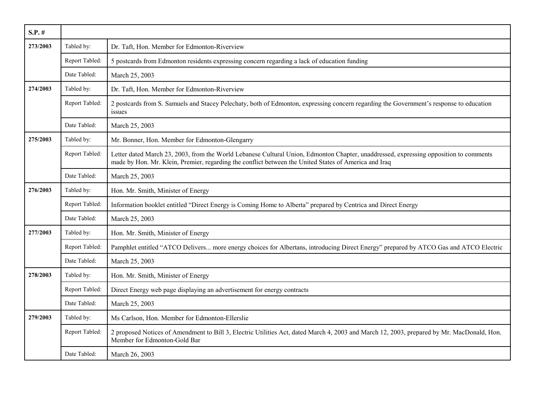| $S.P.$ # |                |                                                                                                                                                                                                                                                |
|----------|----------------|------------------------------------------------------------------------------------------------------------------------------------------------------------------------------------------------------------------------------------------------|
| 273/2003 | Tabled by:     | Dr. Taft, Hon. Member for Edmonton-Riverview                                                                                                                                                                                                   |
|          | Report Tabled: | 5 postcards from Edmonton residents expressing concern regarding a lack of education funding                                                                                                                                                   |
|          | Date Tabled:   | March 25, 2003                                                                                                                                                                                                                                 |
| 274/2003 | Tabled by:     | Dr. Taft, Hon. Member for Edmonton-Riverview                                                                                                                                                                                                   |
|          | Report Tabled: | 2 postcards from S. Samuels and Stacey Pelechaty, both of Edmonton, expressing concern regarding the Government's response to education<br>issues                                                                                              |
|          | Date Tabled:   | March 25, 2003                                                                                                                                                                                                                                 |
| 275/2003 | Tabled by:     | Mr. Bonner, Hon. Member for Edmonton-Glengarry                                                                                                                                                                                                 |
|          | Report Tabled: | Letter dated March 23, 2003, from the World Lebanese Cultural Union, Edmonton Chapter, unaddressed, expressing opposition to comments<br>made by Hon. Mr. Klein, Premier, regarding the conflict between the United States of America and Iraq |
|          | Date Tabled:   | March 25, 2003                                                                                                                                                                                                                                 |
| 276/2003 | Tabled by:     | Hon. Mr. Smith, Minister of Energy                                                                                                                                                                                                             |
|          | Report Tabled: | Information booklet entitled "Direct Energy is Coming Home to Alberta" prepared by Centrica and Direct Energy                                                                                                                                  |
|          | Date Tabled:   | March 25, 2003                                                                                                                                                                                                                                 |
| 277/2003 | Tabled by:     | Hon. Mr. Smith, Minister of Energy                                                                                                                                                                                                             |
|          | Report Tabled: | Pamphlet entitled "ATCO Delivers more energy choices for Albertans, introducing Direct Energy" prepared by ATCO Gas and ATCO Electric                                                                                                          |
|          | Date Tabled:   | March 25, 2003                                                                                                                                                                                                                                 |
| 278/2003 | Tabled by:     | Hon. Mr. Smith, Minister of Energy                                                                                                                                                                                                             |
|          | Report Tabled: | Direct Energy web page displaying an advertisement for energy contracts                                                                                                                                                                        |
|          | Date Tabled:   | March 25, 2003                                                                                                                                                                                                                                 |
| 279/2003 | Tabled by:     | Ms Carlson, Hon. Member for Edmonton-Ellerslie                                                                                                                                                                                                 |
|          | Report Tabled: | 2 proposed Notices of Amendment to Bill 3, Electric Utilities Act, dated March 4, 2003 and March 12, 2003, prepared by Mr. MacDonald, Hon.<br>Member for Edmonton-Gold Bar                                                                     |
|          | Date Tabled:   | March 26, 2003                                                                                                                                                                                                                                 |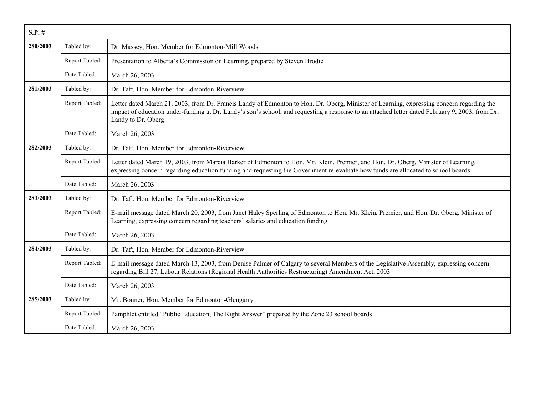| $S.P.$ # |                |                                                                                                                                                                                                                                                                                                                    |
|----------|----------------|--------------------------------------------------------------------------------------------------------------------------------------------------------------------------------------------------------------------------------------------------------------------------------------------------------------------|
| 280/2003 | Tabled by:     | Dr. Massey, Hon. Member for Edmonton-Mill Woods                                                                                                                                                                                                                                                                    |
|          | Report Tabled: | Presentation to Alberta's Commission on Learning, prepared by Steven Brodie                                                                                                                                                                                                                                        |
|          | Date Tabled:   | March 26, 2003                                                                                                                                                                                                                                                                                                     |
| 281/2003 | Tabled by:     | Dr. Taft, Hon. Member for Edmonton-Riverview                                                                                                                                                                                                                                                                       |
|          | Report Tabled: | Letter dated March 21, 2003, from Dr. Francis Landy of Edmonton to Hon. Dr. Oberg, Minister of Learning, expressing concern regarding the<br>impact of education under-funding at Dr. Landy's son's school, and requesting a response to an attached letter dated February 9, 2003, from Dr.<br>Landy to Dr. Oberg |
|          | Date Tabled:   | March 26, 2003                                                                                                                                                                                                                                                                                                     |
| 282/2003 | Tabled by:     | Dr. Taft, Hon. Member for Edmonton-Riverview                                                                                                                                                                                                                                                                       |
|          | Report Tabled: | Letter dated March 19, 2003, from Marcia Barker of Edmonton to Hon. Mr. Klein, Premier, and Hon. Dr. Oberg, Minister of Learning,<br>expressing concern regarding education funding and requesting the Government re-evaluate how funds are allocated to school boards                                             |
|          | Date Tabled:   | March 26, 2003                                                                                                                                                                                                                                                                                                     |
| 283/2003 | Tabled by:     | Dr. Taft, Hon. Member for Edmonton-Riverview                                                                                                                                                                                                                                                                       |
|          | Report Tabled: | E-mail message dated March 20, 2003, from Janet Haley Sperling of Edmonton to Hon. Mr. Klein, Premier, and Hon. Dr. Oberg, Minister of<br>Learning, expressing concern regarding teachers' salaries and education funding                                                                                          |
|          | Date Tabled:   | March 26, 2003                                                                                                                                                                                                                                                                                                     |
| 284/2003 | Tabled by:     | Dr. Taft, Hon. Member for Edmonton-Riverview                                                                                                                                                                                                                                                                       |
|          | Report Tabled: | E-mail message dated March 13, 2003, from Denise Palmer of Calgary to several Members of the Legislative Assembly, expressing concern<br>regarding Bill 27, Labour Relations (Regional Health Authorities Restructuring) Amendment Act, 2003                                                                       |
|          | Date Tabled:   | March 26, 2003                                                                                                                                                                                                                                                                                                     |
| 285/2003 | Tabled by:     | Mr. Bonner, Hon. Member for Edmonton-Glengarry                                                                                                                                                                                                                                                                     |
|          | Report Tabled: | Pamphlet entitled "Public Education, The Right Answer" prepared by the Zone 23 school boards                                                                                                                                                                                                                       |
|          | Date Tabled:   | March 26, 2003                                                                                                                                                                                                                                                                                                     |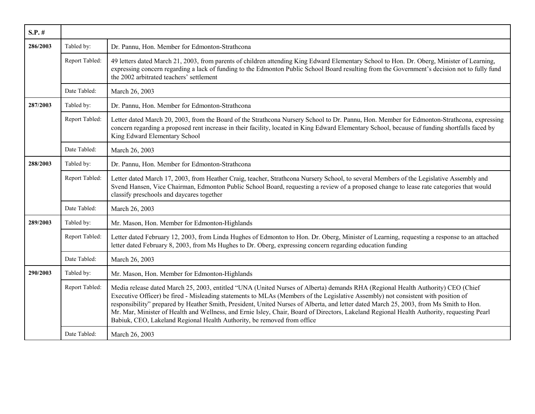| $S.P.$ # |                |                                                                                                                                                                                                                                                                                                                                                                                                                                                                                                                                                                                                                                         |
|----------|----------------|-----------------------------------------------------------------------------------------------------------------------------------------------------------------------------------------------------------------------------------------------------------------------------------------------------------------------------------------------------------------------------------------------------------------------------------------------------------------------------------------------------------------------------------------------------------------------------------------------------------------------------------------|
| 286/2003 | Tabled by:     | Dr. Pannu, Hon. Member for Edmonton-Strathcona                                                                                                                                                                                                                                                                                                                                                                                                                                                                                                                                                                                          |
|          | Report Tabled: | 49 letters dated March 21, 2003, from parents of children attending King Edward Elementary School to Hon. Dr. Oberg, Minister of Learning,<br>expressing concern regarding a lack of funding to the Edmonton Public School Board resulting from the Government's decision not to fully fund<br>the 2002 arbitrated teachers' settlement                                                                                                                                                                                                                                                                                                 |
|          | Date Tabled:   | March 26, 2003                                                                                                                                                                                                                                                                                                                                                                                                                                                                                                                                                                                                                          |
| 287/2003 | Tabled by:     | Dr. Pannu, Hon. Member for Edmonton-Strathcona                                                                                                                                                                                                                                                                                                                                                                                                                                                                                                                                                                                          |
|          | Report Tabled: | Letter dated March 20, 2003, from the Board of the Strathcona Nursery School to Dr. Pannu, Hon. Member for Edmonton-Strathcona, expressing<br>concern regarding a proposed rent increase in their facility, located in King Edward Elementary School, because of funding shortfalls faced by<br>King Edward Elementary School                                                                                                                                                                                                                                                                                                           |
|          | Date Tabled:   | March 26, 2003                                                                                                                                                                                                                                                                                                                                                                                                                                                                                                                                                                                                                          |
| 288/2003 | Tabled by:     | Dr. Pannu, Hon. Member for Edmonton-Strathcona                                                                                                                                                                                                                                                                                                                                                                                                                                                                                                                                                                                          |
|          | Report Tabled: | Letter dated March 17, 2003, from Heather Craig, teacher, Strathcona Nursery School, to several Members of the Legislative Assembly and<br>Svend Hansen, Vice Chairman, Edmonton Public School Board, requesting a review of a proposed change to lease rate categories that would<br>classify preschools and daycares together                                                                                                                                                                                                                                                                                                         |
|          | Date Tabled:   | March 26, 2003                                                                                                                                                                                                                                                                                                                                                                                                                                                                                                                                                                                                                          |
| 289/2003 | Tabled by:     | Mr. Mason, Hon. Member for Edmonton-Highlands                                                                                                                                                                                                                                                                                                                                                                                                                                                                                                                                                                                           |
|          | Report Tabled: | Letter dated February 12, 2003, from Linda Hughes of Edmonton to Hon. Dr. Oberg, Minister of Learning, requesting a response to an attached<br>letter dated February 8, 2003, from Ms Hughes to Dr. Oberg, expressing concern regarding education funding                                                                                                                                                                                                                                                                                                                                                                               |
|          | Date Tabled:   | March 26, 2003                                                                                                                                                                                                                                                                                                                                                                                                                                                                                                                                                                                                                          |
| 290/2003 | Tabled by:     | Mr. Mason, Hon. Member for Edmonton-Highlands                                                                                                                                                                                                                                                                                                                                                                                                                                                                                                                                                                                           |
|          | Report Tabled: | Media release dated March 25, 2003, entitled "UNA (United Nurses of Alberta) demands RHA (Regional Health Authority) CEO (Chief<br>Executive Officer) be fired - Misleading statements to MLAs (Members of the Legislative Assembly) not consistent with position of<br>responsibility" prepared by Heather Smith, President, United Nurses of Alberta, and letter dated March 25, 2003, from Ms Smith to Hon.<br>Mr. Mar, Minister of Health and Wellness, and Ernie Isley, Chair, Board of Directors, Lakeland Regional Health Authority, requesting Pearl<br>Babiuk, CEO, Lakeland Regional Health Authority, be removed from office |
|          | Date Tabled:   | March 26, 2003                                                                                                                                                                                                                                                                                                                                                                                                                                                                                                                                                                                                                          |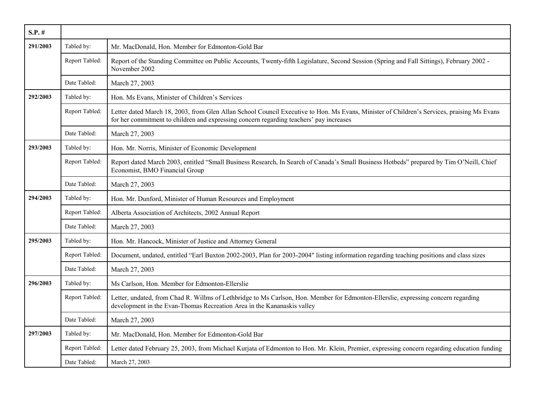| $S.P.$ # |                |                                                                                                                                                                                                                                       |
|----------|----------------|---------------------------------------------------------------------------------------------------------------------------------------------------------------------------------------------------------------------------------------|
| 291/2003 | Tabled by:     | Mr. MacDonald, Hon. Member for Edmonton-Gold Bar                                                                                                                                                                                      |
|          | Report Tabled: | Report of the Standing Committee on Public Accounts, Twenty-fifth Legislature, Second Session (Spring and Fall Sittings), February 2002 -<br>November 2002                                                                            |
|          | Date Tabled:   | March 27, 2003                                                                                                                                                                                                                        |
| 292/2003 | Tabled by:     | Hon. Ms Evans, Minister of Children's Services                                                                                                                                                                                        |
|          | Report Tabled: | Letter dated March 18, 2003, from Glen Allan School Council Executive to Hon. Ms Evans, Minister of Children's Services, praising Ms Evans<br>for her commitment to children and expressing concern regarding teachers' pay increases |
|          | Date Tabled:   | March 27, 2003                                                                                                                                                                                                                        |
| 293/2003 | Tabled by:     | Hon. Mr. Norris, Minister of Economic Development                                                                                                                                                                                     |
|          | Report Tabled: | Report dated March 2003, entitled "Small Business Research, In Search of Canada's Small Business Hotbeds" prepared by Tim O'Neill, Chief<br>Economist, BMO Financial Group                                                            |
|          | Date Tabled:   | March 27, 2003                                                                                                                                                                                                                        |
| 294/2003 | Tabled by:     | Hon. Mr. Dunford, Minister of Human Resources and Employment                                                                                                                                                                          |
|          | Report Tabled: | Alberta Association of Architects, 2002 Annual Report                                                                                                                                                                                 |
|          | Date Tabled:   | March 27, 2003                                                                                                                                                                                                                        |
| 295/2003 | Tabled by:     | Hon. Mr. Hancock, Minister of Justice and Attorney General                                                                                                                                                                            |
|          | Report Tabled: | Document, undated, entitled "Earl Buxton 2002-2003, Plan for 2003-2004" listing information regarding teaching positions and class sizes                                                                                              |
|          | Date Tabled:   | March 27, 2003                                                                                                                                                                                                                        |
| 296/2003 | Tabled by:     | Ms Carlson, Hon. Member for Edmonton-Ellerslie                                                                                                                                                                                        |
|          | Report Tabled: | Letter, undated, from Chad R. Willms of Lethbridge to Ms Carlson, Hon. Member for Edmonton-Ellerslie, expressing concern regarding<br>development in the Evan-Thomas Recreation Area in the Kananaskis valley                         |
|          | Date Tabled:   | March 27, 2003                                                                                                                                                                                                                        |
| 297/2003 | Tabled by:     | Mr. MacDonald, Hon. Member for Edmonton-Gold Bar                                                                                                                                                                                      |
|          | Report Tabled: | Letter dated February 25, 2003, from Michael Kurjata of Edmonton to Hon. Mr. Klein, Premier, expressing concern regarding education funding                                                                                           |
|          | Date Tabled:   | March 27, 2003                                                                                                                                                                                                                        |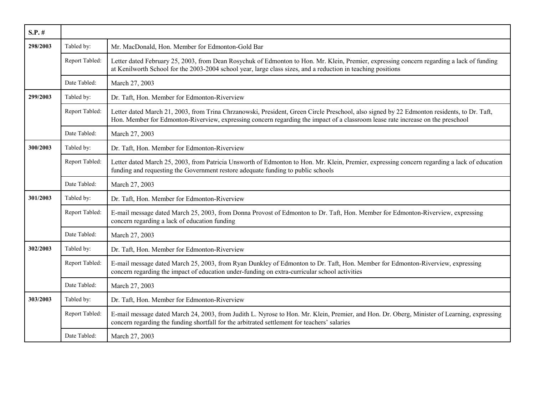| $S.P.$ # |                |                                                                                                                                                                                                                                                                               |
|----------|----------------|-------------------------------------------------------------------------------------------------------------------------------------------------------------------------------------------------------------------------------------------------------------------------------|
| 298/2003 | Tabled by:     | Mr. MacDonald, Hon. Member for Edmonton-Gold Bar                                                                                                                                                                                                                              |
|          | Report Tabled: | Letter dated February 25, 2003, from Dean Rosychuk of Edmonton to Hon. Mr. Klein, Premier, expressing concern regarding a lack of funding<br>at Kenilworth School for the 2003-2004 school year, large class sizes, and a reduction in teaching positions                     |
|          | Date Tabled:   | March 27, 2003                                                                                                                                                                                                                                                                |
| 299/2003 | Tabled by:     | Dr. Taft, Hon. Member for Edmonton-Riverview                                                                                                                                                                                                                                  |
|          | Report Tabled: | Letter dated March 21, 2003, from Trina Chrzanowski, President, Green Circle Preschool, also signed by 22 Edmonton residents, to Dr. Taft,<br>Hon. Member for Edmonton-Riverview, expressing concern regarding the impact of a classroom lease rate increase on the preschool |
|          | Date Tabled:   | March 27, 2003                                                                                                                                                                                                                                                                |
| 300/2003 | Tabled by:     | Dr. Taft, Hon. Member for Edmonton-Riverview                                                                                                                                                                                                                                  |
|          | Report Tabled: | Letter dated March 25, 2003, from Patricia Unsworth of Edmonton to Hon. Mr. Klein, Premier, expressing concern regarding a lack of education<br>funding and requesting the Government restore adequate funding to public schools                                              |
|          | Date Tabled:   | March 27, 2003                                                                                                                                                                                                                                                                |
| 301/2003 | Tabled by:     | Dr. Taft, Hon. Member for Edmonton-Riverview                                                                                                                                                                                                                                  |
|          | Report Tabled: | E-mail message dated March 25, 2003, from Donna Provost of Edmonton to Dr. Taft, Hon. Member for Edmonton-Riverview, expressing<br>concern regarding a lack of education funding                                                                                              |
|          | Date Tabled:   | March 27, 2003                                                                                                                                                                                                                                                                |
| 302/2003 | Tabled by:     | Dr. Taft, Hon. Member for Edmonton-Riverview                                                                                                                                                                                                                                  |
|          | Report Tabled: | E-mail message dated March 25, 2003, from Ryan Dunkley of Edmonton to Dr. Taft, Hon. Member for Edmonton-Riverview, expressing<br>concern regarding the impact of education under-funding on extra-curricular school activities                                               |
|          | Date Tabled:   | March 27, 2003                                                                                                                                                                                                                                                                |
| 303/2003 | Tabled by:     | Dr. Taft, Hon. Member for Edmonton-Riverview                                                                                                                                                                                                                                  |
|          | Report Tabled: | E-mail message dated March 24, 2003, from Judith L. Nyrose to Hon. Mr. Klein, Premier, and Hon. Dr. Oberg, Minister of Learning, expressing<br>concern regarding the funding shortfall for the arbitrated settlement for teachers' salaries                                   |
|          | Date Tabled:   | March 27, 2003                                                                                                                                                                                                                                                                |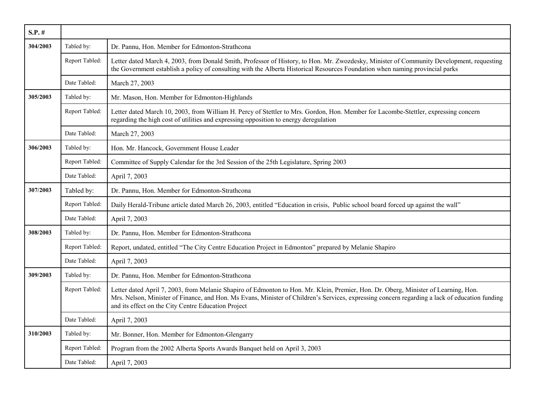| $S.P.$ # |                |                                                                                                                                                                                                                                                                                                                                              |
|----------|----------------|----------------------------------------------------------------------------------------------------------------------------------------------------------------------------------------------------------------------------------------------------------------------------------------------------------------------------------------------|
| 304/2003 | Tabled by:     | Dr. Pannu, Hon. Member for Edmonton-Strathcona                                                                                                                                                                                                                                                                                               |
|          | Report Tabled: | Letter dated March 4, 2003, from Donald Smith, Professor of History, to Hon. Mr. Zwozdesky, Minister of Community Development, requesting<br>the Government establish a policy of consulting with the Alberta Historical Resources Foundation when naming provincial parks                                                                   |
|          | Date Tabled:   | March 27, 2003                                                                                                                                                                                                                                                                                                                               |
| 305/2003 | Tabled by:     | Mr. Mason, Hon. Member for Edmonton-Highlands                                                                                                                                                                                                                                                                                                |
|          | Report Tabled: | Letter dated March 10, 2003, from William H. Percy of Stettler to Mrs. Gordon, Hon. Member for Lacombe-Stettler, expressing concern<br>regarding the high cost of utilities and expressing opposition to energy deregulation                                                                                                                 |
|          | Date Tabled:   | March 27, 2003                                                                                                                                                                                                                                                                                                                               |
| 306/2003 | Tabled by:     | Hon. Mr. Hancock, Government House Leader                                                                                                                                                                                                                                                                                                    |
|          | Report Tabled: | Committee of Supply Calendar for the 3rd Session of the 25th Legislature, Spring 2003                                                                                                                                                                                                                                                        |
|          | Date Tabled:   | April 7, 2003                                                                                                                                                                                                                                                                                                                                |
| 307/2003 | Tabled by:     | Dr. Pannu, Hon. Member for Edmonton-Strathcona                                                                                                                                                                                                                                                                                               |
|          | Report Tabled: | Daily Herald-Tribune article dated March 26, 2003, entitled "Education in crisis, Public school board forced up against the wall"                                                                                                                                                                                                            |
|          | Date Tabled:   | April 7, 2003                                                                                                                                                                                                                                                                                                                                |
| 308/2003 | Tabled by:     | Dr. Pannu, Hon. Member for Edmonton-Strathcona                                                                                                                                                                                                                                                                                               |
|          | Report Tabled: | Report, undated, entitled "The City Centre Education Project in Edmonton" prepared by Melanie Shapiro                                                                                                                                                                                                                                        |
|          | Date Tabled:   | April 7, 2003                                                                                                                                                                                                                                                                                                                                |
| 309/2003 | Tabled by:     | Dr. Pannu, Hon. Member for Edmonton-Strathcona                                                                                                                                                                                                                                                                                               |
|          | Report Tabled: | Letter dated April 7, 2003, from Melanie Shapiro of Edmonton to Hon. Mr. Klein, Premier, Hon. Dr. Oberg, Minister of Learning, Hon.<br>Mrs. Nelson, Minister of Finance, and Hon. Ms Evans, Minister of Children's Services, expressing concern regarding a lack of education funding<br>and its effect on the City Centre Education Project |
|          | Date Tabled:   | April 7, 2003                                                                                                                                                                                                                                                                                                                                |
| 310/2003 | Tabled by:     | Mr. Bonner, Hon. Member for Edmonton-Glengarry                                                                                                                                                                                                                                                                                               |
|          | Report Tabled: | Program from the 2002 Alberta Sports Awards Banquet held on April 3, 2003                                                                                                                                                                                                                                                                    |
|          | Date Tabled:   | April 7, 2003                                                                                                                                                                                                                                                                                                                                |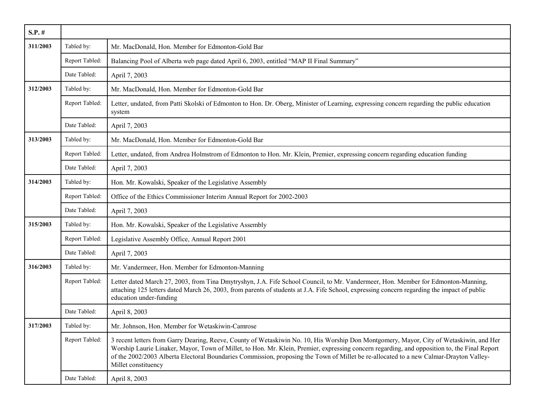| $S.P.$ # |                |                                                                                                                                                                                                                                                                                                                                                                                                                                                          |
|----------|----------------|----------------------------------------------------------------------------------------------------------------------------------------------------------------------------------------------------------------------------------------------------------------------------------------------------------------------------------------------------------------------------------------------------------------------------------------------------------|
| 311/2003 | Tabled by:     | Mr. MacDonald, Hon. Member for Edmonton-Gold Bar                                                                                                                                                                                                                                                                                                                                                                                                         |
|          | Report Tabled: | Balancing Pool of Alberta web page dated April 6, 2003, entitled "MAP II Final Summary"                                                                                                                                                                                                                                                                                                                                                                  |
|          | Date Tabled:   | April 7, 2003                                                                                                                                                                                                                                                                                                                                                                                                                                            |
| 312/2003 | Tabled by:     | Mr. MacDonald, Hon. Member for Edmonton-Gold Bar                                                                                                                                                                                                                                                                                                                                                                                                         |
|          | Report Tabled: | Letter, undated, from Patti Skolski of Edmonton to Hon. Dr. Oberg, Minister of Learning, expressing concern regarding the public education<br>system                                                                                                                                                                                                                                                                                                     |
|          | Date Tabled:   | April 7, 2003                                                                                                                                                                                                                                                                                                                                                                                                                                            |
| 313/2003 | Tabled by:     | Mr. MacDonald, Hon. Member for Edmonton-Gold Bar                                                                                                                                                                                                                                                                                                                                                                                                         |
|          | Report Tabled: | Letter, undated, from Andrea Holmstrom of Edmonton to Hon. Mr. Klein, Premier, expressing concern regarding education funding                                                                                                                                                                                                                                                                                                                            |
|          | Date Tabled:   | April 7, 2003                                                                                                                                                                                                                                                                                                                                                                                                                                            |
| 314/2003 | Tabled by:     | Hon. Mr. Kowalski, Speaker of the Legislative Assembly                                                                                                                                                                                                                                                                                                                                                                                                   |
|          | Report Tabled: | Office of the Ethics Commissioner Interim Annual Report for 2002-2003                                                                                                                                                                                                                                                                                                                                                                                    |
|          | Date Tabled:   | April 7, 2003                                                                                                                                                                                                                                                                                                                                                                                                                                            |
| 315/2003 | Tabled by:     | Hon. Mr. Kowalski, Speaker of the Legislative Assembly                                                                                                                                                                                                                                                                                                                                                                                                   |
|          | Report Tabled: | Legislative Assembly Office, Annual Report 2001                                                                                                                                                                                                                                                                                                                                                                                                          |
|          | Date Tabled:   | April 7, 2003                                                                                                                                                                                                                                                                                                                                                                                                                                            |
| 316/2003 | Tabled by:     | Mr. Vandermeer, Hon. Member for Edmonton-Manning                                                                                                                                                                                                                                                                                                                                                                                                         |
|          | Report Tabled: | Letter dated March 27, 2003, from Tina Dmytryshyn, J.A. Fife School Council, to Mr. Vandermeer, Hon. Member for Edmonton-Manning,<br>attaching 125 letters dated March 26, 2003, from parents of students at J.A. Fife School, expressing concern regarding the impact of public<br>education under-funding                                                                                                                                              |
|          | Date Tabled:   | April 8, 2003                                                                                                                                                                                                                                                                                                                                                                                                                                            |
| 317/2003 | Tabled by:     | Mr. Johnson, Hon. Member for Wetaskiwin-Camrose                                                                                                                                                                                                                                                                                                                                                                                                          |
|          | Report Tabled: | 3 recent letters from Garry Dearing, Reeve, County of Wetaskiwin No. 10, His Worship Don Montgomery, Mayor, City of Wetaskiwin, and Her<br>Worship Laurie Linaker, Mayor, Town of Millet, to Hon. Mr. Klein, Premier, expressing concern regarding, and opposition to, the Final Report<br>of the 2002/2003 Alberta Electoral Boundaries Commission, proposing the Town of Millet be re-allocated to a new Calmar-Drayton Valley-<br>Millet constituency |
|          | Date Tabled:   | April 8, 2003                                                                                                                                                                                                                                                                                                                                                                                                                                            |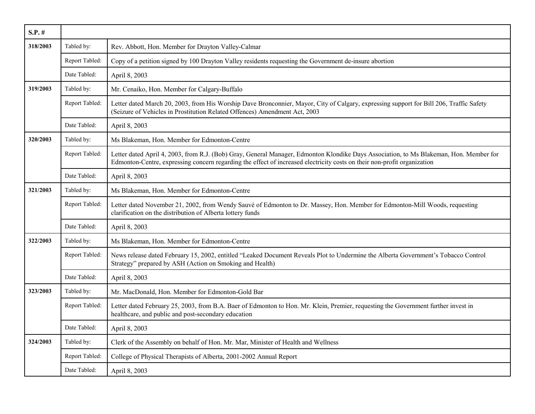| $S.P.$ # |                |                                                                                                                                                                                                                                                                    |
|----------|----------------|--------------------------------------------------------------------------------------------------------------------------------------------------------------------------------------------------------------------------------------------------------------------|
| 318/2003 | Tabled by:     | Rev. Abbott, Hon. Member for Drayton Valley-Calmar                                                                                                                                                                                                                 |
|          | Report Tabled: | Copy of a petition signed by 100 Drayton Valley residents requesting the Government de-insure abortion                                                                                                                                                             |
|          | Date Tabled:   | April 8, 2003                                                                                                                                                                                                                                                      |
| 319/2003 | Tabled by:     | Mr. Cenaiko, Hon. Member for Calgary-Buffalo                                                                                                                                                                                                                       |
|          | Report Tabled: | Letter dated March 20, 2003, from His Worship Dave Bronconnier, Mayor, City of Calgary, expressing support for Bill 206, Traffic Safety<br>(Seizure of Vehicles in Prostitution Related Offences) Amendment Act, 2003                                              |
|          | Date Tabled:   | April 8, 2003                                                                                                                                                                                                                                                      |
| 320/2003 | Tabled by:     | Ms Blakeman, Hon. Member for Edmonton-Centre                                                                                                                                                                                                                       |
|          | Report Tabled: | Letter dated April 4, 2003, from R.J. (Bob) Gray, General Manager, Edmonton Klondike Days Association, to Ms Blakeman, Hon. Member for<br>Edmonton-Centre, expressing concern regarding the effect of increased electricity costs on their non-profit organization |
|          | Date Tabled:   | April 8, 2003                                                                                                                                                                                                                                                      |
| 321/2003 | Tabled by:     | Ms Blakeman, Hon. Member for Edmonton-Centre                                                                                                                                                                                                                       |
|          | Report Tabled: | Letter dated November 21, 2002, from Wendy Sauvé of Edmonton to Dr. Massey, Hon. Member for Edmonton-Mill Woods, requesting<br>clarification on the distribution of Alberta lottery funds                                                                          |
|          | Date Tabled:   | April 8, 2003                                                                                                                                                                                                                                                      |
| 322/2003 | Tabled by:     | Ms Blakeman, Hon. Member for Edmonton-Centre                                                                                                                                                                                                                       |
|          | Report Tabled: | News release dated February 15, 2002, entitled "Leaked Document Reveals Plot to Undermine the Alberta Government's Tobacco Control<br>Strategy" prepared by ASH (Action on Smoking and Health)                                                                     |
|          | Date Tabled:   | April 8, 2003                                                                                                                                                                                                                                                      |
| 323/2003 | Tabled by:     | Mr. MacDonald, Hon. Member for Edmonton-Gold Bar                                                                                                                                                                                                                   |
|          | Report Tabled: | Letter dated February 25, 2003, from B.A. Baer of Edmonton to Hon. Mr. Klein, Premier, requesting the Government further invest in<br>healthcare, and public and post-secondary education                                                                          |
|          | Date Tabled:   | April 8, 2003                                                                                                                                                                                                                                                      |
| 324/2003 | Tabled by:     | Clerk of the Assembly on behalf of Hon. Mr. Mar, Minister of Health and Wellness                                                                                                                                                                                   |
|          | Report Tabled: | College of Physical Therapists of Alberta, 2001-2002 Annual Report                                                                                                                                                                                                 |
|          | Date Tabled:   | April 8, 2003                                                                                                                                                                                                                                                      |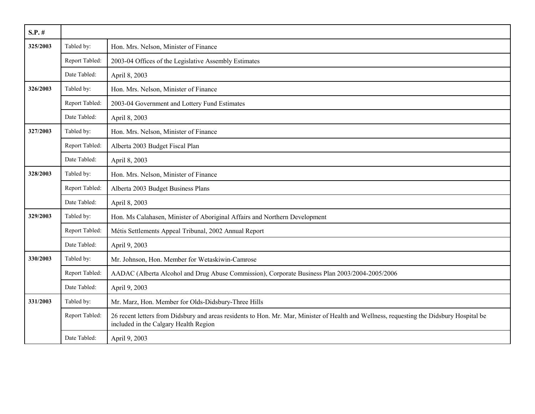| $S.P.$ # |                |                                                                                                                                                                                    |
|----------|----------------|------------------------------------------------------------------------------------------------------------------------------------------------------------------------------------|
| 325/2003 | Tabled by:     | Hon. Mrs. Nelson, Minister of Finance                                                                                                                                              |
|          | Report Tabled: | 2003-04 Offices of the Legislative Assembly Estimates                                                                                                                              |
|          | Date Tabled:   | April 8, 2003                                                                                                                                                                      |
| 326/2003 | Tabled by:     | Hon. Mrs. Nelson, Minister of Finance                                                                                                                                              |
|          | Report Tabled: | 2003-04 Government and Lottery Fund Estimates                                                                                                                                      |
|          | Date Tabled:   | April 8, 2003                                                                                                                                                                      |
| 327/2003 | Tabled by:     | Hon. Mrs. Nelson, Minister of Finance                                                                                                                                              |
|          | Report Tabled: | Alberta 2003 Budget Fiscal Plan                                                                                                                                                    |
|          | Date Tabled:   | April 8, 2003                                                                                                                                                                      |
| 328/2003 | Tabled by:     | Hon. Mrs. Nelson, Minister of Finance                                                                                                                                              |
|          | Report Tabled: | Alberta 2003 Budget Business Plans                                                                                                                                                 |
|          | Date Tabled:   | April 8, 2003                                                                                                                                                                      |
| 329/2003 | Tabled by:     | Hon. Ms Calahasen, Minister of Aboriginal Affairs and Northern Development                                                                                                         |
|          | Report Tabled: | Métis Settlements Appeal Tribunal, 2002 Annual Report                                                                                                                              |
|          | Date Tabled:   | April 9, 2003                                                                                                                                                                      |
| 330/2003 | Tabled by:     | Mr. Johnson, Hon. Member for Wetaskiwin-Camrose                                                                                                                                    |
|          | Report Tabled: | AADAC (Alberta Alcohol and Drug Abuse Commission), Corporate Business Plan 2003/2004-2005/2006                                                                                     |
|          | Date Tabled:   | April 9, 2003                                                                                                                                                                      |
| 331/2003 | Tabled by:     | Mr. Marz, Hon. Member for Olds-Didsbury-Three Hills                                                                                                                                |
|          | Report Tabled: | 26 recent letters from Didsbury and areas residents to Hon. Mr. Mar, Minister of Health and Wellness, requesting the Didsbury Hospital be<br>included in the Calgary Health Region |
|          | Date Tabled:   | April 9, 2003                                                                                                                                                                      |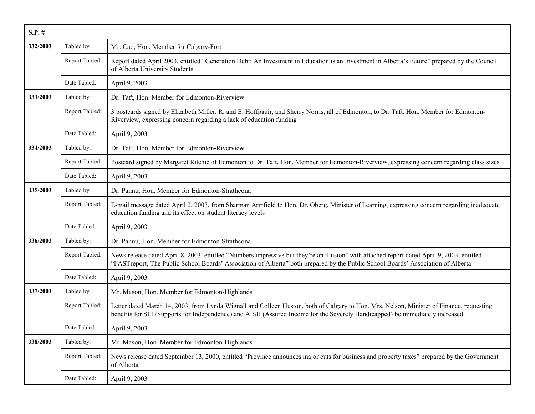| $S.P.$ # |                |                                                                                                                                                                                                                                                                                |
|----------|----------------|--------------------------------------------------------------------------------------------------------------------------------------------------------------------------------------------------------------------------------------------------------------------------------|
| 332/2003 | Tabled by:     | Mr. Cao, Hon. Member for Calgary-Fort                                                                                                                                                                                                                                          |
|          | Report Tabled: | Report dated April 2003, entitled "Generation Debt: An Investment in Education is an Investment in Alberta's Future" prepared by the Council<br>of Alberta University Students                                                                                                 |
|          | Date Tabled:   | April 9, 2003                                                                                                                                                                                                                                                                  |
| 333/2003 | Tabled by:     | Dr. Taft, Hon. Member for Edmonton-Riverview                                                                                                                                                                                                                                   |
|          | Report Tabled: | 3 postcards signed by Elizabeth Miller, R. and E. Hoffpauir, and Sherry Norris, all of Edmonton, to Dr. Taft, Hon. Member for Edmonton-<br>Riverview, expressing concern regarding a lack of education funding                                                                 |
|          | Date Tabled:   | April 9, 2003                                                                                                                                                                                                                                                                  |
| 334/2003 | Tabled by:     | Dr. Taft, Hon. Member for Edmonton-Riverview                                                                                                                                                                                                                                   |
|          | Report Tabled: | Postcard signed by Margaret Ritchie of Edmonton to Dr. Taft, Hon. Member for Edmonton-Riverview, expressing concern regarding class sizes                                                                                                                                      |
|          | Date Tabled:   | April 9, 2003                                                                                                                                                                                                                                                                  |
| 335/2003 | Tabled by:     | Dr. Pannu, Hon. Member for Edmonton-Strathcona                                                                                                                                                                                                                                 |
|          | Report Tabled: | E-mail message dated April 2, 2003, from Sharman Armfield to Hon. Dr. Oberg, Minister of Learning, expressing concern regarding inadequate<br>education funding and its effect on student literacy levels                                                                      |
|          | Date Tabled:   | April 9, 2003                                                                                                                                                                                                                                                                  |
| 336/2003 | Tabled by:     | Dr. Pannu, Hon. Member for Edmonton-Strathcona                                                                                                                                                                                                                                 |
|          | Report Tabled: | News release dated April 8, 2003, entitled "Numbers impressive but they're an illusion" with attached report dated April 9, 2003, entitled<br>"FASTreport, The Public School Boards' Association of Alberta" both prepared by the Public School Boards' Association of Alberta |
|          | Date Tabled:   | April 9, 2003                                                                                                                                                                                                                                                                  |
| 337/2003 | Tabled by:     | Mr. Mason, Hon. Member for Edmonton-Highlands                                                                                                                                                                                                                                  |
|          | Report Tabled: | Letter dated March 14, 2003, from Lynda Wignall and Colleen Huston, both of Calgary to Hon. Mrs. Nelson, Minister of Finance, requesting<br>benefits for SFI (Supports for Independence) and AISH (Assured Income for the Severely Handicapped) be immediately increased       |
|          | Date Tabled:   | April 9, 2003                                                                                                                                                                                                                                                                  |
| 338/2003 | Tabled by:     | Mr. Mason, Hon. Member for Edmonton-Highlands                                                                                                                                                                                                                                  |
|          | Report Tabled: | News release dated September 13, 2000, entitled "Province announces major cuts for business and property taxes" prepared by the Government<br>of Alberta                                                                                                                       |
|          | Date Tabled:   | April 9, 2003                                                                                                                                                                                                                                                                  |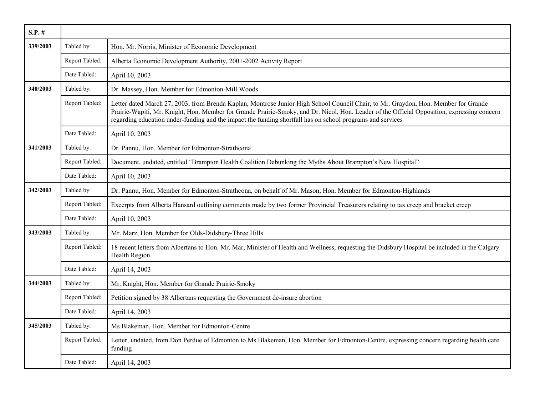| $S.P.$ # |                |                                                                                                                                                                                                                                                                                                                                                                                                 |
|----------|----------------|-------------------------------------------------------------------------------------------------------------------------------------------------------------------------------------------------------------------------------------------------------------------------------------------------------------------------------------------------------------------------------------------------|
| 339/2003 | Tabled by:     | Hon. Mr. Norris, Minister of Economic Development                                                                                                                                                                                                                                                                                                                                               |
|          | Report Tabled: | Alberta Economic Development Authority, 2001-2002 Activity Report                                                                                                                                                                                                                                                                                                                               |
|          | Date Tabled:   | April 10, 2003                                                                                                                                                                                                                                                                                                                                                                                  |
| 340/2003 | Tabled by:     | Dr. Massey, Hon. Member for Edmonton-Mill Woods                                                                                                                                                                                                                                                                                                                                                 |
|          | Report Tabled: | Letter dated March 27, 2003, from Brenda Kaplan, Montrose Junior High School Council Chair, to Mr. Graydon, Hon. Member for Grande<br>Prairie-Wapiti, Mr. Knight, Hon. Member for Grande Prairie-Smoky, and Dr. Nicol, Hon. Leader of the Official Opposition, expressing concern<br>regarding education under-funding and the impact the funding shortfall has on school programs and services |
|          | Date Tabled:   | April 10, 2003                                                                                                                                                                                                                                                                                                                                                                                  |
| 341/2003 | Tabled by:     | Dr. Pannu, Hon. Member for Edmonton-Strathcona                                                                                                                                                                                                                                                                                                                                                  |
|          | Report Tabled: | Document, undated, entitled "Brampton Health Coalition Debunking the Myths About Brampton's New Hospital"                                                                                                                                                                                                                                                                                       |
|          | Date Tabled:   | April 10, 2003                                                                                                                                                                                                                                                                                                                                                                                  |
| 342/2003 | Tabled by:     | Dr. Pannu, Hon. Member for Edmonton-Strathcona, on behalf of Mr. Mason, Hon. Member for Edmonton-Highlands                                                                                                                                                                                                                                                                                      |
|          | Report Tabled: | Excerpts from Alberta Hansard outlining comments made by two former Provincial Treasurers relating to tax creep and bracket creep                                                                                                                                                                                                                                                               |
|          | Date Tabled:   | April 10, 2003                                                                                                                                                                                                                                                                                                                                                                                  |
| 343/2003 | Tabled by:     | Mr. Marz, Hon. Member for Olds-Didsbury-Three Hills                                                                                                                                                                                                                                                                                                                                             |
|          | Report Tabled: | 18 recent letters from Albertans to Hon. Mr. Mar, Minister of Health and Wellness, requesting the Didsbury Hospital be included in the Calgary<br><b>Health Region</b>                                                                                                                                                                                                                          |
|          | Date Tabled:   | April 14, 2003                                                                                                                                                                                                                                                                                                                                                                                  |
| 344/2003 | Tabled by:     | Mr. Knight, Hon. Member for Grande Prairie-Smoky                                                                                                                                                                                                                                                                                                                                                |
|          | Report Tabled: | Petition signed by 38 Albertans requesting the Government de-insure abortion                                                                                                                                                                                                                                                                                                                    |
|          | Date Tabled:   | April 14, 2003                                                                                                                                                                                                                                                                                                                                                                                  |
| 345/2003 | Tabled by:     | Ms Blakeman, Hon. Member for Edmonton-Centre                                                                                                                                                                                                                                                                                                                                                    |
|          | Report Tabled: | Letter, undated, from Don Perdue of Edmonton to Ms Blakeman, Hon. Member for Edmonton-Centre, expressing concern regarding health care<br>funding                                                                                                                                                                                                                                               |
|          | Date Tabled:   | April 14, 2003                                                                                                                                                                                                                                                                                                                                                                                  |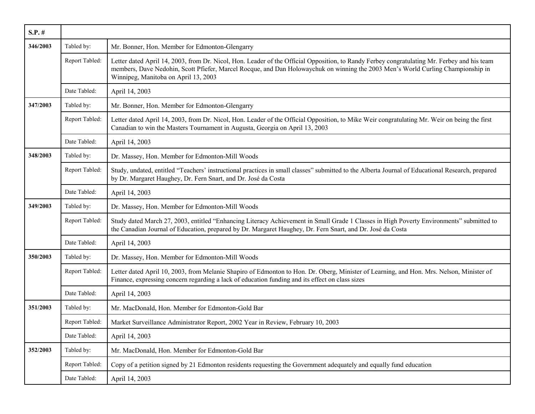| $S.P.$ # |                |                                                                                                                                                                                                                                                                                                                         |
|----------|----------------|-------------------------------------------------------------------------------------------------------------------------------------------------------------------------------------------------------------------------------------------------------------------------------------------------------------------------|
| 346/2003 | Tabled by:     | Mr. Bonner, Hon. Member for Edmonton-Glengarry                                                                                                                                                                                                                                                                          |
|          | Report Tabled: | Letter dated April 14, 2003, from Dr. Nicol, Hon. Leader of the Official Opposition, to Randy Ferbey congratulating Mr. Ferbey and his team<br>members, Dave Nedohin, Scott Pfiefer, Marcel Rocque, and Dan Holowaychuk on winning the 2003 Men's World Curling Championship in<br>Winnipeg, Manitoba on April 13, 2003 |
|          | Date Tabled:   | April 14, 2003                                                                                                                                                                                                                                                                                                          |
| 347/2003 | Tabled by:     | Mr. Bonner, Hon. Member for Edmonton-Glengarry                                                                                                                                                                                                                                                                          |
|          | Report Tabled: | Letter dated April 14, 2003, from Dr. Nicol, Hon. Leader of the Official Opposition, to Mike Weir congratulating Mr. Weir on being the first<br>Canadian to win the Masters Tournament in Augusta, Georgia on April 13, 2003                                                                                            |
|          | Date Tabled:   | April 14, 2003                                                                                                                                                                                                                                                                                                          |
| 348/2003 | Tabled by:     | Dr. Massey, Hon. Member for Edmonton-Mill Woods                                                                                                                                                                                                                                                                         |
|          | Report Tabled: | Study, undated, entitled "Teachers' instructional practices in small classes" submitted to the Alberta Journal of Educational Research, prepared<br>by Dr. Margaret Haughey, Dr. Fern Snart, and Dr. José da Costa                                                                                                      |
|          | Date Tabled:   | April 14, 2003                                                                                                                                                                                                                                                                                                          |
| 349/2003 | Tabled by:     | Dr. Massey, Hon. Member for Edmonton-Mill Woods                                                                                                                                                                                                                                                                         |
|          | Report Tabled: | Study dated March 27, 2003, entitled "Enhancing Literacy Achievement in Small Grade 1 Classes in High Poverty Environments" submitted to<br>the Canadian Journal of Education, prepared by Dr. Margaret Haughey, Dr. Fern Snart, and Dr. José da Costa                                                                  |
|          | Date Tabled:   | April 14, 2003                                                                                                                                                                                                                                                                                                          |
| 350/2003 | Tabled by:     | Dr. Massey, Hon. Member for Edmonton-Mill Woods                                                                                                                                                                                                                                                                         |
|          | Report Tabled: | Letter dated April 10, 2003, from Melanie Shapiro of Edmonton to Hon. Dr. Oberg, Minister of Learning, and Hon. Mrs. Nelson, Minister of<br>Finance, expressing concern regarding a lack of education funding and its effect on class sizes                                                                             |
|          | Date Tabled:   | April 14, 2003                                                                                                                                                                                                                                                                                                          |
| 351/2003 | Tabled by:     | Mr. MacDonald, Hon. Member for Edmonton-Gold Bar                                                                                                                                                                                                                                                                        |
|          | Report Tabled: | Market Surveillance Administrator Report, 2002 Year in Review, February 10, 2003                                                                                                                                                                                                                                        |
|          | Date Tabled:   | April 14, 2003                                                                                                                                                                                                                                                                                                          |
| 352/2003 | Tabled by:     | Mr. MacDonald, Hon. Member for Edmonton-Gold Bar                                                                                                                                                                                                                                                                        |
|          | Report Tabled: | Copy of a petition signed by 21 Edmonton residents requesting the Government adequately and equally fund education                                                                                                                                                                                                      |
|          | Date Tabled:   | April 14, 2003                                                                                                                                                                                                                                                                                                          |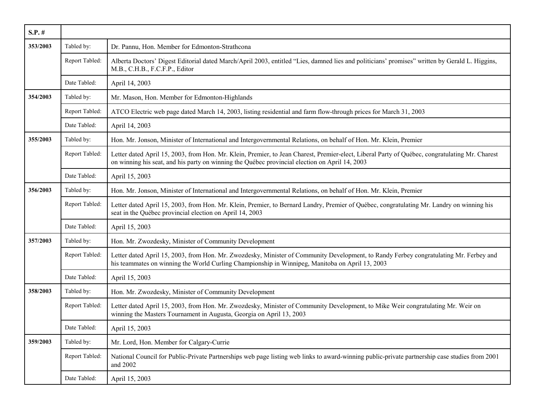| $S.P.$ # |                |                                                                                                                                                                                                                                                  |
|----------|----------------|--------------------------------------------------------------------------------------------------------------------------------------------------------------------------------------------------------------------------------------------------|
| 353/2003 | Tabled by:     | Dr. Pannu, Hon. Member for Edmonton-Strathcona                                                                                                                                                                                                   |
|          | Report Tabled: | Alberta Doctors' Digest Editorial dated March/April 2003, entitled "Lies, damned lies and politicians' promises" written by Gerald L. Higgins,<br>M.B., C.H.B., F.C.F.P., Editor                                                                 |
|          | Date Tabled:   | April 14, 2003                                                                                                                                                                                                                                   |
| 354/2003 | Tabled by:     | Mr. Mason, Hon. Member for Edmonton-Highlands                                                                                                                                                                                                    |
|          | Report Tabled: | ATCO Electric web page dated March 14, 2003, listing residential and farm flow-through prices for March 31, 2003                                                                                                                                 |
|          | Date Tabled:   | April 14, 2003                                                                                                                                                                                                                                   |
| 355/2003 | Tabled by:     | Hon. Mr. Jonson, Minister of International and Intergovernmental Relations, on behalf of Hon. Mr. Klein, Premier                                                                                                                                 |
|          | Report Tabled: | Letter dated April 15, 2003, from Hon. Mr. Klein, Premier, to Jean Charest, Premier-elect, Liberal Party of Québec, congratulating Mr. Charest<br>on winning his seat, and his party on winning the Québec provincial election on April 14, 2003 |
|          | Date Tabled:   | April 15, 2003                                                                                                                                                                                                                                   |
| 356/2003 | Tabled by:     | Hon. Mr. Jonson, Minister of International and Intergovernmental Relations, on behalf of Hon. Mr. Klein, Premier                                                                                                                                 |
|          | Report Tabled: | Letter dated April 15, 2003, from Hon. Mr. Klein, Premier, to Bernard Landry, Premier of Québec, congratulating Mr. Landry on winning his<br>seat in the Québec provincial election on April 14, 2003                                            |
|          | Date Tabled:   | April 15, 2003                                                                                                                                                                                                                                   |
| 357/2003 | Tabled by:     | Hon. Mr. Zwozdesky, Minister of Community Development                                                                                                                                                                                            |
|          | Report Tabled: | Letter dated April 15, 2003, from Hon. Mr. Zwozdesky, Minister of Community Development, to Randy Ferbey congratulating Mr. Ferbey and<br>his teammates on winning the World Curling Championship in Winnipeg, Manitoba on April 13, 2003        |
|          | Date Tabled:   | April 15, 2003                                                                                                                                                                                                                                   |
| 358/2003 | Tabled by:     | Hon. Mr. Zwozdesky, Minister of Community Development                                                                                                                                                                                            |
|          | Report Tabled: | Letter dated April 15, 2003, from Hon. Mr. Zwozdesky, Minister of Community Development, to Mike Weir congratulating Mr. Weir on<br>winning the Masters Tournament in Augusta, Georgia on April 13, 2003                                         |
|          | Date Tabled:   | April 15, 2003                                                                                                                                                                                                                                   |
| 359/2003 | Tabled by:     | Mr. Lord, Hon. Member for Calgary-Currie                                                                                                                                                                                                         |
|          | Report Tabled: | National Council for Public-Private Partnerships web page listing web links to award-winning public-private partnership case studies from 2001<br>and 2002                                                                                       |
|          | Date Tabled:   | April 15, 2003                                                                                                                                                                                                                                   |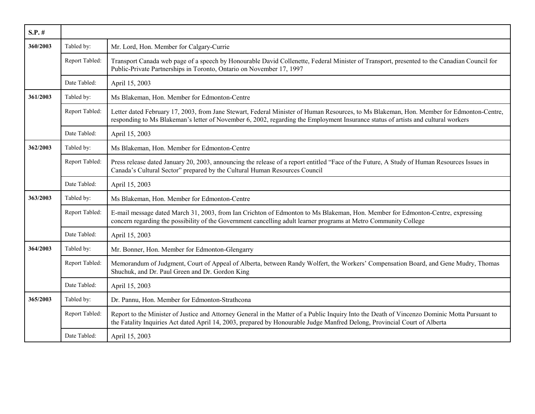| $S.P.$ # |                |                                                                                                                                                                                                                                                                               |
|----------|----------------|-------------------------------------------------------------------------------------------------------------------------------------------------------------------------------------------------------------------------------------------------------------------------------|
| 360/2003 | Tabled by:     | Mr. Lord, Hon. Member for Calgary-Currie                                                                                                                                                                                                                                      |
|          | Report Tabled: | Transport Canada web page of a speech by Honourable David Collenette, Federal Minister of Transport, presented to the Canadian Council for<br>Public-Private Partnerships in Toronto, Ontario on November 17, 1997                                                            |
|          | Date Tabled:   | April 15, 2003                                                                                                                                                                                                                                                                |
| 361/2003 | Tabled by:     | Ms Blakeman, Hon. Member for Edmonton-Centre                                                                                                                                                                                                                                  |
|          | Report Tabled: | Letter dated February 17, 2003, from Jane Stewart, Federal Minister of Human Resources, to Ms Blakeman, Hon. Member for Edmonton-Centre,<br>responding to Ms Blakeman's letter of November 6, 2002, regarding the Employment Insurance status of artists and cultural workers |
|          | Date Tabled:   | April 15, 2003                                                                                                                                                                                                                                                                |
| 362/2003 | Tabled by:     | Ms Blakeman, Hon. Member for Edmonton-Centre                                                                                                                                                                                                                                  |
|          | Report Tabled: | Press release dated January 20, 2003, announcing the release of a report entitled "Face of the Future, A Study of Human Resources Issues in<br>Canada's Cultural Sector" prepared by the Cultural Human Resources Council                                                     |
|          | Date Tabled:   | April 15, 2003                                                                                                                                                                                                                                                                |
| 363/2003 | Tabled by:     | Ms Blakeman, Hon. Member for Edmonton-Centre                                                                                                                                                                                                                                  |
|          | Report Tabled: | E-mail message dated March 31, 2003, from Ian Crichton of Edmonton to Ms Blakeman, Hon. Member for Edmonton-Centre, expressing<br>concern regarding the possibility of the Government cancelling adult learner programs at Metro Community College                            |
|          | Date Tabled:   | April 15, 2003                                                                                                                                                                                                                                                                |
| 364/2003 | Tabled by:     | Mr. Bonner, Hon. Member for Edmonton-Glengarry                                                                                                                                                                                                                                |
|          | Report Tabled: | Memorandum of Judgment, Court of Appeal of Alberta, between Randy Wolfert, the Workers' Compensation Board, and Gene Mudry, Thomas<br>Shuchuk, and Dr. Paul Green and Dr. Gordon King                                                                                         |
|          | Date Tabled:   | April 15, 2003                                                                                                                                                                                                                                                                |
| 365/2003 | Tabled by:     | Dr. Pannu, Hon. Member for Edmonton-Strathcona                                                                                                                                                                                                                                |
|          | Report Tabled: | Report to the Minister of Justice and Attorney General in the Matter of a Public Inquiry Into the Death of Vincenzo Dominic Motta Pursuant to<br>the Fatality Inquiries Act dated April 14, 2003, prepared by Honourable Judge Manfred Delong, Provincial Court of Alberta    |
|          | Date Tabled:   | April 15, 2003                                                                                                                                                                                                                                                                |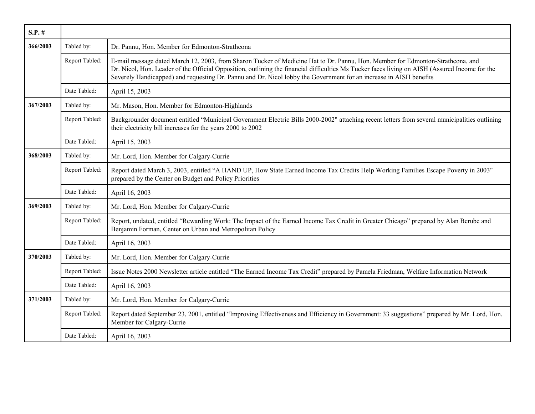| $S.P.$ # |                |                                                                                                                                                                                                                                                                                                                                                                                                        |
|----------|----------------|--------------------------------------------------------------------------------------------------------------------------------------------------------------------------------------------------------------------------------------------------------------------------------------------------------------------------------------------------------------------------------------------------------|
| 366/2003 | Tabled by:     | Dr. Pannu, Hon. Member for Edmonton-Strathcona                                                                                                                                                                                                                                                                                                                                                         |
|          | Report Tabled: | E-mail message dated March 12, 2003, from Sharon Tucker of Medicine Hat to Dr. Pannu, Hon. Member for Edmonton-Strathcona, and<br>Dr. Nicol, Hon. Leader of the Official Opposition, outlining the financial difficulties Ms Tucker faces living on AISH (Assured Income for the<br>Severely Handicapped) and requesting Dr. Pannu and Dr. Nicol lobby the Government for an increase in AISH benefits |
|          | Date Tabled:   | April 15, 2003                                                                                                                                                                                                                                                                                                                                                                                         |
| 367/2003 | Tabled by:     | Mr. Mason, Hon. Member for Edmonton-Highlands                                                                                                                                                                                                                                                                                                                                                          |
|          | Report Tabled: | Backgrounder document entitled "Municipal Government Electric Bills 2000-2002" attaching recent letters from several municipalities outlining<br>their electricity bill increases for the years 2000 to 2002                                                                                                                                                                                           |
|          | Date Tabled:   | April 15, 2003                                                                                                                                                                                                                                                                                                                                                                                         |
| 368/2003 | Tabled by:     | Mr. Lord, Hon. Member for Calgary-Currie                                                                                                                                                                                                                                                                                                                                                               |
|          | Report Tabled: | Report dated March 3, 2003, entitled "A HAND UP, How State Earned Income Tax Credits Help Working Families Escape Poverty in 2003"<br>prepared by the Center on Budget and Policy Priorities                                                                                                                                                                                                           |
|          | Date Tabled:   | April 16, 2003                                                                                                                                                                                                                                                                                                                                                                                         |
| 369/2003 | Tabled by:     | Mr. Lord, Hon. Member for Calgary-Currie                                                                                                                                                                                                                                                                                                                                                               |
|          | Report Tabled: | Report, undated, entitled "Rewarding Work: The Impact of the Earned Income Tax Credit in Greater Chicago" prepared by Alan Berube and<br>Benjamin Forman, Center on Urban and Metropolitan Policy                                                                                                                                                                                                      |
|          | Date Tabled:   | April 16, 2003                                                                                                                                                                                                                                                                                                                                                                                         |
| 370/2003 | Tabled by:     | Mr. Lord, Hon. Member for Calgary-Currie                                                                                                                                                                                                                                                                                                                                                               |
|          | Report Tabled: | Issue Notes 2000 Newsletter article entitled "The Earned Income Tax Credit" prepared by Pamela Friedman, Welfare Information Network                                                                                                                                                                                                                                                                   |
|          | Date Tabled:   | April 16, 2003                                                                                                                                                                                                                                                                                                                                                                                         |
| 371/2003 | Tabled by:     | Mr. Lord, Hon. Member for Calgary-Currie                                                                                                                                                                                                                                                                                                                                                               |
|          | Report Tabled: | Report dated September 23, 2001, entitled "Improving Effectiveness and Efficiency in Government: 33 suggestions" prepared by Mr. Lord, Hon.<br>Member for Calgary-Currie                                                                                                                                                                                                                               |
|          | Date Tabled:   | April 16, 2003                                                                                                                                                                                                                                                                                                                                                                                         |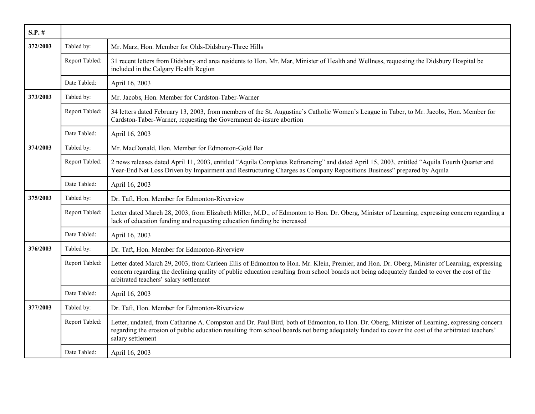| $S.P.$ # |                |                                                                                                                                                                                                                                                                                                                                         |
|----------|----------------|-----------------------------------------------------------------------------------------------------------------------------------------------------------------------------------------------------------------------------------------------------------------------------------------------------------------------------------------|
| 372/2003 | Tabled by:     | Mr. Marz, Hon. Member for Olds-Didsbury-Three Hills                                                                                                                                                                                                                                                                                     |
|          | Report Tabled: | 31 recent letters from Didsbury and area residents to Hon. Mr. Mar, Minister of Health and Wellness, requesting the Didsbury Hospital be<br>included in the Calgary Health Region                                                                                                                                                       |
|          | Date Tabled:   | April 16, 2003                                                                                                                                                                                                                                                                                                                          |
| 373/2003 | Tabled by:     | Mr. Jacobs, Hon. Member for Cardston-Taber-Warner                                                                                                                                                                                                                                                                                       |
|          | Report Tabled: | 34 letters dated February 13, 2003, from members of the St. Augustine's Catholic Women's League in Taber, to Mr. Jacobs, Hon. Member for<br>Cardston-Taber-Warner, requesting the Government de-insure abortion                                                                                                                         |
|          | Date Tabled:   | April 16, 2003                                                                                                                                                                                                                                                                                                                          |
| 374/2003 | Tabled by:     | Mr. MacDonald, Hon. Member for Edmonton-Gold Bar                                                                                                                                                                                                                                                                                        |
|          | Report Tabled: | 2 news releases dated April 11, 2003, entitled "Aquila Completes Refinancing" and dated April 15, 2003, entitled "Aquila Fourth Quarter and<br>Year-End Net Loss Driven by Impairment and Restructuring Charges as Company Repositions Business" prepared by Aquila                                                                     |
|          | Date Tabled:   | April 16, 2003                                                                                                                                                                                                                                                                                                                          |
| 375/2003 | Tabled by:     | Dr. Taft, Hon. Member for Edmonton-Riverview                                                                                                                                                                                                                                                                                            |
|          | Report Tabled: | Letter dated March 28, 2003, from Elizabeth Miller, M.D., of Edmonton to Hon. Dr. Oberg, Minister of Learning, expressing concern regarding a<br>lack of education funding and requesting education funding be increased                                                                                                                |
|          | Date Tabled:   | April 16, 2003                                                                                                                                                                                                                                                                                                                          |
| 376/2003 | Tabled by:     | Dr. Taft, Hon. Member for Edmonton-Riverview                                                                                                                                                                                                                                                                                            |
|          | Report Tabled: | Letter dated March 29, 2003, from Carleen Ellis of Edmonton to Hon. Mr. Klein, Premier, and Hon. Dr. Oberg, Minister of Learning, expressing<br>concern regarding the declining quality of public education resulting from school boards not being adequately funded to cover the cost of the<br>arbitrated teachers' salary settlement |
|          | Date Tabled:   | April 16, 2003                                                                                                                                                                                                                                                                                                                          |
| 377/2003 | Tabled by:     | Dr. Taft, Hon. Member for Edmonton-Riverview                                                                                                                                                                                                                                                                                            |
|          | Report Tabled: | Letter, undated, from Catharine A. Compston and Dr. Paul Bird, both of Edmonton, to Hon. Dr. Oberg, Minister of Learning, expressing concern<br>regarding the erosion of public education resulting from school boards not being adequately funded to cover the cost of the arbitrated teachers'<br>salary settlement                   |
|          | Date Tabled:   | April 16, 2003                                                                                                                                                                                                                                                                                                                          |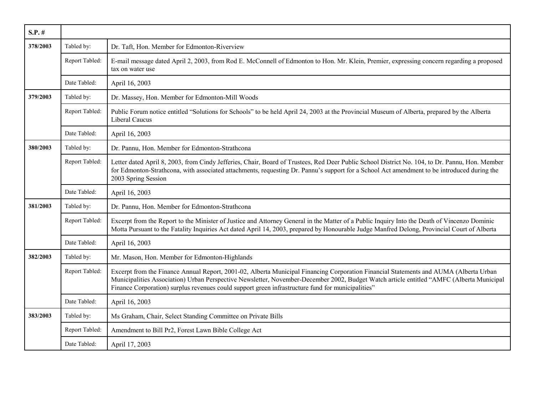| $S.P.$ # |                |                                                                                                                                                                                                                                                                                                                                                                                        |
|----------|----------------|----------------------------------------------------------------------------------------------------------------------------------------------------------------------------------------------------------------------------------------------------------------------------------------------------------------------------------------------------------------------------------------|
| 378/2003 | Tabled by:     | Dr. Taft, Hon. Member for Edmonton-Riverview                                                                                                                                                                                                                                                                                                                                           |
|          | Report Tabled: | E-mail message dated April 2, 2003, from Rod E. McConnell of Edmonton to Hon. Mr. Klein, Premier, expressing concern regarding a proposed<br>tax on water use                                                                                                                                                                                                                          |
|          | Date Tabled:   | April 16, 2003                                                                                                                                                                                                                                                                                                                                                                         |
| 379/2003 | Tabled by:     | Dr. Massey, Hon. Member for Edmonton-Mill Woods                                                                                                                                                                                                                                                                                                                                        |
|          | Report Tabled: | Public Forum notice entitled "Solutions for Schools" to be held April 24, 2003 at the Provincial Museum of Alberta, prepared by the Alberta<br><b>Liberal Caucus</b>                                                                                                                                                                                                                   |
|          | Date Tabled:   | April 16, 2003                                                                                                                                                                                                                                                                                                                                                                         |
| 380/2003 | Tabled by:     | Dr. Pannu, Hon. Member for Edmonton-Strathcona                                                                                                                                                                                                                                                                                                                                         |
|          | Report Tabled: | Letter dated April 8, 2003, from Cindy Jefferies, Chair, Board of Trustees, Red Deer Public School District No. 104, to Dr. Pannu, Hon. Member<br>for Edmonton-Strathcona, with associated attachments, requesting Dr. Pannu's support for a School Act amendment to be introduced during the<br>2003 Spring Session                                                                   |
|          | Date Tabled:   | April 16, 2003                                                                                                                                                                                                                                                                                                                                                                         |
| 381/2003 | Tabled by:     | Dr. Pannu, Hon. Member for Edmonton-Strathcona                                                                                                                                                                                                                                                                                                                                         |
|          | Report Tabled: | Excerpt from the Report to the Minister of Justice and Attorney General in the Matter of a Public Inquiry Into the Death of Vincenzo Dominic<br>Motta Pursuant to the Fatality Inquiries Act dated April 14, 2003, prepared by Honourable Judge Manfred Delong, Provincial Court of Alberta                                                                                            |
|          | Date Tabled:   | April 16, 2003                                                                                                                                                                                                                                                                                                                                                                         |
| 382/2003 | Tabled by:     | Mr. Mason, Hon. Member for Edmonton-Highlands                                                                                                                                                                                                                                                                                                                                          |
|          | Report Tabled: | Excerpt from the Finance Annual Report, 2001-02, Alberta Municipal Financing Corporation Financial Statements and AUMA (Alberta Urban<br>Municipalities Association) Urban Perspective Newsletter, November-December 2002, Budget Watch article entitled "AMFC (Alberta Municipal<br>Finance Corporation) surplus revenues could support green infrastructure fund for municipalities" |
|          | Date Tabled:   | April 16, 2003                                                                                                                                                                                                                                                                                                                                                                         |
| 383/2003 | Tabled by:     | Ms Graham, Chair, Select Standing Committee on Private Bills                                                                                                                                                                                                                                                                                                                           |
|          | Report Tabled: | Amendment to Bill Pr2, Forest Lawn Bible College Act                                                                                                                                                                                                                                                                                                                                   |
|          | Date Tabled:   | April 17, 2003                                                                                                                                                                                                                                                                                                                                                                         |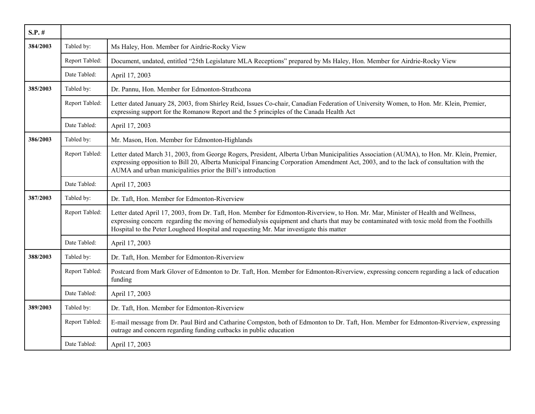| $S.P.$ # |                |                                                                                                                                                                                                                                                                                                                                                                         |
|----------|----------------|-------------------------------------------------------------------------------------------------------------------------------------------------------------------------------------------------------------------------------------------------------------------------------------------------------------------------------------------------------------------------|
| 384/2003 | Tabled by:     | Ms Haley, Hon. Member for Airdrie-Rocky View                                                                                                                                                                                                                                                                                                                            |
|          | Report Tabled: | Document, undated, entitled "25th Legislature MLA Receptions" prepared by Ms Haley, Hon. Member for Airdrie-Rocky View                                                                                                                                                                                                                                                  |
|          | Date Tabled:   | April 17, 2003                                                                                                                                                                                                                                                                                                                                                          |
| 385/2003 | Tabled by:     | Dr. Pannu, Hon. Member for Edmonton-Strathcona                                                                                                                                                                                                                                                                                                                          |
|          | Report Tabled: | Letter dated January 28, 2003, from Shirley Reid, Issues Co-chair, Canadian Federation of University Women, to Hon. Mr. Klein, Premier,<br>expressing support for the Romanow Report and the 5 principles of the Canada Health Act                                                                                                                                      |
|          | Date Tabled:   | April 17, 2003                                                                                                                                                                                                                                                                                                                                                          |
| 386/2003 | Tabled by:     | Mr. Mason, Hon. Member for Edmonton-Highlands                                                                                                                                                                                                                                                                                                                           |
|          | Report Tabled: | Letter dated March 31, 2003, from George Rogers, President, Alberta Urban Municipalities Association (AUMA), to Hon. Mr. Klein, Premier,<br>expressing opposition to Bill 20, Alberta Municipal Financing Corporation Amendment Act, 2003, and to the lack of consultation with the<br>AUMA and urban municipalities prior the Bill's introduction                      |
|          | Date Tabled:   | April 17, 2003                                                                                                                                                                                                                                                                                                                                                          |
| 387/2003 | Tabled by:     | Dr. Taft, Hon. Member for Edmonton-Riverview                                                                                                                                                                                                                                                                                                                            |
|          | Report Tabled: | Letter dated April 17, 2003, from Dr. Taft, Hon. Member for Edmonton-Riverview, to Hon. Mr. Mar, Minister of Health and Wellness,<br>expressing concern regarding the moving of hemodialysis equipment and charts that may be contaminated with toxic mold from the Foothills<br>Hospital to the Peter Lougheed Hospital and requesting Mr. Mar investigate this matter |
|          | Date Tabled:   | April 17, 2003                                                                                                                                                                                                                                                                                                                                                          |
| 388/2003 | Tabled by:     | Dr. Taft, Hon. Member for Edmonton-Riverview                                                                                                                                                                                                                                                                                                                            |
|          | Report Tabled: | Postcard from Mark Glover of Edmonton to Dr. Taft, Hon. Member for Edmonton-Riverview, expressing concern regarding a lack of education<br>funding                                                                                                                                                                                                                      |
|          | Date Tabled:   | April 17, 2003                                                                                                                                                                                                                                                                                                                                                          |
| 389/2003 | Tabled by:     | Dr. Taft, Hon. Member for Edmonton-Riverview                                                                                                                                                                                                                                                                                                                            |
|          | Report Tabled: | E-mail message from Dr. Paul Bird and Catharine Compston, both of Edmonton to Dr. Taft, Hon. Member for Edmonton-Riverview, expressing<br>outrage and concern regarding funding cutbacks in public education                                                                                                                                                            |
|          | Date Tabled:   | April 17, 2003                                                                                                                                                                                                                                                                                                                                                          |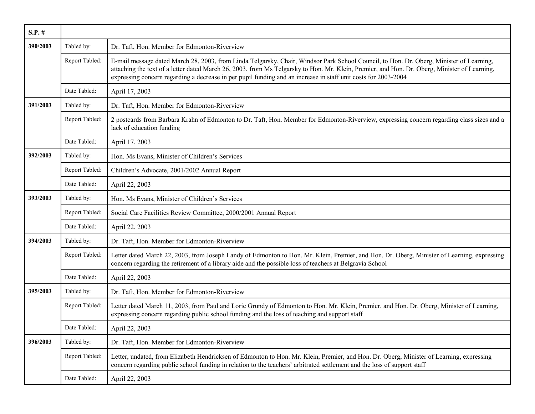| $S.P.$ # |                |                                                                                                                                                                                                                                                                                                                                                                                                           |
|----------|----------------|-----------------------------------------------------------------------------------------------------------------------------------------------------------------------------------------------------------------------------------------------------------------------------------------------------------------------------------------------------------------------------------------------------------|
| 390/2003 | Tabled by:     | Dr. Taft, Hon. Member for Edmonton-Riverview                                                                                                                                                                                                                                                                                                                                                              |
|          | Report Tabled: | E-mail message dated March 28, 2003, from Linda Telgarsky, Chair, Windsor Park School Council, to Hon. Dr. Oberg, Minister of Learning,<br>attaching the text of a letter dated March 26, 2003, from Ms Telgarsky to Hon. Mr. Klein, Premier, and Hon. Dr. Oberg, Minister of Learning,<br>expressing concern regarding a decrease in per pupil funding and an increase in staff unit costs for 2003-2004 |
|          | Date Tabled:   | April 17, 2003                                                                                                                                                                                                                                                                                                                                                                                            |
| 391/2003 | Tabled by:     | Dr. Taft, Hon. Member for Edmonton-Riverview                                                                                                                                                                                                                                                                                                                                                              |
|          | Report Tabled: | 2 postcards from Barbara Krahn of Edmonton to Dr. Taft, Hon. Member for Edmonton-Riverview, expressing concern regarding class sizes and a<br>lack of education funding                                                                                                                                                                                                                                   |
|          | Date Tabled:   | April 17, 2003                                                                                                                                                                                                                                                                                                                                                                                            |
| 392/2003 | Tabled by:     | Hon. Ms Evans, Minister of Children's Services                                                                                                                                                                                                                                                                                                                                                            |
|          | Report Tabled: | Children's Advocate, 2001/2002 Annual Report                                                                                                                                                                                                                                                                                                                                                              |
|          | Date Tabled:   | April 22, 2003                                                                                                                                                                                                                                                                                                                                                                                            |
| 393/2003 | Tabled by:     | Hon. Ms Evans, Minister of Children's Services                                                                                                                                                                                                                                                                                                                                                            |
|          | Report Tabled: | Social Care Facilities Review Committee, 2000/2001 Annual Report                                                                                                                                                                                                                                                                                                                                          |
|          | Date Tabled:   | April 22, 2003                                                                                                                                                                                                                                                                                                                                                                                            |
| 394/2003 | Tabled by:     | Dr. Taft, Hon. Member for Edmonton-Riverview                                                                                                                                                                                                                                                                                                                                                              |
|          | Report Tabled: | Letter dated March 22, 2003, from Joseph Landy of Edmonton to Hon. Mr. Klein, Premier, and Hon. Dr. Oberg, Minister of Learning, expressing<br>concern regarding the retirement of a library aide and the possible loss of teachers at Belgravia School                                                                                                                                                   |
|          | Date Tabled:   | April 22, 2003                                                                                                                                                                                                                                                                                                                                                                                            |
| 395/2003 | Tabled by:     | Dr. Taft, Hon. Member for Edmonton-Riverview                                                                                                                                                                                                                                                                                                                                                              |
|          | Report Tabled: | Letter dated March 11, 2003, from Paul and Lorie Grundy of Edmonton to Hon. Mr. Klein, Premier, and Hon. Dr. Oberg, Minister of Learning,<br>expressing concern regarding public school funding and the loss of teaching and support staff                                                                                                                                                                |
|          | Date Tabled:   | April 22, 2003                                                                                                                                                                                                                                                                                                                                                                                            |
| 396/2003 | Tabled by:     | Dr. Taft, Hon. Member for Edmonton-Riverview                                                                                                                                                                                                                                                                                                                                                              |
|          | Report Tabled: | Letter, undated, from Elizabeth Hendricksen of Edmonton to Hon. Mr. Klein, Premier, and Hon. Dr. Oberg, Minister of Learning, expressing<br>concern regarding public school funding in relation to the teachers' arbitrated settlement and the loss of support staff                                                                                                                                      |
|          | Date Tabled:   | April 22, 2003                                                                                                                                                                                                                                                                                                                                                                                            |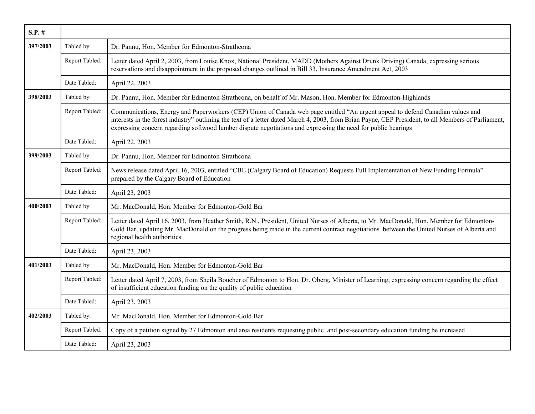| $S.P.$ # |                |                                                                                                                                                                                                                                                                                                                                                                                                          |
|----------|----------------|----------------------------------------------------------------------------------------------------------------------------------------------------------------------------------------------------------------------------------------------------------------------------------------------------------------------------------------------------------------------------------------------------------|
| 397/2003 | Tabled by:     | Dr. Pannu, Hon. Member for Edmonton-Strathcona                                                                                                                                                                                                                                                                                                                                                           |
|          | Report Tabled: | Letter dated April 2, 2003, from Louise Knox, National President, MADD (Mothers Against Drunk Driving) Canada, expressing serious<br>reservations and disappointment in the proposed changes outlined in Bill 33, Insurance Amendment Act, 2003                                                                                                                                                          |
|          | Date Tabled:   | April 22, 2003                                                                                                                                                                                                                                                                                                                                                                                           |
| 398/2003 | Tabled by:     | Dr. Pannu, Hon. Member for Edmonton-Strathcona, on behalf of Mr. Mason, Hon. Member for Edmonton-Highlands                                                                                                                                                                                                                                                                                               |
|          | Report Tabled: | Communications, Energy and Paperworkers (CEP) Union of Canada web page entitled "An urgent appeal to defend Canadian values and<br>interests in the forest industry" outlining the text of a letter dated March 4, 2003, from Brian Payne, CEP President, to all Members of Parliament,<br>expressing concern regarding softwood lumber dispute negotiations and expressing the need for public hearings |
|          | Date Tabled:   | April 22, 2003                                                                                                                                                                                                                                                                                                                                                                                           |
| 399/2003 | Tabled by:     | Dr. Pannu, Hon. Member for Edmonton-Strathcona                                                                                                                                                                                                                                                                                                                                                           |
|          | Report Tabled: | News release dated April 16, 2003, entitled "CBE (Calgary Board of Education) Requests Full Implementation of New Funding Formula"<br>prepared by the Calgary Board of Education                                                                                                                                                                                                                         |
|          | Date Tabled:   | April 23, 2003                                                                                                                                                                                                                                                                                                                                                                                           |
| 400/2003 | Tabled by:     | Mr. MacDonald, Hon. Member for Edmonton-Gold Bar                                                                                                                                                                                                                                                                                                                                                         |
|          | Report Tabled: | Letter dated April 16, 2003, from Heather Smith, R.N., President, United Nurses of Alberta, to Mr. MacDonald, Hon. Member for Edmonton-<br>Gold Bar, updating Mr. MacDonald on the progress being made in the current contract negotiations between the United Nurses of Alberta and<br>regional health authorities                                                                                      |
|          | Date Tabled:   | April 23, 2003                                                                                                                                                                                                                                                                                                                                                                                           |
| 401/2003 | Tabled by:     | Mr. MacDonald, Hon. Member for Edmonton-Gold Bar                                                                                                                                                                                                                                                                                                                                                         |
|          | Report Tabled: | Letter dated April 7, 2003, from Sheila Boucher of Edmonton to Hon. Dr. Oberg, Minister of Learning, expressing concern regarding the effect<br>of insufficient education funding on the quality of public education                                                                                                                                                                                     |
|          | Date Tabled:   | April 23, 2003                                                                                                                                                                                                                                                                                                                                                                                           |
| 402/2003 | Tabled by:     | Mr. MacDonald, Hon. Member for Edmonton-Gold Bar                                                                                                                                                                                                                                                                                                                                                         |
|          | Report Tabled: | Copy of a petition signed by 27 Edmonton and area residents requesting public and post-secondary education funding be increased                                                                                                                                                                                                                                                                          |
|          | Date Tabled:   | April 23, 2003                                                                                                                                                                                                                                                                                                                                                                                           |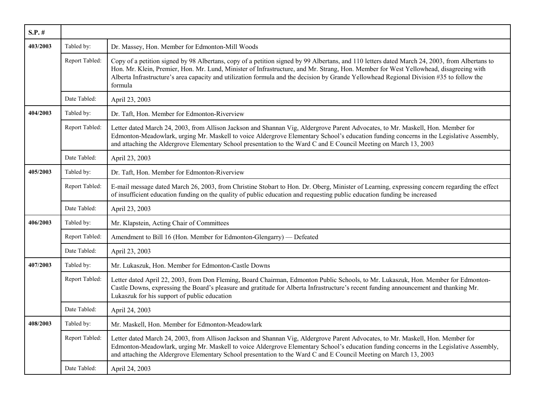| $S.P.$ # |                |                                                                                                                                                                                                                                                                                                                                                                                                                                               |
|----------|----------------|-----------------------------------------------------------------------------------------------------------------------------------------------------------------------------------------------------------------------------------------------------------------------------------------------------------------------------------------------------------------------------------------------------------------------------------------------|
| 403/2003 | Tabled by:     | Dr. Massey, Hon. Member for Edmonton-Mill Woods                                                                                                                                                                                                                                                                                                                                                                                               |
|          | Report Tabled: | Copy of a petition signed by 98 Albertans, copy of a petition signed by 99 Albertans, and 110 letters dated March 24, 2003, from Albertans to<br>Hon. Mr. Klein, Premier, Hon. Mr. Lund, Minister of Infrastructure, and Mr. Strang, Hon. Member for West Yellowhead, disagreeing with<br>Alberta Infrastructure's area capacity and utilization formula and the decision by Grande Yellowhead Regional Division #35 to follow the<br>formula |
|          | Date Tabled:   | April 23, 2003                                                                                                                                                                                                                                                                                                                                                                                                                                |
| 404/2003 | Tabled by:     | Dr. Taft, Hon. Member for Edmonton-Riverview                                                                                                                                                                                                                                                                                                                                                                                                  |
|          | Report Tabled: | Letter dated March 24, 2003, from Allison Jackson and Shannan Vig, Aldergrove Parent Advocates, to Mr. Maskell, Hon. Member for<br>Edmonton-Meadowlark, urging Mr. Maskell to voice Aldergrove Elementary School's education funding concerns in the Legislative Assembly,<br>and attaching the Aldergrove Elementary School presentation to the Ward C and E Council Meeting on March 13, 2003                                               |
|          | Date Tabled:   | April 23, 2003                                                                                                                                                                                                                                                                                                                                                                                                                                |
| 405/2003 | Tabled by:     | Dr. Taft, Hon. Member for Edmonton-Riverview                                                                                                                                                                                                                                                                                                                                                                                                  |
|          | Report Tabled: | E-mail message dated March 26, 2003, from Christine Stobart to Hon. Dr. Oberg, Minister of Learning, expressing concern regarding the effect<br>of insufficient education funding on the quality of public education and requesting public education funding be increased                                                                                                                                                                     |
|          | Date Tabled:   | April 23, 2003                                                                                                                                                                                                                                                                                                                                                                                                                                |
| 406/2003 | Tabled by:     | Mr. Klapstein, Acting Chair of Committees                                                                                                                                                                                                                                                                                                                                                                                                     |
|          | Report Tabled: | Amendment to Bill 16 (Hon. Member for Edmonton-Glengarry) — Defeated                                                                                                                                                                                                                                                                                                                                                                          |
|          | Date Tabled:   | April 23, 2003                                                                                                                                                                                                                                                                                                                                                                                                                                |
| 407/2003 | Tabled by:     | Mr. Lukaszuk, Hon. Member for Edmonton-Castle Downs                                                                                                                                                                                                                                                                                                                                                                                           |
|          | Report Tabled: | Letter dated April 22, 2003, from Don Fleming, Board Chairman, Edmonton Public Schools, to Mr. Lukaszuk, Hon. Member for Edmonton-<br>Castle Downs, expressing the Board's pleasure and gratitude for Alberta Infrastructure's recent funding announcement and thanking Mr.<br>Lukaszuk for his support of public education                                                                                                                   |
|          | Date Tabled:   | April 24, 2003                                                                                                                                                                                                                                                                                                                                                                                                                                |
| 408/2003 | Tabled by:     | Mr. Maskell, Hon. Member for Edmonton-Meadowlark                                                                                                                                                                                                                                                                                                                                                                                              |
|          | Report Tabled: | Letter dated March 24, 2003, from Allison Jackson and Shannan Vig, Aldergrove Parent Advocates, to Mr. Maskell, Hon. Member for<br>Edmonton-Meadowlark, urging Mr. Maskell to voice Aldergrove Elementary School's education funding concerns in the Legislative Assembly,<br>and attaching the Aldergrove Elementary School presentation to the Ward C and E Council Meeting on March 13, 2003                                               |
|          | Date Tabled:   | April 24, 2003                                                                                                                                                                                                                                                                                                                                                                                                                                |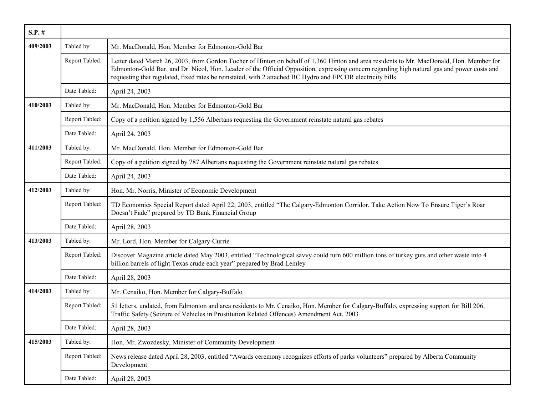| $S.P.$ # |                |                                                                                                                                                                                                                                                                                                                                                                                                       |
|----------|----------------|-------------------------------------------------------------------------------------------------------------------------------------------------------------------------------------------------------------------------------------------------------------------------------------------------------------------------------------------------------------------------------------------------------|
| 409/2003 | Tabled by:     | Mr. MacDonald, Hon. Member for Edmonton-Gold Bar                                                                                                                                                                                                                                                                                                                                                      |
|          | Report Tabled: | Letter dated March 26, 2003, from Gordon Tocher of Hinton on behalf of 1,360 Hinton and area residents to Mr. MacDonald, Hon. Member for<br>Edmonton-Gold Bar, and Dr. Nicol, Hon. Leader of the Official Opposition, expressing concern regarding high natural gas and power costs and<br>requesting that regulated, fixed rates be reinstated, with 2 attached BC Hydro and EPCOR electricity bills |
|          | Date Tabled:   | April 24, 2003                                                                                                                                                                                                                                                                                                                                                                                        |
| 410/2003 | Tabled by:     | Mr. MacDonald, Hon. Member for Edmonton-Gold Bar                                                                                                                                                                                                                                                                                                                                                      |
|          | Report Tabled: | Copy of a petition signed by 1,556 Albertans requesting the Government reinstate natural gas rebates                                                                                                                                                                                                                                                                                                  |
|          | Date Tabled:   | April 24, 2003                                                                                                                                                                                                                                                                                                                                                                                        |
| 411/2003 | Tabled by:     | Mr. MacDonald, Hon. Member for Edmonton-Gold Bar                                                                                                                                                                                                                                                                                                                                                      |
|          | Report Tabled: | Copy of a petition signed by 787 Albertans requesting the Government reinstate natural gas rebates                                                                                                                                                                                                                                                                                                    |
|          | Date Tabled:   | April 24, 2003                                                                                                                                                                                                                                                                                                                                                                                        |
| 412/2003 | Tabled by:     | Hon. Mr. Norris, Minister of Economic Development                                                                                                                                                                                                                                                                                                                                                     |
|          | Report Tabled: | TD Economics Special Report dated April 22, 2003, entitled "The Calgary-Edmonton Corridor, Take Action Now To Ensure Tiger's Roar<br>Doesn't Fade" prepared by TD Bank Financial Group                                                                                                                                                                                                                |
|          | Date Tabled:   | April 28, 2003                                                                                                                                                                                                                                                                                                                                                                                        |
| 413/2003 | Tabled by:     | Mr. Lord, Hon. Member for Calgary-Currie                                                                                                                                                                                                                                                                                                                                                              |
|          | Report Tabled: | Discover Magazine article dated May 2003, entitled "Technological savvy could turn 600 million tons of turkey guts and other waste into 4<br>billion barrels of light Texas crude each year" prepared by Brad Lemley                                                                                                                                                                                  |
|          | Date Tabled:   | April 28, 2003                                                                                                                                                                                                                                                                                                                                                                                        |
| 414/2003 | Tabled by:     | Mr. Cenaiko, Hon. Member for Calgary-Buffalo                                                                                                                                                                                                                                                                                                                                                          |
|          | Report Tabled: | 51 letters, undated, from Edmonton and area residents to Mr. Cenaiko, Hon. Member for Calgary-Buffalo, expressing support for Bill 206,<br>Traffic Safety (Seizure of Vehicles in Prostitution Related Offences) Amendment Act, 2003                                                                                                                                                                  |
|          | Date Tabled:   | April 28, 2003                                                                                                                                                                                                                                                                                                                                                                                        |
| 415/2003 | Tabled by:     | Hon. Mr. Zwozdesky, Minister of Community Development                                                                                                                                                                                                                                                                                                                                                 |
|          | Report Tabled: | News release dated April 28, 2003, entitled "Awards ceremony recognizes efforts of parks volunteers" prepared by Alberta Community<br>Development                                                                                                                                                                                                                                                     |
|          | Date Tabled:   | April 28, 2003                                                                                                                                                                                                                                                                                                                                                                                        |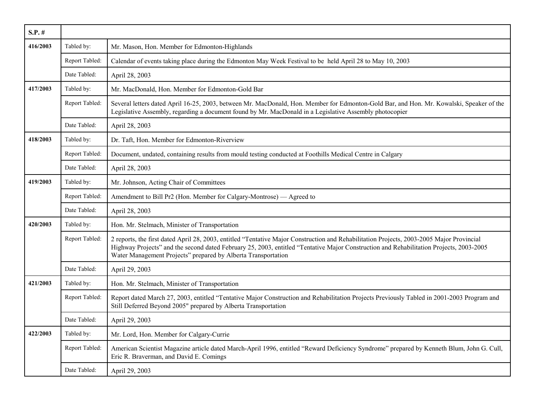| $S.P.$ # |                |                                                                                                                                                                                                                                                                                                                                                       |
|----------|----------------|-------------------------------------------------------------------------------------------------------------------------------------------------------------------------------------------------------------------------------------------------------------------------------------------------------------------------------------------------------|
| 416/2003 | Tabled by:     | Mr. Mason, Hon. Member for Edmonton-Highlands                                                                                                                                                                                                                                                                                                         |
|          | Report Tabled: | Calendar of events taking place during the Edmonton May Week Festival to be held April 28 to May 10, 2003                                                                                                                                                                                                                                             |
|          | Date Tabled:   | April 28, 2003                                                                                                                                                                                                                                                                                                                                        |
| 417/2003 | Tabled by:     | Mr. MacDonald, Hon. Member for Edmonton-Gold Bar                                                                                                                                                                                                                                                                                                      |
|          | Report Tabled: | Several letters dated April 16-25, 2003, between Mr. MacDonald, Hon. Member for Edmonton-Gold Bar, and Hon. Mr. Kowalski, Speaker of the<br>Legislative Assembly, regarding a document found by Mr. MacDonald in a Legislative Assembly photocopier                                                                                                   |
|          | Date Tabled:   | April 28, 2003                                                                                                                                                                                                                                                                                                                                        |
| 418/2003 | Tabled by:     | Dr. Taft, Hon. Member for Edmonton-Riverview                                                                                                                                                                                                                                                                                                          |
|          | Report Tabled: | Document, undated, containing results from mould testing conducted at Foothills Medical Centre in Calgary                                                                                                                                                                                                                                             |
|          | Date Tabled:   | April 28, 2003                                                                                                                                                                                                                                                                                                                                        |
| 419/2003 | Tabled by:     | Mr. Johnson, Acting Chair of Committees                                                                                                                                                                                                                                                                                                               |
|          | Report Tabled: | Amendment to Bill Pr2 (Hon. Member for Calgary-Montrose) — Agreed to                                                                                                                                                                                                                                                                                  |
|          | Date Tabled:   | April 28, 2003                                                                                                                                                                                                                                                                                                                                        |
| 420/2003 | Tabled by:     | Hon. Mr. Stelmach, Minister of Transportation                                                                                                                                                                                                                                                                                                         |
|          | Report Tabled: | 2 reports, the first dated April 28, 2003, entitled "Tentative Major Construction and Rehabilitation Projects, 2003-2005 Major Provincial<br>Highway Projects" and the second dated February 25, 2003, entitled "Tentative Major Construction and Rehabilitation Projects, 2003-2005<br>Water Management Projects" prepared by Alberta Transportation |
|          | Date Tabled:   | April 29, 2003                                                                                                                                                                                                                                                                                                                                        |
| 421/2003 | Tabled by:     | Hon. Mr. Stelmach, Minister of Transportation                                                                                                                                                                                                                                                                                                         |
|          | Report Tabled: | Report dated March 27, 2003, entitled "Tentative Major Construction and Rehabilitation Projects Previously Tabled in 2001-2003 Program and<br>Still Deferred Beyond 2005" prepared by Alberta Transportation                                                                                                                                          |
|          | Date Tabled:   | April 29, 2003                                                                                                                                                                                                                                                                                                                                        |
| 422/2003 | Tabled by:     | Mr. Lord, Hon. Member for Calgary-Currie                                                                                                                                                                                                                                                                                                              |
|          | Report Tabled: | American Scientist Magazine article dated March-April 1996, entitled "Reward Deficiency Syndrome" prepared by Kenneth Blum, John G. Cull,<br>Eric R. Braverman, and David E. Comings                                                                                                                                                                  |
|          | Date Tabled:   | April 29, 2003                                                                                                                                                                                                                                                                                                                                        |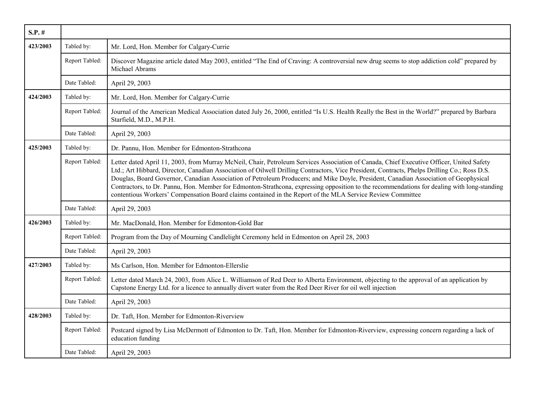| $S.P.$ # |                |                                                                                                                                                                                                                                                                                                                                                                                                                                                                                                                                                                                                                                                                                               |
|----------|----------------|-----------------------------------------------------------------------------------------------------------------------------------------------------------------------------------------------------------------------------------------------------------------------------------------------------------------------------------------------------------------------------------------------------------------------------------------------------------------------------------------------------------------------------------------------------------------------------------------------------------------------------------------------------------------------------------------------|
| 423/2003 | Tabled by:     | Mr. Lord, Hon. Member for Calgary-Currie                                                                                                                                                                                                                                                                                                                                                                                                                                                                                                                                                                                                                                                      |
|          | Report Tabled: | Discover Magazine article dated May 2003, entitled "The End of Craving: A controversial new drug seems to stop addiction cold" prepared by<br>Michael Abrams                                                                                                                                                                                                                                                                                                                                                                                                                                                                                                                                  |
|          | Date Tabled:   | April 29, 2003                                                                                                                                                                                                                                                                                                                                                                                                                                                                                                                                                                                                                                                                                |
| 424/2003 | Tabled by:     | Mr. Lord, Hon. Member for Calgary-Currie                                                                                                                                                                                                                                                                                                                                                                                                                                                                                                                                                                                                                                                      |
|          | Report Tabled: | Journal of the American Medical Association dated July 26, 2000, entitled "Is U.S. Health Really the Best in the World?" prepared by Barbara<br>Starfield, M.D., M.P.H.                                                                                                                                                                                                                                                                                                                                                                                                                                                                                                                       |
|          | Date Tabled:   | April 29, 2003                                                                                                                                                                                                                                                                                                                                                                                                                                                                                                                                                                                                                                                                                |
| 425/2003 | Tabled by:     | Dr. Pannu, Hon. Member for Edmonton-Strathcona                                                                                                                                                                                                                                                                                                                                                                                                                                                                                                                                                                                                                                                |
|          | Report Tabled: | Letter dated April 11, 2003, from Murray McNeil, Chair, Petroleum Services Association of Canada, Chief Executive Officer, United Safety<br>Ltd.; Art Hibbard, Director, Canadian Association of Oilwell Drilling Contractors, Vice President, Contracts, Phelps Drilling Co.; Ross D.S.<br>Douglas, Board Governor, Canadian Association of Petroleum Producers; and Mike Doyle, President, Canadian Association of Geophysical<br>Contractors, to Dr. Pannu, Hon. Member for Edmonton-Strathcona, expressing opposition to the recommendations for dealing with long-standing<br>contentious Workers' Compensation Board claims contained in the Report of the MLA Service Review Committee |
|          | Date Tabled:   | April 29, 2003                                                                                                                                                                                                                                                                                                                                                                                                                                                                                                                                                                                                                                                                                |
| 426/2003 | Tabled by:     | Mr. MacDonald, Hon. Member for Edmonton-Gold Bar                                                                                                                                                                                                                                                                                                                                                                                                                                                                                                                                                                                                                                              |
|          | Report Tabled: | Program from the Day of Mourning Candlelight Ceremony held in Edmonton on April 28, 2003                                                                                                                                                                                                                                                                                                                                                                                                                                                                                                                                                                                                      |
|          | Date Tabled:   | April 29, 2003                                                                                                                                                                                                                                                                                                                                                                                                                                                                                                                                                                                                                                                                                |
| 427/2003 | Tabled by:     | Ms Carlson, Hon. Member for Edmonton-Ellerslie                                                                                                                                                                                                                                                                                                                                                                                                                                                                                                                                                                                                                                                |
|          | Report Tabled: | Letter dated March 24, 2003, from Alice L. Williamson of Red Deer to Alberta Environment, objecting to the approval of an application by<br>Capstone Energy Ltd. for a licence to annually divert water from the Red Deer River for oil well injection                                                                                                                                                                                                                                                                                                                                                                                                                                        |
|          | Date Tabled:   | April 29, 2003                                                                                                                                                                                                                                                                                                                                                                                                                                                                                                                                                                                                                                                                                |
| 428/2003 | Tabled by:     | Dr. Taft, Hon. Member for Edmonton-Riverview                                                                                                                                                                                                                                                                                                                                                                                                                                                                                                                                                                                                                                                  |
|          | Report Tabled: | Postcard signed by Lisa McDermott of Edmonton to Dr. Taft, Hon. Member for Edmonton-Riverview, expressing concern regarding a lack of<br>education funding                                                                                                                                                                                                                                                                                                                                                                                                                                                                                                                                    |
|          | Date Tabled:   | April 29, 2003                                                                                                                                                                                                                                                                                                                                                                                                                                                                                                                                                                                                                                                                                |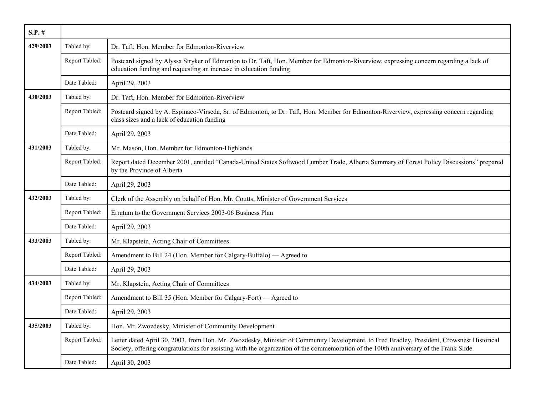| $S.P.$ # |                |                                                                                                                                                                                                                                                                                     |
|----------|----------------|-------------------------------------------------------------------------------------------------------------------------------------------------------------------------------------------------------------------------------------------------------------------------------------|
| 429/2003 | Tabled by:     | Dr. Taft, Hon. Member for Edmonton-Riverview                                                                                                                                                                                                                                        |
|          | Report Tabled: | Postcard signed by Alyssa Stryker of Edmonton to Dr. Taft, Hon. Member for Edmonton-Riverview, expressing concern regarding a lack of<br>education funding and requesting an increase in education funding                                                                          |
|          | Date Tabled:   | April 29, 2003                                                                                                                                                                                                                                                                      |
| 430/2003 | Tabled by:     | Dr. Taft, Hon. Member for Edmonton-Riverview                                                                                                                                                                                                                                        |
|          | Report Tabled: | Postcard signed by A. Espinaco-Virseda, Sr. of Edmonton, to Dr. Taft, Hon. Member for Edmonton-Riverview, expressing concern regarding<br>class sizes and a lack of education funding                                                                                               |
|          | Date Tabled:   | April 29, 2003                                                                                                                                                                                                                                                                      |
| 431/2003 | Tabled by:     | Mr. Mason, Hon. Member for Edmonton-Highlands                                                                                                                                                                                                                                       |
|          | Report Tabled: | Report dated December 2001, entitled "Canada-United States Softwood Lumber Trade, Alberta Summary of Forest Policy Discussions" prepared<br>by the Province of Alberta                                                                                                              |
|          | Date Tabled:   | April 29, 2003                                                                                                                                                                                                                                                                      |
| 432/2003 | Tabled by:     | Clerk of the Assembly on behalf of Hon. Mr. Coutts, Minister of Government Services                                                                                                                                                                                                 |
|          | Report Tabled: | Erratum to the Government Services 2003-06 Business Plan                                                                                                                                                                                                                            |
|          | Date Tabled:   | April 29, 2003                                                                                                                                                                                                                                                                      |
| 433/2003 | Tabled by:     | Mr. Klapstein, Acting Chair of Committees                                                                                                                                                                                                                                           |
|          | Report Tabled: | Amendment to Bill 24 (Hon. Member for Calgary-Buffalo) — Agreed to                                                                                                                                                                                                                  |
|          | Date Tabled:   | April 29, 2003                                                                                                                                                                                                                                                                      |
| 434/2003 | Tabled by:     | Mr. Klapstein, Acting Chair of Committees                                                                                                                                                                                                                                           |
|          | Report Tabled: | Amendment to Bill 35 (Hon. Member for Calgary-Fort) — Agreed to                                                                                                                                                                                                                     |
|          | Date Tabled:   | April 29, 2003                                                                                                                                                                                                                                                                      |
| 435/2003 | Tabled by:     | Hon. Mr. Zwozdesky, Minister of Community Development                                                                                                                                                                                                                               |
|          | Report Tabled: | Letter dated April 30, 2003, from Hon. Mr. Zwozdesky, Minister of Community Development, to Fred Bradley, President, Crowsnest Historical<br>Society, offering congratulations for assisting with the organization of the commemoration of the 100th anniversary of the Frank Slide |
|          | Date Tabled:   | April 30, 2003                                                                                                                                                                                                                                                                      |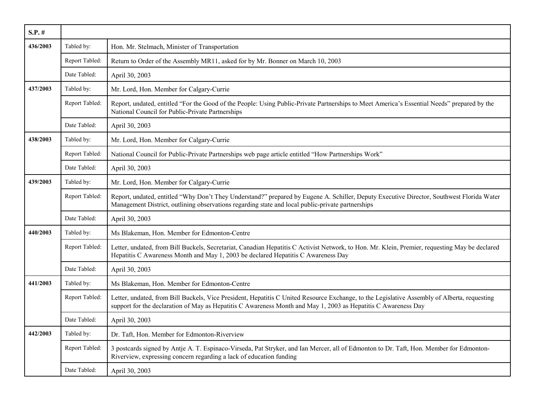| $S.P.$ # |                |                                                                                                                                                                                                                                                                |
|----------|----------------|----------------------------------------------------------------------------------------------------------------------------------------------------------------------------------------------------------------------------------------------------------------|
| 436/2003 | Tabled by:     | Hon. Mr. Stelmach, Minister of Transportation                                                                                                                                                                                                                  |
|          | Report Tabled: | Return to Order of the Assembly MR11, asked for by Mr. Bonner on March 10, 2003                                                                                                                                                                                |
|          | Date Tabled:   | April 30, 2003                                                                                                                                                                                                                                                 |
| 437/2003 | Tabled by:     | Mr. Lord, Hon. Member for Calgary-Currie                                                                                                                                                                                                                       |
|          | Report Tabled: | Report, undated, entitled "For the Good of the People: Using Public-Private Partnerships to Meet America's Essential Needs" prepared by the<br>National Council for Public-Private Partnerships                                                                |
|          | Date Tabled:   | April 30, 2003                                                                                                                                                                                                                                                 |
| 438/2003 | Tabled by:     | Mr. Lord, Hon. Member for Calgary-Currie                                                                                                                                                                                                                       |
|          | Report Tabled: | National Council for Public-Private Partnerships web page article entitled "How Partnerships Work"                                                                                                                                                             |
|          | Date Tabled:   | April 30, 2003                                                                                                                                                                                                                                                 |
| 439/2003 | Tabled by:     | Mr. Lord, Hon. Member for Calgary-Currie                                                                                                                                                                                                                       |
|          | Report Tabled: | Report, undated, entitled "Why Don't They Understand?" prepared by Eugene A. Schiller, Deputy Executive Director, Southwest Florida Water<br>Management District, outlining observations regarding state and local public-private partnerships                 |
|          | Date Tabled:   | April 30, 2003                                                                                                                                                                                                                                                 |
| 440/2003 | Tabled by:     | Ms Blakeman, Hon. Member for Edmonton-Centre                                                                                                                                                                                                                   |
|          | Report Tabled: | Letter, undated, from Bill Buckels, Secretariat, Canadian Hepatitis C Activist Network, to Hon. Mr. Klein, Premier, requesting May be declared<br>Hepatitis C Awareness Month and May 1, 2003 be declared Hepatitis C Awareness Day                            |
|          | Date Tabled:   | April 30, 2003                                                                                                                                                                                                                                                 |
| 441/2003 | Tabled by:     | Ms Blakeman, Hon. Member for Edmonton-Centre                                                                                                                                                                                                                   |
|          | Report Tabled: | Letter, undated, from Bill Buckels, Vice President, Hepatitis C United Resource Exchange, to the Legislative Assembly of Alberta, requesting<br>support for the declaration of May as Hepatitis C Awareness Month and May 1, 2003 as Hepatitis C Awareness Day |
|          | Date Tabled:   | April 30, 2003                                                                                                                                                                                                                                                 |
| 442/2003 | Tabled by:     | Dr. Taft, Hon. Member for Edmonton-Riverview                                                                                                                                                                                                                   |
|          | Report Tabled: | 3 postcards signed by Antje A. T. Espinaco-Virseda, Pat Stryker, and Ian Mercer, all of Edmonton to Dr. Taft, Hon. Member for Edmonton-<br>Riverview, expressing concern regarding a lack of education funding                                                 |
|          | Date Tabled:   | April 30, 2003                                                                                                                                                                                                                                                 |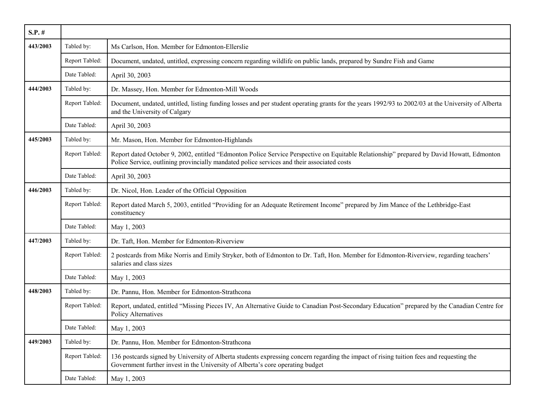| $S.P.$ # |                |                                                                                                                                                                                                                                         |
|----------|----------------|-----------------------------------------------------------------------------------------------------------------------------------------------------------------------------------------------------------------------------------------|
| 443/2003 | Tabled by:     | Ms Carlson, Hon. Member for Edmonton-Ellerslie                                                                                                                                                                                          |
|          | Report Tabled: | Document, undated, untitled, expressing concern regarding wildlife on public lands, prepared by Sundre Fish and Game                                                                                                                    |
|          | Date Tabled:   | April 30, 2003                                                                                                                                                                                                                          |
| 444/2003 | Tabled by:     | Dr. Massey, Hon. Member for Edmonton-Mill Woods                                                                                                                                                                                         |
|          | Report Tabled: | Document, undated, untitled, listing funding losses and per student operating grants for the years 1992/93 to 2002/03 at the University of Alberta<br>and the University of Calgary                                                     |
|          | Date Tabled:   | April 30, 2003                                                                                                                                                                                                                          |
| 445/2003 | Tabled by:     | Mr. Mason, Hon. Member for Edmonton-Highlands                                                                                                                                                                                           |
|          | Report Tabled: | Report dated October 9, 2002, entitled "Edmonton Police Service Perspective on Equitable Relationship" prepared by David Howatt, Edmonton<br>Police Service, outlining provincially mandated police services and their associated costs |
|          | Date Tabled:   | April 30, 2003                                                                                                                                                                                                                          |
| 446/2003 | Tabled by:     | Dr. Nicol, Hon. Leader of the Official Opposition                                                                                                                                                                                       |
|          | Report Tabled: | Report dated March 5, 2003, entitled "Providing for an Adequate Retirement Income" prepared by Jim Mance of the Lethbridge-East<br>constituency                                                                                         |
|          | Date Tabled:   | May 1, 2003                                                                                                                                                                                                                             |
| 447/2003 | Tabled by:     | Dr. Taft, Hon. Member for Edmonton-Riverview                                                                                                                                                                                            |
|          | Report Tabled: | 2 postcards from Mike Norris and Emily Stryker, both of Edmonton to Dr. Taft, Hon. Member for Edmonton-Riverview, regarding teachers'<br>salaries and class sizes                                                                       |
|          | Date Tabled:   | May 1, 2003                                                                                                                                                                                                                             |
| 448/2003 | Tabled by:     | Dr. Pannu, Hon. Member for Edmonton-Strathcona                                                                                                                                                                                          |
|          | Report Tabled: | Report, undated, entitled "Missing Pieces IV, An Alternative Guide to Canadian Post-Secondary Education" prepared by the Canadian Centre for<br><b>Policy Alternatives</b>                                                              |
|          | Date Tabled:   | May 1, 2003                                                                                                                                                                                                                             |
| 449/2003 | Tabled by:     | Dr. Pannu, Hon. Member for Edmonton-Strathcona                                                                                                                                                                                          |
|          | Report Tabled: | 136 postcards signed by University of Alberta students expressing concern regarding the impact of rising tuition fees and requesting the<br>Government further invest in the University of Alberta's core operating budget              |
|          | Date Tabled:   | May 1, 2003                                                                                                                                                                                                                             |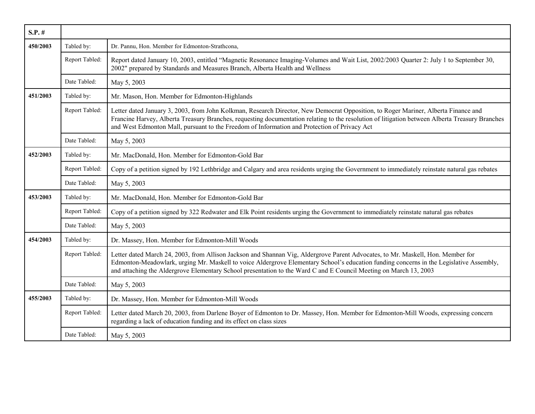| $S.P.$ # |                |                                                                                                                                                                                                                                                                                                                                                                                                 |
|----------|----------------|-------------------------------------------------------------------------------------------------------------------------------------------------------------------------------------------------------------------------------------------------------------------------------------------------------------------------------------------------------------------------------------------------|
| 450/2003 | Tabled by:     | Dr. Pannu, Hon. Member for Edmonton-Strathcona,                                                                                                                                                                                                                                                                                                                                                 |
|          | Report Tabled: | Report dated January 10, 2003, entitled "Magnetic Resonance Imaging-Volumes and Wait List, 2002/2003 Quarter 2: July 1 to September 30,<br>2002" prepared by Standards and Measures Branch, Alberta Health and Wellness                                                                                                                                                                         |
|          | Date Tabled:   | May 5, 2003                                                                                                                                                                                                                                                                                                                                                                                     |
| 451/2003 | Tabled by:     | Mr. Mason, Hon. Member for Edmonton-Highlands                                                                                                                                                                                                                                                                                                                                                   |
|          | Report Tabled: | Letter dated January 3, 2003, from John Kolkman, Research Director, New Democrat Opposition, to Roger Mariner, Alberta Finance and<br>Francine Harvey, Alberta Treasury Branches, requesting documentation relating to the resolution of litigation between Alberta Treasury Branches<br>and West Edmonton Mall, pursuant to the Freedom of Information and Protection of Privacy Act           |
|          | Date Tabled:   | May 5, 2003                                                                                                                                                                                                                                                                                                                                                                                     |
| 452/2003 | Tabled by:     | Mr. MacDonald, Hon. Member for Edmonton-Gold Bar                                                                                                                                                                                                                                                                                                                                                |
|          | Report Tabled: | Copy of a petition signed by 192 Lethbridge and Calgary and area residents urging the Government to immediately reinstate natural gas rebates                                                                                                                                                                                                                                                   |
|          | Date Tabled:   | May 5, 2003                                                                                                                                                                                                                                                                                                                                                                                     |
| 453/2003 | Tabled by:     | Mr. MacDonald, Hon. Member for Edmonton-Gold Bar                                                                                                                                                                                                                                                                                                                                                |
|          | Report Tabled: | Copy of a petition signed by 322 Redwater and Elk Point residents urging the Government to immediately reinstate natural gas rebates                                                                                                                                                                                                                                                            |
|          | Date Tabled:   | May 5, 2003                                                                                                                                                                                                                                                                                                                                                                                     |
| 454/2003 | Tabled by:     | Dr. Massey, Hon. Member for Edmonton-Mill Woods                                                                                                                                                                                                                                                                                                                                                 |
|          | Report Tabled: | Letter dated March 24, 2003, from Allison Jackson and Shannan Vig, Aldergrove Parent Advocates, to Mr. Maskell, Hon. Member for<br>Edmonton-Meadowlark, urging Mr. Maskell to voice Aldergrove Elementary School's education funding concerns in the Legislative Assembly,<br>and attaching the Aldergrove Elementary School presentation to the Ward C and E Council Meeting on March 13, 2003 |
|          | Date Tabled:   | May 5, 2003                                                                                                                                                                                                                                                                                                                                                                                     |
| 455/2003 | Tabled by:     | Dr. Massey, Hon. Member for Edmonton-Mill Woods                                                                                                                                                                                                                                                                                                                                                 |
|          | Report Tabled: | Letter dated March 20, 2003, from Darlene Boyer of Edmonton to Dr. Massey, Hon. Member for Edmonton-Mill Woods, expressing concern<br>regarding a lack of education funding and its effect on class sizes                                                                                                                                                                                       |
|          | Date Tabled:   | May 5, 2003                                                                                                                                                                                                                                                                                                                                                                                     |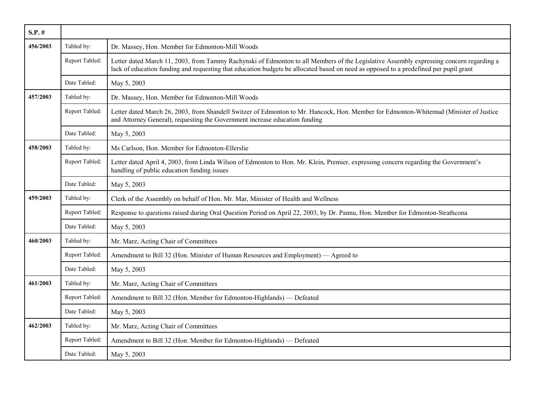| $S.P.$ # |                |                                                                                                                                                                                                                                                                                  |
|----------|----------------|----------------------------------------------------------------------------------------------------------------------------------------------------------------------------------------------------------------------------------------------------------------------------------|
| 456/2003 | Tabled by:     | Dr. Massey, Hon. Member for Edmonton-Mill Woods                                                                                                                                                                                                                                  |
|          | Report Tabled: | Letter dated March 11, 2003, from Tammy Rachynski of Edmonton to all Members of the Legislative Assembly expressing concern regarding a<br>lack of education funding and requesting that education budgets be allocated based on need as opposed to a predefined per pupil grant |
|          | Date Tabled:   | May 5, 2003                                                                                                                                                                                                                                                                      |
| 457/2003 | Tabled by:     | Dr. Massey, Hon. Member for Edmonton-Mill Woods                                                                                                                                                                                                                                  |
|          | Report Tabled: | Letter dated March 26, 2003, from Shandell Switzer of Edmonton to Mr. Hancock, Hon. Member for Edmonton-Whitemud (Minister of Justice<br>and Attorney General), requesting the Government increase education funding                                                             |
|          | Date Tabled:   | May 5, 2003                                                                                                                                                                                                                                                                      |
| 458/2003 | Tabled by:     | Ms Carlson, Hon. Member for Edmonton-Ellerslie                                                                                                                                                                                                                                   |
|          | Report Tabled: | Letter dated April 4, 2003, from Linda Wilson of Edmonton to Hon. Mr. Klein, Premier, expressing concern regarding the Government's<br>handling of public education funding issues                                                                                               |
|          | Date Tabled:   | May 5, 2003                                                                                                                                                                                                                                                                      |
| 459/2003 | Tabled by:     | Clerk of the Assembly on behalf of Hon. Mr. Mar, Minister of Health and Wellness                                                                                                                                                                                                 |
|          | Report Tabled: | Response to questions raised during Oral Question Period on April 22, 2003, by Dr. Pannu, Hon. Member for Edmonton-Strathcona                                                                                                                                                    |
|          | Date Tabled:   | May 5, 2003                                                                                                                                                                                                                                                                      |
| 460/2003 | Tabled by:     | Mr. Marz, Acting Chair of Committees                                                                                                                                                                                                                                             |
|          | Report Tabled: | Amendment to Bill 32 (Hon. Minister of Human Resources and Employment) — Agreed to                                                                                                                                                                                               |
|          | Date Tabled:   | May 5, 2003                                                                                                                                                                                                                                                                      |
| 461/2003 | Tabled by:     | Mr. Marz, Acting Chair of Committees                                                                                                                                                                                                                                             |
|          | Report Tabled: | Amendment to Bill 32 (Hon. Member for Edmonton-Highlands) — Defeated                                                                                                                                                                                                             |
|          | Date Tabled:   | May 5, 2003                                                                                                                                                                                                                                                                      |
| 462/2003 | Tabled by:     | Mr. Marz, Acting Chair of Committees                                                                                                                                                                                                                                             |
|          | Report Tabled: | Amendment to Bill 32 (Hon. Member for Edmonton-Highlands) — Defeated                                                                                                                                                                                                             |
|          | Date Tabled:   | May 5, 2003                                                                                                                                                                                                                                                                      |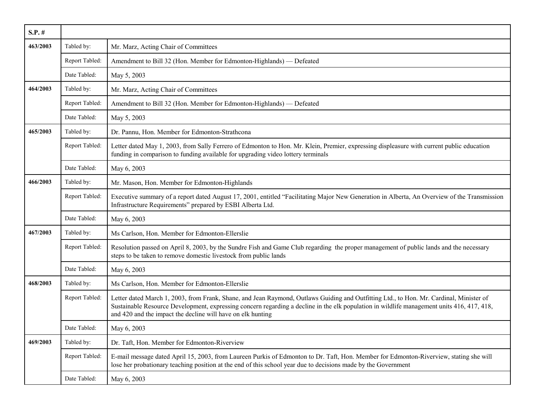| $S.P.$ # |                |                                                                                                                                                                                                                                                                                                                                                      |
|----------|----------------|------------------------------------------------------------------------------------------------------------------------------------------------------------------------------------------------------------------------------------------------------------------------------------------------------------------------------------------------------|
| 463/2003 | Tabled by:     | Mr. Marz, Acting Chair of Committees                                                                                                                                                                                                                                                                                                                 |
|          | Report Tabled: | Amendment to Bill 32 (Hon. Member for Edmonton-Highlands) — Defeated                                                                                                                                                                                                                                                                                 |
|          | Date Tabled:   | May 5, 2003                                                                                                                                                                                                                                                                                                                                          |
| 464/2003 | Tabled by:     | Mr. Marz, Acting Chair of Committees                                                                                                                                                                                                                                                                                                                 |
|          | Report Tabled: | Amendment to Bill 32 (Hon. Member for Edmonton-Highlands) — Defeated                                                                                                                                                                                                                                                                                 |
|          | Date Tabled:   | May 5, 2003                                                                                                                                                                                                                                                                                                                                          |
| 465/2003 | Tabled by:     | Dr. Pannu, Hon. Member for Edmonton-Strathcona                                                                                                                                                                                                                                                                                                       |
|          | Report Tabled: | Letter dated May 1, 2003, from Sally Ferrero of Edmonton to Hon. Mr. Klein, Premier, expressing displeasure with current public education<br>funding in comparison to funding available for upgrading video lottery terminals                                                                                                                        |
|          | Date Tabled:   | May 6, 2003                                                                                                                                                                                                                                                                                                                                          |
| 466/2003 | Tabled by:     | Mr. Mason, Hon. Member for Edmonton-Highlands                                                                                                                                                                                                                                                                                                        |
|          | Report Tabled: | Executive summary of a report dated August 17, 2001, entitled "Facilitating Major New Generation in Alberta, An Overview of the Transmission<br>Infrastructure Requirements" prepared by ESBI Alberta Ltd.                                                                                                                                           |
|          | Date Tabled:   | May 6, 2003                                                                                                                                                                                                                                                                                                                                          |
| 467/2003 | Tabled by:     | Ms Carlson, Hon. Member for Edmonton-Ellerslie                                                                                                                                                                                                                                                                                                       |
|          | Report Tabled: | Resolution passed on April 8, 2003, by the Sundre Fish and Game Club regarding the proper management of public lands and the necessary<br>steps to be taken to remove domestic livestock from public lands                                                                                                                                           |
|          | Date Tabled:   | May 6, 2003                                                                                                                                                                                                                                                                                                                                          |
| 468/2003 | Tabled by:     | Ms Carlson, Hon. Member for Edmonton-Ellerslie                                                                                                                                                                                                                                                                                                       |
|          | Report Tabled: | Letter dated March 1, 2003, from Frank, Shane, and Jean Raymond, Outlaws Guiding and Outfitting Ltd., to Hon. Mr. Cardinal, Minister of<br>Sustainable Resource Development, expressing concern regarding a decline in the elk population in wildlife management units 416, 417, 418,<br>and 420 and the impact the decline will have on elk hunting |
|          | Date Tabled:   | May 6, 2003                                                                                                                                                                                                                                                                                                                                          |
| 469/2003 | Tabled by:     | Dr. Taft, Hon. Member for Edmonton-Riverview                                                                                                                                                                                                                                                                                                         |
|          | Report Tabled: | E-mail message dated April 15, 2003, from Laureen Purkis of Edmonton to Dr. Taft, Hon. Member for Edmonton-Riverview, stating she will<br>lose her probationary teaching position at the end of this school year due to decisions made by the Government                                                                                             |
|          | Date Tabled:   | May 6, 2003                                                                                                                                                                                                                                                                                                                                          |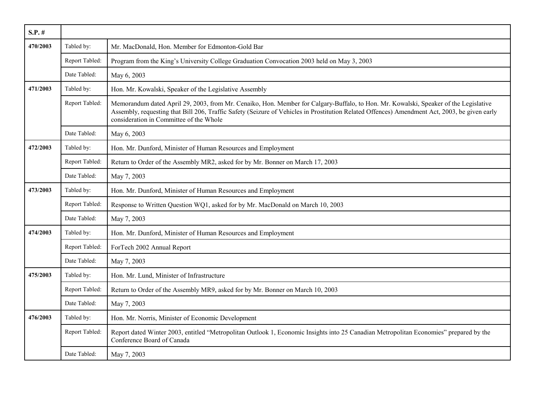| $S.P.$ # |                |                                                                                                                                                                                                                                                                                                                                  |
|----------|----------------|----------------------------------------------------------------------------------------------------------------------------------------------------------------------------------------------------------------------------------------------------------------------------------------------------------------------------------|
| 470/2003 | Tabled by:     | Mr. MacDonald, Hon. Member for Edmonton-Gold Bar                                                                                                                                                                                                                                                                                 |
|          | Report Tabled: | Program from the King's University College Graduation Convocation 2003 held on May 3, 2003                                                                                                                                                                                                                                       |
|          | Date Tabled:   | May 6, 2003                                                                                                                                                                                                                                                                                                                      |
| 471/2003 | Tabled by:     | Hon. Mr. Kowalski, Speaker of the Legislative Assembly                                                                                                                                                                                                                                                                           |
|          | Report Tabled: | Memorandum dated April 29, 2003, from Mr. Cenaiko, Hon. Member for Calgary-Buffalo, to Hon. Mr. Kowalski, Speaker of the Legislative<br>Assembly, requesting that Bill 206, Traffic Safety (Seizure of Vehicles in Prostitution Related Offences) Amendment Act, 2003, be given early<br>consideration in Committee of the Whole |
|          | Date Tabled:   | May 6, 2003                                                                                                                                                                                                                                                                                                                      |
| 472/2003 | Tabled by:     | Hon. Mr. Dunford, Minister of Human Resources and Employment                                                                                                                                                                                                                                                                     |
|          | Report Tabled: | Return to Order of the Assembly MR2, asked for by Mr. Bonner on March 17, 2003                                                                                                                                                                                                                                                   |
|          | Date Tabled:   | May 7, 2003                                                                                                                                                                                                                                                                                                                      |
| 473/2003 | Tabled by:     | Hon. Mr. Dunford, Minister of Human Resources and Employment                                                                                                                                                                                                                                                                     |
|          | Report Tabled: | Response to Written Question WQ1, asked for by Mr. MacDonald on March 10, 2003                                                                                                                                                                                                                                                   |
|          | Date Tabled:   | May 7, 2003                                                                                                                                                                                                                                                                                                                      |
| 474/2003 | Tabled by:     | Hon. Mr. Dunford, Minister of Human Resources and Employment                                                                                                                                                                                                                                                                     |
|          | Report Tabled: | ForTech 2002 Annual Report                                                                                                                                                                                                                                                                                                       |
|          | Date Tabled:   | May 7, 2003                                                                                                                                                                                                                                                                                                                      |
| 475/2003 | Tabled by:     | Hon. Mr. Lund, Minister of Infrastructure                                                                                                                                                                                                                                                                                        |
|          | Report Tabled: | Return to Order of the Assembly MR9, asked for by Mr. Bonner on March 10, 2003                                                                                                                                                                                                                                                   |
|          | Date Tabled:   | May 7, 2003                                                                                                                                                                                                                                                                                                                      |
| 476/2003 | Tabled by:     | Hon. Mr. Norris, Minister of Economic Development                                                                                                                                                                                                                                                                                |
|          | Report Tabled: | Report dated Winter 2003, entitled "Metropolitan Outlook 1, Economic Insights into 25 Canadian Metropolitan Economies" prepared by the<br>Conference Board of Canada                                                                                                                                                             |
|          | Date Tabled:   | May 7, 2003                                                                                                                                                                                                                                                                                                                      |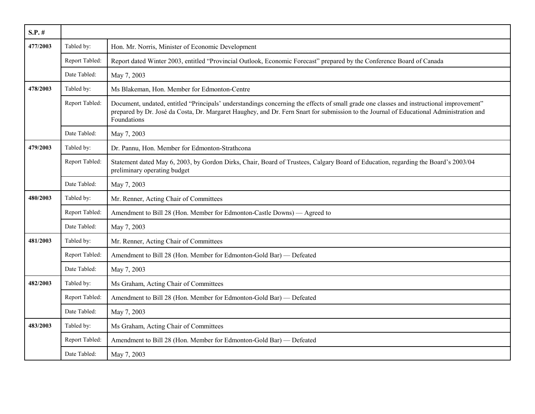| $S.P.$ # |                |                                                                                                                                                                                                                                                                                                    |
|----------|----------------|----------------------------------------------------------------------------------------------------------------------------------------------------------------------------------------------------------------------------------------------------------------------------------------------------|
| 477/2003 | Tabled by:     | Hon. Mr. Norris, Minister of Economic Development                                                                                                                                                                                                                                                  |
|          | Report Tabled: | Report dated Winter 2003, entitled "Provincial Outlook, Economic Forecast" prepared by the Conference Board of Canada                                                                                                                                                                              |
|          | Date Tabled:   | May 7, 2003                                                                                                                                                                                                                                                                                        |
| 478/2003 | Tabled by:     | Ms Blakeman, Hon. Member for Edmonton-Centre                                                                                                                                                                                                                                                       |
|          | Report Tabled: | Document, undated, entitled "Principals' understandings concerning the effects of small grade one classes and instructional improvement"<br>prepared by Dr. José da Costa, Dr. Margaret Haughey, and Dr. Fern Snart for submission to the Journal of Educational Administration and<br>Foundations |
|          | Date Tabled:   | May 7, 2003                                                                                                                                                                                                                                                                                        |
| 479/2003 | Tabled by:     | Dr. Pannu, Hon. Member for Edmonton-Strathcona                                                                                                                                                                                                                                                     |
|          | Report Tabled: | Statement dated May 6, 2003, by Gordon Dirks, Chair, Board of Trustees, Calgary Board of Education, regarding the Board's 2003/04<br>preliminary operating budget                                                                                                                                  |
|          | Date Tabled:   | May 7, 2003                                                                                                                                                                                                                                                                                        |
| 480/2003 | Tabled by:     | Mr. Renner, Acting Chair of Committees                                                                                                                                                                                                                                                             |
|          | Report Tabled: | Amendment to Bill 28 (Hon. Member for Edmonton-Castle Downs) — Agreed to                                                                                                                                                                                                                           |
|          | Date Tabled:   | May 7, 2003                                                                                                                                                                                                                                                                                        |
| 481/2003 | Tabled by:     | Mr. Renner, Acting Chair of Committees                                                                                                                                                                                                                                                             |
|          | Report Tabled: | Amendment to Bill 28 (Hon. Member for Edmonton-Gold Bar) — Defeated                                                                                                                                                                                                                                |
|          | Date Tabled:   | May 7, 2003                                                                                                                                                                                                                                                                                        |
| 482/2003 | Tabled by:     | Ms Graham, Acting Chair of Committees                                                                                                                                                                                                                                                              |
|          | Report Tabled: | Amendment to Bill 28 (Hon. Member for Edmonton-Gold Bar) — Defeated                                                                                                                                                                                                                                |
|          | Date Tabled:   | May 7, 2003                                                                                                                                                                                                                                                                                        |
| 483/2003 | Tabled by:     | Ms Graham, Acting Chair of Committees                                                                                                                                                                                                                                                              |
|          | Report Tabled: | Amendment to Bill 28 (Hon. Member for Edmonton-Gold Bar) — Defeated                                                                                                                                                                                                                                |
|          | Date Tabled:   | May 7, 2003                                                                                                                                                                                                                                                                                        |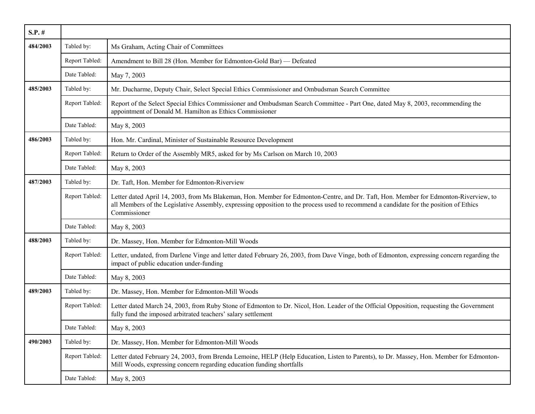| $S.P.$ # |                |                                                                                                                                                                                                                                                                                                |
|----------|----------------|------------------------------------------------------------------------------------------------------------------------------------------------------------------------------------------------------------------------------------------------------------------------------------------------|
| 484/2003 | Tabled by:     | Ms Graham, Acting Chair of Committees                                                                                                                                                                                                                                                          |
|          | Report Tabled: | Amendment to Bill 28 (Hon. Member for Edmonton-Gold Bar) — Defeated                                                                                                                                                                                                                            |
|          | Date Tabled:   | May 7, 2003                                                                                                                                                                                                                                                                                    |
| 485/2003 | Tabled by:     | Mr. Ducharme, Deputy Chair, Select Special Ethics Commissioner and Ombudsman Search Committee                                                                                                                                                                                                  |
|          | Report Tabled: | Report of the Select Special Ethics Commissioner and Ombudsman Search Committee - Part One, dated May 8, 2003, recommending the<br>appointment of Donald M. Hamilton as Ethics Commissioner                                                                                                    |
|          | Date Tabled:   | May 8, 2003                                                                                                                                                                                                                                                                                    |
| 486/2003 | Tabled by:     | Hon. Mr. Cardinal, Minister of Sustainable Resource Development                                                                                                                                                                                                                                |
|          | Report Tabled: | Return to Order of the Assembly MR5, asked for by Ms Carlson on March 10, 2003                                                                                                                                                                                                                 |
|          | Date Tabled:   | May 8, 2003                                                                                                                                                                                                                                                                                    |
| 487/2003 | Tabled by:     | Dr. Taft, Hon. Member for Edmonton-Riverview                                                                                                                                                                                                                                                   |
|          | Report Tabled: | Letter dated April 14, 2003, from Ms Blakeman, Hon. Member for Edmonton-Centre, and Dr. Taft, Hon. Member for Edmonton-Riverview, to<br>all Members of the Legislative Assembly, expressing opposition to the process used to recommend a candidate for the position of Ethics<br>Commissioner |
|          | Date Tabled:   | May 8, 2003                                                                                                                                                                                                                                                                                    |
| 488/2003 | Tabled by:     | Dr. Massey, Hon. Member for Edmonton-Mill Woods                                                                                                                                                                                                                                                |
|          | Report Tabled: | Letter, undated, from Darlene Vinge and letter dated February 26, 2003, from Dave Vinge, both of Edmonton, expressing concern regarding the<br>impact of public education under-funding                                                                                                        |
|          | Date Tabled:   | May 8, 2003                                                                                                                                                                                                                                                                                    |
| 489/2003 | Tabled by:     | Dr. Massey, Hon. Member for Edmonton-Mill Woods                                                                                                                                                                                                                                                |
|          | Report Tabled: | Letter dated March 24, 2003, from Ruby Stone of Edmonton to Dr. Nicol, Hon. Leader of the Official Opposition, requesting the Government<br>fully fund the imposed arbitrated teachers' salary settlement                                                                                      |
|          | Date Tabled:   | May 8, 2003                                                                                                                                                                                                                                                                                    |
| 490/2003 | Tabled by:     | Dr. Massey, Hon. Member for Edmonton-Mill Woods                                                                                                                                                                                                                                                |
|          | Report Tabled: | Letter dated February 24, 2003, from Brenda Lemoine, HELP (Help Education, Listen to Parents), to Dr. Massey, Hon. Member for Edmonton-<br>Mill Woods, expressing concern regarding education funding shortfalls                                                                               |
|          | Date Tabled:   | May 8, 2003                                                                                                                                                                                                                                                                                    |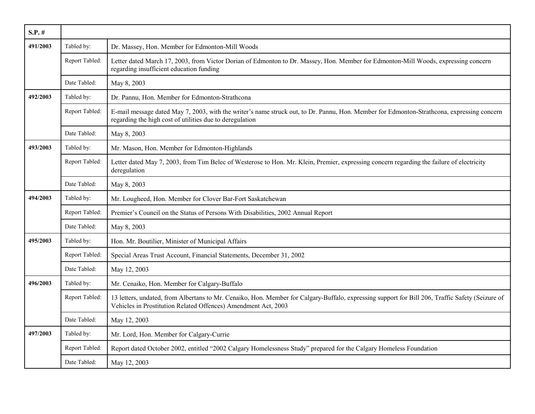| $S.P.$ # |                |                                                                                                                                                                                                                    |
|----------|----------------|--------------------------------------------------------------------------------------------------------------------------------------------------------------------------------------------------------------------|
| 491/2003 | Tabled by:     | Dr. Massey, Hon. Member for Edmonton-Mill Woods                                                                                                                                                                    |
|          | Report Tabled: | Letter dated March 17, 2003, from Victor Dorian of Edmonton to Dr. Massey, Hon. Member for Edmonton-Mill Woods, expressing concern<br>regarding insufficient education funding                                     |
|          | Date Tabled:   | May 8, 2003                                                                                                                                                                                                        |
| 492/2003 | Tabled by:     | Dr. Pannu, Hon. Member for Edmonton-Strathcona                                                                                                                                                                     |
|          | Report Tabled: | E-mail message dated May 7, 2003, with the writer's name struck out, to Dr. Pannu, Hon. Member for Edmonton-Strathcona, expressing concern<br>regarding the high cost of utilities due to deregulation             |
|          | Date Tabled:   | May 8, 2003                                                                                                                                                                                                        |
| 493/2003 | Tabled by:     | Mr. Mason, Hon. Member for Edmonton-Highlands                                                                                                                                                                      |
|          | Report Tabled: | Letter dated May 7, 2003, from Tim Belec of Westerose to Hon. Mr. Klein, Premier, expressing concern regarding the failure of electricity<br>deregulation                                                          |
|          | Date Tabled:   | May 8, 2003                                                                                                                                                                                                        |
| 494/2003 | Tabled by:     | Mr. Lougheed, Hon. Member for Clover Bar-Fort Saskatchewan                                                                                                                                                         |
|          | Report Tabled: | Premier's Council on the Status of Persons With Disabilities, 2002 Annual Report                                                                                                                                   |
|          | Date Tabled:   | May 8, 2003                                                                                                                                                                                                        |
| 495/2003 | Tabled by:     | Hon. Mr. Boutilier, Minister of Municipal Affairs                                                                                                                                                                  |
|          | Report Tabled: | Special Areas Trust Account, Financial Statements, December 31, 2002                                                                                                                                               |
|          | Date Tabled:   | May 12, 2003                                                                                                                                                                                                       |
| 496/2003 | Tabled by:     | Mr. Cenaiko, Hon. Member for Calgary-Buffalo                                                                                                                                                                       |
|          | Report Tabled: | 13 letters, undated, from Albertans to Mr. Cenaiko, Hon. Member for Calgary-Buffalo, expressing support for Bill 206, Traffic Safety (Seizure of<br>Vehicles in Prostitution Related Offences) Amendment Act, 2003 |
|          | Date Tabled:   | May 12, 2003                                                                                                                                                                                                       |
| 497/2003 | Tabled by:     | Mr. Lord, Hon. Member for Calgary-Currie                                                                                                                                                                           |
|          | Report Tabled: | Report dated October 2002, entitled "2002 Calgary Homelessness Study" prepared for the Calgary Homeless Foundation                                                                                                 |
|          | Date Tabled:   | May 12, 2003                                                                                                                                                                                                       |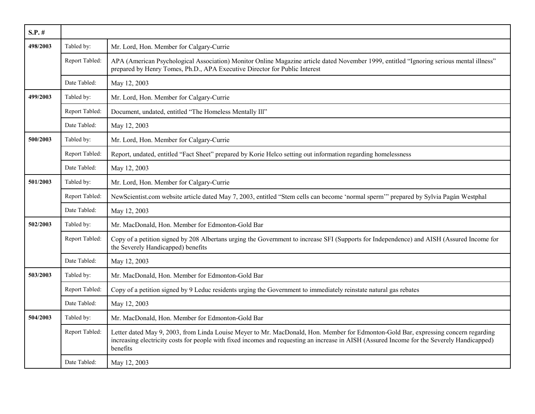| $S.P.$ # |                |                                                                                                                                                                                                                                                                                                |
|----------|----------------|------------------------------------------------------------------------------------------------------------------------------------------------------------------------------------------------------------------------------------------------------------------------------------------------|
| 498/2003 | Tabled by:     | Mr. Lord, Hon. Member for Calgary-Currie                                                                                                                                                                                                                                                       |
|          | Report Tabled: | APA (American Psychological Association) Monitor Online Magazine article dated November 1999, entitled "Ignoring serious mental illness"<br>prepared by Henry Tomes, Ph.D., APA Executive Director for Public Interest                                                                         |
|          | Date Tabled:   | May 12, 2003                                                                                                                                                                                                                                                                                   |
| 499/2003 | Tabled by:     | Mr. Lord, Hon. Member for Calgary-Currie                                                                                                                                                                                                                                                       |
|          | Report Tabled: | Document, undated, entitled "The Homeless Mentally Ill"                                                                                                                                                                                                                                        |
|          | Date Tabled:   | May 12, 2003                                                                                                                                                                                                                                                                                   |
| 500/2003 | Tabled by:     | Mr. Lord, Hon. Member for Calgary-Currie                                                                                                                                                                                                                                                       |
|          | Report Tabled: | Report, undated, entitled "Fact Sheet" prepared by Korie Helco setting out information regarding homelessness                                                                                                                                                                                  |
|          | Date Tabled:   | May 12, 2003                                                                                                                                                                                                                                                                                   |
| 501/2003 | Tabled by:     | Mr. Lord, Hon. Member for Calgary-Currie                                                                                                                                                                                                                                                       |
|          | Report Tabled: | NewScientist.com website article dated May 7, 2003, entitled "Stem cells can become 'normal sperm'" prepared by Sylvia Pagán Westphal                                                                                                                                                          |
|          | Date Tabled:   | May 12, 2003                                                                                                                                                                                                                                                                                   |
| 502/2003 | Tabled by:     | Mr. MacDonald, Hon. Member for Edmonton-Gold Bar                                                                                                                                                                                                                                               |
|          | Report Tabled: | Copy of a petition signed by 208 Albertans urging the Government to increase SFI (Supports for Independence) and AISH (Assured Income for<br>the Severely Handicapped) benefits                                                                                                                |
|          | Date Tabled:   | May 12, 2003                                                                                                                                                                                                                                                                                   |
| 503/2003 | Tabled by:     | Mr. MacDonald, Hon. Member for Edmonton-Gold Bar                                                                                                                                                                                                                                               |
|          | Report Tabled: | Copy of a petition signed by 9 Leduc residents urging the Government to immediately reinstate natural gas rebates                                                                                                                                                                              |
|          | Date Tabled:   | May 12, 2003                                                                                                                                                                                                                                                                                   |
| 504/2003 | Tabled by:     | Mr. MacDonald, Hon. Member for Edmonton-Gold Bar                                                                                                                                                                                                                                               |
|          | Report Tabled: | Letter dated May 9, 2003, from Linda Louise Meyer to Mr. MacDonald, Hon. Member for Edmonton-Gold Bar, expressing concern regarding<br>increasing electricity costs for people with fixed incomes and requesting an increase in AISH (Assured Income for the Severely Handicapped)<br>benefits |
|          | Date Tabled:   | May 12, 2003                                                                                                                                                                                                                                                                                   |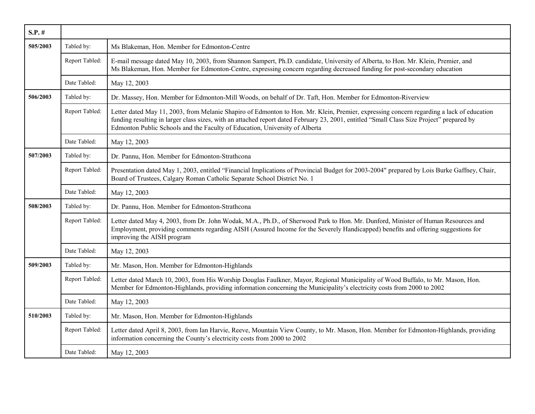| $S.P.$ # |                |                                                                                                                                                                                                                                                                                                                                                                      |
|----------|----------------|----------------------------------------------------------------------------------------------------------------------------------------------------------------------------------------------------------------------------------------------------------------------------------------------------------------------------------------------------------------------|
| 505/2003 | Tabled by:     | Ms Blakeman, Hon. Member for Edmonton-Centre                                                                                                                                                                                                                                                                                                                         |
|          | Report Tabled: | E-mail message dated May 10, 2003, from Shannon Sampert, Ph.D. candidate, University of Alberta, to Hon. Mr. Klein, Premier, and<br>Ms Blakeman, Hon. Member for Edmonton-Centre, expressing concern regarding decreased funding for post-secondary education                                                                                                        |
|          | Date Tabled:   | May 12, 2003                                                                                                                                                                                                                                                                                                                                                         |
| 506/2003 | Tabled by:     | Dr. Massey, Hon. Member for Edmonton-Mill Woods, on behalf of Dr. Taft, Hon. Member for Edmonton-Riverview                                                                                                                                                                                                                                                           |
|          | Report Tabled: | Letter dated May 11, 2003, from Melanie Shapiro of Edmonton to Hon. Mr. Klein, Premier, expressing concern regarding a lack of education<br>funding resulting in larger class sizes, with an attached report dated February 23, 2001, entitled "Small Class Size Project" prepared by<br>Edmonton Public Schools and the Faculty of Education, University of Alberta |
|          | Date Tabled:   | May 12, 2003                                                                                                                                                                                                                                                                                                                                                         |
| 507/2003 | Tabled by:     | Dr. Pannu, Hon. Member for Edmonton-Strathcona                                                                                                                                                                                                                                                                                                                       |
|          | Report Tabled: | Presentation dated May 1, 2003, entitled "Financial Implications of Provincial Budget for 2003-2004" prepared by Lois Burke Gaffney, Chair,<br>Board of Trustees, Calgary Roman Catholic Separate School District No. 1                                                                                                                                              |
|          | Date Tabled:   | May 12, 2003                                                                                                                                                                                                                                                                                                                                                         |
| 508/2003 | Tabled by:     | Dr. Pannu, Hon. Member for Edmonton-Strathcona                                                                                                                                                                                                                                                                                                                       |
|          | Report Tabled: | Letter dated May 4, 2003, from Dr. John Wodak, M.A., Ph.D., of Sherwood Park to Hon. Mr. Dunford, Minister of Human Resources and<br>Employment, providing comments regarding AISH (Assured Income for the Severely Handicapped) benefits and offering suggestions for<br>improving the AISH program                                                                 |
|          | Date Tabled:   | May 12, 2003                                                                                                                                                                                                                                                                                                                                                         |
| 509/2003 | Tabled by:     | Mr. Mason, Hon. Member for Edmonton-Highlands                                                                                                                                                                                                                                                                                                                        |
|          | Report Tabled: | Letter dated March 10, 2003, from His Worship Douglas Faulkner, Mayor, Regional Municipality of Wood Buffalo, to Mr. Mason, Hon.<br>Member for Edmonton-Highlands, providing information concerning the Municipality's electricity costs from 2000 to 2002                                                                                                           |
|          | Date Tabled:   | May 12, 2003                                                                                                                                                                                                                                                                                                                                                         |
| 510/2003 | Tabled by:     | Mr. Mason, Hon. Member for Edmonton-Highlands                                                                                                                                                                                                                                                                                                                        |
|          | Report Tabled: | Letter dated April 8, 2003, from Ian Harvie, Reeve, Mountain View County, to Mr. Mason, Hon. Member for Edmonton-Highlands, providing<br>information concerning the County's electricity costs from 2000 to 2002                                                                                                                                                     |
|          | Date Tabled:   | May 12, 2003                                                                                                                                                                                                                                                                                                                                                         |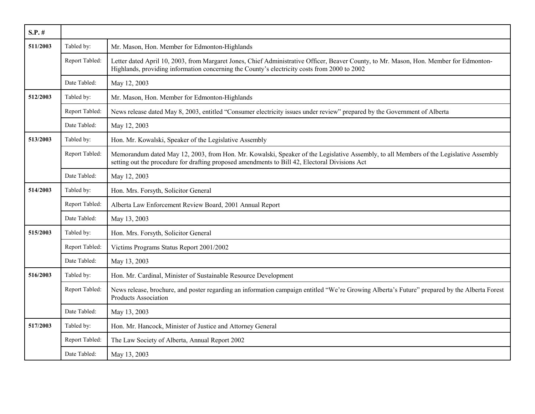| $S.P.$ # |                |                                                                                                                                                                                                                                          |
|----------|----------------|------------------------------------------------------------------------------------------------------------------------------------------------------------------------------------------------------------------------------------------|
| 511/2003 | Tabled by:     | Mr. Mason, Hon. Member for Edmonton-Highlands                                                                                                                                                                                            |
|          | Report Tabled: | Letter dated April 10, 2003, from Margaret Jones, Chief Administrative Officer, Beaver County, to Mr. Mason, Hon. Member for Edmonton-<br>Highlands, providing information concerning the County's electricity costs from 2000 to 2002   |
|          | Date Tabled:   | May 12, 2003                                                                                                                                                                                                                             |
| 512/2003 | Tabled by:     | Mr. Mason, Hon. Member for Edmonton-Highlands                                                                                                                                                                                            |
|          | Report Tabled: | News release dated May 8, 2003, entitled "Consumer electricity issues under review" prepared by the Government of Alberta                                                                                                                |
|          | Date Tabled:   | May 12, 2003                                                                                                                                                                                                                             |
| 513/2003 | Tabled by:     | Hon. Mr. Kowalski, Speaker of the Legislative Assembly                                                                                                                                                                                   |
|          | Report Tabled: | Memorandum dated May 12, 2003, from Hon. Mr. Kowalski, Speaker of the Legislative Assembly, to all Members of the Legislative Assembly<br>setting out the procedure for drafting proposed amendments to Bill 42, Electoral Divisions Act |
|          | Date Tabled:   | May 12, 2003                                                                                                                                                                                                                             |
| 514/2003 | Tabled by:     | Hon. Mrs. Forsyth, Solicitor General                                                                                                                                                                                                     |
|          | Report Tabled: | Alberta Law Enforcement Review Board, 2001 Annual Report                                                                                                                                                                                 |
|          | Date Tabled:   | May 13, 2003                                                                                                                                                                                                                             |
| 515/2003 | Tabled by:     | Hon. Mrs. Forsyth, Solicitor General                                                                                                                                                                                                     |
|          | Report Tabled: | Victims Programs Status Report 2001/2002                                                                                                                                                                                                 |
|          | Date Tabled:   | May 13, 2003                                                                                                                                                                                                                             |
| 516/2003 | Tabled by:     | Hon. Mr. Cardinal, Minister of Sustainable Resource Development                                                                                                                                                                          |
|          | Report Tabled: | News release, brochure, and poster regarding an information campaign entitled "We're Growing Alberta's Future" prepared by the Alberta Forest<br><b>Products Association</b>                                                             |
|          | Date Tabled:   | May 13, 2003                                                                                                                                                                                                                             |
| 517/2003 | Tabled by:     | Hon. Mr. Hancock, Minister of Justice and Attorney General                                                                                                                                                                               |
|          | Report Tabled: | The Law Society of Alberta, Annual Report 2002                                                                                                                                                                                           |
|          | Date Tabled:   | May 13, 2003                                                                                                                                                                                                                             |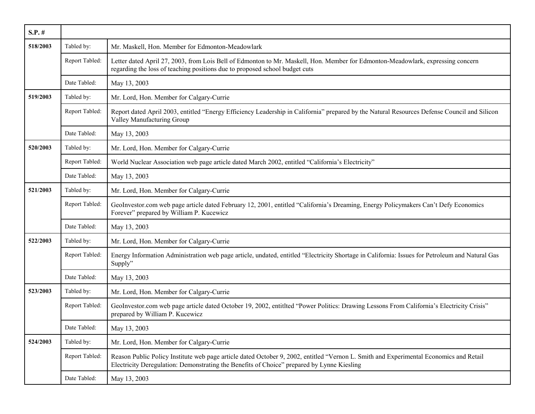| $S.P.$ # |                |                                                                                                                                                                                                                                      |
|----------|----------------|--------------------------------------------------------------------------------------------------------------------------------------------------------------------------------------------------------------------------------------|
| 518/2003 | Tabled by:     | Mr. Maskell, Hon. Member for Edmonton-Meadowlark                                                                                                                                                                                     |
|          | Report Tabled: | Letter dated April 27, 2003, from Lois Bell of Edmonton to Mr. Maskell, Hon. Member for Edmonton-Meadowlark, expressing concern<br>regarding the loss of teaching positions due to proposed school budget cuts                       |
|          | Date Tabled:   | May 13, 2003                                                                                                                                                                                                                         |
| 519/2003 | Tabled by:     | Mr. Lord, Hon. Member for Calgary-Currie                                                                                                                                                                                             |
|          | Report Tabled: | Report dated April 2003, entitled "Energy Efficiency Leadership in California" prepared by the Natural Resources Defense Council and Silicon<br>Valley Manufacturing Group                                                           |
|          | Date Tabled:   | May 13, 2003                                                                                                                                                                                                                         |
| 520/2003 | Tabled by:     | Mr. Lord, Hon. Member for Calgary-Currie                                                                                                                                                                                             |
|          | Report Tabled: | World Nuclear Association web page article dated March 2002, entitled "California's Electricity"                                                                                                                                     |
|          | Date Tabled:   | May 13, 2003                                                                                                                                                                                                                         |
| 521/2003 | Tabled by:     | Mr. Lord, Hon. Member for Calgary-Currie                                                                                                                                                                                             |
|          | Report Tabled: | GeoInvestor.com web page article dated February 12, 2001, entitled "California's Dreaming, Energy Policymakers Can't Defy Economics<br>Forever" prepared by William P. Kucewicz                                                      |
|          | Date Tabled:   | May 13, 2003                                                                                                                                                                                                                         |
| 522/2003 | Tabled by:     | Mr. Lord, Hon. Member for Calgary-Currie                                                                                                                                                                                             |
|          | Report Tabled: | Energy Information Administration web page article, undated, entitled "Electricity Shortage in California: Issues for Petroleum and Natural Gas<br>Supply"                                                                           |
|          | Date Tabled:   | May 13, 2003                                                                                                                                                                                                                         |
| 523/2003 | Tabled by:     | Mr. Lord, Hon. Member for Calgary-Currie                                                                                                                                                                                             |
|          | Report Tabled: | GeoInvestor.com web page article dated October 19, 2002, entitlted "Power Politics: Drawing Lessons From California's Electricity Crisis"<br>prepared by William P. Kucewicz                                                         |
|          | Date Tabled:   | May 13, 2003                                                                                                                                                                                                                         |
| 524/2003 | Tabled by:     | Mr. Lord, Hon. Member for Calgary-Currie                                                                                                                                                                                             |
|          | Report Tabled: | Reason Public Policy Institute web page article dated October 9, 2002, entitled "Vernon L. Smith and Experimental Economics and Retail<br>Electricity Deregulation: Demonstrating the Benefits of Choice" prepared by Lynne Kiesling |
|          | Date Tabled:   | May 13, 2003                                                                                                                                                                                                                         |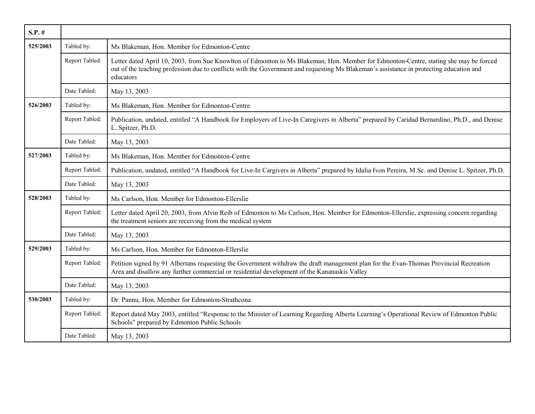| $S.P.$ # |                |                                                                                                                                                                                                                                                                                               |
|----------|----------------|-----------------------------------------------------------------------------------------------------------------------------------------------------------------------------------------------------------------------------------------------------------------------------------------------|
| 525/2003 | Tabled by:     | Ms Blakeman, Hon. Member for Edmonton-Centre                                                                                                                                                                                                                                                  |
|          | Report Tabled: | Letter dated April 10, 2003, from Sue Knowlton of Edmonton to Ms Blakeman, Hon. Member for Edmonton-Centre, stating she may be forced<br>out of the teaching profession due to conflicts with the Government and requesting Ms Blakeman's assistance in protecting education and<br>educators |
|          | Date Tabled:   | May 13, 2003                                                                                                                                                                                                                                                                                  |
| 526/2003 | Tabled by:     | Ms Blakeman, Hon. Member for Edmonton-Centre                                                                                                                                                                                                                                                  |
|          | Report Tabled: | Publication, undated, entitled "A Handbook for Employers of Live-In Caregivers in Alberta" prepared by Caridad Bernardino, Ph.D., and Denise<br>L. Spitzer, Ph.D.                                                                                                                             |
|          | Date Tabled:   | May 13, 2003                                                                                                                                                                                                                                                                                  |
| 527/2003 | Tabled by:     | Ms Blakeman, Hon. Member for Edmonton-Centre                                                                                                                                                                                                                                                  |
|          | Report Tabled: | Publication, undated, entitled "A Handbook for Live-In Cargivers in Alberta" prepared by Idalia Ivon Pereira, M.Sc. and Denise L. Spitzer, Ph.D.                                                                                                                                              |
|          | Date Tabled:   | May 13, 2003                                                                                                                                                                                                                                                                                  |
| 528/2003 | Tabled by:     | Ms Carlson, Hon. Member for Edmonton-Ellerslie                                                                                                                                                                                                                                                |
|          | Report Tabled: | Letter dated April 20, 2003, from Alvin Reib of Edmonton to Ms Carlson, Hon. Member for Edmonton-Ellerslie, expressing concern regarding<br>the treatment seniors are receiving from the medical system                                                                                       |
|          | Date Tabled:   | May 13, 2003                                                                                                                                                                                                                                                                                  |
| 529/2003 | Tabled by:     | Ms Carlson, Hon. Member for Edmonton-Ellerslie                                                                                                                                                                                                                                                |
|          | Report Tabled: | Petition signed by 91 Albertans requesting the Government withdraw the draft management plan for the Evan-Thomas Provincial Recreation<br>Area and disallow any further commercial or residential development of the Kananaskis Valley                                                        |
|          | Date Tabled:   | May 13, 2003                                                                                                                                                                                                                                                                                  |
| 530/2003 | Tabled by:     | Dr. Pannu, Hon. Member for Edmonton-Strathcona                                                                                                                                                                                                                                                |
|          | Report Tabled: | Report dated May 2003, entitled "Response to the Minister of Learning Regarding Alberta Learning's Operational Review of Edmonton Public<br>Schools" prepared by Edmonton Public Schools                                                                                                      |
|          | Date Tabled:   | May 13, 2003                                                                                                                                                                                                                                                                                  |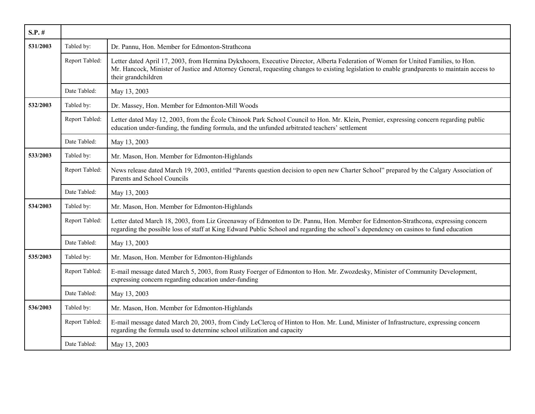| $S.P.$ # |                |                                                                                                                                                                                                                                                                                                            |
|----------|----------------|------------------------------------------------------------------------------------------------------------------------------------------------------------------------------------------------------------------------------------------------------------------------------------------------------------|
| 531/2003 | Tabled by:     | Dr. Pannu, Hon. Member for Edmonton-Strathcona                                                                                                                                                                                                                                                             |
|          | Report Tabled: | Letter dated April 17, 2003, from Hermina Dykxhoorn, Executive Director, Alberta Federation of Women for United Families, to Hon.<br>Mr. Hancock, Minister of Justice and Attorney General, requesting changes to existing legislation to enable grandparents to maintain access to<br>their grandchildren |
|          | Date Tabled:   | May 13, 2003                                                                                                                                                                                                                                                                                               |
| 532/2003 | Tabled by:     | Dr. Massey, Hon. Member for Edmonton-Mill Woods                                                                                                                                                                                                                                                            |
|          | Report Tabled: | Letter dated May 12, 2003, from the École Chinook Park School Council to Hon. Mr. Klein, Premier, expressing concern regarding public<br>education under-funding, the funding formula, and the unfunded arbitrated teachers' settlement                                                                    |
|          | Date Tabled:   | May 13, 2003                                                                                                                                                                                                                                                                                               |
| 533/2003 | Tabled by:     | Mr. Mason, Hon. Member for Edmonton-Highlands                                                                                                                                                                                                                                                              |
|          | Report Tabled: | News release dated March 19, 2003, entitled "Parents question decision to open new Charter School" prepared by the Calgary Association of<br>Parents and School Councils                                                                                                                                   |
|          | Date Tabled:   | May 13, 2003                                                                                                                                                                                                                                                                                               |
| 534/2003 | Tabled by:     | Mr. Mason, Hon. Member for Edmonton-Highlands                                                                                                                                                                                                                                                              |
|          | Report Tabled: | Letter dated March 18, 2003, from Liz Greenaway of Edmonton to Dr. Pannu, Hon. Member for Edmonton-Strathcona, expressing concern<br>regarding the possible loss of staff at King Edward Public School and regarding the school's dependency on casinos to fund education                                  |
|          | Date Tabled:   | May 13, 2003                                                                                                                                                                                                                                                                                               |
| 535/2003 | Tabled by:     | Mr. Mason, Hon. Member for Edmonton-Highlands                                                                                                                                                                                                                                                              |
|          | Report Tabled: | E-mail message dated March 5, 2003, from Rusty Foerger of Edmonton to Hon. Mr. Zwozdesky, Minister of Community Development,<br>expressing concern regarding education under-funding                                                                                                                       |
|          | Date Tabled:   | May 13, 2003                                                                                                                                                                                                                                                                                               |
| 536/2003 | Tabled by:     | Mr. Mason, Hon. Member for Edmonton-Highlands                                                                                                                                                                                                                                                              |
|          | Report Tabled: | E-mail message dated March 20, 2003, from Cindy LeClercq of Hinton to Hon. Mr. Lund, Minister of Infrastructure, expressing concern<br>regarding the formula used to determine school utilization and capacity                                                                                             |
|          | Date Tabled:   | May 13, 2003                                                                                                                                                                                                                                                                                               |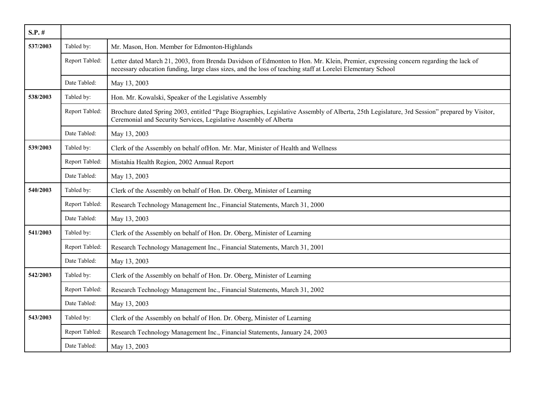| $S.P.$ # |                |                                                                                                                                                                                                                                                   |
|----------|----------------|---------------------------------------------------------------------------------------------------------------------------------------------------------------------------------------------------------------------------------------------------|
| 537/2003 | Tabled by:     | Mr. Mason, Hon. Member for Edmonton-Highlands                                                                                                                                                                                                     |
|          | Report Tabled: | Letter dated March 21, 2003, from Brenda Davidson of Edmonton to Hon. Mr. Klein, Premier, expressing concern regarding the lack of<br>necessary education funding, large class sizes, and the loss of teaching staff at Lorelei Elementary School |
|          | Date Tabled:   | May 13, 2003                                                                                                                                                                                                                                      |
| 538/2003 | Tabled by:     | Hon. Mr. Kowalski, Speaker of the Legislative Assembly                                                                                                                                                                                            |
|          | Report Tabled: | Brochure dated Spring 2003, entitled "Page Biographies, Legislative Assembly of Alberta, 25th Legislature, 3rd Session" prepared by Visitor,<br>Ceremonial and Security Services, Legislative Assembly of Alberta                                 |
|          | Date Tabled:   | May 13, 2003                                                                                                                                                                                                                                      |
| 539/2003 | Tabled by:     | Clerk of the Assembly on behalf of Hon. Mr. Mar, Minister of Health and Wellness                                                                                                                                                                  |
|          | Report Tabled: | Mistahia Health Region, 2002 Annual Report                                                                                                                                                                                                        |
|          | Date Tabled:   | May 13, 2003                                                                                                                                                                                                                                      |
| 540/2003 | Tabled by:     | Clerk of the Assembly on behalf of Hon. Dr. Oberg, Minister of Learning                                                                                                                                                                           |
|          | Report Tabled: | Research Technology Management Inc., Financial Statements, March 31, 2000                                                                                                                                                                         |
|          | Date Tabled:   | May 13, 2003                                                                                                                                                                                                                                      |
| 541/2003 | Tabled by:     | Clerk of the Assembly on behalf of Hon. Dr. Oberg, Minister of Learning                                                                                                                                                                           |
|          | Report Tabled: | Research Technology Management Inc., Financial Statements, March 31, 2001                                                                                                                                                                         |
|          | Date Tabled:   | May 13, 2003                                                                                                                                                                                                                                      |
| 542/2003 | Tabled by:     | Clerk of the Assembly on behalf of Hon. Dr. Oberg, Minister of Learning                                                                                                                                                                           |
|          | Report Tabled: | Research Technology Management Inc., Financial Statements, March 31, 2002                                                                                                                                                                         |
|          | Date Tabled:   | May 13, 2003                                                                                                                                                                                                                                      |
| 543/2003 | Tabled by:     | Clerk of the Assembly on behalf of Hon. Dr. Oberg, Minister of Learning                                                                                                                                                                           |
|          | Report Tabled: | Research Technology Management Inc., Financial Statements, January 24, 2003                                                                                                                                                                       |
|          | Date Tabled:   | May 13, 2003                                                                                                                                                                                                                                      |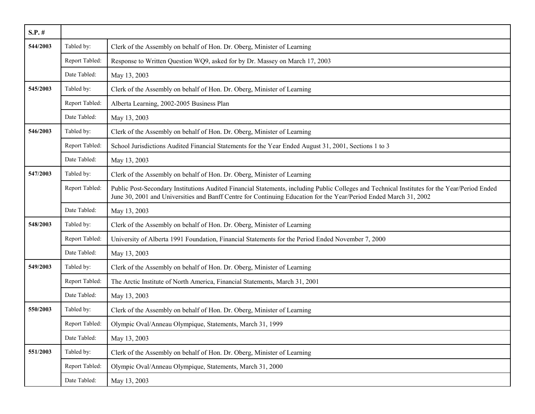| $S.P.$ # |                |                                                                                                                                                                                                                                                                    |
|----------|----------------|--------------------------------------------------------------------------------------------------------------------------------------------------------------------------------------------------------------------------------------------------------------------|
| 544/2003 | Tabled by:     | Clerk of the Assembly on behalf of Hon. Dr. Oberg, Minister of Learning                                                                                                                                                                                            |
|          | Report Tabled: | Response to Written Question WQ9, asked for by Dr. Massey on March 17, 2003                                                                                                                                                                                        |
|          | Date Tabled:   | May 13, 2003                                                                                                                                                                                                                                                       |
| 545/2003 | Tabled by:     | Clerk of the Assembly on behalf of Hon. Dr. Oberg, Minister of Learning                                                                                                                                                                                            |
|          | Report Tabled: | Alberta Learning, 2002-2005 Business Plan                                                                                                                                                                                                                          |
|          | Date Tabled:   | May 13, 2003                                                                                                                                                                                                                                                       |
| 546/2003 | Tabled by:     | Clerk of the Assembly on behalf of Hon. Dr. Oberg, Minister of Learning                                                                                                                                                                                            |
|          | Report Tabled: | School Jurisdictions Audited Financial Statements for the Year Ended August 31, 2001, Sections 1 to 3                                                                                                                                                              |
|          | Date Tabled:   | May 13, 2003                                                                                                                                                                                                                                                       |
| 547/2003 | Tabled by:     | Clerk of the Assembly on behalf of Hon. Dr. Oberg, Minister of Learning                                                                                                                                                                                            |
|          | Report Tabled: | Public Post-Secondary Institutions Audited Financial Statements, including Public Colleges and Technical Institutes for the Year/Period Ended<br>June 30, 2001 and Universities and Banff Centre for Continuing Education for the Year/Period Ended March 31, 2002 |
|          | Date Tabled:   | May 13, 2003                                                                                                                                                                                                                                                       |
| 548/2003 | Tabled by:     | Clerk of the Assembly on behalf of Hon. Dr. Oberg, Minister of Learning                                                                                                                                                                                            |
|          | Report Tabled: | University of Alberta 1991 Foundation, Financial Statements for the Period Ended November 7, 2000                                                                                                                                                                  |
|          | Date Tabled:   | May 13, 2003                                                                                                                                                                                                                                                       |
| 549/2003 | Tabled by:     | Clerk of the Assembly on behalf of Hon. Dr. Oberg, Minister of Learning                                                                                                                                                                                            |
|          | Report Tabled: | The Arctic Institute of North America, Financial Statements, March 31, 2001                                                                                                                                                                                        |
|          | Date Tabled:   | May 13, 2003                                                                                                                                                                                                                                                       |
| 550/2003 | Tabled by:     | Clerk of the Assembly on behalf of Hon. Dr. Oberg, Minister of Learning                                                                                                                                                                                            |
|          | Report Tabled: | Olympic Oval/Anneau Olympique, Statements, March 31, 1999                                                                                                                                                                                                          |
|          | Date Tabled:   | May 13, 2003                                                                                                                                                                                                                                                       |
| 551/2003 | Tabled by:     | Clerk of the Assembly on behalf of Hon. Dr. Oberg, Minister of Learning                                                                                                                                                                                            |
|          | Report Tabled: | Olympic Oval/Anneau Olympique, Statements, March 31, 2000                                                                                                                                                                                                          |
|          | Date Tabled:   | May 13, 2003                                                                                                                                                                                                                                                       |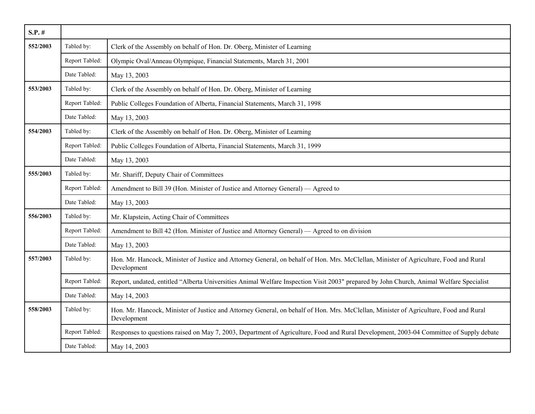| $S.P.$ # |                |                                                                                                                                                      |
|----------|----------------|------------------------------------------------------------------------------------------------------------------------------------------------------|
| 552/2003 | Tabled by:     | Clerk of the Assembly on behalf of Hon. Dr. Oberg, Minister of Learning                                                                              |
|          | Report Tabled: | Olympic Oval/Anneau Olympique, Financial Statements, March 31, 2001                                                                                  |
|          | Date Tabled:   | May 13, 2003                                                                                                                                         |
| 553/2003 | Tabled by:     | Clerk of the Assembly on behalf of Hon. Dr. Oberg, Minister of Learning                                                                              |
|          | Report Tabled: | Public Colleges Foundation of Alberta, Financial Statements, March 31, 1998                                                                          |
|          | Date Tabled:   | May 13, 2003                                                                                                                                         |
| 554/2003 | Tabled by:     | Clerk of the Assembly on behalf of Hon. Dr. Oberg, Minister of Learning                                                                              |
|          | Report Tabled: | Public Colleges Foundation of Alberta, Financial Statements, March 31, 1999                                                                          |
|          | Date Tabled:   | May 13, 2003                                                                                                                                         |
| 555/2003 | Tabled by:     | Mr. Shariff, Deputy Chair of Committees                                                                                                              |
|          | Report Tabled: | Amendment to Bill 39 (Hon. Minister of Justice and Attorney General) — Agreed to                                                                     |
|          | Date Tabled:   | May 13, 2003                                                                                                                                         |
| 556/2003 | Tabled by:     | Mr. Klapstein, Acting Chair of Committees                                                                                                            |
|          | Report Tabled: | Amendment to Bill 42 (Hon. Minister of Justice and Attorney General) — Agreed to on division                                                         |
|          | Date Tabled:   | May 13, 2003                                                                                                                                         |
| 557/2003 | Tabled by:     | Hon. Mr. Hancock, Minister of Justice and Attorney General, on behalf of Hon. Mrs. McClellan, Minister of Agriculture, Food and Rural<br>Development |
|          | Report Tabled: | Report, undated, entitled "Alberta Universities Animal Welfare Inspection Visit 2003" prepared by John Church, Animal Welfare Specialist             |
|          | Date Tabled:   | May 14, 2003                                                                                                                                         |
| 558/2003 | Tabled by:     | Hon. Mr. Hancock, Minister of Justice and Attorney General, on behalf of Hon. Mrs. McClellan, Minister of Agriculture, Food and Rural<br>Development |
|          | Report Tabled: | Responses to questions raised on May 7, 2003, Department of Agriculture, Food and Rural Development, 2003-04 Committee of Supply debate              |
|          | Date Tabled:   | May 14, 2003                                                                                                                                         |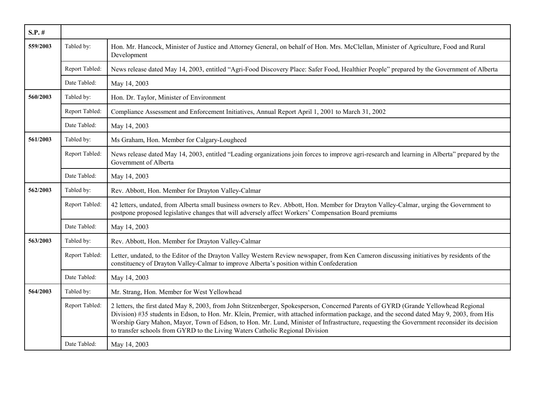| $S.P.$ # |                |                                                                                                                                                                                                                                                                                                                                                                                                                                                                                                                  |
|----------|----------------|------------------------------------------------------------------------------------------------------------------------------------------------------------------------------------------------------------------------------------------------------------------------------------------------------------------------------------------------------------------------------------------------------------------------------------------------------------------------------------------------------------------|
| 559/2003 | Tabled by:     | Hon. Mr. Hancock, Minister of Justice and Attorney General, on behalf of Hon. Mrs. McClellan, Minister of Agriculture, Food and Rural<br>Development                                                                                                                                                                                                                                                                                                                                                             |
|          | Report Tabled: | News release dated May 14, 2003, entitled "Agri-Food Discovery Place: Safer Food, Healthier People" prepared by the Government of Alberta                                                                                                                                                                                                                                                                                                                                                                        |
|          | Date Tabled:   | May 14, 2003                                                                                                                                                                                                                                                                                                                                                                                                                                                                                                     |
| 560/2003 | Tabled by:     | Hon. Dr. Taylor, Minister of Environment                                                                                                                                                                                                                                                                                                                                                                                                                                                                         |
|          | Report Tabled: | Compliance Assessment and Enforcement Initiatives, Annual Report April 1, 2001 to March 31, 2002                                                                                                                                                                                                                                                                                                                                                                                                                 |
|          | Date Tabled:   | May 14, 2003                                                                                                                                                                                                                                                                                                                                                                                                                                                                                                     |
| 561/2003 | Tabled by:     | Ms Graham, Hon. Member for Calgary-Lougheed                                                                                                                                                                                                                                                                                                                                                                                                                                                                      |
|          | Report Tabled: | News release dated May 14, 2003, entitled "Leading organizations join forces to improve agri-research and learning in Alberta" prepared by the<br>Government of Alberta                                                                                                                                                                                                                                                                                                                                          |
|          | Date Tabled:   | May 14, 2003                                                                                                                                                                                                                                                                                                                                                                                                                                                                                                     |
| 562/2003 | Tabled by:     | Rev. Abbott, Hon. Member for Drayton Valley-Calmar                                                                                                                                                                                                                                                                                                                                                                                                                                                               |
|          | Report Tabled: | 42 letters, undated, from Alberta small business owners to Rev. Abbott, Hon. Member for Drayton Valley-Calmar, urging the Government to<br>postpone proposed legislative changes that will adversely affect Workers' Compensation Board premiums                                                                                                                                                                                                                                                                 |
|          | Date Tabled:   | May 14, 2003                                                                                                                                                                                                                                                                                                                                                                                                                                                                                                     |
| 563/2003 | Tabled by:     | Rev. Abbott, Hon. Member for Drayton Valley-Calmar                                                                                                                                                                                                                                                                                                                                                                                                                                                               |
|          | Report Tabled: | Letter, undated, to the Editor of the Drayton Valley Western Review newspaper, from Ken Cameron discussing initiatives by residents of the<br>constituency of Drayton Valley-Calmar to improve Alberta's position within Confederation                                                                                                                                                                                                                                                                           |
|          | Date Tabled:   | May 14, 2003                                                                                                                                                                                                                                                                                                                                                                                                                                                                                                     |
| 564/2003 | Tabled by:     | Mr. Strang, Hon. Member for West Yellowhead                                                                                                                                                                                                                                                                                                                                                                                                                                                                      |
|          | Report Tabled: | 2 letters, the first dated May 8, 2003, from John Stitzenberger, Spokesperson, Concerned Parents of GYRD (Grande Yellowhead Regional<br>Division) #35 students in Edson, to Hon. Mr. Klein, Premier, with attached information package, and the second dated May 9, 2003, from His<br>Worship Gary Mahon, Mayor, Town of Edson, to Hon. Mr. Lund, Minister of Infrastructure, requesting the Government reconsider its decision<br>to transfer schools from GYRD to the Living Waters Catholic Regional Division |
|          | Date Tabled:   | May 14, 2003                                                                                                                                                                                                                                                                                                                                                                                                                                                                                                     |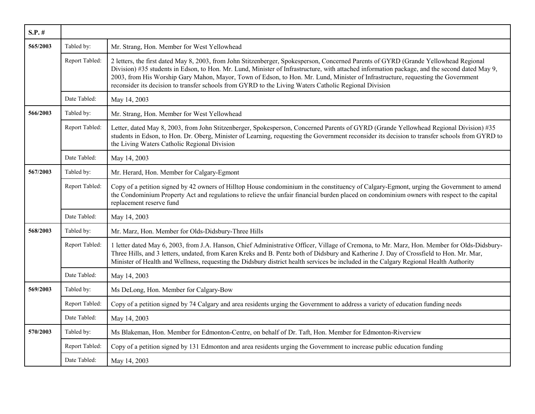| $S.P.$ # |                |                                                                                                                                                                                                                                                                                                                                                                                                                                                                                                                                    |
|----------|----------------|------------------------------------------------------------------------------------------------------------------------------------------------------------------------------------------------------------------------------------------------------------------------------------------------------------------------------------------------------------------------------------------------------------------------------------------------------------------------------------------------------------------------------------|
| 565/2003 | Tabled by:     | Mr. Strang, Hon. Member for West Yellowhead                                                                                                                                                                                                                                                                                                                                                                                                                                                                                        |
|          | Report Tabled: | 2 letters, the first dated May 8, 2003, from John Stitzenberger, Spokesperson, Concerned Parents of GYRD (Grande Yellowhead Regional<br>Division) #35 students in Edson, to Hon. Mr. Lund, Minister of Infrastructure, with attached information package, and the second dated May 9,<br>2003, from His Worship Gary Mahon, Mayor, Town of Edson, to Hon. Mr. Lund, Minister of Infrastructure, requesting the Government<br>reconsider its decision to transfer schools from GYRD to the Living Waters Catholic Regional Division |
|          | Date Tabled:   | May 14, 2003                                                                                                                                                                                                                                                                                                                                                                                                                                                                                                                       |
| 566/2003 | Tabled by:     | Mr. Strang, Hon. Member for West Yellowhead                                                                                                                                                                                                                                                                                                                                                                                                                                                                                        |
|          | Report Tabled: | Letter, dated May 8, 2003, from John Stitzenberger, Spokesperson, Concerned Parents of GYRD (Grande Yellowhead Regional Division) #35<br>students in Edson, to Hon. Dr. Oberg, Minister of Learning, requesting the Government reconsider its decision to transfer schools from GYRD to<br>the Living Waters Catholic Regional Division                                                                                                                                                                                            |
|          | Date Tabled:   | May 14, 2003                                                                                                                                                                                                                                                                                                                                                                                                                                                                                                                       |
| 567/2003 | Tabled by:     | Mr. Herard, Hon. Member for Calgary-Egmont                                                                                                                                                                                                                                                                                                                                                                                                                                                                                         |
|          | Report Tabled: | Copy of a petition signed by 42 owners of Hilltop House condominium in the constituency of Calgary-Egmont, urging the Government to amend<br>the Condominium Property Act and regulations to relieve the unfair financial burden placed on condominium owners with respect to the capital<br>replacement reserve fund                                                                                                                                                                                                              |
|          | Date Tabled:   | May 14, 2003                                                                                                                                                                                                                                                                                                                                                                                                                                                                                                                       |
| 568/2003 | Tabled by:     | Mr. Marz, Hon. Member for Olds-Didsbury-Three Hills                                                                                                                                                                                                                                                                                                                                                                                                                                                                                |
|          | Report Tabled: | 1 letter dated May 6, 2003, from J.A. Hanson, Chief Administrative Officer, Village of Cremona, to Mr. Marz, Hon. Member for Olds-Didsbury-<br>Three Hills, and 3 letters, undated, from Karen Kreks and B. Pentz both of Didsbury and Katherine J. Day of Crossfield to Hon. Mr. Mar,<br>Minister of Health and Wellness, requesting the Didsbury district health services be included in the Calgary Regional Health Authority                                                                                                   |
|          | Date Tabled:   | May 14, 2003                                                                                                                                                                                                                                                                                                                                                                                                                                                                                                                       |
| 569/2003 | Tabled by:     | Ms DeLong, Hon. Member for Calgary-Bow                                                                                                                                                                                                                                                                                                                                                                                                                                                                                             |
|          | Report Tabled: | Copy of a petition signed by 74 Calgary and area residents urging the Government to address a variety of education funding needs                                                                                                                                                                                                                                                                                                                                                                                                   |
|          | Date Tabled:   | May 14, 2003                                                                                                                                                                                                                                                                                                                                                                                                                                                                                                                       |
| 570/2003 | Tabled by:     | Ms Blakeman, Hon. Member for Edmonton-Centre, on behalf of Dr. Taft, Hon. Member for Edmonton-Riverview                                                                                                                                                                                                                                                                                                                                                                                                                            |
|          | Report Tabled: | Copy of a petition signed by 131 Edmonton and area residents urging the Government to increase public education funding                                                                                                                                                                                                                                                                                                                                                                                                            |
|          | Date Tabled:   | May 14, 2003                                                                                                                                                                                                                                                                                                                                                                                                                                                                                                                       |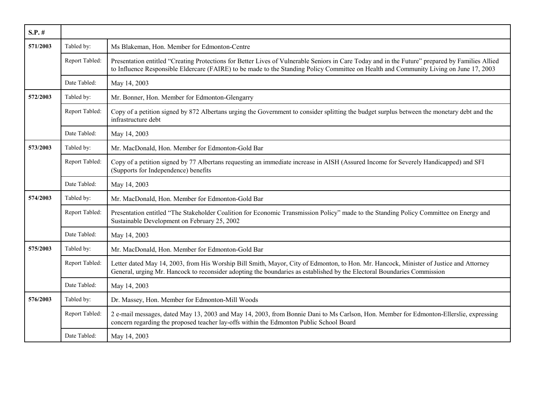| $S.P.$ # |                |                                                                                                                                                                                                                                                                                           |
|----------|----------------|-------------------------------------------------------------------------------------------------------------------------------------------------------------------------------------------------------------------------------------------------------------------------------------------|
| 571/2003 | Tabled by:     | Ms Blakeman, Hon. Member for Edmonton-Centre                                                                                                                                                                                                                                              |
|          | Report Tabled: | Presentation entitled "Creating Protections for Better Lives of Vulnerable Seniors in Care Today and in the Future" prepared by Families Allied<br>to Influence Responsible Eldercare (FAIRE) to be made to the Standing Policy Committee on Health and Community Living on June 17, 2003 |
|          | Date Tabled:   | May 14, 2003                                                                                                                                                                                                                                                                              |
| 572/2003 | Tabled by:     | Mr. Bonner, Hon. Member for Edmonton-Glengarry                                                                                                                                                                                                                                            |
|          | Report Tabled: | Copy of a petition signed by 872 Albertans urging the Government to consider splitting the budget surplus between the monetary debt and the<br>infrastructure debt                                                                                                                        |
|          | Date Tabled:   | May 14, 2003                                                                                                                                                                                                                                                                              |
| 573/2003 | Tabled by:     | Mr. MacDonald, Hon. Member for Edmonton-Gold Bar                                                                                                                                                                                                                                          |
|          | Report Tabled: | Copy of a petition signed by 77 Albertans requesting an immediate increase in AISH (Assured Income for Severely Handicapped) and SFI<br>(Supports for Independence) benefits                                                                                                              |
|          | Date Tabled:   | May 14, 2003                                                                                                                                                                                                                                                                              |
| 574/2003 | Tabled by:     | Mr. MacDonald, Hon. Member for Edmonton-Gold Bar                                                                                                                                                                                                                                          |
|          | Report Tabled: | Presentation entitled "The Stakeholder Coalition for Economic Transmission Policy" made to the Standing Policy Committee on Energy and<br>Sustainable Development on February 25, 2002                                                                                                    |
|          | Date Tabled:   | May 14, 2003                                                                                                                                                                                                                                                                              |
| 575/2003 | Tabled by:     | Mr. MacDonald, Hon. Member for Edmonton-Gold Bar                                                                                                                                                                                                                                          |
|          | Report Tabled: | Letter dated May 14, 2003, from His Worship Bill Smith, Mayor, City of Edmonton, to Hon. Mr. Hancock, Minister of Justice and Attorney<br>General, urging Mr. Hancock to reconsider adopting the boundaries as established by the Electoral Boundaries Commission                         |
|          | Date Tabled:   | May 14, 2003                                                                                                                                                                                                                                                                              |
| 576/2003 | Tabled by:     | Dr. Massey, Hon. Member for Edmonton-Mill Woods                                                                                                                                                                                                                                           |
|          | Report Tabled: | 2 e-mail messages, dated May 13, 2003 and May 14, 2003, from Bonnie Dani to Ms Carlson, Hon. Member for Edmonton-Ellerslie, expressing<br>concern regarding the proposed teacher lay-offs within the Edmonton Public School Board                                                         |
|          | Date Tabled:   | May 14, 2003                                                                                                                                                                                                                                                                              |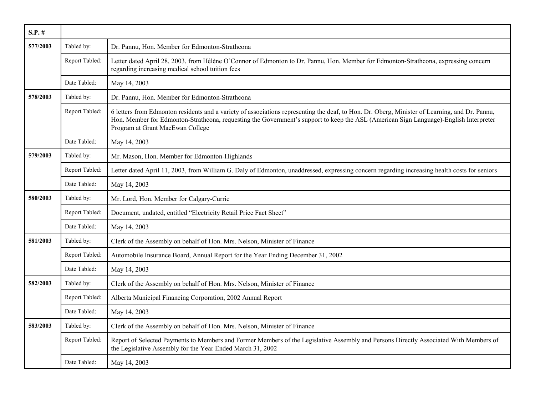| $S.P.$ # |                |                                                                                                                                                                                                                                                                                                                             |
|----------|----------------|-----------------------------------------------------------------------------------------------------------------------------------------------------------------------------------------------------------------------------------------------------------------------------------------------------------------------------|
| 577/2003 | Tabled by:     | Dr. Pannu, Hon. Member for Edmonton-Strathcona                                                                                                                                                                                                                                                                              |
|          | Report Tabled: | Letter dated April 28, 2003, from Hélène O'Connor of Edmonton to Dr. Pannu, Hon. Member for Edmonton-Strathcona, expressing concern<br>regarding increasing medical school tuition fees                                                                                                                                     |
|          | Date Tabled:   | May 14, 2003                                                                                                                                                                                                                                                                                                                |
| 578/2003 | Tabled by:     | Dr. Pannu, Hon. Member for Edmonton-Strathcona                                                                                                                                                                                                                                                                              |
|          | Report Tabled: | 6 letters from Edmonton residents and a variety of associations representing the deaf, to Hon. Dr. Oberg, Minister of Learning, and Dr. Pannu,<br>Hon. Member for Edmonton-Strathcona, requesting the Government's support to keep the ASL (American Sign Language)-English Interpreter<br>Program at Grant MacEwan College |
|          | Date Tabled:   | May 14, 2003                                                                                                                                                                                                                                                                                                                |
| 579/2003 | Tabled by:     | Mr. Mason, Hon. Member for Edmonton-Highlands                                                                                                                                                                                                                                                                               |
|          | Report Tabled: | Letter dated April 11, 2003, from William G. Daly of Edmonton, unaddressed, expressing concern regarding increasing health costs for seniors                                                                                                                                                                                |
|          | Date Tabled:   | May 14, 2003                                                                                                                                                                                                                                                                                                                |
| 580/2003 | Tabled by:     | Mr. Lord, Hon. Member for Calgary-Currie                                                                                                                                                                                                                                                                                    |
|          | Report Tabled: | Document, undated, entitled "Electricity Retail Price Fact Sheet"                                                                                                                                                                                                                                                           |
|          | Date Tabled:   | May 14, 2003                                                                                                                                                                                                                                                                                                                |
| 581/2003 | Tabled by:     | Clerk of the Assembly on behalf of Hon. Mrs. Nelson, Minister of Finance                                                                                                                                                                                                                                                    |
|          | Report Tabled: | Automobile Insurance Board, Annual Report for the Year Ending December 31, 2002                                                                                                                                                                                                                                             |
|          | Date Tabled:   | May 14, 2003                                                                                                                                                                                                                                                                                                                |
| 582/2003 | Tabled by:     | Clerk of the Assembly on behalf of Hon. Mrs. Nelson, Minister of Finance                                                                                                                                                                                                                                                    |
|          | Report Tabled: | Alberta Municipal Financing Corporation, 2002 Annual Report                                                                                                                                                                                                                                                                 |
|          | Date Tabled:   | May 14, 2003                                                                                                                                                                                                                                                                                                                |
| 583/2003 | Tabled by:     | Clerk of the Assembly on behalf of Hon. Mrs. Nelson, Minister of Finance                                                                                                                                                                                                                                                    |
|          | Report Tabled: | Report of Selected Payments to Members and Former Members of the Legislative Assembly and Persons Directly Associated With Members of<br>the Legislative Assembly for the Year Ended March 31, 2002                                                                                                                         |
|          | Date Tabled:   | May 14, 2003                                                                                                                                                                                                                                                                                                                |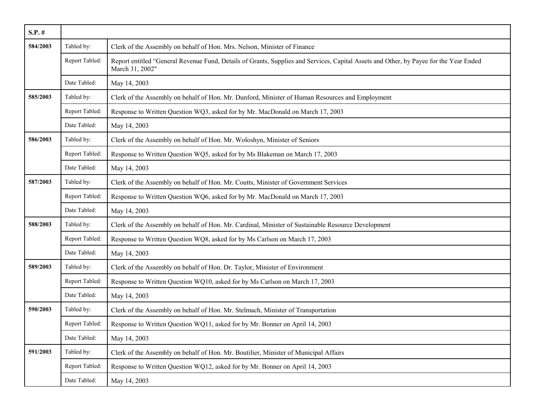| $S.P.$ # |                |                                                                                                                                                           |
|----------|----------------|-----------------------------------------------------------------------------------------------------------------------------------------------------------|
| 584/2003 | Tabled by:     | Clerk of the Assembly on behalf of Hon. Mrs. Nelson, Minister of Finance                                                                                  |
|          | Report Tabled: | Report entitled "General Revenue Fund, Details of Grants, Supplies and Services, Capital Assets and Other, by Payee for the Year Ended<br>March 31, 2002" |
|          | Date Tabled:   | May 14, 2003                                                                                                                                              |
| 585/2003 | Tabled by:     | Clerk of the Assembly on behalf of Hon. Mr. Dunford, Minister of Human Resources and Employment                                                           |
|          | Report Tabled: | Response to Written Question WQ3, asked for by Mr. MacDonald on March 17, 2003                                                                            |
|          | Date Tabled:   | May 14, 2003                                                                                                                                              |
| 586/2003 | Tabled by:     | Clerk of the Assembly on behalf of Hon. Mr. Woloshyn, Minister of Seniors                                                                                 |
|          | Report Tabled: | Response to Written Question WQ5, asked for by Ms Blakeman on March 17, 2003                                                                              |
|          | Date Tabled:   | May 14, 2003                                                                                                                                              |
| 587/2003 | Tabled by:     | Clerk of the Assembly on behalf of Hon. Mr. Coutts, Minister of Government Services                                                                       |
|          | Report Tabled: | Response to Written Question WQ6, asked for by Mr. MacDonald on March 17, 2003                                                                            |
|          | Date Tabled:   | May 14, 2003                                                                                                                                              |
| 588/2003 | Tabled by:     | Clerk of the Assembly on behalf of Hon. Mr. Cardinal, Minister of Sustainable Resource Development                                                        |
|          | Report Tabled: | Response to Written Question WQ8, asked for by Ms Carlson on March 17, 2003                                                                               |
|          | Date Tabled:   | May 14, 2003                                                                                                                                              |
| 589/2003 | Tabled by:     | Clerk of the Assembly on behalf of Hon. Dr. Taylor, Minister of Environment                                                                               |
|          | Report Tabled: | Response to Written Question WQ10, asked for by Ms Carlson on March 17, 2003                                                                              |
|          | Date Tabled:   | May 14, 2003                                                                                                                                              |
| 590/2003 | Tabled by:     | Clerk of the Assembly on behalf of Hon. Mr. Stelmach, Minister of Transportation                                                                          |
|          | Report Tabled: | Response to Written Question WQ11, asked for by Mr. Bonner on April 14, 2003                                                                              |
|          | Date Tabled:   | May 14, 2003                                                                                                                                              |
| 591/2003 | Tabled by:     | Clerk of the Assembly on behalf of Hon. Mr. Boutilier, Minister of Municipal Affairs                                                                      |
|          | Report Tabled: | Response to Written Question WQ12, asked for by Mr. Bonner on April 14, 2003                                                                              |
|          | Date Tabled:   | May 14, 2003                                                                                                                                              |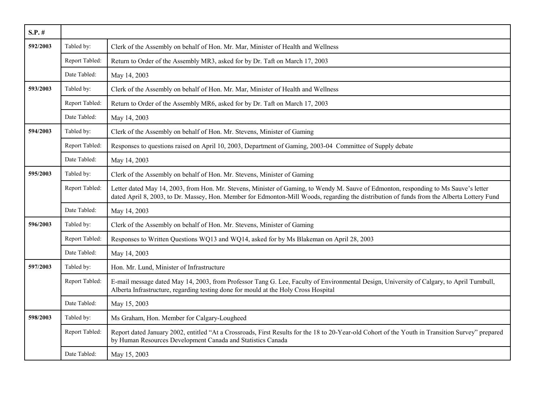| $S.P.$ # |                |                                                                                                                                                                                                                                                                                    |
|----------|----------------|------------------------------------------------------------------------------------------------------------------------------------------------------------------------------------------------------------------------------------------------------------------------------------|
| 592/2003 | Tabled by:     | Clerk of the Assembly on behalf of Hon. Mr. Mar, Minister of Health and Wellness                                                                                                                                                                                                   |
|          | Report Tabled: | Return to Order of the Assembly MR3, asked for by Dr. Taft on March 17, 2003                                                                                                                                                                                                       |
|          | Date Tabled:   | May 14, 2003                                                                                                                                                                                                                                                                       |
| 593/2003 | Tabled by:     | Clerk of the Assembly on behalf of Hon. Mr. Mar, Minister of Health and Wellness                                                                                                                                                                                                   |
|          | Report Tabled: | Return to Order of the Assembly MR6, asked for by Dr. Taft on March 17, 2003                                                                                                                                                                                                       |
|          | Date Tabled:   | May 14, 2003                                                                                                                                                                                                                                                                       |
| 594/2003 | Tabled by:     | Clerk of the Assembly on behalf of Hon. Mr. Stevens, Minister of Gaming                                                                                                                                                                                                            |
|          | Report Tabled: | Responses to questions raised on April 10, 2003, Department of Gaming, 2003-04 Committee of Supply debate                                                                                                                                                                          |
|          | Date Tabled:   | May 14, 2003                                                                                                                                                                                                                                                                       |
| 595/2003 | Tabled by:     | Clerk of the Assembly on behalf of Hon. Mr. Stevens, Minister of Gaming                                                                                                                                                                                                            |
|          | Report Tabled: | Letter dated May 14, 2003, from Hon. Mr. Stevens, Minister of Gaming, to Wendy M. Sauve of Edmonton, responding to Ms Sauve's letter<br>dated April 8, 2003, to Dr. Massey, Hon. Member for Edmonton-Mill Woods, regarding the distribution of funds from the Alberta Lottery Fund |
|          | Date Tabled:   | May 14, 2003                                                                                                                                                                                                                                                                       |
| 596/2003 | Tabled by:     | Clerk of the Assembly on behalf of Hon. Mr. Stevens, Minister of Gaming                                                                                                                                                                                                            |
|          | Report Tabled: | Responses to Written Questions WQ13 and WQ14, asked for by Ms Blakeman on April 28, 2003                                                                                                                                                                                           |
|          | Date Tabled:   | May 14, 2003                                                                                                                                                                                                                                                                       |
| 597/2003 | Tabled by:     | Hon. Mr. Lund, Minister of Infrastructure                                                                                                                                                                                                                                          |
|          | Report Tabled: | E-mail message dated May 14, 2003, from Professor Tang G. Lee, Faculty of Environmental Design, University of Calgary, to April Turnbull,<br>Alberta Infrastructure, regarding testing done for mould at the Holy Cross Hospital                                                   |
|          | Date Tabled:   | May 15, 2003                                                                                                                                                                                                                                                                       |
| 598/2003 | Tabled by:     | Ms Graham, Hon. Member for Calgary-Lougheed                                                                                                                                                                                                                                        |
|          | Report Tabled: | Report dated January 2002, entitled "At a Crossroads, First Results for the 18 to 20-Year-old Cohort of the Youth in Transition Survey" prepared<br>by Human Resources Development Canada and Statistics Canada                                                                    |
|          | Date Tabled:   | May 15, 2003                                                                                                                                                                                                                                                                       |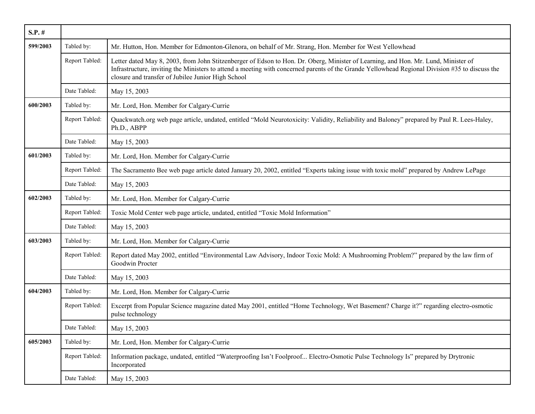| $S.P.$ # |                |                                                                                                                                                                                                                                                                                                                                             |
|----------|----------------|---------------------------------------------------------------------------------------------------------------------------------------------------------------------------------------------------------------------------------------------------------------------------------------------------------------------------------------------|
| 599/2003 | Tabled by:     | Mr. Hutton, Hon. Member for Edmonton-Glenora, on behalf of Mr. Strang, Hon. Member for West Yellowhead                                                                                                                                                                                                                                      |
|          | Report Tabled: | Letter dated May 8, 2003, from John Stitzenberger of Edson to Hon. Dr. Oberg, Minister of Learning, and Hon. Mr. Lund, Minister of<br>Infrastructure, inviting the Ministers to attend a meeting with concerned parents of the Grande Yellowhead Regional Division #35 to discuss the<br>closure and transfer of Jubilee Junior High School |
|          | Date Tabled:   | May 15, 2003                                                                                                                                                                                                                                                                                                                                |
| 600/2003 | Tabled by:     | Mr. Lord, Hon. Member for Calgary-Currie                                                                                                                                                                                                                                                                                                    |
|          | Report Tabled: | Quackwatch.org web page article, undated, entitled "Mold Neurotoxicity: Validity, Reliability and Baloney" prepared by Paul R. Lees-Haley,<br>Ph.D., ABPP                                                                                                                                                                                   |
|          | Date Tabled:   | May 15, 2003                                                                                                                                                                                                                                                                                                                                |
| 601/2003 | Tabled by:     | Mr. Lord, Hon. Member for Calgary-Currie                                                                                                                                                                                                                                                                                                    |
|          | Report Tabled: | The Sacramento Bee web page article dated January 20, 2002, entitled "Experts taking issue with toxic mold" prepared by Andrew LePage                                                                                                                                                                                                       |
|          | Date Tabled:   | May 15, 2003                                                                                                                                                                                                                                                                                                                                |
| 602/2003 | Tabled by:     | Mr. Lord, Hon. Member for Calgary-Currie                                                                                                                                                                                                                                                                                                    |
|          | Report Tabled: | Toxic Mold Center web page article, undated, entitled "Toxic Mold Information"                                                                                                                                                                                                                                                              |
|          | Date Tabled:   | May 15, 2003                                                                                                                                                                                                                                                                                                                                |
| 603/2003 | Tabled by:     | Mr. Lord, Hon. Member for Calgary-Currie                                                                                                                                                                                                                                                                                                    |
|          | Report Tabled: | Report dated May 2002, entitled "Environmental Law Advisory, Indoor Toxic Mold: A Mushrooming Problem?" prepared by the law firm of<br>Goodwin Procter                                                                                                                                                                                      |
|          | Date Tabled:   | May 15, 2003                                                                                                                                                                                                                                                                                                                                |
| 604/2003 | Tabled by:     | Mr. Lord, Hon. Member for Calgary-Currie                                                                                                                                                                                                                                                                                                    |
|          | Report Tabled: | Excerpt from Popular Science magazine dated May 2001, entitled "Home Technology, Wet Basement? Charge it?" regarding electro-osmotic<br>pulse technology                                                                                                                                                                                    |
|          | Date Tabled:   | May 15, 2003                                                                                                                                                                                                                                                                                                                                |
| 605/2003 | Tabled by:     | Mr. Lord, Hon. Member for Calgary-Currie                                                                                                                                                                                                                                                                                                    |
|          | Report Tabled: | Information package, undated, entitled "Waterproofing Isn't Foolproof Electro-Osmotic Pulse Technology Is" prepared by Drytronic<br>Incorporated                                                                                                                                                                                            |
|          | Date Tabled:   | May 15, 2003                                                                                                                                                                                                                                                                                                                                |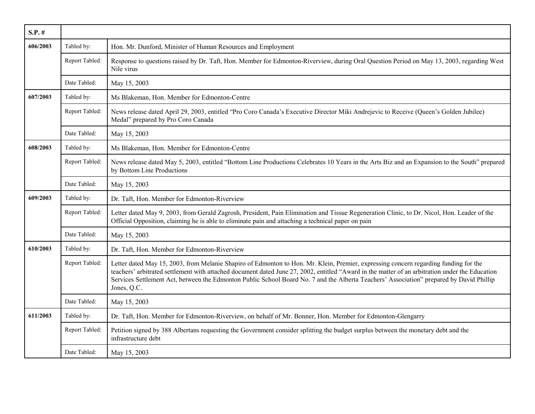| $S.P.$ # |                |                                                                                                                                                                                                                                                                                                                                                                                                                                                    |
|----------|----------------|----------------------------------------------------------------------------------------------------------------------------------------------------------------------------------------------------------------------------------------------------------------------------------------------------------------------------------------------------------------------------------------------------------------------------------------------------|
| 606/2003 | Tabled by:     | Hon. Mr. Dunford, Minister of Human Resources and Employment                                                                                                                                                                                                                                                                                                                                                                                       |
|          | Report Tabled: | Response to questions raised by Dr. Taft, Hon. Member for Edmonton-Riverview, during Oral Question Period on May 13, 2003, regarding West<br>Nile virus                                                                                                                                                                                                                                                                                            |
|          | Date Tabled:   | May 15, 2003                                                                                                                                                                                                                                                                                                                                                                                                                                       |
| 607/2003 | Tabled by:     | Ms Blakeman, Hon. Member for Edmonton-Centre                                                                                                                                                                                                                                                                                                                                                                                                       |
|          | Report Tabled: | News release dated April 29, 2003, entitled "Pro Coro Canada's Executive Director Miki Andrejevic to Receive (Queen's Golden Jubilee)<br>Medal" prepared by Pro Coro Canada                                                                                                                                                                                                                                                                        |
|          | Date Tabled:   | May 15, 2003                                                                                                                                                                                                                                                                                                                                                                                                                                       |
| 608/2003 | Tabled by:     | Ms Blakeman, Hon. Member for Edmonton-Centre                                                                                                                                                                                                                                                                                                                                                                                                       |
|          | Report Tabled: | News release dated May 5, 2003, entitled "Bottom Line Productions Celebrates 10 Years in the Arts Biz and an Expansion to the South" prepared<br>by Bottom Line Productions                                                                                                                                                                                                                                                                        |
|          | Date Tabled:   | May 15, 2003                                                                                                                                                                                                                                                                                                                                                                                                                                       |
| 609/2003 | Tabled by:     | Dr. Taft, Hon. Member for Edmonton-Riverview                                                                                                                                                                                                                                                                                                                                                                                                       |
|          | Report Tabled: | Letter dated May 9, 2003, from Gerald Zagrosh, President, Pain Elimination and Tissue Regeneration Clinic, to Dr. Nicol, Hon. Leader of the<br>Official Opposition, claiming he is able to eliminate pain and attaching a technical paper on pain                                                                                                                                                                                                  |
|          | Date Tabled:   | May 15, 2003                                                                                                                                                                                                                                                                                                                                                                                                                                       |
| 610/2003 | Tabled by:     | Dr. Taft, Hon. Member for Edmonton-Riverview                                                                                                                                                                                                                                                                                                                                                                                                       |
|          | Report Tabled: | Letter dated May 15, 2003, from Melanie Shapiro of Edmonton to Hon. Mr. Klein, Premier, expressing concern regarding funding for the<br>teachers' arbitrated settlement with attached document dated June 27, 2002, entitled "Award in the matter of an arbitration under the Education<br>Services Settlement Act, between the Edmonton Public School Board No. 7 and the Alberta Teachers' Association" prepared by David Phillip<br>Jones, Q.C. |
|          | Date Tabled:   | May 15, 2003                                                                                                                                                                                                                                                                                                                                                                                                                                       |
| 611/2003 | Tabled by:     | Dr. Taft, Hon. Member for Edmonton-Riverview, on behalf of Mr. Bonner, Hon. Member for Edmonton-Glengarry                                                                                                                                                                                                                                                                                                                                          |
|          | Report Tabled: | Petition signed by 388 Albertans requesting the Government consider splitting the budget surplus between the monetary debt and the<br>infrastructure debt                                                                                                                                                                                                                                                                                          |
|          | Date Tabled:   | May 15, 2003                                                                                                                                                                                                                                                                                                                                                                                                                                       |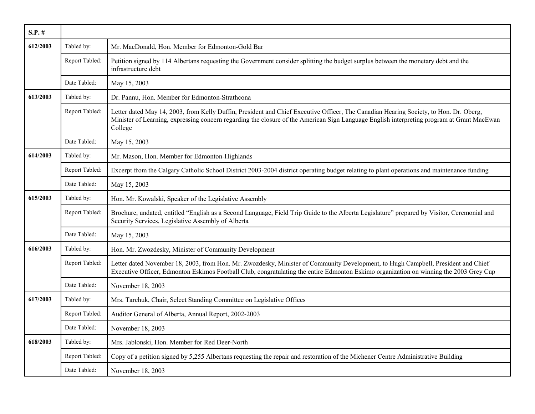| $S.P.$ # |                |                                                                                                                                                                                                                                                                                                |
|----------|----------------|------------------------------------------------------------------------------------------------------------------------------------------------------------------------------------------------------------------------------------------------------------------------------------------------|
| 612/2003 | Tabled by:     | Mr. MacDonald, Hon. Member for Edmonton-Gold Bar                                                                                                                                                                                                                                               |
|          | Report Tabled: | Petition signed by 114 Albertans requesting the Government consider splitting the budget surplus between the monetary debt and the<br>infrastructure debt                                                                                                                                      |
|          | Date Tabled:   | May 15, 2003                                                                                                                                                                                                                                                                                   |
| 613/2003 | Tabled by:     | Dr. Pannu, Hon. Member for Edmonton-Strathcona                                                                                                                                                                                                                                                 |
|          | Report Tabled: | Letter dated May 14, 2003, from Kelly Duffin, President and Chief Executive Officer, The Canadian Hearing Society, to Hon. Dr. Oberg,<br>Minister of Learning, expressing concern regarding the closure of the American Sign Language English interpreting program at Grant MacEwan<br>College |
|          | Date Tabled:   | May 15, 2003                                                                                                                                                                                                                                                                                   |
| 614/2003 | Tabled by:     | Mr. Mason, Hon. Member for Edmonton-Highlands                                                                                                                                                                                                                                                  |
|          | Report Tabled: | Excerpt from the Calgary Catholic School District 2003-2004 district operating budget relating to plant operations and maintenance funding                                                                                                                                                     |
|          | Date Tabled:   | May 15, 2003                                                                                                                                                                                                                                                                                   |
| 615/2003 | Tabled by:     | Hon. Mr. Kowalski, Speaker of the Legislative Assembly                                                                                                                                                                                                                                         |
|          | Report Tabled: | Brochure, undated, entitled "English as a Second Language, Field Trip Guide to the Alberta Legislature" prepared by Visitor, Ceremonial and<br>Security Services, Legislative Assembly of Alberta                                                                                              |
|          | Date Tabled:   | May 15, 2003                                                                                                                                                                                                                                                                                   |
| 616/2003 | Tabled by:     | Hon. Mr. Zwozdesky, Minister of Community Development                                                                                                                                                                                                                                          |
|          | Report Tabled: | Letter dated November 18, 2003, from Hon. Mr. Zwozdesky, Minister of Community Development, to Hugh Campbell, President and Chief<br>Executive Officer, Edmonton Eskimos Football Club, congratulating the entire Edmonton Eskimo organization on winning the 2003 Grey Cup                    |
|          | Date Tabled:   | November 18, 2003                                                                                                                                                                                                                                                                              |
| 617/2003 | Tabled by:     | Mrs. Tarchuk, Chair, Select Standing Committee on Legislative Offices                                                                                                                                                                                                                          |
|          | Report Tabled: | Auditor General of Alberta, Annual Report, 2002-2003                                                                                                                                                                                                                                           |
|          | Date Tabled:   | November 18, 2003                                                                                                                                                                                                                                                                              |
| 618/2003 | Tabled by:     | Mrs. Jablonski, Hon. Member for Red Deer-North                                                                                                                                                                                                                                                 |
|          | Report Tabled: | Copy of a petition signed by 5,255 Albertans requesting the repair and restoration of the Michener Centre Administrative Building                                                                                                                                                              |
|          | Date Tabled:   | November 18, 2003                                                                                                                                                                                                                                                                              |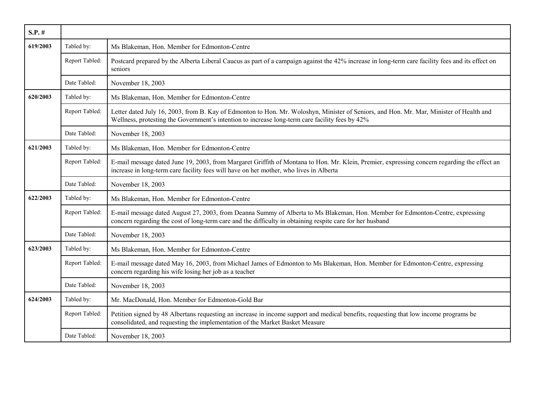| $S.P.$ # |                |                                                                                                                                                                                                                                             |
|----------|----------------|---------------------------------------------------------------------------------------------------------------------------------------------------------------------------------------------------------------------------------------------|
| 619/2003 | Tabled by:     | Ms Blakeman, Hon. Member for Edmonton-Centre                                                                                                                                                                                                |
|          | Report Tabled: | Postcard prepared by the Alberta Liberal Caucus as part of a campaign against the 42% increase in long-term care facility fees and its effect on<br>seniors                                                                                 |
|          | Date Tabled:   | November 18, 2003                                                                                                                                                                                                                           |
| 620/2003 | Tabled by:     | Ms Blakeman, Hon. Member for Edmonton-Centre                                                                                                                                                                                                |
|          | Report Tabled: | Letter dated July 16, 2003, from B. Kay of Edmonton to Hon. Mr. Woloshyn, Minister of Seniors, and Hon. Mr. Mar, Minister of Health and<br>Wellness, protesting the Government's intention to increase long-term care facility fees by 42%  |
|          | Date Tabled:   | November 18, 2003                                                                                                                                                                                                                           |
| 621/2003 | Tabled by:     | Ms Blakeman, Hon. Member for Edmonton-Centre                                                                                                                                                                                                |
|          | Report Tabled: | E-mail message dated June 19, 2003, from Margaret Griffith of Montana to Hon. Mr. Klein, Premier, expressing concern regarding the effect an<br>increase in long-term care facility fees will have on her mother, who lives in Alberta      |
|          | Date Tabled:   | November 18, 2003                                                                                                                                                                                                                           |
| 622/2003 | Tabled by:     | Ms Blakeman, Hon. Member for Edmonton-Centre                                                                                                                                                                                                |
|          | Report Tabled: | E-mail message dated August 27, 2003, from Deanna Summy of Alberta to Ms Blakeman, Hon. Member for Edmonton-Centre, expressing<br>concern regarding the cost of long-term care and the difficulty in obtaining respite care for her husband |
|          | Date Tabled:   | November 18, 2003                                                                                                                                                                                                                           |
| 623/2003 | Tabled by:     | Ms Blakeman, Hon. Member for Edmonton-Centre                                                                                                                                                                                                |
|          | Report Tabled: | E-mail message dated May 16, 2003, from Michael James of Edmonton to Ms Blakeman, Hon. Member for Edmonton-Centre, expressing<br>concern regarding his wife losing her job as a teacher                                                     |
|          | Date Tabled:   | November 18, 2003                                                                                                                                                                                                                           |
| 624/2003 | Tabled by:     | Mr. MacDonald, Hon. Member for Edmonton-Gold Bar                                                                                                                                                                                            |
|          | Report Tabled: | Petition signed by 48 Albertans requesting an increase in income support and medical benefits, requesting that low income programs be<br>consolidated, and requesting the implementation of the Market Basket Measure                       |
|          | Date Tabled:   | November 18, 2003                                                                                                                                                                                                                           |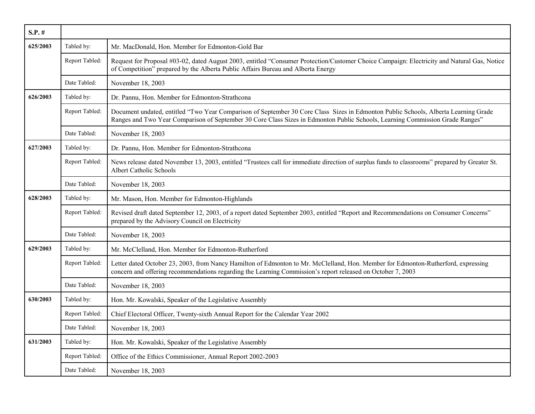| $S.P.$ # |                |                                                                                                                                                                                                                                                                      |
|----------|----------------|----------------------------------------------------------------------------------------------------------------------------------------------------------------------------------------------------------------------------------------------------------------------|
| 625/2003 | Tabled by:     | Mr. MacDonald, Hon. Member for Edmonton-Gold Bar                                                                                                                                                                                                                     |
|          | Report Tabled: | Request for Proposal #03-02, dated August 2003, entitled "Consumer Protection/Customer Choice Campaign: Electricity and Natural Gas, Notice<br>of Competition" prepared by the Alberta Public Affairs Bureau and Alberta Energy                                      |
|          | Date Tabled:   | November 18, 2003                                                                                                                                                                                                                                                    |
| 626/2003 | Tabled by:     | Dr. Pannu, Hon. Member for Edmonton-Strathcona                                                                                                                                                                                                                       |
|          | Report Tabled: | Document undated, entitled "Two Year Comparison of September 30 Core Class Sizes in Edmonton Public Schools, Alberta Learning Grade<br>Ranges and Two Year Comparison of September 30 Core Class Sizes in Edmonton Public Schools, Learning Commission Grade Ranges" |
|          | Date Tabled:   | November 18, 2003                                                                                                                                                                                                                                                    |
| 627/2003 | Tabled by:     | Dr. Pannu, Hon. Member for Edmonton-Strathcona                                                                                                                                                                                                                       |
|          | Report Tabled: | News release dated November 13, 2003, entitled "Trustees call for immediate direction of surplus funds to classrooms" prepared by Greater St.<br>Albert Catholic Schools                                                                                             |
|          | Date Tabled:   | November 18, 2003                                                                                                                                                                                                                                                    |
| 628/2003 | Tabled by:     | Mr. Mason, Hon. Member for Edmonton-Highlands                                                                                                                                                                                                                        |
|          | Report Tabled: | Revised draft dated September 12, 2003, of a report dated September 2003, entitled "Report and Recommendations on Consumer Concerns"<br>prepared by the Advisory Council on Electricity                                                                              |
|          | Date Tabled:   | November 18, 2003                                                                                                                                                                                                                                                    |
| 629/2003 | Tabled by:     | Mr. McClelland, Hon. Member for Edmonton-Rutherford                                                                                                                                                                                                                  |
|          | Report Tabled: | Letter dated October 23, 2003, from Nancy Hamilton of Edmonton to Mr. McClelland, Hon. Member for Edmonton-Rutherford, expressing<br>concern and offering recommendations regarding the Learning Commission's report released on October 7, 2003                     |
|          | Date Tabled:   | November 18, 2003                                                                                                                                                                                                                                                    |
| 630/2003 | Tabled by:     | Hon. Mr. Kowalski, Speaker of the Legislative Assembly                                                                                                                                                                                                               |
|          | Report Tabled: | Chief Electoral Officer, Twenty-sixth Annual Report for the Calendar Year 2002                                                                                                                                                                                       |
|          | Date Tabled:   | November 18, 2003                                                                                                                                                                                                                                                    |
| 631/2003 | Tabled by:     | Hon. Mr. Kowalski, Speaker of the Legislative Assembly                                                                                                                                                                                                               |
|          | Report Tabled: | Office of the Ethics Commissioner, Annual Report 2002-2003                                                                                                                                                                                                           |
|          | Date Tabled:   | November 18, 2003                                                                                                                                                                                                                                                    |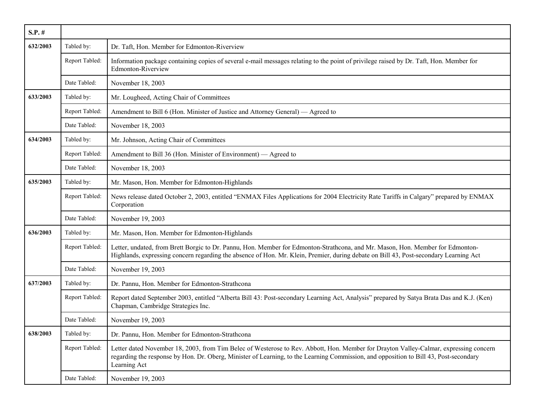| $S.P.$ # |                |                                                                                                                                                                                                                                                                                                |
|----------|----------------|------------------------------------------------------------------------------------------------------------------------------------------------------------------------------------------------------------------------------------------------------------------------------------------------|
| 632/2003 | Tabled by:     | Dr. Taft, Hon. Member for Edmonton-Riverview                                                                                                                                                                                                                                                   |
|          | Report Tabled: | Information package containing copies of several e-mail messages relating to the point of privilege raised by Dr. Taft, Hon. Member for<br>Edmonton-Riverview                                                                                                                                  |
|          | Date Tabled:   | November 18, 2003                                                                                                                                                                                                                                                                              |
| 633/2003 | Tabled by:     | Mr. Lougheed, Acting Chair of Committees                                                                                                                                                                                                                                                       |
|          | Report Tabled: | Amendment to Bill 6 (Hon. Minister of Justice and Attorney General) — Agreed to                                                                                                                                                                                                                |
|          | Date Tabled:   | November 18, 2003                                                                                                                                                                                                                                                                              |
| 634/2003 | Tabled by:     | Mr. Johnson, Acting Chair of Committees                                                                                                                                                                                                                                                        |
|          | Report Tabled: | Amendment to Bill 36 (Hon. Minister of Environment) — Agreed to                                                                                                                                                                                                                                |
|          | Date Tabled:   | November 18, 2003                                                                                                                                                                                                                                                                              |
| 635/2003 | Tabled by:     | Mr. Mason, Hon. Member for Edmonton-Highlands                                                                                                                                                                                                                                                  |
|          | Report Tabled: | News release dated October 2, 2003, entitled "ENMAX Files Applications for 2004 Electricity Rate Tariffs in Calgary" prepared by ENMAX<br>Corporation                                                                                                                                          |
|          | Date Tabled:   | November 19, 2003                                                                                                                                                                                                                                                                              |
| 636/2003 | Tabled by:     | Mr. Mason, Hon. Member for Edmonton-Highlands                                                                                                                                                                                                                                                  |
|          | Report Tabled: | Letter, undated, from Brett Borgic to Dr. Pannu, Hon. Member for Edmonton-Strathcona, and Mr. Mason, Hon. Member for Edmonton-<br>Highlands, expressing concern regarding the absence of Hon. Mr. Klein, Premier, during debate on Bill 43, Post-secondary Learning Act                        |
|          | Date Tabled:   | November 19, 2003                                                                                                                                                                                                                                                                              |
| 637/2003 | Tabled by:     | Dr. Pannu, Hon. Member for Edmonton-Strathcona                                                                                                                                                                                                                                                 |
|          | Report Tabled: | Report dated September 2003, entitled "Alberta Bill 43: Post-secondary Learning Act, Analysis" prepared by Satya Brata Das and K.J. (Ken)<br>Chapman, Cambridge Strategies Inc.                                                                                                                |
|          | Date Tabled:   | November 19, 2003                                                                                                                                                                                                                                                                              |
| 638/2003 | Tabled by:     | Dr. Pannu, Hon. Member for Edmonton-Strathcona                                                                                                                                                                                                                                                 |
|          | Report Tabled: | Letter dated November 18, 2003, from Tim Belec of Westerose to Rev. Abbott, Hon. Member for Drayton Valley-Calmar, expressing concern<br>regarding the response by Hon. Dr. Oberg, Minister of Learning, to the Learning Commission, and opposition to Bill 43, Post-secondary<br>Learning Act |
|          | Date Tabled:   | November 19, 2003                                                                                                                                                                                                                                                                              |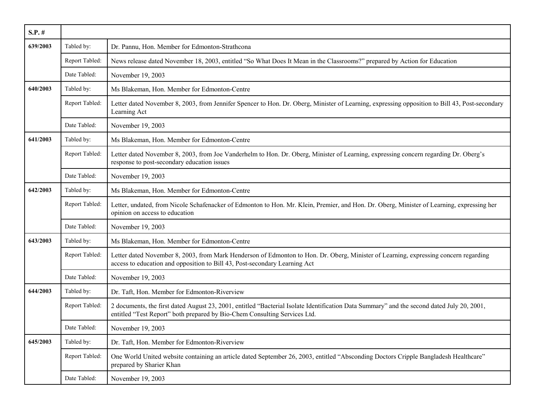| $S.P.$ # |                |                                                                                                                                                                                                                         |
|----------|----------------|-------------------------------------------------------------------------------------------------------------------------------------------------------------------------------------------------------------------------|
| 639/2003 | Tabled by:     | Dr. Pannu, Hon. Member for Edmonton-Strathcona                                                                                                                                                                          |
|          | Report Tabled: | News release dated November 18, 2003, entitled "So What Does It Mean in the Classrooms?" prepared by Action for Education                                                                                               |
|          | Date Tabled:   | November 19, 2003                                                                                                                                                                                                       |
| 640/2003 | Tabled by:     | Ms Blakeman, Hon. Member for Edmonton-Centre                                                                                                                                                                            |
|          | Report Tabled: | Letter dated November 8, 2003, from Jennifer Spencer to Hon. Dr. Oberg, Minister of Learning, expressing opposition to Bill 43, Post-secondary<br>Learning Act                                                          |
|          | Date Tabled:   | November 19, 2003                                                                                                                                                                                                       |
| 641/2003 | Tabled by:     | Ms Blakeman, Hon. Member for Edmonton-Centre                                                                                                                                                                            |
|          | Report Tabled: | Letter dated November 8, 2003, from Joe Vanderhelm to Hon. Dr. Oberg, Minister of Learning, expressing concern regarding Dr. Oberg's<br>response to post-secondary education issues                                     |
|          | Date Tabled:   | November 19, 2003                                                                                                                                                                                                       |
| 642/2003 | Tabled by:     | Ms Blakeman, Hon. Member for Edmonton-Centre                                                                                                                                                                            |
|          | Report Tabled: | Letter, undated, from Nicole Schafenacker of Edmonton to Hon. Mr. Klein, Premier, and Hon. Dr. Oberg, Minister of Learning, expressing her<br>opinion on access to education                                            |
|          | Date Tabled:   | November 19, 2003                                                                                                                                                                                                       |
| 643/2003 | Tabled by:     | Ms Blakeman, Hon. Member for Edmonton-Centre                                                                                                                                                                            |
|          | Report Tabled: | Letter dated November 8, 2003, from Mark Henderson of Edmonton to Hon. Dr. Oberg, Minister of Learning, expressing concern regarding<br>access to education and opposition to Bill 43, Post-secondary Learning Act      |
|          | Date Tabled:   | November 19, 2003                                                                                                                                                                                                       |
| 644/2003 | Tabled by:     | Dr. Taft, Hon. Member for Edmonton-Riverview                                                                                                                                                                            |
|          | Report Tabled: | 2 documents, the first dated August 23, 2001, entitled "Bacterial Isolate Identification Data Summary" and the second dated July 20, 2001,<br>entitled "Test Report" both prepared by Bio-Chem Consulting Services Ltd. |
|          | Date Tabled:   | November 19, 2003                                                                                                                                                                                                       |
| 645/2003 | Tabled by:     | Dr. Taft, Hon. Member for Edmonton-Riverview                                                                                                                                                                            |
|          | Report Tabled: | One World United website containing an article dated September 26, 2003, entitled "Absconding Doctors Cripple Bangladesh Healthcare"<br>prepared by Sharier Khan                                                        |
|          | Date Tabled:   | November 19, 2003                                                                                                                                                                                                       |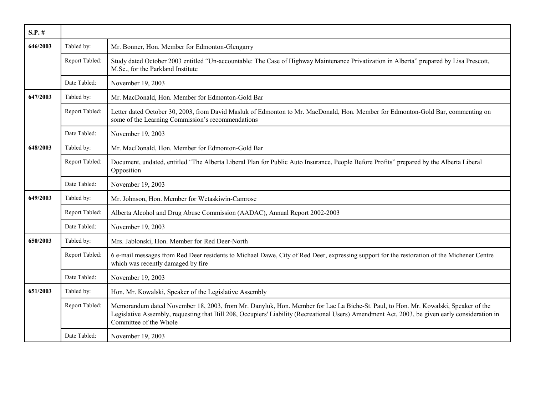| $S.P.$ # |                |                                                                                                                                                                                                                                                                                                               |
|----------|----------------|---------------------------------------------------------------------------------------------------------------------------------------------------------------------------------------------------------------------------------------------------------------------------------------------------------------|
| 646/2003 | Tabled by:     | Mr. Bonner, Hon. Member for Edmonton-Glengarry                                                                                                                                                                                                                                                                |
|          | Report Tabled: | Study dated October 2003 entitled "Un-accountable: The Case of Highway Maintenance Privatization in Alberta" prepared by Lisa Prescott,<br>M.Sc., for the Parkland Institute                                                                                                                                  |
|          | Date Tabled:   | November 19, 2003                                                                                                                                                                                                                                                                                             |
| 647/2003 | Tabled by:     | Mr. MacDonald, Hon. Member for Edmonton-Gold Bar                                                                                                                                                                                                                                                              |
|          | Report Tabled: | Letter dated October 30, 2003, from David Masluk of Edmonton to Mr. MacDonald, Hon. Member for Edmonton-Gold Bar, commenting on<br>some of the Learning Commission's recommendations                                                                                                                          |
|          | Date Tabled:   | November 19, 2003                                                                                                                                                                                                                                                                                             |
| 648/2003 | Tabled by:     | Mr. MacDonald, Hon. Member for Edmonton-Gold Bar                                                                                                                                                                                                                                                              |
|          | Report Tabled: | Document, undated, entitled "The Alberta Liberal Plan for Public Auto Insurance, People Before Profits" prepared by the Alberta Liberal<br>Opposition                                                                                                                                                         |
|          | Date Tabled:   | November 19, 2003                                                                                                                                                                                                                                                                                             |
| 649/2003 | Tabled by:     | Mr. Johnson, Hon. Member for Wetaskiwin-Camrose                                                                                                                                                                                                                                                               |
|          | Report Tabled: | Alberta Alcohol and Drug Abuse Commission (AADAC), Annual Report 2002-2003                                                                                                                                                                                                                                    |
|          | Date Tabled:   | November 19, 2003                                                                                                                                                                                                                                                                                             |
| 650/2003 | Tabled by:     | Mrs. Jablonski, Hon. Member for Red Deer-North                                                                                                                                                                                                                                                                |
|          | Report Tabled: | 6 e-mail messages from Red Deer residents to Michael Dawe, City of Red Deer, expressing support for the restoration of the Michener Centre<br>which was recently damaged by fire                                                                                                                              |
|          | Date Tabled:   | November 19, 2003                                                                                                                                                                                                                                                                                             |
| 651/2003 | Tabled by:     | Hon. Mr. Kowalski, Speaker of the Legislative Assembly                                                                                                                                                                                                                                                        |
|          | Report Tabled: | Memorandum dated November 18, 2003, from Mr. Danyluk, Hon. Member for Lac La Biche-St. Paul, to Hon. Mr. Kowalski, Speaker of the<br>Legislative Assembly, requesting that Bill 208, Occupiers' Liability (Recreational Users) Amendment Act, 2003, be given early consideration in<br>Committee of the Whole |
|          | Date Tabled:   | November 19, 2003                                                                                                                                                                                                                                                                                             |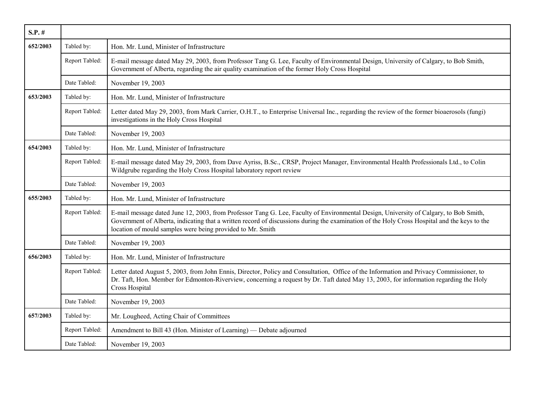| $S.P.$ # |                |                                                                                                                                                                                                                                                                                                                                                     |
|----------|----------------|-----------------------------------------------------------------------------------------------------------------------------------------------------------------------------------------------------------------------------------------------------------------------------------------------------------------------------------------------------|
| 652/2003 | Tabled by:     | Hon. Mr. Lund, Minister of Infrastructure                                                                                                                                                                                                                                                                                                           |
|          | Report Tabled: | E-mail message dated May 29, 2003, from Professor Tang G. Lee, Faculty of Environmental Design, University of Calgary, to Bob Smith,<br>Government of Alberta, regarding the air quality examination of the former Holy Cross Hospital                                                                                                              |
|          | Date Tabled:   | November 19, 2003                                                                                                                                                                                                                                                                                                                                   |
| 653/2003 | Tabled by:     | Hon. Mr. Lund, Minister of Infrastructure                                                                                                                                                                                                                                                                                                           |
|          | Report Tabled: | Letter dated May 29, 2003, from Mark Carrier, O.H.T., to Enterprise Universal Inc., regarding the review of the former bioaerosols (fungi)<br>investigations in the Holy Cross Hospital                                                                                                                                                             |
|          | Date Tabled:   | November 19, 2003                                                                                                                                                                                                                                                                                                                                   |
| 654/2003 | Tabled by:     | Hon. Mr. Lund, Minister of Infrastructure                                                                                                                                                                                                                                                                                                           |
|          | Report Tabled: | E-mail message dated May 29, 2003, from Dave Ayriss, B.Sc., CRSP, Project Manager, Environmental Health Professionals Ltd., to Colin<br>Wildgrube regarding the Holy Cross Hospital laboratory report review                                                                                                                                        |
|          | Date Tabled:   | November 19, 2003                                                                                                                                                                                                                                                                                                                                   |
| 655/2003 | Tabled by:     | Hon. Mr. Lund, Minister of Infrastructure                                                                                                                                                                                                                                                                                                           |
|          | Report Tabled: | E-mail message dated June 12, 2003, from Professor Tang G. Lee, Faculty of Environmental Design, University of Calgary, to Bob Smith,<br>Government of Alberta, indicating that a written record of discussions during the examination of the Holy Cross Hospital and the keys to the<br>location of mould samples were being provided to Mr. Smith |
|          | Date Tabled:   | November 19, 2003                                                                                                                                                                                                                                                                                                                                   |
| 656/2003 | Tabled by:     | Hon. Mr. Lund, Minister of Infrastructure                                                                                                                                                                                                                                                                                                           |
|          | Report Tabled: | Letter dated August 5, 2003, from John Ennis, Director, Policy and Consultation, Office of the Information and Privacy Commissioner, to<br>Dr. Taft, Hon. Member for Edmonton-Riverview, concerning a request by Dr. Taft dated May 13, 2003, for information regarding the Holy<br>Cross Hospital                                                  |
|          | Date Tabled:   | November 19, 2003                                                                                                                                                                                                                                                                                                                                   |
| 657/2003 | Tabled by:     | Mr. Lougheed, Acting Chair of Committees                                                                                                                                                                                                                                                                                                            |
|          | Report Tabled: | Amendment to Bill 43 (Hon. Minister of Learning) — Debate adjourned                                                                                                                                                                                                                                                                                 |
|          | Date Tabled:   | November 19, 2003                                                                                                                                                                                                                                                                                                                                   |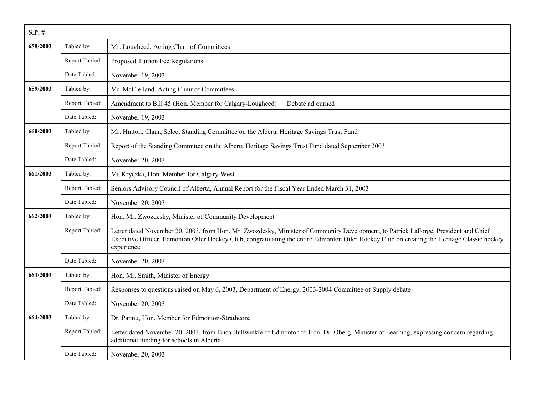| $S.P.$ # |                |                                                                                                                                                                                                                                                                                                  |
|----------|----------------|--------------------------------------------------------------------------------------------------------------------------------------------------------------------------------------------------------------------------------------------------------------------------------------------------|
| 658/2003 | Tabled by:     | Mr. Lougheed, Acting Chair of Committees                                                                                                                                                                                                                                                         |
|          | Report Tabled: | Proposed Tuition Fee Regulations                                                                                                                                                                                                                                                                 |
|          | Date Tabled:   | November 19, 2003                                                                                                                                                                                                                                                                                |
| 659/2003 | Tabled by:     | Mr. McClelland, Acting Chair of Committees                                                                                                                                                                                                                                                       |
|          | Report Tabled: | Amendment to Bill 45 (Hon. Member for Calgary-Lougheed) — Debate adjourned                                                                                                                                                                                                                       |
|          | Date Tabled:   | November 19, 2003                                                                                                                                                                                                                                                                                |
| 660/2003 | Tabled by:     | Mr. Hutton, Chair, Select Standing Committee on the Alberta Heritage Savings Trust Fund                                                                                                                                                                                                          |
|          | Report Tabled: | Report of the Standing Committee on the Alberta Heritage Savings Trust Fund dated September 2003                                                                                                                                                                                                 |
|          | Date Tabled:   | November 20, 2003                                                                                                                                                                                                                                                                                |
| 661/2003 | Tabled by:     | Ms Kryczka, Hon. Member for Calgary-West                                                                                                                                                                                                                                                         |
|          | Report Tabled: | Seniors Advisory Council of Alberta, Annual Report for the Fiscal Year Ended March 31, 2003                                                                                                                                                                                                      |
|          | Date Tabled:   | November 20, 2003                                                                                                                                                                                                                                                                                |
| 662/2003 | Tabled by:     | Hon. Mr. Zwozdesky, Minister of Community Development                                                                                                                                                                                                                                            |
|          | Report Tabled: | Letter dated November 20, 2003, from Hon. Mr. Zwozdesky, Minister of Community Development, to Patrick LaForge, President and Chief<br>Executive Officer, Edmonton Oiler Hockey Club, congratulating the entire Edmonton Oiler Hockey Club on creating the Heritage Classic hockey<br>experience |
|          | Date Tabled:   | November 20, 2003                                                                                                                                                                                                                                                                                |
| 663/2003 | Tabled by:     | Hon. Mr. Smith, Minister of Energy                                                                                                                                                                                                                                                               |
|          | Report Tabled: | Responses to questions raised on May 6, 2003, Department of Energy, 2003-2004 Committee of Supply debate                                                                                                                                                                                         |
|          | Date Tabled:   | November 20, 2003                                                                                                                                                                                                                                                                                |
| 664/2003 | Tabled by:     | Dr. Pannu, Hon. Member for Edmonton-Strathcona                                                                                                                                                                                                                                                   |
|          | Report Tabled: | Letter dated November 20, 2003, from Erica Bullwinkle of Edmonton to Hon. Dr. Oberg, Minister of Learning, expressing concern regarding<br>additional funding for schools in Alberta                                                                                                             |
|          | Date Tabled:   | November 20, 2003                                                                                                                                                                                                                                                                                |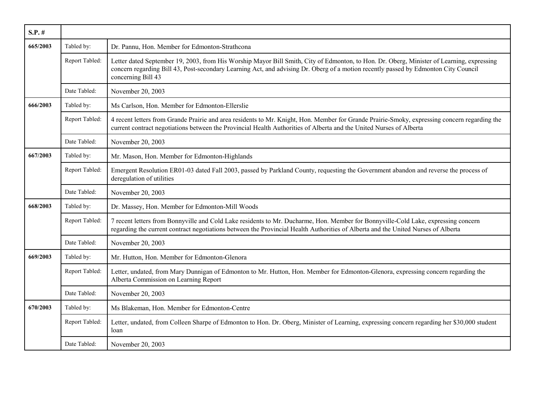| $S.P.$ # |                |                                                                                                                                                                                                                                                                                                        |
|----------|----------------|--------------------------------------------------------------------------------------------------------------------------------------------------------------------------------------------------------------------------------------------------------------------------------------------------------|
| 665/2003 | Tabled by:     | Dr. Pannu, Hon. Member for Edmonton-Strathcona                                                                                                                                                                                                                                                         |
|          | Report Tabled: | Letter dated September 19, 2003, from His Worship Mayor Bill Smith, City of Edmonton, to Hon. Dr. Oberg, Minister of Learning, expressing<br>concern regarding Bill 43, Post-secondary Learning Act, and advising Dr. Oberg of a motion recently passed by Edmonton City Council<br>concerning Bill 43 |
|          | Date Tabled:   | November 20, 2003                                                                                                                                                                                                                                                                                      |
| 666/2003 | Tabled by:     | Ms Carlson, Hon. Member for Edmonton-Ellerslie                                                                                                                                                                                                                                                         |
|          | Report Tabled: | 4 recent letters from Grande Prairie and area residents to Mr. Knight, Hon. Member for Grande Prairie-Smoky, expressing concern regarding the<br>current contract negotiations between the Provincial Health Authorities of Alberta and the United Nurses of Alberta                                   |
|          | Date Tabled:   | November 20, 2003                                                                                                                                                                                                                                                                                      |
| 667/2003 | Tabled by:     | Mr. Mason, Hon. Member for Edmonton-Highlands                                                                                                                                                                                                                                                          |
|          | Report Tabled: | Emergent Resolution ER01-03 dated Fall 2003, passed by Parkland County, requesting the Government abandon and reverse the process of<br>deregulation of utilities                                                                                                                                      |
|          | Date Tabled:   | November 20, 2003                                                                                                                                                                                                                                                                                      |
| 668/2003 | Tabled by:     | Dr. Massey, Hon. Member for Edmonton-Mill Woods                                                                                                                                                                                                                                                        |
|          | Report Tabled: | 7 recent letters from Bonnyville and Cold Lake residents to Mr. Ducharme, Hon. Member for Bonnyville-Cold Lake, expressing concern<br>regarding the current contract negotiations between the Provincial Health Authorities of Alberta and the United Nurses of Alberta                                |
|          | Date Tabled:   | November 20, 2003                                                                                                                                                                                                                                                                                      |
| 669/2003 | Tabled by:     | Mr. Hutton, Hon. Member for Edmonton-Glenora                                                                                                                                                                                                                                                           |
|          | Report Tabled: | Letter, undated, from Mary Dunnigan of Edmonton to Mr. Hutton, Hon. Member for Edmonton-Glenora, expressing concern regarding the<br>Alberta Commission on Learning Report                                                                                                                             |
|          | Date Tabled:   | November 20, 2003                                                                                                                                                                                                                                                                                      |
| 670/2003 | Tabled by:     | Ms Blakeman, Hon. Member for Edmonton-Centre                                                                                                                                                                                                                                                           |
|          | Report Tabled: | Letter, undated, from Colleen Sharpe of Edmonton to Hon. Dr. Oberg, Minister of Learning, expressing concern regarding her \$30,000 student<br>loan                                                                                                                                                    |
|          | Date Tabled:   | November 20, 2003                                                                                                                                                                                                                                                                                      |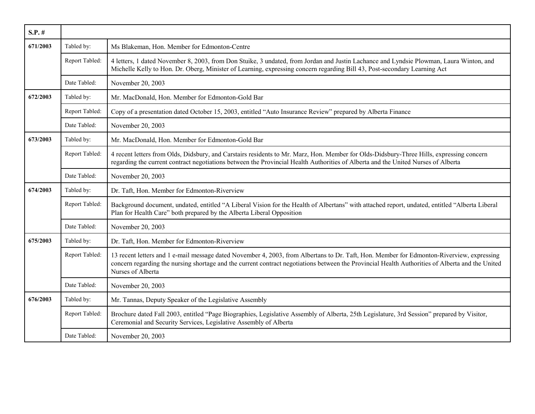| $S.P.$ # |                |                                                                                                                                                                                                                                                                                                                    |
|----------|----------------|--------------------------------------------------------------------------------------------------------------------------------------------------------------------------------------------------------------------------------------------------------------------------------------------------------------------|
| 671/2003 | Tabled by:     | Ms Blakeman, Hon. Member for Edmonton-Centre                                                                                                                                                                                                                                                                       |
|          | Report Tabled: | 4 letters, 1 dated November 8, 2003, from Don Stuike, 3 undated, from Jordan and Justin Lachance and Lyndsie Plowman, Laura Winton, and<br>Michelle Kelly to Hon. Dr. Oberg, Minister of Learning, expressing concern regarding Bill 43, Post-secondary Learning Act                                               |
|          | Date Tabled:   | November 20, 2003                                                                                                                                                                                                                                                                                                  |
| 672/2003 | Tabled by:     | Mr. MacDonald, Hon. Member for Edmonton-Gold Bar                                                                                                                                                                                                                                                                   |
|          | Report Tabled: | Copy of a presentation dated October 15, 2003, entitled "Auto Insurance Review" prepared by Alberta Finance                                                                                                                                                                                                        |
|          | Date Tabled:   | November 20, 2003                                                                                                                                                                                                                                                                                                  |
| 673/2003 | Tabled by:     | Mr. MacDonald, Hon. Member for Edmonton-Gold Bar                                                                                                                                                                                                                                                                   |
|          | Report Tabled: | 4 recent letters from Olds, Didsbury, and Carstairs residents to Mr. Marz, Hon. Member for Olds-Didsbury-Three Hills, expressing concern<br>regarding the current contract negotiations between the Provincial Health Authorities of Alberta and the United Nurses of Alberta                                      |
|          | Date Tabled:   | November 20, 2003                                                                                                                                                                                                                                                                                                  |
| 674/2003 | Tabled by:     | Dr. Taft, Hon. Member for Edmonton-Riverview                                                                                                                                                                                                                                                                       |
|          | Report Tabled: | Background document, undated, entitled "A Liberal Vision for the Health of Albertans" with attached report, undated, entitled "Alberta Liberal<br>Plan for Health Care" both prepared by the Alberta Liberal Opposition                                                                                            |
|          | Date Tabled:   | November 20, 2003                                                                                                                                                                                                                                                                                                  |
| 675/2003 | Tabled by:     | Dr. Taft, Hon. Member for Edmonton-Riverview                                                                                                                                                                                                                                                                       |
|          | Report Tabled: | 13 recent letters and 1 e-mail message dated November 4, 2003, from Albertans to Dr. Taft, Hon. Member for Edmonton-Riverview, expressing<br>concern regarding the nursing shortage and the current contract negotiations between the Provincial Health Authorities of Alberta and the United<br>Nurses of Alberta |
|          | Date Tabled:   | November 20, 2003                                                                                                                                                                                                                                                                                                  |
| 676/2003 | Tabled by:     | Mr. Tannas, Deputy Speaker of the Legislative Assembly                                                                                                                                                                                                                                                             |
|          | Report Tabled: | Brochure dated Fall 2003, entitled "Page Biographies, Legislative Assembly of Alberta, 25th Legislature, 3rd Session" prepared by Visitor,<br>Ceremonial and Security Services, Legislative Assembly of Alberta                                                                                                    |
|          | Date Tabled:   | November 20, 2003                                                                                                                                                                                                                                                                                                  |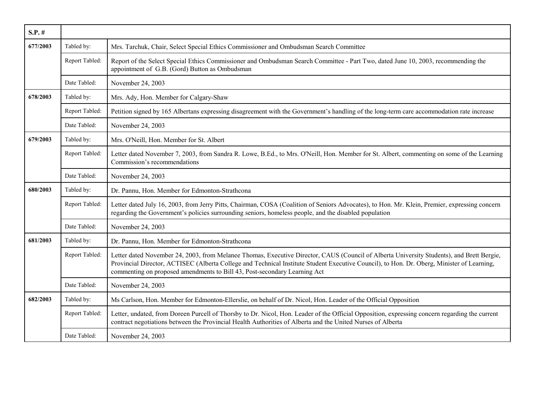| $S.P.$ # |                |                                                                                                                                                                                                                                                                                                                                                                      |
|----------|----------------|----------------------------------------------------------------------------------------------------------------------------------------------------------------------------------------------------------------------------------------------------------------------------------------------------------------------------------------------------------------------|
| 677/2003 | Tabled by:     | Mrs. Tarchuk, Chair, Select Special Ethics Commissioner and Ombudsman Search Committee                                                                                                                                                                                                                                                                               |
|          | Report Tabled: | Report of the Select Special Ethics Commissioner and Ombudsman Search Committee - Part Two, dated June 10, 2003, recommending the<br>appointment of G.B. (Gord) Button as Ombudsman                                                                                                                                                                                  |
|          | Date Tabled:   | November 24, 2003                                                                                                                                                                                                                                                                                                                                                    |
| 678/2003 | Tabled by:     | Mrs. Ady, Hon. Member for Calgary-Shaw                                                                                                                                                                                                                                                                                                                               |
|          | Report Tabled: | Petition signed by 165 Albertans expressing disagreement with the Government's handling of the long-term care accommodation rate increase                                                                                                                                                                                                                            |
|          | Date Tabled:   | November 24, 2003                                                                                                                                                                                                                                                                                                                                                    |
| 679/2003 | Tabled by:     | Mrs. O'Neill, Hon. Member for St. Albert                                                                                                                                                                                                                                                                                                                             |
|          | Report Tabled: | Letter dated November 7, 2003, from Sandra R. Lowe, B.Ed., to Mrs. O'Neill, Hon. Member for St. Albert, commenting on some of the Learning<br>Commission's recommendations                                                                                                                                                                                           |
|          | Date Tabled:   | November 24, 2003                                                                                                                                                                                                                                                                                                                                                    |
| 680/2003 | Tabled by:     | Dr. Pannu, Hon. Member for Edmonton-Strathcona                                                                                                                                                                                                                                                                                                                       |
|          | Report Tabled: | Letter dated July 16, 2003, from Jerry Pitts, Chairman, COSA (Coalition of Seniors Advocates), to Hon. Mr. Klein, Premier, expressing concern<br>regarding the Government's policies surrounding seniors, homeless people, and the disabled population                                                                                                               |
|          | Date Tabled:   | November 24, 2003                                                                                                                                                                                                                                                                                                                                                    |
| 681/2003 | Tabled by:     | Dr. Pannu, Hon. Member for Edmonton-Strathcona                                                                                                                                                                                                                                                                                                                       |
|          | Report Tabled: | Letter dated November 24, 2003, from Melanee Thomas, Executive Director, CAUS (Council of Alberta University Students), and Brett Bergie,<br>Provincial Director, ACTISEC (Alberta College and Technical Institute Student Executive Council), to Hon. Dr. Oberg, Minister of Learning,<br>commenting on proposed amendments to Bill 43, Post-secondary Learning Act |
|          | Date Tabled:   | November 24, 2003                                                                                                                                                                                                                                                                                                                                                    |
| 682/2003 | Tabled by:     | Ms Carlson, Hon. Member for Edmonton-Ellerslie, on behalf of Dr. Nicol, Hon. Leader of the Official Opposition                                                                                                                                                                                                                                                       |
|          | Report Tabled: | Letter, undated, from Doreen Purcell of Thorsby to Dr. Nicol, Hon. Leader of the Official Opposition, expressing concern regarding the current<br>contract negotiations between the Provincial Health Authorities of Alberta and the United Nurses of Alberta                                                                                                        |
|          | Date Tabled:   | November 24, 2003                                                                                                                                                                                                                                                                                                                                                    |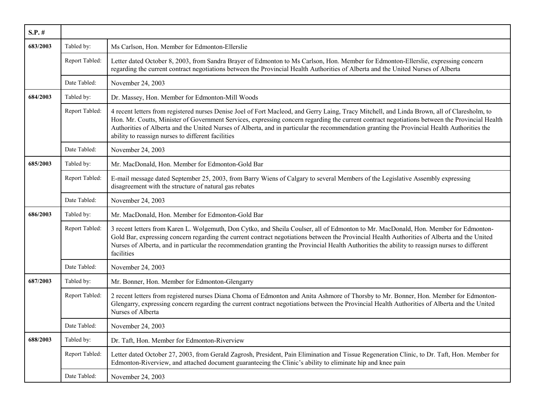| $S.P.$ # |                |                                                                                                                                                                                                                                                                                                                                                                                                                                                                                                      |
|----------|----------------|------------------------------------------------------------------------------------------------------------------------------------------------------------------------------------------------------------------------------------------------------------------------------------------------------------------------------------------------------------------------------------------------------------------------------------------------------------------------------------------------------|
| 683/2003 | Tabled by:     | Ms Carlson, Hon. Member for Edmonton-Ellerslie                                                                                                                                                                                                                                                                                                                                                                                                                                                       |
|          | Report Tabled: | Letter dated October 8, 2003, from Sandra Brayer of Edmonton to Ms Carlson, Hon. Member for Edmonton-Ellerslie, expressing concern<br>regarding the current contract negotiations between the Provincial Health Authorities of Alberta and the United Nurses of Alberta                                                                                                                                                                                                                              |
|          | Date Tabled:   | November 24, 2003                                                                                                                                                                                                                                                                                                                                                                                                                                                                                    |
| 684/2003 | Tabled by:     | Dr. Massey, Hon. Member for Edmonton-Mill Woods                                                                                                                                                                                                                                                                                                                                                                                                                                                      |
|          | Report Tabled: | 4 recent letters from registered nurses Denise Joel of Fort Macleod, and Gerry Laing, Tracy Mitchell, and Linda Brown, all of Claresholm, to<br>Hon. Mr. Coutts, Minister of Government Services, expressing concern regarding the current contract negotiations between the Provincial Health<br>Authorities of Alberta and the United Nurses of Alberta, and in particular the recommendation granting the Provincial Health Authorities the<br>ability to reassign nurses to different facilities |
|          | Date Tabled:   | November 24, 2003                                                                                                                                                                                                                                                                                                                                                                                                                                                                                    |
| 685/2003 | Tabled by:     | Mr. MacDonald, Hon. Member for Edmonton-Gold Bar                                                                                                                                                                                                                                                                                                                                                                                                                                                     |
|          | Report Tabled: | E-mail message dated September 25, 2003, from Barry Wiens of Calgary to several Members of the Legislative Assembly expressing<br>disagreement with the structure of natural gas rebates                                                                                                                                                                                                                                                                                                             |
|          | Date Tabled:   | November 24, 2003                                                                                                                                                                                                                                                                                                                                                                                                                                                                                    |
| 686/2003 | Tabled by:     | Mr. MacDonald, Hon. Member for Edmonton-Gold Bar                                                                                                                                                                                                                                                                                                                                                                                                                                                     |
|          | Report Tabled: | 3 recent letters from Karen L. Wolgemuth, Don Cytko, and Sheila Coulser, all of Edmonton to Mr. MacDonald, Hon. Member for Edmonton-<br>Gold Bar, expressing concern regarding the current contract negotiations between the Provincial Health Authorities of Alberta and the United<br>Nurses of Alberta, and in particular the recommendation granting the Provincial Health Authorities the ability to reassign nurses to different<br>facilities                                                 |
|          | Date Tabled:   | November 24, 2003                                                                                                                                                                                                                                                                                                                                                                                                                                                                                    |
| 687/2003 | Tabled by:     | Mr. Bonner, Hon. Member for Edmonton-Glengarry                                                                                                                                                                                                                                                                                                                                                                                                                                                       |
|          | Report Tabled: | 2 recent letters from registered nurses Diana Choma of Edmonton and Anita Ashmore of Thorsby to Mr. Bonner, Hon. Member for Edmonton-<br>Glengarry, expressing concern regarding the current contract negotiations between the Provincial Health Authorities of Alberta and the United<br>Nurses of Alberta                                                                                                                                                                                          |
|          | Date Tabled:   | November 24, 2003                                                                                                                                                                                                                                                                                                                                                                                                                                                                                    |
| 688/2003 | Tabled by:     | Dr. Taft, Hon. Member for Edmonton-Riverview                                                                                                                                                                                                                                                                                                                                                                                                                                                         |
|          | Report Tabled: | Letter dated October 27, 2003, from Gerald Zagrosh, President, Pain Elimination and Tissue Regeneration Clinic, to Dr. Taft, Hon. Member for<br>Edmonton-Riverview, and attached document guaranteeing the Clinic's ability to eliminate hip and knee pain                                                                                                                                                                                                                                           |
|          | Date Tabled:   | November 24, 2003                                                                                                                                                                                                                                                                                                                                                                                                                                                                                    |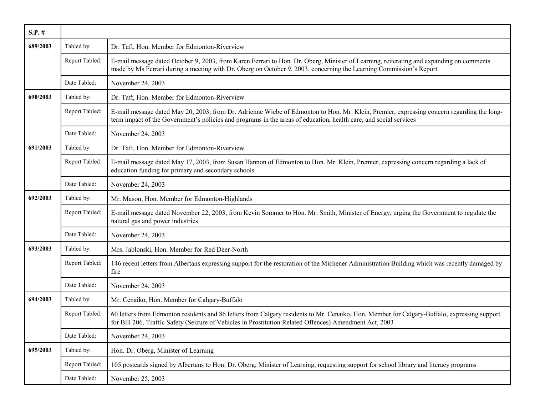| $S.P.$ # |                |                                                                                                                                                                                                                                                                |
|----------|----------------|----------------------------------------------------------------------------------------------------------------------------------------------------------------------------------------------------------------------------------------------------------------|
| 689/2003 | Tabled by:     | Dr. Taft, Hon. Member for Edmonton-Riverview                                                                                                                                                                                                                   |
|          | Report Tabled: | E-mail message dated October 9, 2003, from Karen Ferrari to Hon. Dr. Oberg, Minister of Learning, reiterating and expanding on comments<br>made by Ms Ferrari during a meeting with Dr. Oberg on October 9, 2003, concerning the Learning Commission's Report  |
|          | Date Tabled:   | November 24, 2003                                                                                                                                                                                                                                              |
| 690/2003 | Tabled by:     | Dr. Taft, Hon. Member for Edmonton-Riverview                                                                                                                                                                                                                   |
|          | Report Tabled: | E-mail message dated May 20, 2003, from Dr. Adrienne Wiebe of Edmonton to Hon. Mr. Klein, Premier, expressing concern regarding the long-<br>term impact of the Government's policies and programs in the areas of education, health care, and social services |
|          | Date Tabled:   | November 24, 2003                                                                                                                                                                                                                                              |
| 691/2003 | Tabled by:     | Dr. Taft, Hon. Member for Edmonton-Riverview                                                                                                                                                                                                                   |
|          | Report Tabled: | E-mail message dated May 17, 2003, from Susan Hannon of Edmonton to Hon. Mr. Klein, Premier, expressing concern regarding a lack of<br>education funding for primary and secondary schools                                                                     |
|          | Date Tabled:   | November 24, 2003                                                                                                                                                                                                                                              |
| 692/2003 | Tabled by:     | Mr. Mason, Hon. Member for Edmonton-Highlands                                                                                                                                                                                                                  |
|          | Report Tabled: | E-mail message dated November 22, 2003, from Kevin Sommer to Hon. Mr. Smith, Minister of Energy, urging the Government to regulate the<br>natural gas and power industries                                                                                     |
|          | Date Tabled:   | November 24, 2003                                                                                                                                                                                                                                              |
| 693/2003 | Tabled by:     | Mrs. Jablonski, Hon. Member for Red Deer-North                                                                                                                                                                                                                 |
|          | Report Tabled: | 146 recent letters from Albertans expressing support for the restoration of the Michener Administration Building which was recently damaged by<br>fire                                                                                                         |
|          | Date Tabled:   | November 24, 2003                                                                                                                                                                                                                                              |
| 694/2003 | Tabled by:     | Mr. Cenaiko, Hon. Member for Calgary-Buffalo                                                                                                                                                                                                                   |
|          | Report Tabled: | 60 letters from Edmonton residents and 86 letters from Calgary residents to Mr. Cenaiko, Hon. Member for Calgary-Buffalo, expressing support<br>for Bill 206, Traffic Safety (Seizure of Vehicles in Prostitution Related Offences) Amendment Act, 2003        |
|          | Date Tabled:   | November 24, 2003                                                                                                                                                                                                                                              |
| 695/2003 | Tabled by:     | Hon. Dr. Oberg, Minister of Learning                                                                                                                                                                                                                           |
|          | Report Tabled: | 105 postcards signed by Albertans to Hon. Dr. Oberg, Minister of Learning, requesting support for school library and literacy programs                                                                                                                         |
|          | Date Tabled:   | November 25, 2003                                                                                                                                                                                                                                              |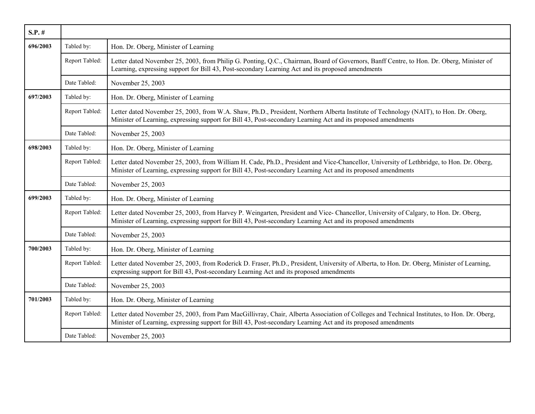| $S.P.$ # |                |                                                                                                                                                                                                                                                             |
|----------|----------------|-------------------------------------------------------------------------------------------------------------------------------------------------------------------------------------------------------------------------------------------------------------|
| 696/2003 | Tabled by:     | Hon. Dr. Oberg, Minister of Learning                                                                                                                                                                                                                        |
|          | Report Tabled: | Letter dated November 25, 2003, from Philip G. Ponting, Q.C., Chairman, Board of Governors, Banff Centre, to Hon. Dr. Oberg, Minister of<br>Learning, expressing support for Bill 43, Post-secondary Learning Act and its proposed amendments               |
|          | Date Tabled:   | November 25, 2003                                                                                                                                                                                                                                           |
| 697/2003 | Tabled by:     | Hon. Dr. Oberg, Minister of Learning                                                                                                                                                                                                                        |
|          | Report Tabled: | Letter dated November 25, 2003, from W.A. Shaw, Ph.D., President, Northern Alberta Institute of Technology (NAIT), to Hon. Dr. Oberg,<br>Minister of Learning, expressing support for Bill 43, Post-secondary Learning Act and its proposed amendments      |
|          | Date Tabled:   | November 25, 2003                                                                                                                                                                                                                                           |
| 698/2003 | Tabled by:     | Hon. Dr. Oberg, Minister of Learning                                                                                                                                                                                                                        |
|          | Report Tabled: | Letter dated November 25, 2003, from William H. Cade, Ph.D., President and Vice-Chancellor, University of Lethbridge, to Hon. Dr. Oberg,<br>Minister of Learning, expressing support for Bill 43, Post-secondary Learning Act and its proposed amendments   |
|          | Date Tabled:   | November 25, 2003                                                                                                                                                                                                                                           |
| 699/2003 | Tabled by:     | Hon. Dr. Oberg, Minister of Learning                                                                                                                                                                                                                        |
|          | Report Tabled: | Letter dated November 25, 2003, from Harvey P. Weingarten, President and Vice-Chancellor, University of Calgary, to Hon. Dr. Oberg,<br>Minister of Learning, expressing support for Bill 43, Post-secondary Learning Act and its proposed amendments        |
|          | Date Tabled:   | November 25, 2003                                                                                                                                                                                                                                           |
| 700/2003 | Tabled by:     | Hon. Dr. Oberg, Minister of Learning                                                                                                                                                                                                                        |
|          | Report Tabled: | Letter dated November 25, 2003, from Roderick D. Fraser, Ph.D., President, University of Alberta, to Hon. Dr. Oberg, Minister of Learning,<br>expressing support for Bill 43, Post-secondary Learning Act and its proposed amendments                       |
|          | Date Tabled:   | November 25, 2003                                                                                                                                                                                                                                           |
| 701/2003 | Tabled by:     | Hon. Dr. Oberg, Minister of Learning                                                                                                                                                                                                                        |
|          | Report Tabled: | Letter dated November 25, 2003, from Pam MacGillivray, Chair, Alberta Association of Colleges and Technical Institutes, to Hon. Dr. Oberg,<br>Minister of Learning, expressing support for Bill 43, Post-secondary Learning Act and its proposed amendments |
|          | Date Tabled:   | November 25, 2003                                                                                                                                                                                                                                           |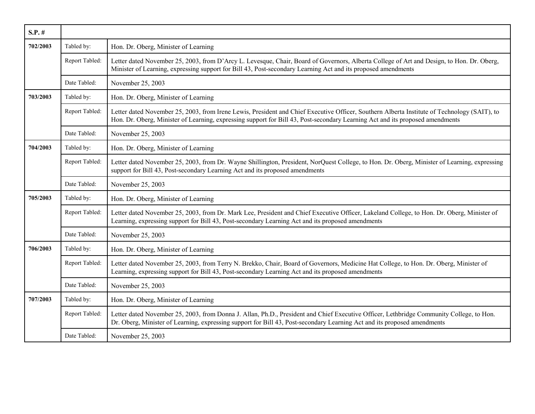| $S.P.$ # |                |                                                                                                                                                                                                                                                                               |
|----------|----------------|-------------------------------------------------------------------------------------------------------------------------------------------------------------------------------------------------------------------------------------------------------------------------------|
| 702/2003 | Tabled by:     | Hon. Dr. Oberg, Minister of Learning                                                                                                                                                                                                                                          |
|          | Report Tabled: | Letter dated November 25, 2003, from D'Arcy L. Levesque, Chair, Board of Governors, Alberta College of Art and Design, to Hon. Dr. Oberg,<br>Minister of Learning, expressing support for Bill 43, Post-secondary Learning Act and its proposed amendments                    |
|          | Date Tabled:   | November 25, 2003                                                                                                                                                                                                                                                             |
| 703/2003 | Tabled by:     | Hon. Dr. Oberg, Minister of Learning                                                                                                                                                                                                                                          |
|          | Report Tabled: | Letter dated November 25, 2003, from Irene Lewis, President and Chief Executive Officer, Southern Alberta Institute of Technology (SAIT), to<br>Hon. Dr. Oberg, Minister of Learning, expressing support for Bill 43, Post-secondary Learning Act and its proposed amendments |
|          | Date Tabled:   | November 25, 2003                                                                                                                                                                                                                                                             |
| 704/2003 | Tabled by:     | Hon. Dr. Oberg, Minister of Learning                                                                                                                                                                                                                                          |
|          | Report Tabled: | Letter dated November 25, 2003, from Dr. Wayne Shillington, President, NorQuest College, to Hon. Dr. Oberg, Minister of Learning, expressing<br>support for Bill 43, Post-secondary Learning Act and its proposed amendments                                                  |
|          | Date Tabled:   | November 25, 2003                                                                                                                                                                                                                                                             |
| 705/2003 | Tabled by:     | Hon. Dr. Oberg, Minister of Learning                                                                                                                                                                                                                                          |
|          | Report Tabled: | Letter dated November 25, 2003, from Dr. Mark Lee, President and Chief Executive Officer, Lakeland College, to Hon. Dr. Oberg, Minister of<br>Learning, expressing support for Bill 43, Post-secondary Learning Act and its proposed amendments                               |
|          | Date Tabled:   | November 25, 2003                                                                                                                                                                                                                                                             |
| 706/2003 | Tabled by:     | Hon. Dr. Oberg, Minister of Learning                                                                                                                                                                                                                                          |
|          | Report Tabled: | Letter dated November 25, 2003, from Terry N. Brekko, Chair, Board of Governors, Medicine Hat College, to Hon. Dr. Oberg, Minister of<br>Learning, expressing support for Bill 43, Post-secondary Learning Act and its proposed amendments                                    |
|          | Date Tabled:   | November 25, 2003                                                                                                                                                                                                                                                             |
| 707/2003 | Tabled by:     | Hon. Dr. Oberg, Minister of Learning                                                                                                                                                                                                                                          |
|          | Report Tabled: | Letter dated November 25, 2003, from Donna J. Allan, Ph.D., President and Chief Executive Officer, Lethbridge Community College, to Hon.<br>Dr. Oberg, Minister of Learning, expressing support for Bill 43, Post-secondary Learning Act and its proposed amendments          |
|          | Date Tabled:   | November 25, 2003                                                                                                                                                                                                                                                             |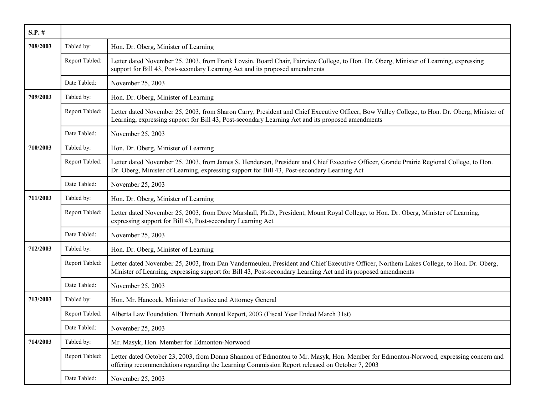| $S.P.$ # |                |                                                                                                                                                                                                                                                           |
|----------|----------------|-----------------------------------------------------------------------------------------------------------------------------------------------------------------------------------------------------------------------------------------------------------|
| 708/2003 | Tabled by:     | Hon. Dr. Oberg, Minister of Learning                                                                                                                                                                                                                      |
|          | Report Tabled: | Letter dated November 25, 2003, from Frank Lovsin, Board Chair, Fairview College, to Hon. Dr. Oberg, Minister of Learning, expressing<br>support for Bill 43, Post-secondary Learning Act and its proposed amendments                                     |
|          | Date Tabled:   | November 25, 2003                                                                                                                                                                                                                                         |
| 709/2003 | Tabled by:     | Hon. Dr. Oberg, Minister of Learning                                                                                                                                                                                                                      |
|          | Report Tabled: | Letter dated November 25, 2003, from Sharon Carry, President and Chief Executive Officer, Bow Valley College, to Hon. Dr. Oberg, Minister of<br>Learning, expressing support for Bill 43, Post-secondary Learning Act and its proposed amendments         |
|          | Date Tabled:   | November 25, 2003                                                                                                                                                                                                                                         |
| 710/2003 | Tabled by:     | Hon. Dr. Oberg, Minister of Learning                                                                                                                                                                                                                      |
|          | Report Tabled: | Letter dated November 25, 2003, from James S. Henderson, President and Chief Executive Officer, Grande Prairie Regional College, to Hon.<br>Dr. Oberg, Minister of Learning, expressing support for Bill 43, Post-secondary Learning Act                  |
|          | Date Tabled:   | November 25, 2003                                                                                                                                                                                                                                         |
| 711/2003 | Tabled by:     | Hon. Dr. Oberg, Minister of Learning                                                                                                                                                                                                                      |
|          | Report Tabled: | Letter dated November 25, 2003, from Dave Marshall, Ph.D., President, Mount Royal College, to Hon. Dr. Oberg, Minister of Learning,<br>expressing support for Bill 43, Post-secondary Learning Act                                                        |
|          | Date Tabled:   | November 25, 2003                                                                                                                                                                                                                                         |
| 712/2003 | Tabled by:     | Hon. Dr. Oberg, Minister of Learning                                                                                                                                                                                                                      |
|          | Report Tabled: | Letter dated November 25, 2003, from Dan Vandermeulen, President and Chief Executive Officer, Northern Lakes College, to Hon. Dr. Oberg,<br>Minister of Learning, expressing support for Bill 43, Post-secondary Learning Act and its proposed amendments |
|          | Date Tabled:   | November 25, 2003                                                                                                                                                                                                                                         |
| 713/2003 | Tabled by:     | Hon. Mr. Hancock, Minister of Justice and Attorney General                                                                                                                                                                                                |
|          | Report Tabled: | Alberta Law Foundation, Thirtieth Annual Report, 2003 (Fiscal Year Ended March 31st)                                                                                                                                                                      |
|          | Date Tabled:   | November 25, 2003                                                                                                                                                                                                                                         |
| 714/2003 | Tabled by:     | Mr. Masyk, Hon. Member for Edmonton-Norwood                                                                                                                                                                                                               |
|          | Report Tabled: | Letter dated October 23, 2003, from Donna Shannon of Edmonton to Mr. Masyk, Hon. Member for Edmonton-Norwood, expressing concern and<br>offering recommendations regarding the Learning Commission Report released on October 7, 2003                     |
|          | Date Tabled:   | November 25, 2003                                                                                                                                                                                                                                         |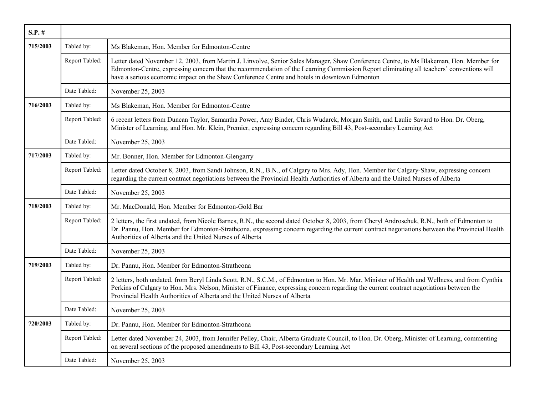| $S.P.$ # |                |                                                                                                                                                                                                                                                                                                                                                                                    |
|----------|----------------|------------------------------------------------------------------------------------------------------------------------------------------------------------------------------------------------------------------------------------------------------------------------------------------------------------------------------------------------------------------------------------|
| 715/2003 | Tabled by:     | Ms Blakeman, Hon. Member for Edmonton-Centre                                                                                                                                                                                                                                                                                                                                       |
|          | Report Tabled: | Letter dated November 12, 2003, from Martin J. Linvolve, Senior Sales Manager, Shaw Conference Centre, to Ms Blakeman, Hon. Member for<br>Edmonton-Centre, expressing concern that the recommendation of the Learning Commission Report eliminating all teachers' conventions will<br>have a serious economic impact on the Shaw Conference Centre and hotels in downtown Edmonton |
|          | Date Tabled:   | November 25, 2003                                                                                                                                                                                                                                                                                                                                                                  |
| 716/2003 | Tabled by:     | Ms Blakeman, Hon. Member for Edmonton-Centre                                                                                                                                                                                                                                                                                                                                       |
|          | Report Tabled: | 6 recent letters from Duncan Taylor, Samantha Power, Amy Binder, Chris Wudarck, Morgan Smith, and Laulie Savard to Hon. Dr. Oberg,<br>Minister of Learning, and Hon. Mr. Klein, Premier, expressing concern regarding Bill 43, Post-secondary Learning Act                                                                                                                         |
|          | Date Tabled:   | November 25, 2003                                                                                                                                                                                                                                                                                                                                                                  |
| 717/2003 | Tabled by:     | Mr. Bonner, Hon. Member for Edmonton-Glengarry                                                                                                                                                                                                                                                                                                                                     |
|          | Report Tabled: | Letter dated October 8, 2003, from Sandi Johnson, R.N., B.N., of Calgary to Mrs. Ady, Hon. Member for Calgary-Shaw, expressing concern<br>regarding the current contract negotiations between the Provincial Health Authorities of Alberta and the United Nurses of Alberta                                                                                                        |
|          | Date Tabled:   | November 25, 2003                                                                                                                                                                                                                                                                                                                                                                  |
| 718/2003 | Tabled by:     | Mr. MacDonald, Hon. Member for Edmonton-Gold Bar                                                                                                                                                                                                                                                                                                                                   |
|          | Report Tabled: | 2 letters, the first undated, from Nicole Barnes, R.N., the second dated October 8, 2003, from Cheryl Androschuk, R.N., both of Edmonton to<br>Dr. Pannu, Hon. Member for Edmonton-Strathcona, expressing concern regarding the current contract negotiations between the Provincial Health<br>Authorities of Alberta and the United Nurses of Alberta                             |
|          | Date Tabled:   | November 25, 2003                                                                                                                                                                                                                                                                                                                                                                  |
| 719/2003 | Tabled by:     | Dr. Pannu, Hon. Member for Edmonton-Strathcona                                                                                                                                                                                                                                                                                                                                     |
|          | Report Tabled: | 2 letters, both undated, from Beryl Linda Scott, R.N., S.C.M., of Edmonton to Hon. Mr. Mar, Minister of Health and Wellness, and from Cynthia<br>Perkins of Calgary to Hon. Mrs. Nelson, Minister of Finance, expressing concern regarding the current contract negotiations between the<br>Provincial Health Authorities of Alberta and the United Nurses of Alberta              |
|          | Date Tabled:   | November 25, 2003                                                                                                                                                                                                                                                                                                                                                                  |
| 720/2003 | Tabled by:     | Dr. Pannu, Hon. Member for Edmonton-Strathcona                                                                                                                                                                                                                                                                                                                                     |
|          | Report Tabled: | Letter dated November 24, 2003, from Jennifer Pelley, Chair, Alberta Graduate Council, to Hon. Dr. Oberg, Minister of Learning, commenting<br>on several sections of the proposed amendments to Bill 43, Post-secondary Learning Act                                                                                                                                               |
|          | Date Tabled:   | November 25, 2003                                                                                                                                                                                                                                                                                                                                                                  |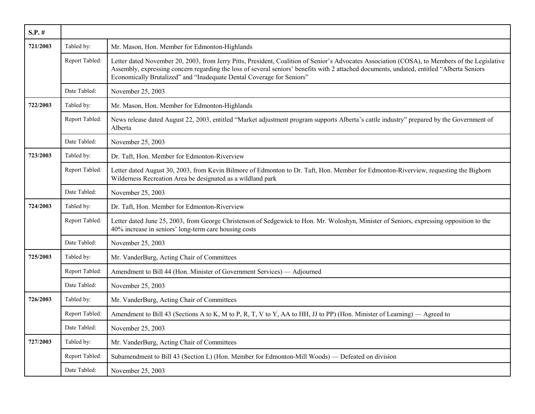| $S.P.$ # |                |                                                                                                                                                                                                                                                                                                                                                                        |
|----------|----------------|------------------------------------------------------------------------------------------------------------------------------------------------------------------------------------------------------------------------------------------------------------------------------------------------------------------------------------------------------------------------|
| 721/2003 | Tabled by:     | Mr. Mason, Hon. Member for Edmonton-Highlands                                                                                                                                                                                                                                                                                                                          |
|          | Report Tabled: | Letter dated November 20, 2003, from Jerry Pitts, President, Coalition of Senior's Advocates Association (COSA), to Members of the Legislative<br>Assembly, expressing concern regarding the loss of several seniors' benefits with 2 attached documents, undated, entitled "Alberta Seniors"<br>Economically Brutalized" and "Inadequate Dental Coverage for Seniors" |
|          | Date Tabled:   | November 25, 2003                                                                                                                                                                                                                                                                                                                                                      |
| 722/2003 | Tabled by:     | Mr. Mason, Hon. Member for Edmonton-Highlands                                                                                                                                                                                                                                                                                                                          |
|          | Report Tabled: | News release dated August 22, 2003, entitled "Market adjustment program supports Alberta's cattle industry" prepared by the Government of<br>Alberta                                                                                                                                                                                                                   |
|          | Date Tabled:   | November 25, 2003                                                                                                                                                                                                                                                                                                                                                      |
| 723/2003 | Tabled by:     | Dr. Taft, Hon. Member for Edmonton-Riverview                                                                                                                                                                                                                                                                                                                           |
|          | Report Tabled: | Letter dated August 30, 2003, from Kevin Bilmore of Edmonton to Dr. Taft, Hon. Member for Edmonton-Riverview, requesting the Bighorn<br>Wilderness Recreation Area be designated as a wildland park                                                                                                                                                                    |
|          | Date Tabled:   | November 25, 2003                                                                                                                                                                                                                                                                                                                                                      |
| 724/2003 | Tabled by:     | Dr. Taft, Hon. Member for Edmonton-Riverview                                                                                                                                                                                                                                                                                                                           |
|          | Report Tabled: | Letter dated June 25, 2003, from George Christenson of Sedgewick to Hon. Mr. Woloshyn, Minister of Seniors, expressing opposition to the<br>40% increase in seniors' long-term care housing costs                                                                                                                                                                      |
|          | Date Tabled:   | November 25, 2003                                                                                                                                                                                                                                                                                                                                                      |
| 725/2003 | Tabled by:     | Mr. VanderBurg, Acting Chair of Committees                                                                                                                                                                                                                                                                                                                             |
|          | Report Tabled: | Amendment to Bill 44 (Hon. Minister of Government Services) — Adjourned                                                                                                                                                                                                                                                                                                |
|          | Date Tabled:   | November 25, 2003                                                                                                                                                                                                                                                                                                                                                      |
| 726/2003 | Tabled by:     | Mr. VanderBurg, Acting Chair of Committees                                                                                                                                                                                                                                                                                                                             |
|          | Report Tabled: | Amendment to Bill 43 (Sections A to K, M to P, R, T, V to Y, AA to HH, JJ to PP) (Hon. Minister of Learning) — Agreed to                                                                                                                                                                                                                                               |
|          | Date Tabled:   | November 25, 2003                                                                                                                                                                                                                                                                                                                                                      |
| 727/2003 | Tabled by:     | Mr. VanderBurg, Acting Chair of Committees                                                                                                                                                                                                                                                                                                                             |
|          | Report Tabled: | Subamendment to Bill 43 (Section L) (Hon. Member for Edmonton-Mill Woods) — Defeated on division                                                                                                                                                                                                                                                                       |
|          | Date Tabled:   | November 25, 2003                                                                                                                                                                                                                                                                                                                                                      |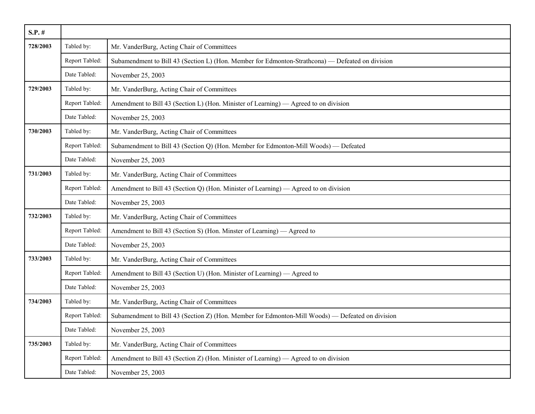| $S.P.$ # |                |                                                                                                  |
|----------|----------------|--------------------------------------------------------------------------------------------------|
| 728/2003 | Tabled by:     | Mr. VanderBurg, Acting Chair of Committees                                                       |
|          | Report Tabled: | Subamendment to Bill 43 (Section L) (Hon. Member for Edmonton-Strathcona) — Defeated on division |
|          | Date Tabled:   | November 25, 2003                                                                                |
| 729/2003 | Tabled by:     | Mr. VanderBurg, Acting Chair of Committees                                                       |
|          | Report Tabled: | Amendment to Bill 43 (Section L) (Hon. Minister of Learning) — Agreed to on division             |
|          | Date Tabled:   | November 25, 2003                                                                                |
| 730/2003 | Tabled by:     | Mr. VanderBurg, Acting Chair of Committees                                                       |
|          | Report Tabled: | Subamendment to Bill 43 (Section Q) (Hon. Member for Edmonton-Mill Woods) — Defeated             |
|          | Date Tabled:   | November 25, 2003                                                                                |
| 731/2003 | Tabled by:     | Mr. VanderBurg, Acting Chair of Committees                                                       |
|          | Report Tabled: | Amendment to Bill 43 (Section Q) (Hon. Minister of Learning) — Agreed to on division             |
|          | Date Tabled:   | November 25, 2003                                                                                |
| 732/2003 | Tabled by:     | Mr. VanderBurg, Acting Chair of Committees                                                       |
|          | Report Tabled: | Amendment to Bill 43 (Section S) (Hon. Minster of Learning) — Agreed to                          |
|          | Date Tabled:   | November 25, 2003                                                                                |
| 733/2003 | Tabled by:     | Mr. VanderBurg, Acting Chair of Committees                                                       |
|          | Report Tabled: | Amendment to Bill 43 (Section U) (Hon. Minister of Learning) — Agreed to                         |
|          | Date Tabled:   | November 25, 2003                                                                                |
| 734/2003 | Tabled by:     | Mr. VanderBurg, Acting Chair of Committees                                                       |
|          | Report Tabled: | Subamendment to Bill 43 (Section Z) (Hon. Member for Edmonton-Mill Woods) — Defeated on division |
|          | Date Tabled:   | November 25, 2003                                                                                |
| 735/2003 | Tabled by:     | Mr. VanderBurg, Acting Chair of Committees                                                       |
|          | Report Tabled: | Amendment to Bill 43 (Section Z) (Hon. Minister of Learning) — Agreed to on division             |
|          | Date Tabled:   | November 25, 2003                                                                                |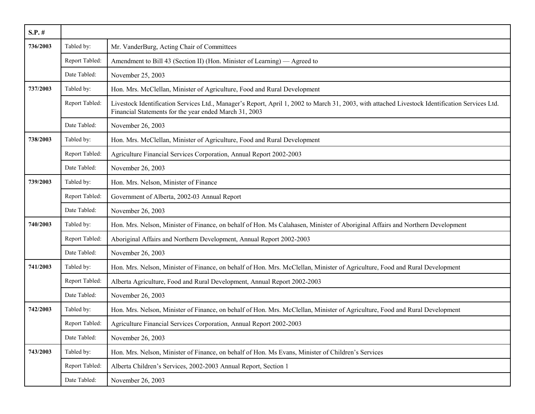| $S.P.$ # |                |                                                                                                                                                                                                           |
|----------|----------------|-----------------------------------------------------------------------------------------------------------------------------------------------------------------------------------------------------------|
| 736/2003 | Tabled by:     | Mr. VanderBurg, Acting Chair of Committees                                                                                                                                                                |
|          | Report Tabled: | Amendment to Bill 43 (Section II) (Hon. Minister of Learning) — Agreed to                                                                                                                                 |
|          | Date Tabled:   | November 25, 2003                                                                                                                                                                                         |
| 737/2003 | Tabled by:     | Hon. Mrs. McClellan, Minister of Agriculture, Food and Rural Development                                                                                                                                  |
|          | Report Tabled: | Livestock Identification Services Ltd., Manager's Report, April 1, 2002 to March 31, 2003, with attached Livestock Identification Services Ltd.<br>Financial Statements for the year ended March 31, 2003 |
|          | Date Tabled:   | November 26, 2003                                                                                                                                                                                         |
| 738/2003 | Tabled by:     | Hon. Mrs. McClellan, Minister of Agriculture, Food and Rural Development                                                                                                                                  |
|          | Report Tabled: | Agriculture Financial Services Corporation, Annual Report 2002-2003                                                                                                                                       |
|          | Date Tabled:   | November 26, 2003                                                                                                                                                                                         |
| 739/2003 | Tabled by:     | Hon. Mrs. Nelson, Minister of Finance                                                                                                                                                                     |
|          | Report Tabled: | Government of Alberta, 2002-03 Annual Report                                                                                                                                                              |
|          | Date Tabled:   | November 26, 2003                                                                                                                                                                                         |
| 740/2003 | Tabled by:     | Hon. Mrs. Nelson, Minister of Finance, on behalf of Hon. Ms Calahasen, Minister of Aboriginal Affairs and Northern Development                                                                            |
|          | Report Tabled: | Aboriginal Affairs and Northern Development, Annual Report 2002-2003                                                                                                                                      |
|          | Date Tabled:   | November 26, 2003                                                                                                                                                                                         |
| 741/2003 | Tabled by:     | Hon. Mrs. Nelson, Minister of Finance, on behalf of Hon. Mrs. McClellan, Minister of Agriculture, Food and Rural Development                                                                              |
|          | Report Tabled: | Alberta Agriculture, Food and Rural Development, Annual Report 2002-2003                                                                                                                                  |
|          | Date Tabled:   | November 26, 2003                                                                                                                                                                                         |
| 742/2003 | Tabled by:     | Hon. Mrs. Nelson, Minister of Finance, on behalf of Hon. Mrs. McClellan, Minister of Agriculture, Food and Rural Development                                                                              |
|          | Report Tabled: | Agriculture Financial Services Corporation, Annual Report 2002-2003                                                                                                                                       |
|          | Date Tabled:   | November 26, 2003                                                                                                                                                                                         |
| 743/2003 | Tabled by:     | Hon. Mrs. Nelson, Minister of Finance, on behalf of Hon. Ms Evans, Minister of Children's Services                                                                                                        |
|          | Report Tabled: | Alberta Children's Services, 2002-2003 Annual Report, Section 1                                                                                                                                           |
|          | Date Tabled:   | November 26, 2003                                                                                                                                                                                         |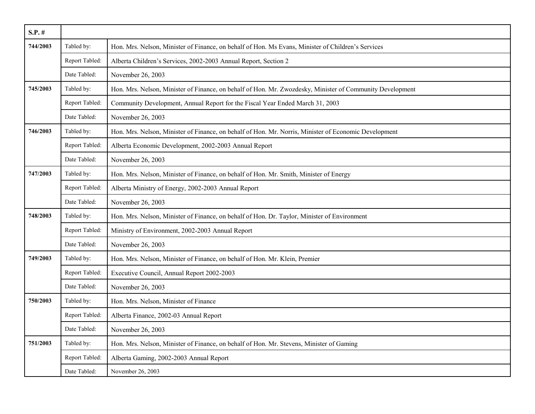| $S.P.$ # |                |                                                                                                           |
|----------|----------------|-----------------------------------------------------------------------------------------------------------|
| 744/2003 | Tabled by:     | Hon. Mrs. Nelson, Minister of Finance, on behalf of Hon. Ms Evans, Minister of Children's Services        |
|          | Report Tabled: | Alberta Children's Services, 2002-2003 Annual Report, Section 2                                           |
|          | Date Tabled:   | November 26, 2003                                                                                         |
| 745/2003 | Tabled by:     | Hon. Mrs. Nelson, Minister of Finance, on behalf of Hon. Mr. Zwozdesky, Minister of Community Development |
|          | Report Tabled: | Community Development, Annual Report for the Fiscal Year Ended March 31, 2003                             |
|          | Date Tabled:   | November 26, 2003                                                                                         |
| 746/2003 | Tabled by:     | Hon. Mrs. Nelson, Minister of Finance, on behalf of Hon. Mr. Norris, Minister of Economic Development     |
|          | Report Tabled: | Alberta Economic Development, 2002-2003 Annual Report                                                     |
|          | Date Tabled:   | November 26, 2003                                                                                         |
| 747/2003 | Tabled by:     | Hon. Mrs. Nelson, Minister of Finance, on behalf of Hon. Mr. Smith, Minister of Energy                    |
|          | Report Tabled: | Alberta Ministry of Energy, 2002-2003 Annual Report                                                       |
|          | Date Tabled:   | November 26, 2003                                                                                         |
| 748/2003 | Tabled by:     | Hon. Mrs. Nelson, Minister of Finance, on behalf of Hon. Dr. Taylor, Minister of Environment              |
|          | Report Tabled: | Ministry of Environment, 2002-2003 Annual Report                                                          |
|          | Date Tabled:   | November 26, 2003                                                                                         |
| 749/2003 | Tabled by:     | Hon. Mrs. Nelson, Minister of Finance, on behalf of Hon. Mr. Klein, Premier                               |
|          | Report Tabled: | Executive Council, Annual Report 2002-2003                                                                |
|          | Date Tabled:   | November 26, 2003                                                                                         |
| 750/2003 | Tabled by:     | Hon. Mrs. Nelson, Minister of Finance                                                                     |
|          | Report Tabled: | Alberta Finance, 2002-03 Annual Report                                                                    |
|          | Date Tabled:   | November 26, 2003                                                                                         |
| 751/2003 | Tabled by:     | Hon. Mrs. Nelson, Minister of Finance, on behalf of Hon. Mr. Stevens, Minister of Gaming                  |
|          | Report Tabled: | Alberta Gaming, 2002-2003 Annual Report                                                                   |
|          | Date Tabled:   | November 26, 2003                                                                                         |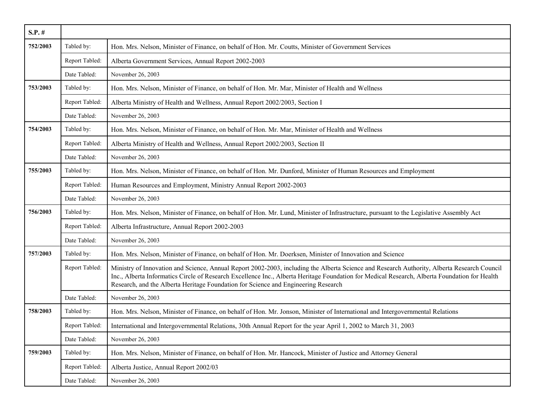| $S.P.$ # |                |                                                                                                                                                                                                                                                                                                                                                                                    |
|----------|----------------|------------------------------------------------------------------------------------------------------------------------------------------------------------------------------------------------------------------------------------------------------------------------------------------------------------------------------------------------------------------------------------|
| 752/2003 | Tabled by:     | Hon. Mrs. Nelson, Minister of Finance, on behalf of Hon. Mr. Coutts, Minister of Government Services                                                                                                                                                                                                                                                                               |
|          | Report Tabled: | Alberta Government Services, Annual Report 2002-2003                                                                                                                                                                                                                                                                                                                               |
|          | Date Tabled:   | November 26, 2003                                                                                                                                                                                                                                                                                                                                                                  |
| 753/2003 | Tabled by:     | Hon. Mrs. Nelson, Minister of Finance, on behalf of Hon. Mr. Mar, Minister of Health and Wellness                                                                                                                                                                                                                                                                                  |
|          | Report Tabled: | Alberta Ministry of Health and Wellness, Annual Report 2002/2003, Section I                                                                                                                                                                                                                                                                                                        |
|          | Date Tabled:   | November 26, 2003                                                                                                                                                                                                                                                                                                                                                                  |
| 754/2003 | Tabled by:     | Hon. Mrs. Nelson, Minister of Finance, on behalf of Hon. Mr. Mar, Minister of Health and Wellness                                                                                                                                                                                                                                                                                  |
|          | Report Tabled: | Alberta Ministry of Health and Wellness, Annual Report 2002/2003, Section II                                                                                                                                                                                                                                                                                                       |
|          | Date Tabled:   | November 26, 2003                                                                                                                                                                                                                                                                                                                                                                  |
| 755/2003 | Tabled by:     | Hon. Mrs. Nelson, Minister of Finance, on behalf of Hon. Mr. Dunford, Minister of Human Resources and Employment                                                                                                                                                                                                                                                                   |
|          | Report Tabled: | Human Resources and Employment, Ministry Annual Report 2002-2003                                                                                                                                                                                                                                                                                                                   |
|          | Date Tabled:   | November 26, 2003                                                                                                                                                                                                                                                                                                                                                                  |
| 756/2003 | Tabled by:     | Hon. Mrs. Nelson, Minister of Finance, on behalf of Hon. Mr. Lund, Minister of Infrastructure, pursuant to the Legislative Assembly Act                                                                                                                                                                                                                                            |
|          | Report Tabled: | Alberta Infrastructure, Annual Report 2002-2003                                                                                                                                                                                                                                                                                                                                    |
|          | Date Tabled:   | November 26, 2003                                                                                                                                                                                                                                                                                                                                                                  |
| 757/2003 | Tabled by:     | Hon. Mrs. Nelson, Minister of Finance, on behalf of Hon. Mr. Doerksen, Minister of Innovation and Science                                                                                                                                                                                                                                                                          |
|          | Report Tabled: | Ministry of Innovation and Science, Annual Report 2002-2003, including the Alberta Science and Research Authority, Alberta Research Council<br>Inc., Alberta Informatics Circle of Research Excellence Inc., Alberta Heritage Foundation for Medical Research, Alberta Foundation for Health<br>Research, and the Alberta Heritage Foundation for Science and Engineering Research |
|          | Date Tabled:   | November 26, 2003                                                                                                                                                                                                                                                                                                                                                                  |
| 758/2003 | Tabled by:     | Hon. Mrs. Nelson, Minister of Finance, on behalf of Hon. Mr. Jonson, Minister of International and Intergovernmental Relations                                                                                                                                                                                                                                                     |
|          | Report Tabled: | International and Intergovernmental Relations, 30th Annual Report for the year April 1, 2002 to March 31, 2003                                                                                                                                                                                                                                                                     |
|          | Date Tabled:   | November 26, 2003                                                                                                                                                                                                                                                                                                                                                                  |
| 759/2003 | Tabled by:     | Hon. Mrs. Nelson, Minister of Finance, on behalf of Hon. Mr. Hancock, Minister of Justice and Attorney General                                                                                                                                                                                                                                                                     |
|          | Report Tabled: | Alberta Justice, Annual Report 2002/03                                                                                                                                                                                                                                                                                                                                             |
|          | Date Tabled:   | November 26, 2003                                                                                                                                                                                                                                                                                                                                                                  |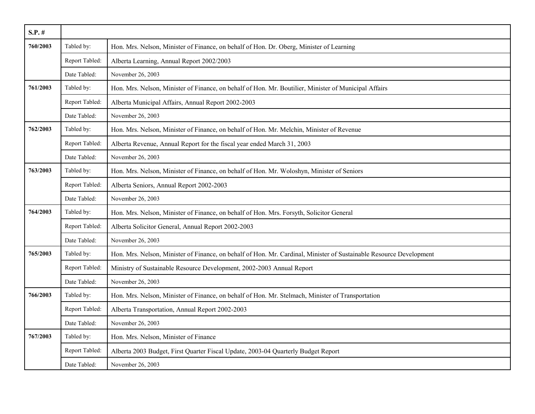| $S.P.$ # |                |                                                                                                                     |
|----------|----------------|---------------------------------------------------------------------------------------------------------------------|
| 760/2003 | Tabled by:     | Hon. Mrs. Nelson, Minister of Finance, on behalf of Hon. Dr. Oberg, Minister of Learning                            |
|          | Report Tabled: | Alberta Learning, Annual Report 2002/2003                                                                           |
|          | Date Tabled:   | November 26, 2003                                                                                                   |
| 761/2003 | Tabled by:     | Hon. Mrs. Nelson, Minister of Finance, on behalf of Hon. Mr. Boutilier, Minister of Municipal Affairs               |
|          | Report Tabled: | Alberta Municipal Affairs, Annual Report 2002-2003                                                                  |
|          | Date Tabled:   | November 26, 2003                                                                                                   |
| 762/2003 | Tabled by:     | Hon. Mrs. Nelson, Minister of Finance, on behalf of Hon. Mr. Melchin, Minister of Revenue                           |
|          | Report Tabled: | Alberta Revenue, Annual Report for the fiscal year ended March 31, 2003                                             |
|          | Date Tabled:   | November 26, 2003                                                                                                   |
| 763/2003 | Tabled by:     | Hon. Mrs. Nelson, Minister of Finance, on behalf of Hon. Mr. Woloshyn, Minister of Seniors                          |
|          | Report Tabled: | Alberta Seniors, Annual Report 2002-2003                                                                            |
|          | Date Tabled:   | November 26, 2003                                                                                                   |
| 764/2003 | Tabled by:     | Hon. Mrs. Nelson, Minister of Finance, on behalf of Hon. Mrs. Forsyth, Solicitor General                            |
|          | Report Tabled: | Alberta Solicitor General, Annual Report 2002-2003                                                                  |
|          | Date Tabled:   | November 26, 2003                                                                                                   |
| 765/2003 | Tabled by:     | Hon. Mrs. Nelson, Minister of Finance, on behalf of Hon. Mr. Cardinal, Minister of Sustainable Resource Development |
|          | Report Tabled: | Ministry of Sustainable Resource Development, 2002-2003 Annual Report                                               |
|          | Date Tabled:   | November 26, 2003                                                                                                   |
| 766/2003 | Tabled by:     | Hon. Mrs. Nelson, Minister of Finance, on behalf of Hon. Mr. Stelmach, Minister of Transportation                   |
|          | Report Tabled: | Alberta Transportation, Annual Report 2002-2003                                                                     |
|          | Date Tabled:   | November 26, 2003                                                                                                   |
| 767/2003 | Tabled by:     | Hon. Mrs. Nelson, Minister of Finance                                                                               |
|          | Report Tabled: | Alberta 2003 Budget, First Quarter Fiscal Update, 2003-04 Quarterly Budget Report                                   |
|          | Date Tabled:   | November 26, 2003                                                                                                   |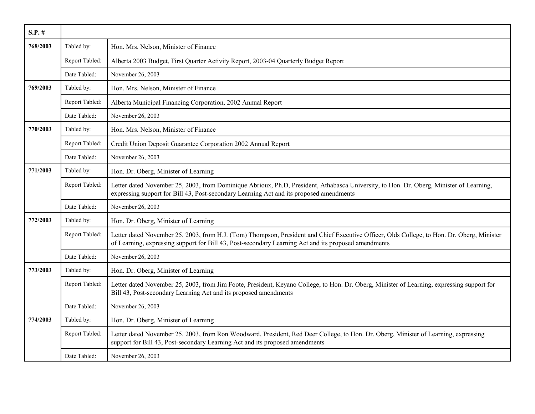| $S.P.$ # |                |                                                                                                                                                                                                                                                    |
|----------|----------------|----------------------------------------------------------------------------------------------------------------------------------------------------------------------------------------------------------------------------------------------------|
| 768/2003 | Tabled by:     | Hon. Mrs. Nelson, Minister of Finance                                                                                                                                                                                                              |
|          | Report Tabled: | Alberta 2003 Budget, First Quarter Activity Report, 2003-04 Quarterly Budget Report                                                                                                                                                                |
|          | Date Tabled:   | November 26, 2003                                                                                                                                                                                                                                  |
| 769/2003 | Tabled by:     | Hon. Mrs. Nelson, Minister of Finance                                                                                                                                                                                                              |
|          | Report Tabled: | Alberta Municipal Financing Corporation, 2002 Annual Report                                                                                                                                                                                        |
|          | Date Tabled:   | November 26, 2003                                                                                                                                                                                                                                  |
| 770/2003 | Tabled by:     | Hon. Mrs. Nelson, Minister of Finance                                                                                                                                                                                                              |
|          | Report Tabled: | Credit Union Deposit Guarantee Corporation 2002 Annual Report                                                                                                                                                                                      |
|          | Date Tabled:   | November 26, 2003                                                                                                                                                                                                                                  |
| 771/2003 | Tabled by:     | Hon. Dr. Oberg, Minister of Learning                                                                                                                                                                                                               |
|          | Report Tabled: | Letter dated November 25, 2003, from Dominique Abrioux, Ph.D, President, Athabasca University, to Hon. Dr. Oberg, Minister of Learning,<br>expressing support for Bill 43, Post-secondary Learning Act and its proposed amendments                 |
|          | Date Tabled:   | November 26, 2003                                                                                                                                                                                                                                  |
| 772/2003 | Tabled by:     | Hon. Dr. Oberg, Minister of Learning                                                                                                                                                                                                               |
|          | Report Tabled: | Letter dated November 25, 2003, from H.J. (Tom) Thompson, President and Chief Executive Officer, Olds College, to Hon. Dr. Oberg, Minister<br>of Learning, expressing support for Bill 43, Post-secondary Learning Act and its proposed amendments |
|          | Date Tabled:   | November 26, 2003                                                                                                                                                                                                                                  |
| 773/2003 | Tabled by:     | Hon. Dr. Oberg, Minister of Learning                                                                                                                                                                                                               |
|          | Report Tabled: | Letter dated November 25, 2003, from Jim Foote, President, Keyano College, to Hon. Dr. Oberg, Minister of Learning, expressing support for<br>Bill 43, Post-secondary Learning Act and its proposed amendments                                     |
|          | Date Tabled:   | November 26, 2003                                                                                                                                                                                                                                  |
| 774/2003 | Tabled by:     | Hon. Dr. Oberg, Minister of Learning                                                                                                                                                                                                               |
|          | Report Tabled: | Letter dated November 25, 2003, from Ron Woodward, President, Red Deer College, to Hon. Dr. Oberg, Minister of Learning, expressing<br>support for Bill 43, Post-secondary Learning Act and its proposed amendments                                |
|          | Date Tabled:   | November 26, 2003                                                                                                                                                                                                                                  |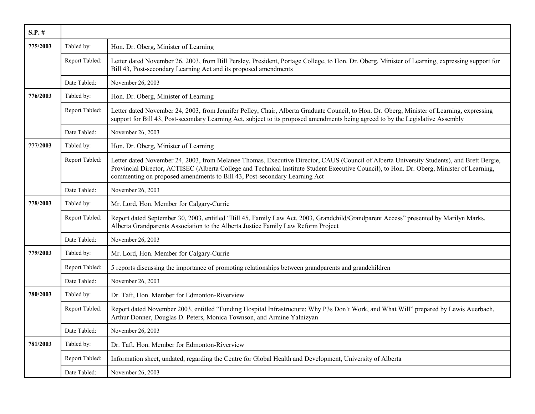| $S.P.$ # |                |                                                                                                                                                                                                                                                                                                                                                                      |
|----------|----------------|----------------------------------------------------------------------------------------------------------------------------------------------------------------------------------------------------------------------------------------------------------------------------------------------------------------------------------------------------------------------|
| 775/2003 | Tabled by:     | Hon. Dr. Oberg, Minister of Learning                                                                                                                                                                                                                                                                                                                                 |
|          | Report Tabled: | Letter dated November 26, 2003, from Bill Persley, President, Portage College, to Hon. Dr. Oberg, Minister of Learning, expressing support for<br>Bill 43, Post-secondary Learning Act and its proposed amendments                                                                                                                                                   |
|          | Date Tabled:   | November 26, 2003                                                                                                                                                                                                                                                                                                                                                    |
| 776/2003 | Tabled by:     | Hon. Dr. Oberg, Minister of Learning                                                                                                                                                                                                                                                                                                                                 |
|          | Report Tabled: | Letter dated November 24, 2003, from Jennifer Pelley, Chair, Alberta Graduate Council, to Hon. Dr. Oberg, Minister of Learning, expressing<br>support for Bill 43, Post-secondary Learning Act, subject to its proposed amendments being agreed to by the Legislative Assembly                                                                                       |
|          | Date Tabled:   | November 26, 2003                                                                                                                                                                                                                                                                                                                                                    |
| 777/2003 | Tabled by:     | Hon. Dr. Oberg, Minister of Learning                                                                                                                                                                                                                                                                                                                                 |
|          | Report Tabled: | Letter dated November 24, 2003, from Melanee Thomas, Executive Director, CAUS (Council of Alberta University Students), and Brett Bergie,<br>Provincial Director, ACTISEC (Alberta College and Technical Institute Student Executive Council), to Hon. Dr. Oberg, Minister of Learning,<br>commenting on proposed amendments to Bill 43, Post-secondary Learning Act |
|          | Date Tabled:   | November 26, 2003                                                                                                                                                                                                                                                                                                                                                    |
| 778/2003 | Tabled by:     | Mr. Lord, Hon. Member for Calgary-Currie                                                                                                                                                                                                                                                                                                                             |
|          | Report Tabled: | Report dated September 30, 2003, entitled "Bill 45, Family Law Act, 2003, Grandchild/Grandparent Access" presented by Marilyn Marks,<br>Alberta Grandparents Association to the Alberta Justice Family Law Reform Project                                                                                                                                            |
|          | Date Tabled:   | November 26, 2003                                                                                                                                                                                                                                                                                                                                                    |
| 779/2003 | Tabled by:     | Mr. Lord, Hon. Member for Calgary-Currie                                                                                                                                                                                                                                                                                                                             |
|          | Report Tabled: | 5 reports discussing the importance of promoting relationships between grandparents and grandchildren                                                                                                                                                                                                                                                                |
|          | Date Tabled:   | November 26, 2003                                                                                                                                                                                                                                                                                                                                                    |
| 780/2003 | Tabled by:     | Dr. Taft, Hon. Member for Edmonton-Riverview                                                                                                                                                                                                                                                                                                                         |
|          | Report Tabled: | Report dated November 2003, entitled "Funding Hospital Infrastructure: Why P3s Don't Work, and What Will" prepared by Lewis Auerbach,<br>Arthur Donner, Douglas D. Peters, Monica Townson, and Armine Yalnizyan                                                                                                                                                      |
|          | Date Tabled:   | November 26, 2003                                                                                                                                                                                                                                                                                                                                                    |
| 781/2003 | Tabled by:     | Dr. Taft, Hon. Member for Edmonton-Riverview                                                                                                                                                                                                                                                                                                                         |
|          | Report Tabled: | Information sheet, undated, regarding the Centre for Global Health and Development, University of Alberta                                                                                                                                                                                                                                                            |
|          | Date Tabled:   | November 26, 2003                                                                                                                                                                                                                                                                                                                                                    |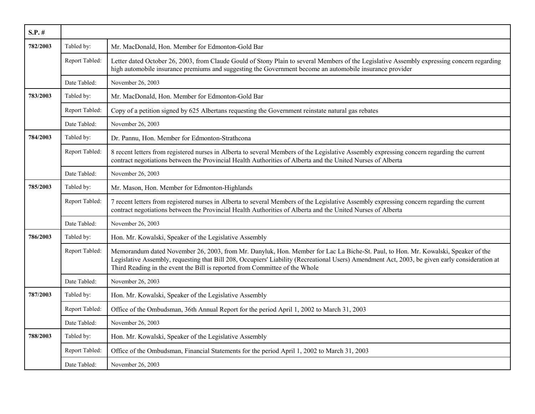| $S.P.$ # |                |                                                                                                                                                                                                                                                                                                                                                                    |
|----------|----------------|--------------------------------------------------------------------------------------------------------------------------------------------------------------------------------------------------------------------------------------------------------------------------------------------------------------------------------------------------------------------|
| 782/2003 | Tabled by:     | Mr. MacDonald, Hon. Member for Edmonton-Gold Bar                                                                                                                                                                                                                                                                                                                   |
|          | Report Tabled: | Letter dated October 26, 2003, from Claude Gould of Stony Plain to several Members of the Legislative Assembly expressing concern regarding<br>high automobile insurance premiums and suggesting the Government become an automobile insurance provider                                                                                                            |
|          | Date Tabled:   | November 26, 2003                                                                                                                                                                                                                                                                                                                                                  |
| 783/2003 | Tabled by:     | Mr. MacDonald, Hon. Member for Edmonton-Gold Bar                                                                                                                                                                                                                                                                                                                   |
|          | Report Tabled: | Copy of a petition signed by 625 Albertans requesting the Government reinstate natural gas rebates                                                                                                                                                                                                                                                                 |
|          | Date Tabled:   | November 26, 2003                                                                                                                                                                                                                                                                                                                                                  |
| 784/2003 | Tabled by:     | Dr. Pannu, Hon. Member for Edmonton-Strathcona                                                                                                                                                                                                                                                                                                                     |
|          | Report Tabled: | 8 recent letters from registered nurses in Alberta to several Members of the Legislative Assembly expressing concern regarding the current<br>contract negotiations between the Provincial Health Authorities of Alberta and the United Nurses of Alberta                                                                                                          |
|          | Date Tabled:   | November 26, 2003                                                                                                                                                                                                                                                                                                                                                  |
| 785/2003 | Tabled by:     | Mr. Mason, Hon. Member for Edmonton-Highlands                                                                                                                                                                                                                                                                                                                      |
|          | Report Tabled: | 7 recent letters from registered nurses in Alberta to several Members of the Legislative Assembly expressing concern regarding the current<br>contract negotiations between the Provincial Health Authorities of Alberta and the United Nurses of Alberta                                                                                                          |
|          | Date Tabled:   | November 26, 2003                                                                                                                                                                                                                                                                                                                                                  |
| 786/2003 | Tabled by:     | Hon. Mr. Kowalski, Speaker of the Legislative Assembly                                                                                                                                                                                                                                                                                                             |
|          | Report Tabled: | Memorandum dated November 26, 2003, from Mr. Danyluk, Hon. Member for Lac La Biche-St. Paul, to Hon. Mr. Kowalski, Speaker of the<br>Legislative Assembly, requesting that Bill 208, Occupiers' Liability (Recreational Users) Amendment Act, 2003, be given early consideration at<br>Third Reading in the event the Bill is reported from Committee of the Whole |
|          | Date Tabled:   | November 26, 2003                                                                                                                                                                                                                                                                                                                                                  |
| 787/2003 | Tabled by:     | Hon. Mr. Kowalski, Speaker of the Legislative Assembly                                                                                                                                                                                                                                                                                                             |
|          | Report Tabled: | Office of the Ombudsman, 36th Annual Report for the period April 1, 2002 to March 31, 2003                                                                                                                                                                                                                                                                         |
|          | Date Tabled:   | November 26, 2003                                                                                                                                                                                                                                                                                                                                                  |
| 788/2003 | Tabled by:     | Hon. Mr. Kowalski, Speaker of the Legislative Assembly                                                                                                                                                                                                                                                                                                             |
|          | Report Tabled: | Office of the Ombudsman, Financial Statements for the period April 1, 2002 to March 31, 2003                                                                                                                                                                                                                                                                       |
|          | Date Tabled:   | November 26, 2003                                                                                                                                                                                                                                                                                                                                                  |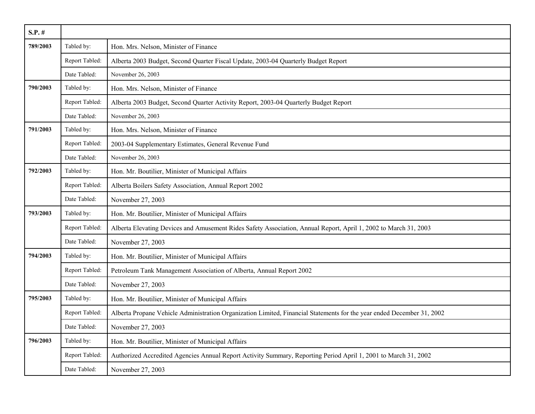| $S.P.$ # |                |                                                                                                                        |
|----------|----------------|------------------------------------------------------------------------------------------------------------------------|
| 789/2003 | Tabled by:     | Hon. Mrs. Nelson, Minister of Finance                                                                                  |
|          | Report Tabled: | Alberta 2003 Budget, Second Quarter Fiscal Update, 2003-04 Quarterly Budget Report                                     |
|          | Date Tabled:   | November 26, 2003                                                                                                      |
| 790/2003 | Tabled by:     | Hon. Mrs. Nelson, Minister of Finance                                                                                  |
|          | Report Tabled: | Alberta 2003 Budget, Second Quarter Activity Report, 2003-04 Quarterly Budget Report                                   |
|          | Date Tabled:   | November 26, 2003                                                                                                      |
| 791/2003 | Tabled by:     | Hon. Mrs. Nelson, Minister of Finance                                                                                  |
|          | Report Tabled: | 2003-04 Supplementary Estimates, General Revenue Fund                                                                  |
|          | Date Tabled:   | November 26, 2003                                                                                                      |
| 792/2003 | Tabled by:     | Hon. Mr. Boutilier, Minister of Municipal Affairs                                                                      |
|          | Report Tabled: | Alberta Boilers Safety Association, Annual Report 2002                                                                 |
|          | Date Tabled:   | November 27, 2003                                                                                                      |
| 793/2003 | Tabled by:     | Hon. Mr. Boutilier, Minister of Municipal Affairs                                                                      |
|          | Report Tabled: | Alberta Elevating Devices and Amusement Rides Safety Association, Annual Report, April 1, 2002 to March 31, 2003       |
|          | Date Tabled:   | November 27, 2003                                                                                                      |
| 794/2003 | Tabled by:     | Hon. Mr. Boutilier, Minister of Municipal Affairs                                                                      |
|          | Report Tabled: | Petroleum Tank Management Association of Alberta, Annual Report 2002                                                   |
|          | Date Tabled:   | November 27, 2003                                                                                                      |
| 795/2003 | Tabled by:     | Hon. Mr. Boutilier, Minister of Municipal Affairs                                                                      |
|          | Report Tabled: | Alberta Propane Vehicle Administration Organization Limited, Financial Statements for the year ended December 31, 2002 |
|          | Date Tabled:   | November 27, 2003                                                                                                      |
| 796/2003 | Tabled by:     | Hon. Mr. Boutilier, Minister of Municipal Affairs                                                                      |
|          | Report Tabled: | Authorized Accredited Agencies Annual Report Activity Summary, Reporting Period April 1, 2001 to March 31, 2002        |
|          | Date Tabled:   | November 27, 2003                                                                                                      |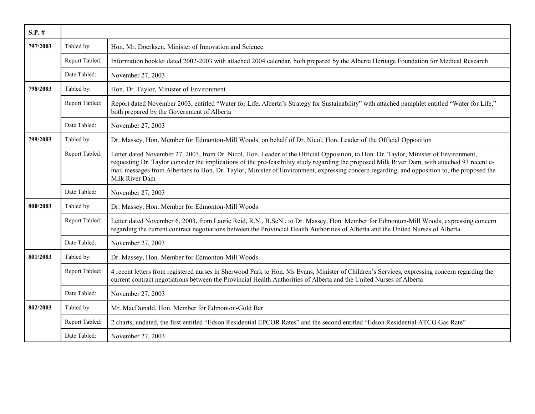| $S.P.$ # |                |                                                                                                                                                                                                                                                                                                                                                                                                                                                         |
|----------|----------------|---------------------------------------------------------------------------------------------------------------------------------------------------------------------------------------------------------------------------------------------------------------------------------------------------------------------------------------------------------------------------------------------------------------------------------------------------------|
| 797/2003 | Tabled by:     | Hon. Mr. Doerksen, Minister of Innovation and Science                                                                                                                                                                                                                                                                                                                                                                                                   |
|          | Report Tabled: | Information booklet dated 2002-2003 with attached 2004 calendar, both prepared by the Alberta Heritage Foundation for Medical Research                                                                                                                                                                                                                                                                                                                  |
|          | Date Tabled:   | November 27, 2003                                                                                                                                                                                                                                                                                                                                                                                                                                       |
| 798/2003 | Tabled by:     | Hon. Dr. Taylor, Minister of Environment                                                                                                                                                                                                                                                                                                                                                                                                                |
|          | Report Tabled: | Report dated November 2003, entitled "Water for Life, Alberta's Strategy for Sustainability" with attached pamphlet entitled "Water for Life,"<br>both prepared by the Government of Alberta                                                                                                                                                                                                                                                            |
|          | Date Tabled:   | November 27, 2003                                                                                                                                                                                                                                                                                                                                                                                                                                       |
| 799/2003 | Tabled by:     | Dr. Massey, Hon. Member for Edmonton-Mill Woods, on behalf of Dr. Nicol, Hon. Leader of the Official Opposition                                                                                                                                                                                                                                                                                                                                         |
|          | Report Tabled: | Letter dated November 27, 2003, from Dr. Nicol, Hon. Leader of the Official Opposition, to Hon. Dr. Taylor, Minister of Environment,<br>requesting Dr. Taylor consider the implications of the pre-feasibility study regarding the proposed Milk River Dam, with attached 93 recent e-<br>mail messages from Albertans to Hon. Dr. Taylor, Minister of Environment, expressing concern regarding, and opposition to, the proposed the<br>Milk River Dam |
|          | Date Tabled:   | November 27, 2003                                                                                                                                                                                                                                                                                                                                                                                                                                       |
| 800/2003 | Tabled by:     | Dr. Massey, Hon. Member for Edmonton-Mill Woods                                                                                                                                                                                                                                                                                                                                                                                                         |
|          | Report Tabled: | Letter dated November 6, 2003, from Laurie Reid, R.N., B.ScN., to Dr. Massey, Hon. Member for Edmonton-Mill Woods, expressing concern<br>regarding the current contract negotiations between the Provincial Health Authorities of Alberta and the United Nurses of Alberta                                                                                                                                                                              |
|          | Date Tabled:   | November 27, 2003                                                                                                                                                                                                                                                                                                                                                                                                                                       |
| 801/2003 | Tabled by:     | Dr. Massey, Hon. Member for Edmonton-Mill Woods                                                                                                                                                                                                                                                                                                                                                                                                         |
|          | Report Tabled: | 4 recent letters from registered nurses in Sherwood Park to Hon. Ms Evans, Minister of Children's Services, expressing concern regarding the<br>current contract negotiations between the Provincial Health Authorities of Alberta and the United Nurses of Alberta                                                                                                                                                                                     |
|          | Date Tabled:   | November 27, 2003                                                                                                                                                                                                                                                                                                                                                                                                                                       |
| 802/2003 | Tabled by:     | Mr. MacDonald, Hon. Member for Edmonton-Gold Bar                                                                                                                                                                                                                                                                                                                                                                                                        |
|          | Report Tabled: | 2 charts, undated, the first entitled "Edson Residential EPCOR Rates" and the second entitled "Edson Residential ATCO Gas Rate"                                                                                                                                                                                                                                                                                                                         |
|          | Date Tabled:   | November 27, 2003                                                                                                                                                                                                                                                                                                                                                                                                                                       |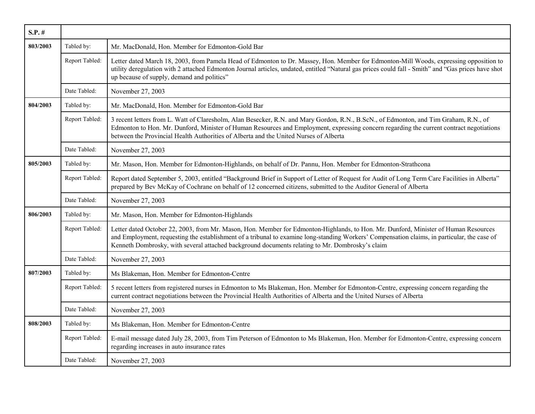| $S.P.$ # |                |                                                                                                                                                                                                                                                                                                                                                                                        |
|----------|----------------|----------------------------------------------------------------------------------------------------------------------------------------------------------------------------------------------------------------------------------------------------------------------------------------------------------------------------------------------------------------------------------------|
| 803/2003 | Tabled by:     | Mr. MacDonald, Hon. Member for Edmonton-Gold Bar                                                                                                                                                                                                                                                                                                                                       |
|          | Report Tabled: | Letter dated March 18, 2003, from Pamela Head of Edmonton to Dr. Massey, Hon. Member for Edmonton-Mill Woods, expressing opposition to<br>utility deregulation with 2 attached Edmonton Journal articles, undated, entitled "Natural gas prices could fall - Smith" and "Gas prices have shot<br>up because of supply, demand and politics"                                            |
|          | Date Tabled:   | November 27, 2003                                                                                                                                                                                                                                                                                                                                                                      |
| 804/2003 | Tabled by:     | Mr. MacDonald, Hon. Member for Edmonton-Gold Bar                                                                                                                                                                                                                                                                                                                                       |
|          | Report Tabled: | 3 recent letters from L. Watt of Claresholm, Alan Besecker, R.N. and Mary Gordon, R.N., B.ScN., of Edmonton, and Tim Graham, R.N., of<br>Edmonton to Hon. Mr. Dunford, Minister of Human Resources and Employment, expressing concern regarding the current contract negotiations<br>between the Provincial Health Authorities of Alberta and the United Nurses of Alberta             |
|          | Date Tabled:   | November 27, 2003                                                                                                                                                                                                                                                                                                                                                                      |
| 805/2003 | Tabled by:     | Mr. Mason, Hon. Member for Edmonton-Highlands, on behalf of Dr. Pannu, Hon. Member for Edmonton-Strathcona                                                                                                                                                                                                                                                                             |
|          | Report Tabled: | Report dated September 5, 2003, entitled "Background Brief in Support of Letter of Request for Audit of Long Term Care Facilities in Alberta"<br>prepared by Bev McKay of Cochrane on behalf of 12 concerned citizens, submitted to the Auditor General of Alberta                                                                                                                     |
|          | Date Tabled:   | November 27, 2003                                                                                                                                                                                                                                                                                                                                                                      |
| 806/2003 | Tabled by:     | Mr. Mason, Hon. Member for Edmonton-Highlands                                                                                                                                                                                                                                                                                                                                          |
|          | Report Tabled: | Letter dated October 22, 2003, from Mr. Mason, Hon. Member for Edmonton-Highlands, to Hon. Mr. Dunford, Minister of Human Resources<br>and Employment, requesting the establishment of a tribunal to examine long-standing Workers' Compensation claims, in particular, the case of<br>Kenneth Dombrosky, with several attached background documents relating to Mr. Dombrosky's claim |
|          | Date Tabled:   | November 27, 2003                                                                                                                                                                                                                                                                                                                                                                      |
| 807/2003 | Tabled by:     | Ms Blakeman, Hon. Member for Edmonton-Centre                                                                                                                                                                                                                                                                                                                                           |
|          | Report Tabled: | 5 recent letters from registered nurses in Edmonton to Ms Blakeman, Hon. Member for Edmonton-Centre, expressing concern regarding the<br>current contract negotiations between the Provincial Health Authorities of Alberta and the United Nurses of Alberta                                                                                                                           |
|          | Date Tabled:   | November 27, 2003                                                                                                                                                                                                                                                                                                                                                                      |
| 808/2003 | Tabled by:     | Ms Blakeman, Hon. Member for Edmonton-Centre                                                                                                                                                                                                                                                                                                                                           |
|          | Report Tabled: | E-mail message dated July 28, 2003, from Tim Peterson of Edmonton to Ms Blakeman, Hon. Member for Edmonton-Centre, expressing concern<br>regarding increases in auto insurance rates                                                                                                                                                                                                   |
|          | Date Tabled:   | November 27, 2003                                                                                                                                                                                                                                                                                                                                                                      |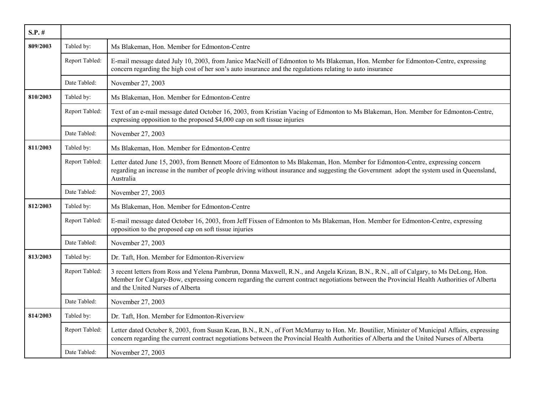| $S.P.$ # |                |                                                                                                                                                                                                                                                                                                                          |
|----------|----------------|--------------------------------------------------------------------------------------------------------------------------------------------------------------------------------------------------------------------------------------------------------------------------------------------------------------------------|
| 809/2003 | Tabled by:     | Ms Blakeman, Hon. Member for Edmonton-Centre                                                                                                                                                                                                                                                                             |
|          | Report Tabled: | E-mail message dated July 10, 2003, from Janice MacNeill of Edmonton to Ms Blakeman, Hon. Member for Edmonton-Centre, expressing<br>concern regarding the high cost of her son's auto insurance and the regulations relating to auto insurance                                                                           |
|          | Date Tabled:   | November 27, 2003                                                                                                                                                                                                                                                                                                        |
| 810/2003 | Tabled by:     | Ms Blakeman, Hon. Member for Edmonton-Centre                                                                                                                                                                                                                                                                             |
|          | Report Tabled: | Text of an e-mail message dated October 16, 2003, from Kristian Vacing of Edmonton to Ms Blakeman, Hon. Member for Edmonton-Centre,<br>expressing opposition to the proposed \$4,000 cap on soft tissue injuries                                                                                                         |
|          | Date Tabled:   | November 27, 2003                                                                                                                                                                                                                                                                                                        |
| 811/2003 | Tabled by:     | Ms Blakeman, Hon. Member for Edmonton-Centre                                                                                                                                                                                                                                                                             |
|          | Report Tabled: | Letter dated June 15, 2003, from Bennett Moore of Edmonton to Ms Blakeman, Hon. Member for Edmonton-Centre, expressing concern<br>regarding an increase in the number of people driving without insurance and suggesting the Government adopt the system used in Queensland,<br>Australia                                |
|          | Date Tabled:   | November 27, 2003                                                                                                                                                                                                                                                                                                        |
| 812/2003 | Tabled by:     | Ms Blakeman, Hon. Member for Edmonton-Centre                                                                                                                                                                                                                                                                             |
|          | Report Tabled: | E-mail message dated October 16, 2003, from Jeff Fixsen of Edmonton to Ms Blakeman, Hon. Member for Edmonton-Centre, expressing<br>opposition to the proposed cap on soft tissue injuries                                                                                                                                |
|          | Date Tabled:   | November 27, 2003                                                                                                                                                                                                                                                                                                        |
| 813/2003 | Tabled by:     | Dr. Taft, Hon. Member for Edmonton-Riverview                                                                                                                                                                                                                                                                             |
|          | Report Tabled: | 3 recent letters from Ross and Yelena Pambrun, Donna Maxwell, R.N., and Angela Krizan, B.N., R.N., all of Calgary, to Ms DeLong, Hon.<br>Member for Calgary-Bow, expressing concern regarding the current contract negotiations between the Provincial Health Authorities of Alberta<br>and the United Nurses of Alberta |
|          | Date Tabled:   | November 27, 2003                                                                                                                                                                                                                                                                                                        |
| 814/2003 | Tabled by:     | Dr. Taft, Hon. Member for Edmonton-Riverview                                                                                                                                                                                                                                                                             |
|          | Report Tabled: | Letter dated October 8, 2003, from Susan Kean, B.N., R.N., of Fort McMurray to Hon. Mr. Boutilier, Minister of Municipal Affairs, expressing<br>concern regarding the current contract negotiations between the Provincial Health Authorities of Alberta and the United Nurses of Alberta                                |
|          | Date Tabled:   | November 27, 2003                                                                                                                                                                                                                                                                                                        |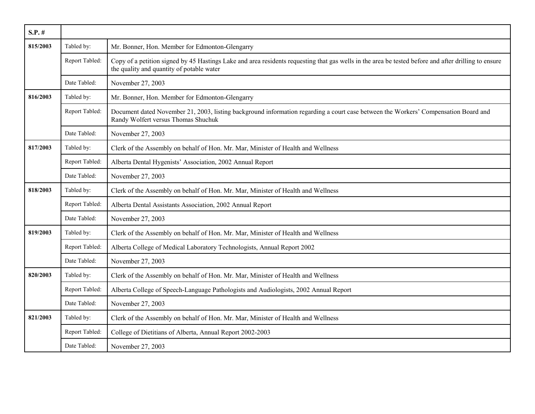| $S.P.$ # |                |                                                                                                                                                                                                   |
|----------|----------------|---------------------------------------------------------------------------------------------------------------------------------------------------------------------------------------------------|
| 815/2003 | Tabled by:     | Mr. Bonner, Hon. Member for Edmonton-Glengarry                                                                                                                                                    |
|          | Report Tabled: | Copy of a petition signed by 45 Hastings Lake and area residents requesting that gas wells in the area be tested before and after drilling to ensure<br>the quality and quantity of potable water |
|          | Date Tabled:   | November 27, 2003                                                                                                                                                                                 |
| 816/2003 | Tabled by:     | Mr. Bonner, Hon. Member for Edmonton-Glengarry                                                                                                                                                    |
|          | Report Tabled: | Document dated November 21, 2003, listing background information regarding a court case between the Workers' Compensation Board and<br>Randy Wolfert versus Thomas Shuchuk                        |
|          | Date Tabled:   | November 27, 2003                                                                                                                                                                                 |
| 817/2003 | Tabled by:     | Clerk of the Assembly on behalf of Hon. Mr. Mar, Minister of Health and Wellness                                                                                                                  |
|          | Report Tabled: | Alberta Dental Hygenists' Association, 2002 Annual Report                                                                                                                                         |
|          | Date Tabled:   | November 27, 2003                                                                                                                                                                                 |
| 818/2003 | Tabled by:     | Clerk of the Assembly on behalf of Hon. Mr. Mar, Minister of Health and Wellness                                                                                                                  |
|          | Report Tabled: | Alberta Dental Assistants Association, 2002 Annual Report                                                                                                                                         |
|          | Date Tabled:   | November 27, 2003                                                                                                                                                                                 |
| 819/2003 | Tabled by:     | Clerk of the Assembly on behalf of Hon. Mr. Mar, Minister of Health and Wellness                                                                                                                  |
|          | Report Tabled: | Alberta College of Medical Laboratory Technologists, Annual Report 2002                                                                                                                           |
|          | Date Tabled:   | November 27, 2003                                                                                                                                                                                 |
| 820/2003 | Tabled by:     | Clerk of the Assembly on behalf of Hon. Mr. Mar, Minister of Health and Wellness                                                                                                                  |
|          | Report Tabled: | Alberta College of Speech-Language Pathologists and Audiologists, 2002 Annual Report                                                                                                              |
|          | Date Tabled:   | November 27, 2003                                                                                                                                                                                 |
| 821/2003 | Tabled by:     | Clerk of the Assembly on behalf of Hon. Mr. Mar, Minister of Health and Wellness                                                                                                                  |
|          | Report Tabled: | College of Dietitians of Alberta, Annual Report 2002-2003                                                                                                                                         |
|          | Date Tabled:   | November 27, 2003                                                                                                                                                                                 |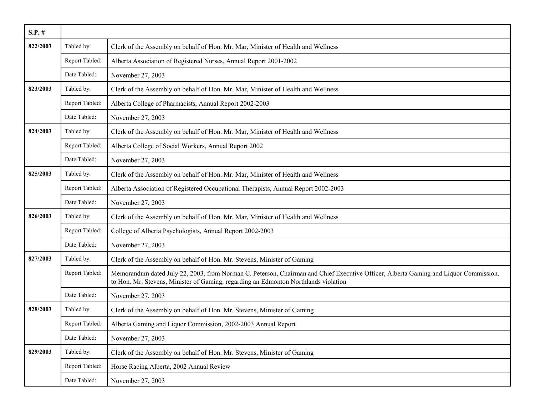| $S.P.$ # |                |                                                                                                                                                                                                                             |
|----------|----------------|-----------------------------------------------------------------------------------------------------------------------------------------------------------------------------------------------------------------------------|
| 822/2003 | Tabled by:     | Clerk of the Assembly on behalf of Hon. Mr. Mar, Minister of Health and Wellness                                                                                                                                            |
|          | Report Tabled: | Alberta Association of Registered Nurses, Annual Report 2001-2002                                                                                                                                                           |
|          | Date Tabled:   | November 27, 2003                                                                                                                                                                                                           |
| 823/2003 | Tabled by:     | Clerk of the Assembly on behalf of Hon. Mr. Mar, Minister of Health and Wellness                                                                                                                                            |
|          | Report Tabled: | Alberta College of Pharmacists, Annual Report 2002-2003                                                                                                                                                                     |
|          | Date Tabled:   | November 27, 2003                                                                                                                                                                                                           |
| 824/2003 | Tabled by:     | Clerk of the Assembly on behalf of Hon. Mr. Mar, Minister of Health and Wellness                                                                                                                                            |
|          | Report Tabled: | Alberta College of Social Workers, Annual Report 2002                                                                                                                                                                       |
|          | Date Tabled:   | November 27, 2003                                                                                                                                                                                                           |
| 825/2003 | Tabled by:     | Clerk of the Assembly on behalf of Hon. Mr. Mar, Minister of Health and Wellness                                                                                                                                            |
|          | Report Tabled: | Alberta Association of Registered Occupational Therapists, Annual Report 2002-2003                                                                                                                                          |
|          | Date Tabled:   | November 27, 2003                                                                                                                                                                                                           |
| 826/2003 | Tabled by:     | Clerk of the Assembly on behalf of Hon. Mr. Mar, Minister of Health and Wellness                                                                                                                                            |
|          | Report Tabled: | College of Alberta Psychologists, Annual Report 2002-2003                                                                                                                                                                   |
|          | Date Tabled:   | November 27, 2003                                                                                                                                                                                                           |
| 827/2003 | Tabled by:     | Clerk of the Assembly on behalf of Hon. Mr. Stevens, Minister of Gaming                                                                                                                                                     |
|          | Report Tabled: | Memorandum dated July 22, 2003, from Norman C. Peterson, Chairman and Chief Executive Officer, Alberta Gaming and Liquor Commission,<br>to Hon. Mr. Stevens, Minister of Gaming, regarding an Edmonton Northlands violation |
|          | Date Tabled:   | November 27, 2003                                                                                                                                                                                                           |
| 828/2003 | Tabled by:     | Clerk of the Assembly on behalf of Hon. Mr. Stevens, Minister of Gaming                                                                                                                                                     |
|          | Report Tabled: | Alberta Gaming and Liquor Commission, 2002-2003 Annual Report                                                                                                                                                               |
|          | Date Tabled:   | November 27, 2003                                                                                                                                                                                                           |
| 829/2003 | Tabled by:     | Clerk of the Assembly on behalf of Hon. Mr. Stevens, Minister of Gaming                                                                                                                                                     |
|          | Report Tabled: | Horse Racing Alberta, 2002 Annual Review                                                                                                                                                                                    |
|          | Date Tabled:   | November 27, 2003                                                                                                                                                                                                           |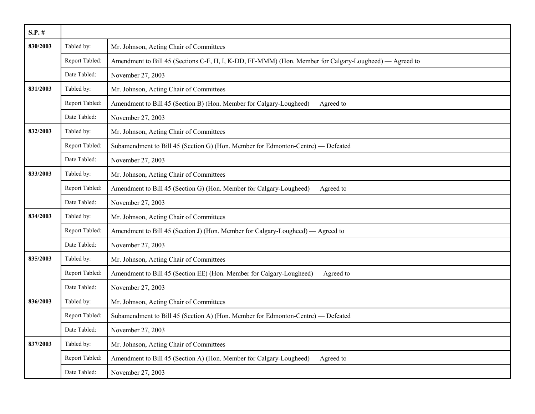| $S.P.$ # |                |                                                                                                        |
|----------|----------------|--------------------------------------------------------------------------------------------------------|
| 830/2003 | Tabled by:     | Mr. Johnson, Acting Chair of Committees                                                                |
|          | Report Tabled: | Amendment to Bill 45 (Sections C-F, H, I, K-DD, FF-MMM) (Hon. Member for Calgary-Lougheed) — Agreed to |
|          | Date Tabled:   | November 27, 2003                                                                                      |
| 831/2003 | Tabled by:     | Mr. Johnson, Acting Chair of Committees                                                                |
|          | Report Tabled: | Amendment to Bill 45 (Section B) (Hon. Member for Calgary-Lougheed) — Agreed to                        |
|          | Date Tabled:   | November 27, 2003                                                                                      |
| 832/2003 | Tabled by:     | Mr. Johnson, Acting Chair of Committees                                                                |
|          | Report Tabled: | Subamendment to Bill 45 (Section G) (Hon. Member for Edmonton-Centre) — Defeated                       |
|          | Date Tabled:   | November 27, 2003                                                                                      |
| 833/2003 | Tabled by:     | Mr. Johnson, Acting Chair of Committees                                                                |
|          | Report Tabled: | Amendment to Bill 45 (Section G) (Hon. Member for Calgary-Lougheed) — Agreed to                        |
|          | Date Tabled:   | November 27, 2003                                                                                      |
| 834/2003 | Tabled by:     | Mr. Johnson, Acting Chair of Committees                                                                |
|          | Report Tabled: | Amendment to Bill 45 (Section J) (Hon. Member for Calgary-Lougheed) — Agreed to                        |
|          | Date Tabled:   | November 27, 2003                                                                                      |
| 835/2003 | Tabled by:     | Mr. Johnson, Acting Chair of Committees                                                                |
|          | Report Tabled: | Amendment to Bill 45 (Section EE) (Hon. Member for Calgary-Lougheed) — Agreed to                       |
|          | Date Tabled:   | November 27, 2003                                                                                      |
| 836/2003 | Tabled by:     | Mr. Johnson, Acting Chair of Committees                                                                |
|          | Report Tabled: | Subamendment to Bill 45 (Section A) (Hon. Member for Edmonton-Centre) — Defeated                       |
|          | Date Tabled:   | November 27, 2003                                                                                      |
| 837/2003 | Tabled by:     | Mr. Johnson, Acting Chair of Committees                                                                |
|          | Report Tabled: | Amendment to Bill 45 (Section A) (Hon. Member for Calgary-Lougheed) — Agreed to                        |
|          | Date Tabled:   | November 27, 2003                                                                                      |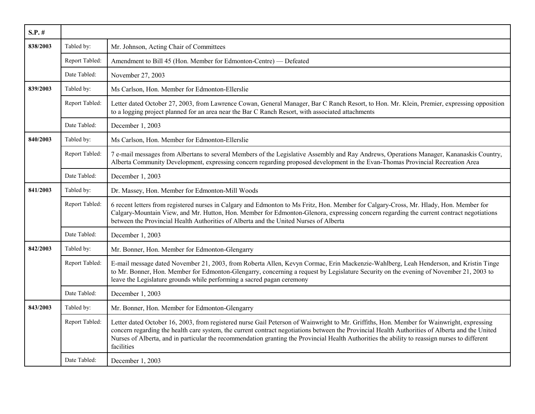| $S.P.$ # |                |                                                                                                                                                                                                                                                                                                                                                                                                                                                              |
|----------|----------------|--------------------------------------------------------------------------------------------------------------------------------------------------------------------------------------------------------------------------------------------------------------------------------------------------------------------------------------------------------------------------------------------------------------------------------------------------------------|
| 838/2003 | Tabled by:     | Mr. Johnson, Acting Chair of Committees                                                                                                                                                                                                                                                                                                                                                                                                                      |
|          | Report Tabled: | Amendment to Bill 45 (Hon. Member for Edmonton-Centre) — Defeated                                                                                                                                                                                                                                                                                                                                                                                            |
|          | Date Tabled:   | November 27, 2003                                                                                                                                                                                                                                                                                                                                                                                                                                            |
| 839/2003 | Tabled by:     | Ms Carlson, Hon. Member for Edmonton-Ellerslie                                                                                                                                                                                                                                                                                                                                                                                                               |
|          | Report Tabled: | Letter dated October 27, 2003, from Lawrence Cowan, General Manager, Bar C Ranch Resort, to Hon. Mr. Klein, Premier, expressing opposition<br>to a logging project planned for an area near the Bar C Ranch Resort, with associated attachments                                                                                                                                                                                                              |
|          | Date Tabled:   | December 1, 2003                                                                                                                                                                                                                                                                                                                                                                                                                                             |
| 840/2003 | Tabled by:     | Ms Carlson, Hon. Member for Edmonton-Ellerslie                                                                                                                                                                                                                                                                                                                                                                                                               |
|          | Report Tabled: | 7 e-mail messages from Albertans to several Members of the Legislative Assembly and Ray Andrews, Operations Manager, Kananaskis Country,<br>Alberta Community Development, expressing concern regarding proposed development in the Evan-Thomas Provincial Recreation Area                                                                                                                                                                                   |
|          | Date Tabled:   | December 1, 2003                                                                                                                                                                                                                                                                                                                                                                                                                                             |
| 841/2003 | Tabled by:     | Dr. Massey, Hon. Member for Edmonton-Mill Woods                                                                                                                                                                                                                                                                                                                                                                                                              |
|          | Report Tabled: | 6 recent letters from registered nurses in Calgary and Edmonton to Ms Fritz, Hon. Member for Calgary-Cross, Mr. Hlady, Hon. Member for<br>Calgary-Mountain View, and Mr. Hutton, Hon. Member for Edmonton-Glenora, expressing concern regarding the current contract negotiations<br>between the Provincial Health Authorities of Alberta and the United Nurses of Alberta                                                                                   |
|          | Date Tabled:   | December 1, 2003                                                                                                                                                                                                                                                                                                                                                                                                                                             |
| 842/2003 | Tabled by:     | Mr. Bonner, Hon. Member for Edmonton-Glengarry                                                                                                                                                                                                                                                                                                                                                                                                               |
|          | Report Tabled: | E-mail message dated November 21, 2003, from Roberta Allen, Kevyn Cormac, Erin Mackenzie-Wahlberg, Leah Henderson, and Kristin Tinge<br>to Mr. Bonner, Hon. Member for Edmonton-Glengarry, concerning a request by Legislature Security on the evening of November 21, 2003 to<br>leave the Legislature grounds while performing a sacred pagan ceremony                                                                                                     |
|          | Date Tabled:   | December 1, 2003                                                                                                                                                                                                                                                                                                                                                                                                                                             |
| 843/2003 | Tabled by:     | Mr. Bonner, Hon. Member for Edmonton-Glengarry                                                                                                                                                                                                                                                                                                                                                                                                               |
|          | Report Tabled: | Letter dated October 16, 2003, from registered nurse Gail Peterson of Wainwright to Mr. Griffiths, Hon. Member for Wainwright, expressing<br>concern regarding the health care system, the current contract negotiations between the Provincial Health Authorities of Alberta and the United<br>Nurses of Alberta, and in particular the recommendation granting the Provincial Health Authorities the ability to reassign nurses to different<br>facilities |
|          | Date Tabled:   | December 1, 2003                                                                                                                                                                                                                                                                                                                                                                                                                                             |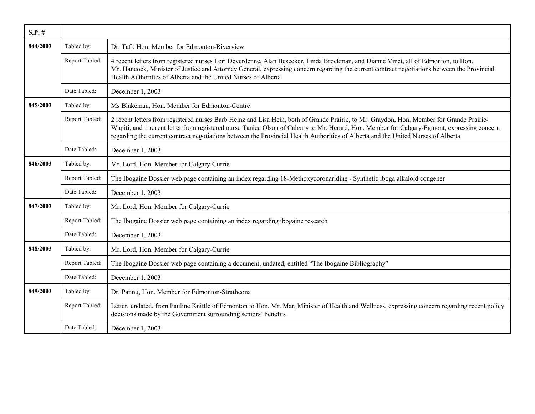| $S.P.$ # |                |                                                                                                                                                                                                                                                                                                                                                                                                                               |
|----------|----------------|-------------------------------------------------------------------------------------------------------------------------------------------------------------------------------------------------------------------------------------------------------------------------------------------------------------------------------------------------------------------------------------------------------------------------------|
| 844/2003 | Tabled by:     | Dr. Taft, Hon. Member for Edmonton-Riverview                                                                                                                                                                                                                                                                                                                                                                                  |
|          | Report Tabled: | 4 recent letters from registered nurses Lori Deverdenne, Alan Besecker, Linda Brockman, and Dianne Vinet, all of Edmonton, to Hon.<br>Mr. Hancock, Minister of Justice and Attorney General, expressing concern regarding the current contract negotiations between the Provincial<br>Health Authorities of Alberta and the United Nurses of Alberta                                                                          |
|          | Date Tabled:   | December 1, 2003                                                                                                                                                                                                                                                                                                                                                                                                              |
| 845/2003 | Tabled by:     | Ms Blakeman, Hon. Member for Edmonton-Centre                                                                                                                                                                                                                                                                                                                                                                                  |
|          | Report Tabled: | 2 recent letters from registered nurses Barb Heinz and Lisa Hein, both of Grande Prairie, to Mr. Graydon, Hon. Member for Grande Prairie-<br>Wapiti, and 1 recent letter from registered nurse Tanice Olson of Calgary to Mr. Herard, Hon. Member for Calgary-Egmont, expressing concern<br>regarding the current contract negotiations between the Provincial Health Authorities of Alberta and the United Nurses of Alberta |
|          | Date Tabled:   | December 1, 2003                                                                                                                                                                                                                                                                                                                                                                                                              |
| 846/2003 | Tabled by:     | Mr. Lord, Hon. Member for Calgary-Currie                                                                                                                                                                                                                                                                                                                                                                                      |
|          | Report Tabled: | The Ibogaine Dossier web page containing an index regarding 18-Methoxycoronaridine - Synthetic iboga alkaloid congener                                                                                                                                                                                                                                                                                                        |
|          | Date Tabled:   | December 1, 2003                                                                                                                                                                                                                                                                                                                                                                                                              |
| 847/2003 | Tabled by:     | Mr. Lord, Hon. Member for Calgary-Currie                                                                                                                                                                                                                                                                                                                                                                                      |
|          | Report Tabled: | The Ibogaine Dossier web page containing an index regarding ibogaine research                                                                                                                                                                                                                                                                                                                                                 |
|          | Date Tabled:   | December 1, 2003                                                                                                                                                                                                                                                                                                                                                                                                              |
| 848/2003 | Tabled by:     | Mr. Lord, Hon. Member for Calgary-Currie                                                                                                                                                                                                                                                                                                                                                                                      |
|          | Report Tabled: | The Ibogaine Dossier web page containing a document, undated, entitled "The Ibogaine Bibliography"                                                                                                                                                                                                                                                                                                                            |
|          | Date Tabled:   | December 1, 2003                                                                                                                                                                                                                                                                                                                                                                                                              |
| 849/2003 | Tabled by:     | Dr. Pannu, Hon. Member for Edmonton-Strathcona                                                                                                                                                                                                                                                                                                                                                                                |
|          | Report Tabled: | Letter, undated, from Pauline Knittle of Edmonton to Hon. Mr. Mar, Minister of Health and Wellness, expressing concern regarding recent policy<br>decisions made by the Government surrounding seniors' benefits                                                                                                                                                                                                              |
|          | Date Tabled:   | December 1, 2003                                                                                                                                                                                                                                                                                                                                                                                                              |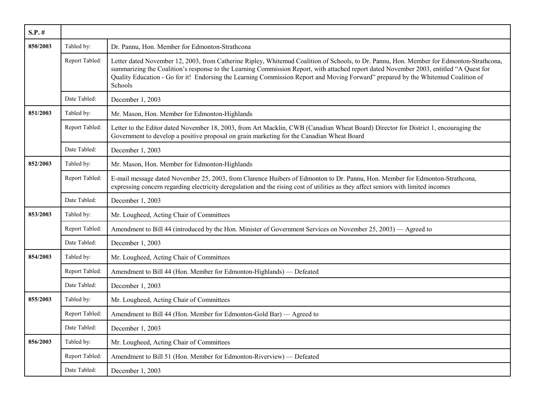| $S.P.$ # |                |                                                                                                                                                                                                                                                                                                                                                                                                                                     |
|----------|----------------|-------------------------------------------------------------------------------------------------------------------------------------------------------------------------------------------------------------------------------------------------------------------------------------------------------------------------------------------------------------------------------------------------------------------------------------|
| 850/2003 | Tabled by:     | Dr. Pannu, Hon. Member for Edmonton-Strathcona                                                                                                                                                                                                                                                                                                                                                                                      |
|          | Report Tabled: | Letter dated November 12, 2003, from Catherine Ripley, Whitemud Coalition of Schools, to Dr. Pannu, Hon. Member for Edmonton-Strathcona,<br>summarizing the Coalition's response to the Learning Commission Report, with attached report dated November 2003, entitled "A Quest for<br>Quality Education - Go for it! Endorsing the Learning Commission Report and Moving Forward" prepared by the Whitemud Coalition of<br>Schools |
|          | Date Tabled:   | December 1, 2003                                                                                                                                                                                                                                                                                                                                                                                                                    |
| 851/2003 | Tabled by:     | Mr. Mason, Hon. Member for Edmonton-Highlands                                                                                                                                                                                                                                                                                                                                                                                       |
|          | Report Tabled: | Letter to the Editor dated November 18, 2003, from Art Macklin, CWB (Canadian Wheat Board) Director for District 1, encouraging the<br>Government to develop a positive proposal on grain marketing for the Canadian Wheat Board                                                                                                                                                                                                    |
|          | Date Tabled:   | December 1, 2003                                                                                                                                                                                                                                                                                                                                                                                                                    |
| 852/2003 | Tabled by:     | Mr. Mason, Hon. Member for Edmonton-Highlands                                                                                                                                                                                                                                                                                                                                                                                       |
|          | Report Tabled: | E-mail message dated November 25, 2003, from Clarence Huibers of Edmonton to Dr. Pannu, Hon. Member for Edmonton-Strathcona,<br>expressing concern regarding electricity deregulation and the rising cost of utilities as they affect seniors with limited incomes                                                                                                                                                                  |
|          | Date Tabled:   | December 1, 2003                                                                                                                                                                                                                                                                                                                                                                                                                    |
| 853/2003 | Tabled by:     | Mr. Lougheed, Acting Chair of Committees                                                                                                                                                                                                                                                                                                                                                                                            |
|          | Report Tabled: | Amendment to Bill 44 (introduced by the Hon. Minister of Government Services on November 25, 2003) — Agreed to                                                                                                                                                                                                                                                                                                                      |
|          | Date Tabled:   | December 1, 2003                                                                                                                                                                                                                                                                                                                                                                                                                    |
| 854/2003 | Tabled by:     | Mr. Lougheed, Acting Chair of Committees                                                                                                                                                                                                                                                                                                                                                                                            |
|          | Report Tabled: | Amendment to Bill 44 (Hon. Member for Edmonton-Highlands) — Defeated                                                                                                                                                                                                                                                                                                                                                                |
|          | Date Tabled:   | December 1, 2003                                                                                                                                                                                                                                                                                                                                                                                                                    |
| 855/2003 | Tabled by:     | Mr. Lougheed, Acting Chair of Committees                                                                                                                                                                                                                                                                                                                                                                                            |
|          | Report Tabled: | Amendment to Bill 44 (Hon. Member for Edmonton-Gold Bar) — Agreed to                                                                                                                                                                                                                                                                                                                                                                |
|          | Date Tabled:   | December 1, 2003                                                                                                                                                                                                                                                                                                                                                                                                                    |
| 856/2003 | Tabled by:     | Mr. Lougheed, Acting Chair of Committees                                                                                                                                                                                                                                                                                                                                                                                            |
|          | Report Tabled: | Amendment to Bill 51 (Hon. Member for Edmonton-Riverview) — Defeated                                                                                                                                                                                                                                                                                                                                                                |
|          | Date Tabled:   | December 1, 2003                                                                                                                                                                                                                                                                                                                                                                                                                    |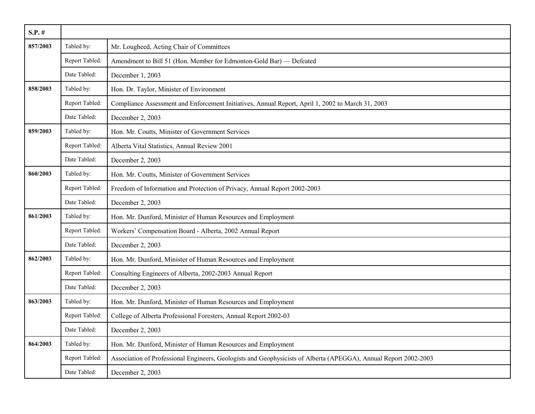| $S.P.$ # |                |                                                                                                                  |
|----------|----------------|------------------------------------------------------------------------------------------------------------------|
| 857/2003 | Tabled by:     | Mr. Lougheed, Acting Chair of Committees                                                                         |
|          | Report Tabled: | Amendment to Bill 51 (Hon. Member for Edmonton-Gold Bar) — Defeated                                              |
|          | Date Tabled:   | December 1, 2003                                                                                                 |
| 858/2003 | Tabled by:     | Hon. Dr. Taylor, Minister of Environment                                                                         |
|          | Report Tabled: | Compliance Assessment and Enforcement Initiatives, Annual Report, April 1, 2002 to March 31, 2003                |
|          | Date Tabled:   | December 2, 2003                                                                                                 |
| 859/2003 | Tabled by:     | Hon. Mr. Coutts, Minister of Government Services                                                                 |
|          | Report Tabled: | Alberta Vital Statistics, Annual Review 2001                                                                     |
|          | Date Tabled:   | December 2, 2003                                                                                                 |
| 860/2003 | Tabled by:     | Hon. Mr. Coutts, Minister of Government Services                                                                 |
|          | Report Tabled: | Freedom of Information and Protection of Privacy, Annual Report 2002-2003                                        |
|          | Date Tabled:   | December 2, 2003                                                                                                 |
| 861/2003 | Tabled by:     | Hon. Mr. Dunford, Minister of Human Resources and Employment                                                     |
|          | Report Tabled: | Workers' Compensation Board - Alberta, 2002 Annual Report                                                        |
|          | Date Tabled:   | December 2, 2003                                                                                                 |
| 862/2003 | Tabled by:     | Hon. Mr. Dunford, Minister of Human Resources and Employment                                                     |
|          | Report Tabled: | Consulting Engineers of Alberta, 2002-2003 Annual Report                                                         |
|          | Date Tabled:   | December 2, 2003                                                                                                 |
| 863/2003 | Tabled by:     | Hon. Mr. Dunford, Minister of Human Resources and Employment                                                     |
|          | Report Tabled: | College of Alberta Professional Foresters, Annual Report 2002-03                                                 |
|          | Date Tabled:   | December 2, 2003                                                                                                 |
| 864/2003 | Tabled by:     | Hon. Mr. Dunford, Minister of Human Resources and Employment                                                     |
|          | Report Tabled: | Association of Professional Engineers, Geologists and Geophysicists of Alberta (APEGGA), Annual Report 2002-2003 |
|          | Date Tabled:   | December 2, 2003                                                                                                 |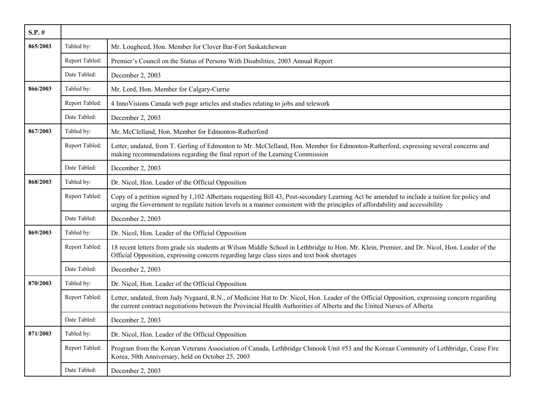| $S.P.$ # |                |                                                                                                                                                                                                                                                                               |
|----------|----------------|-------------------------------------------------------------------------------------------------------------------------------------------------------------------------------------------------------------------------------------------------------------------------------|
| 865/2003 | Tabled by:     | Mr. Lougheed, Hon. Member for Clover Bar-Fort Saskatchewan                                                                                                                                                                                                                    |
|          | Report Tabled: | Premier's Council on the Status of Persons With Disabilities, 2003 Annual Report                                                                                                                                                                                              |
|          | Date Tabled:   | December 2, 2003                                                                                                                                                                                                                                                              |
| 866/2003 | Tabled by:     | Mr. Lord, Hon. Member for Calgary-Currie                                                                                                                                                                                                                                      |
|          | Report Tabled: | 4 InnoVisions Canada web page articles and studies relating to jobs and telework                                                                                                                                                                                              |
|          | Date Tabled:   | December 2, 2003                                                                                                                                                                                                                                                              |
| 867/2003 | Tabled by:     | Mr. McClelland, Hon. Member for Edmonton-Rutherford                                                                                                                                                                                                                           |
|          | Report Tabled: | Letter, undated, from T. Gerling of Edmonton to Mr. McClelland, Hon. Member for Edmonton-Rutherford, expressing several concerns and<br>making recommendations regarding the final report of the Learning Commission                                                          |
|          | Date Tabled:   | December 2, 2003                                                                                                                                                                                                                                                              |
| 868/2003 | Tabled by:     | Dr. Nicol, Hon. Leader of the Official Opposition                                                                                                                                                                                                                             |
|          | Report Tabled: | Copy of a petition signed by 1,102 Albertans requesting Bill 43, Post-secondary Learning Act be amended to include a tuition fee policy and<br>urging the Government to regulate tuition levels in a manner consistent with the principles of affordability and accessibility |
|          | Date Tabled:   | December 2, 2003                                                                                                                                                                                                                                                              |
| 869/2003 | Tabled by:     | Dr. Nicol, Hon. Leader of the Official Opposition                                                                                                                                                                                                                             |
|          | Report Tabled: | 18 recent letters from grade six students at Wilson Middle School in Lethbridge to Hon. Mr. Klein, Premier, and Dr. Nicol, Hon. Leader of the<br>Official Opposition, expressing concern regarding large class sizes and text book shortages                                  |
|          | Date Tabled:   | December 2, 2003                                                                                                                                                                                                                                                              |
| 870/2003 | Tabled by:     | Dr. Nicol, Hon. Leader of the Official Opposition                                                                                                                                                                                                                             |
|          | Report Tabled: | Letter, undated, from Judy Nygaard, R.N., of Medicine Hat to Dr. Nicol, Hon. Leader of the Official Opposition, expressing concern regarding<br>the current contract negotiations between the Provincial Health Authorities of Alberta and the United Nurses of Alberta       |
|          | Date Tabled:   | December 2, 2003                                                                                                                                                                                                                                                              |
| 871/2003 | Tabled by:     | Dr. Nicol, Hon. Leader of the Official Opposition                                                                                                                                                                                                                             |
|          | Report Tabled: | Program from the Korean Veterans Association of Canada, Lethbridge Chinook Unit #53 and the Korean Community of Lethbridge, Cease Fire<br>Korea, 50th Anniversary, held on October 25, 2003                                                                                   |
|          | Date Tabled:   | December 2, 2003                                                                                                                                                                                                                                                              |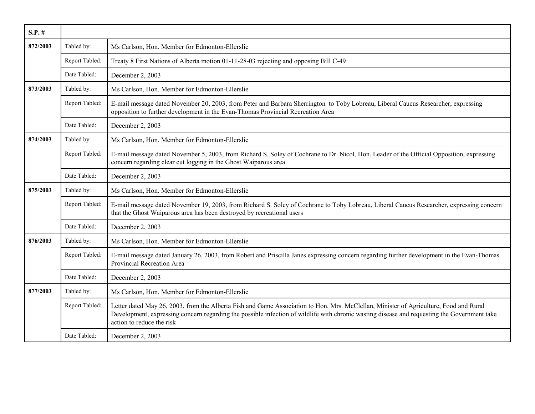| $S.P.$ # |                |                                                                                                                                                                                                                                                                                                                    |
|----------|----------------|--------------------------------------------------------------------------------------------------------------------------------------------------------------------------------------------------------------------------------------------------------------------------------------------------------------------|
| 872/2003 | Tabled by:     | Ms Carlson, Hon. Member for Edmonton-Ellerslie                                                                                                                                                                                                                                                                     |
|          | Report Tabled: | Treaty 8 First Nations of Alberta motion 01-11-28-03 rejecting and opposing Bill C-49                                                                                                                                                                                                                              |
|          | Date Tabled:   | December 2, 2003                                                                                                                                                                                                                                                                                                   |
| 873/2003 | Tabled by:     | Ms Carlson, Hon. Member for Edmonton-Ellerslie                                                                                                                                                                                                                                                                     |
|          | Report Tabled: | E-mail message dated November 20, 2003, from Peter and Barbara Sherrington to Toby Lobreau, Liberal Caucus Researcher, expressing<br>opposition to further development in the Evan-Thomas Provincial Recreation Area                                                                                               |
|          | Date Tabled:   | December 2, 2003                                                                                                                                                                                                                                                                                                   |
| 874/2003 | Tabled by:     | Ms Carlson, Hon. Member for Edmonton-Ellerslie                                                                                                                                                                                                                                                                     |
|          | Report Tabled: | E-mail message dated November 5, 2003, from Richard S. Soley of Cochrane to Dr. Nicol, Hon. Leader of the Official Opposition, expressing<br>concern regarding clear cut logging in the Ghost Waiparous area                                                                                                       |
|          | Date Tabled:   | December 2, 2003                                                                                                                                                                                                                                                                                                   |
| 875/2003 | Tabled by:     | Ms Carlson, Hon. Member for Edmonton-Ellerslie                                                                                                                                                                                                                                                                     |
|          | Report Tabled: | E-mail message dated November 19, 2003, from Richard S. Soley of Cochrane to Toby Lobreau, Liberal Caucus Researcher, expressing concern<br>that the Ghost Waiparous area has been destroyed by recreational users                                                                                                 |
|          | Date Tabled:   | December 2, 2003                                                                                                                                                                                                                                                                                                   |
| 876/2003 | Tabled by:     | Ms Carlson, Hon. Member for Edmonton-Ellerslie                                                                                                                                                                                                                                                                     |
|          | Report Tabled: | E-mail message dated January 26, 2003, from Robert and Priscilla Janes expressing concern regarding further development in the Evan-Thomas<br>Provincial Recreation Area                                                                                                                                           |
|          | Date Tabled:   | December 2, 2003                                                                                                                                                                                                                                                                                                   |
| 877/2003 | Tabled by:     | Ms Carlson, Hon. Member for Edmonton-Ellerslie                                                                                                                                                                                                                                                                     |
|          | Report Tabled: | Letter dated May 26, 2003, from the Alberta Fish and Game Association to Hon. Mrs. McClellan, Minister of Agriculture, Food and Rural<br>Development, expressing concern regarding the possible infection of wildlife with chronic wasting disease and requesting the Government take<br>action to reduce the risk |
|          | Date Tabled:   | December 2, 2003                                                                                                                                                                                                                                                                                                   |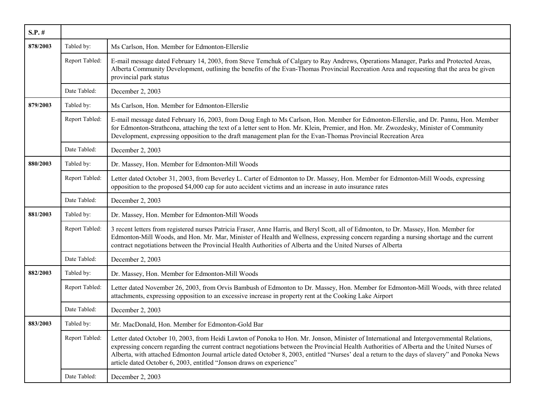| $S.P.$ # |                |                                                                                                                                                                                                                                                                                                                                                                                                                                                                                                                     |
|----------|----------------|---------------------------------------------------------------------------------------------------------------------------------------------------------------------------------------------------------------------------------------------------------------------------------------------------------------------------------------------------------------------------------------------------------------------------------------------------------------------------------------------------------------------|
| 878/2003 | Tabled by:     | Ms Carlson, Hon. Member for Edmonton-Ellerslie                                                                                                                                                                                                                                                                                                                                                                                                                                                                      |
|          | Report Tabled: | E-mail message dated February 14, 2003, from Steve Temchuk of Calgary to Ray Andrews, Operations Manager, Parks and Protected Areas,<br>Alberta Community Development, outlining the benefits of the Evan-Thomas Provincial Recreation Area and requesting that the area be given<br>provincial park status                                                                                                                                                                                                         |
|          | Date Tabled:   | December 2, 2003                                                                                                                                                                                                                                                                                                                                                                                                                                                                                                    |
| 879/2003 | Tabled by:     | Ms Carlson, Hon. Member for Edmonton-Ellerslie                                                                                                                                                                                                                                                                                                                                                                                                                                                                      |
|          | Report Tabled: | E-mail message dated February 16, 2003, from Doug Engh to Ms Carlson, Hon. Member for Edmonton-Ellerslie, and Dr. Pannu, Hon. Member<br>for Edmonton-Strathcona, attaching the text of a letter sent to Hon. Mr. Klein, Premier, and Hon. Mr. Zwozdesky, Minister of Community<br>Development, expressing opposition to the draft management plan for the Evan-Thomas Provincial Recreation Area                                                                                                                    |
|          | Date Tabled:   | December 2, 2003                                                                                                                                                                                                                                                                                                                                                                                                                                                                                                    |
| 880/2003 | Tabled by:     | Dr. Massey, Hon. Member for Edmonton-Mill Woods                                                                                                                                                                                                                                                                                                                                                                                                                                                                     |
|          | Report Tabled: | Letter dated October 31, 2003, from Beverley L. Carter of Edmonton to Dr. Massey, Hon. Member for Edmonton-Mill Woods, expressing<br>opposition to the proposed \$4,000 cap for auto accident victims and an increase in auto insurance rates                                                                                                                                                                                                                                                                       |
|          | Date Tabled:   | December 2, 2003                                                                                                                                                                                                                                                                                                                                                                                                                                                                                                    |
| 881/2003 | Tabled by:     | Dr. Massey, Hon. Member for Edmonton-Mill Woods                                                                                                                                                                                                                                                                                                                                                                                                                                                                     |
|          | Report Tabled: | 3 recent letters from registered nurses Patricia Fraser, Anne Harris, and Beryl Scott, all of Edmonton, to Dr. Massey, Hon. Member for<br>Edmonton-Mill Woods, and Hon. Mr. Mar, Minister of Health and Wellness, expressing concern regarding a nursing shortage and the current<br>contract negotiations between the Provincial Health Authorities of Alberta and the United Nurses of Alberta                                                                                                                    |
|          | Date Tabled:   | December 2, 2003                                                                                                                                                                                                                                                                                                                                                                                                                                                                                                    |
| 882/2003 | Tabled by:     | Dr. Massey, Hon. Member for Edmonton-Mill Woods                                                                                                                                                                                                                                                                                                                                                                                                                                                                     |
|          | Report Tabled: | Letter dated November 26, 2003, from Orvis Bambush of Edmonton to Dr. Massey, Hon. Member for Edmonton-Mill Woods, with three related<br>attachments, expressing opposition to an excessive increase in property rent at the Cooking Lake Airport                                                                                                                                                                                                                                                                   |
|          | Date Tabled:   | December 2, 2003                                                                                                                                                                                                                                                                                                                                                                                                                                                                                                    |
| 883/2003 | Tabled by:     | Mr. MacDonald, Hon. Member for Edmonton-Gold Bar                                                                                                                                                                                                                                                                                                                                                                                                                                                                    |
|          | Report Tabled: | Letter dated October 10, 2003, from Heidi Lawton of Ponoka to Hon. Mr. Jonson, Minister of International and Intergovernmental Relations,<br>expressing concern regarding the current contract negotiations between the Provincial Health Authorities of Alberta and the United Nurses of<br>Alberta, with attached Edmonton Journal article dated October 8, 2003, entitled "Nurses' deal a return to the days of slavery" and Ponoka News<br>article dated October 6, 2003, entitled "Jonson draws on experience" |
|          | Date Tabled:   | December 2, 2003                                                                                                                                                                                                                                                                                                                                                                                                                                                                                                    |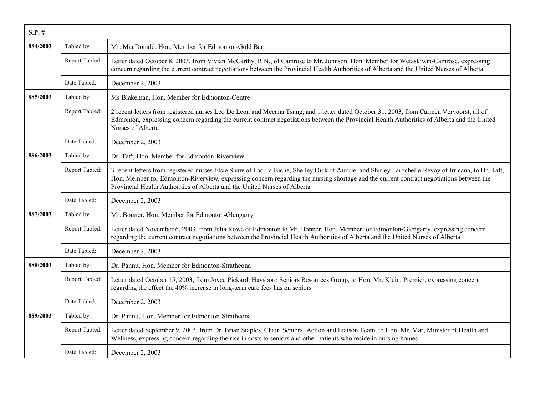| $S.P.$ # |                |                                                                                                                                                                                                                                                                                                                                                                             |
|----------|----------------|-----------------------------------------------------------------------------------------------------------------------------------------------------------------------------------------------------------------------------------------------------------------------------------------------------------------------------------------------------------------------------|
| 884/2003 | Tabled by:     | Mr. MacDonald, Hon. Member for Edmonton-Gold Bar                                                                                                                                                                                                                                                                                                                            |
|          | Report Tabled: | Letter dated October 8, 2003, from Vivian McCarthy, R.N., of Camrose to Mr. Johnson, Hon. Member for Wetaskiwin-Camrose, expressing<br>concern regarding the current contract negotiations between the Provincial Health Authorities of Alberta and the United Nurses of Alberta                                                                                            |
|          | Date Tabled:   | December 2, 2003                                                                                                                                                                                                                                                                                                                                                            |
| 885/2003 | Tabled by:     | Ms Blakeman, Hon. Member for Edmonton-Centre                                                                                                                                                                                                                                                                                                                                |
|          | Report Tabled: | 2 recent letters from registered nurses Leo De Leon and Mecana Tsang, and 1 letter dated October 31, 2003, from Carmen Vervoorst, all of<br>Edmonton, expressing concern regarding the current contract negotiations between the Provincial Health Authorities of Alberta and the United<br>Nurses of Alberta                                                               |
|          | Date Tabled:   | December 2, 2003                                                                                                                                                                                                                                                                                                                                                            |
| 886/2003 | Tabled by:     | Dr. Taft, Hon. Member for Edmonton-Riverview                                                                                                                                                                                                                                                                                                                                |
|          | Report Tabled: | 3 recent letters from registered nurses Elsie Shaw of Lac La Biche, Shelley Dick of Airdrie, and Shirley Larochelle-Revoy of Irricana, to Dr. Taft,<br>Hon. Member for Edmonton-Riverview, expressing concern regarding the nursing shortage and the current contract negotiations between the<br>Provincial Health Authorities of Alberta and the United Nurses of Alberta |
|          | Date Tabled:   | December 2, 2003                                                                                                                                                                                                                                                                                                                                                            |
| 887/2003 | Tabled by:     | Mr. Bonner, Hon. Member for Edmonton-Glengarry                                                                                                                                                                                                                                                                                                                              |
|          | Report Tabled: | Letter dated November 6, 2003, from Julia Rowe of Edmonton to Mr. Bonner, Hon. Member for Edmonton-Glengarry, expressing concern<br>regarding the current contract negotiations between the Provincial Health Authorities of Alberta and the United Nurses of Alberta                                                                                                       |
|          | Date Tabled:   | December 2, 2003                                                                                                                                                                                                                                                                                                                                                            |
| 888/2003 | Tabled by:     | Dr. Pannu, Hon. Member for Edmonton-Strathcona                                                                                                                                                                                                                                                                                                                              |
|          | Report Tabled: | Letter dated October 15, 2003, from Joyce Pickard, Haysboro Seniors Resources Group, to Hon. Mr. Klein, Premier, expressing concern<br>regarding the effect the 40% increase in long-term care fees has on seniors                                                                                                                                                          |
|          | Date Tabled:   | December 2, 2003                                                                                                                                                                                                                                                                                                                                                            |
| 889/2003 | Tabled by:     | Dr. Pannu, Hon. Member for Edmonton-Strathcona                                                                                                                                                                                                                                                                                                                              |
|          | Report Tabled: | Letter dated September 9, 2003, from Dr. Brian Staples, Chair, Seniors' Action and Liaison Team, to Hon. Mr. Mar, Minister of Health and<br>Wellness, expressing concern regarding the rise in costs to seniors and other patients who reside in nursing homes                                                                                                              |
|          | Date Tabled:   | December 2, 2003                                                                                                                                                                                                                                                                                                                                                            |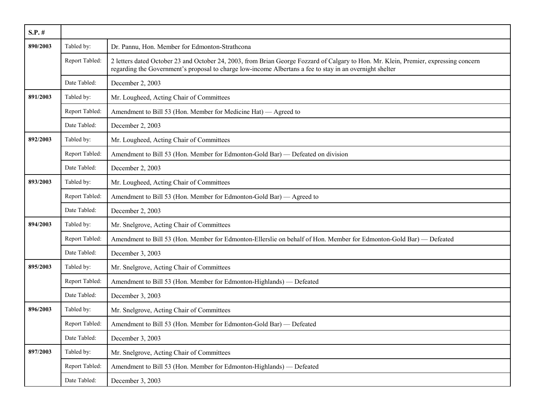| $S.P.$ # |                |                                                                                                                                                                                                                                                  |
|----------|----------------|--------------------------------------------------------------------------------------------------------------------------------------------------------------------------------------------------------------------------------------------------|
| 890/2003 | Tabled by:     | Dr. Pannu, Hon. Member for Edmonton-Strathcona                                                                                                                                                                                                   |
|          | Report Tabled: | 2 letters dated October 23 and October 24, 2003, from Brian George Fozzard of Calgary to Hon. Mr. Klein, Premier, expressing concern<br>regarding the Government's proposal to charge low-income Albertans a fee to stay in an overnight shelter |
|          | Date Tabled:   | December 2, 2003                                                                                                                                                                                                                                 |
| 891/2003 | Tabled by:     | Mr. Lougheed, Acting Chair of Committees                                                                                                                                                                                                         |
|          | Report Tabled: | Amendment to Bill 53 (Hon. Member for Medicine Hat) — Agreed to                                                                                                                                                                                  |
|          | Date Tabled:   | December 2, 2003                                                                                                                                                                                                                                 |
| 892/2003 | Tabled by:     | Mr. Lougheed, Acting Chair of Committees                                                                                                                                                                                                         |
|          | Report Tabled: | Amendment to Bill 53 (Hon. Member for Edmonton-Gold Bar) — Defeated on division                                                                                                                                                                  |
|          | Date Tabled:   | December 2, 2003                                                                                                                                                                                                                                 |
| 893/2003 | Tabled by:     | Mr. Lougheed, Acting Chair of Committees                                                                                                                                                                                                         |
|          | Report Tabled: | Amendment to Bill 53 (Hon. Member for Edmonton-Gold Bar) — Agreed to                                                                                                                                                                             |
|          | Date Tabled:   | December 2, 2003                                                                                                                                                                                                                                 |
| 894/2003 | Tabled by:     | Mr. Snelgrove, Acting Chair of Committees                                                                                                                                                                                                        |
|          | Report Tabled: | Amendment to Bill 53 (Hon. Member for Edmonton-Ellerslie on behalf of Hon. Member for Edmonton-Gold Bar) - Defeated                                                                                                                              |
|          | Date Tabled:   | December 3, 2003                                                                                                                                                                                                                                 |
| 895/2003 | Tabled by:     | Mr. Snelgrove, Acting Chair of Committees                                                                                                                                                                                                        |
|          | Report Tabled: | Amendment to Bill 53 (Hon. Member for Edmonton-Highlands) — Defeated                                                                                                                                                                             |
|          | Date Tabled:   | December 3, 2003                                                                                                                                                                                                                                 |
| 896/2003 | Tabled by:     | Mr. Snelgrove, Acting Chair of Committees                                                                                                                                                                                                        |
|          | Report Tabled: | Amendment to Bill 53 (Hon. Member for Edmonton-Gold Bar) — Defeated                                                                                                                                                                              |
|          | Date Tabled:   | December 3, 2003                                                                                                                                                                                                                                 |
| 897/2003 | Tabled by:     | Mr. Snelgrove, Acting Chair of Committees                                                                                                                                                                                                        |
|          | Report Tabled: | Amendment to Bill 53 (Hon. Member for Edmonton-Highlands) — Defeated                                                                                                                                                                             |
|          | Date Tabled:   | December 3, 2003                                                                                                                                                                                                                                 |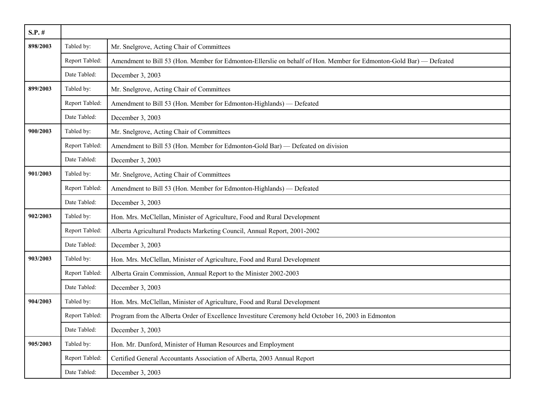| $S.P.$ # |                |                                                                                                                     |
|----------|----------------|---------------------------------------------------------------------------------------------------------------------|
| 898/2003 | Tabled by:     | Mr. Snelgrove, Acting Chair of Committees                                                                           |
|          | Report Tabled: | Amendment to Bill 53 (Hon. Member for Edmonton-Ellerslie on behalf of Hon. Member for Edmonton-Gold Bar) — Defeated |
|          | Date Tabled:   | December 3, 2003                                                                                                    |
| 899/2003 | Tabled by:     | Mr. Snelgrove, Acting Chair of Committees                                                                           |
|          | Report Tabled: | Amendment to Bill 53 (Hon. Member for Edmonton-Highlands) — Defeated                                                |
|          | Date Tabled:   | December 3, 2003                                                                                                    |
| 900/2003 | Tabled by:     | Mr. Snelgrove, Acting Chair of Committees                                                                           |
|          | Report Tabled: | Amendment to Bill 53 (Hon. Member for Edmonton-Gold Bar) — Defeated on division                                     |
|          | Date Tabled:   | December 3, 2003                                                                                                    |
| 901/2003 | Tabled by:     | Mr. Snelgrove, Acting Chair of Committees                                                                           |
|          | Report Tabled: | Amendment to Bill 53 (Hon. Member for Edmonton-Highlands) — Defeated                                                |
|          | Date Tabled:   | December 3, 2003                                                                                                    |
| 902/2003 | Tabled by:     | Hon. Mrs. McClellan, Minister of Agriculture, Food and Rural Development                                            |
|          | Report Tabled: | Alberta Agricultural Products Marketing Council, Annual Report, 2001-2002                                           |
|          | Date Tabled:   | December 3, 2003                                                                                                    |
| 903/2003 | Tabled by:     | Hon. Mrs. McClellan, Minister of Agriculture, Food and Rural Development                                            |
|          | Report Tabled: | Alberta Grain Commission, Annual Report to the Minister 2002-2003                                                   |
|          | Date Tabled:   | December 3, 2003                                                                                                    |
| 904/2003 | Tabled by:     | Hon. Mrs. McClellan, Minister of Agriculture, Food and Rural Development                                            |
|          | Report Tabled: | Program from the Alberta Order of Excellence Investiture Ceremony held October 16, 2003 in Edmonton                 |
|          | Date Tabled:   | December 3, 2003                                                                                                    |
| 905/2003 | Tabled by:     | Hon. Mr. Dunford, Minister of Human Resources and Employment                                                        |
|          | Report Tabled: | Certified General Accountants Association of Alberta, 2003 Annual Report                                            |
|          | Date Tabled:   | December 3, 2003                                                                                                    |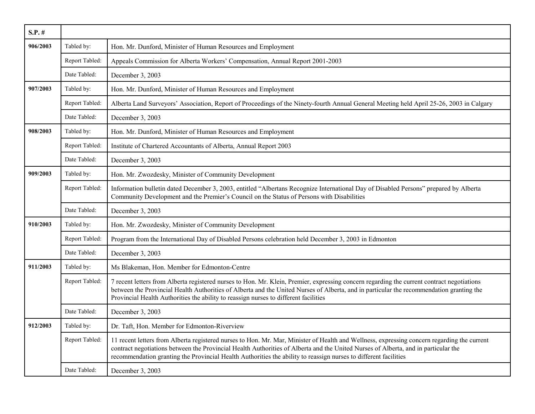| $S.P.$ # |                |                                                                                                                                                                                                                                                                                                                                                                                                       |
|----------|----------------|-------------------------------------------------------------------------------------------------------------------------------------------------------------------------------------------------------------------------------------------------------------------------------------------------------------------------------------------------------------------------------------------------------|
| 906/2003 | Tabled by:     | Hon. Mr. Dunford, Minister of Human Resources and Employment                                                                                                                                                                                                                                                                                                                                          |
|          | Report Tabled: | Appeals Commission for Alberta Workers' Compensation, Annual Report 2001-2003                                                                                                                                                                                                                                                                                                                         |
|          | Date Tabled:   | December 3, 2003                                                                                                                                                                                                                                                                                                                                                                                      |
| 907/2003 | Tabled by:     | Hon. Mr. Dunford, Minister of Human Resources and Employment                                                                                                                                                                                                                                                                                                                                          |
|          | Report Tabled: | Alberta Land Surveyors' Association, Report of Proceedings of the Ninety-fourth Annual General Meeting held April 25-26, 2003 in Calgary                                                                                                                                                                                                                                                              |
|          | Date Tabled:   | December 3, 2003                                                                                                                                                                                                                                                                                                                                                                                      |
| 908/2003 | Tabled by:     | Hon. Mr. Dunford, Minister of Human Resources and Employment                                                                                                                                                                                                                                                                                                                                          |
|          | Report Tabled: | Institute of Chartered Accountants of Alberta, Annual Report 2003                                                                                                                                                                                                                                                                                                                                     |
|          | Date Tabled:   | December 3, 2003                                                                                                                                                                                                                                                                                                                                                                                      |
| 909/2003 | Tabled by:     | Hon. Mr. Zwozdesky, Minister of Community Development                                                                                                                                                                                                                                                                                                                                                 |
|          | Report Tabled: | Information bulletin dated December 3, 2003, entitled "Albertans Recognize International Day of Disabled Persons" prepared by Alberta<br>Community Development and the Premier's Council on the Status of Persons with Disabilities                                                                                                                                                                   |
|          | Date Tabled:   | December 3, 2003                                                                                                                                                                                                                                                                                                                                                                                      |
| 910/2003 | Tabled by:     | Hon. Mr. Zwozdesky, Minister of Community Development                                                                                                                                                                                                                                                                                                                                                 |
|          | Report Tabled: | Program from the International Day of Disabled Persons celebration held December 3, 2003 in Edmonton                                                                                                                                                                                                                                                                                                  |
|          | Date Tabled:   | December 3, 2003                                                                                                                                                                                                                                                                                                                                                                                      |
| 911/2003 | Tabled by:     | Ms Blakeman, Hon. Member for Edmonton-Centre                                                                                                                                                                                                                                                                                                                                                          |
|          | Report Tabled: | 7 recent letters from Alberta registered nurses to Hon. Mr. Klein, Premier, expressing concern regarding the current contract negotiations<br>between the Provincial Health Authorities of Alberta and the United Nurses of Alberta, and in particular the recommendation granting the<br>Provincial Health Authorities the ability to reassign nurses to different facilities                        |
|          | Date Tabled:   | December 3, 2003                                                                                                                                                                                                                                                                                                                                                                                      |
| 912/2003 | Tabled by:     | Dr. Taft, Hon. Member for Edmonton-Riverview                                                                                                                                                                                                                                                                                                                                                          |
|          | Report Tabled: | 11 recent letters from Alberta registered nurses to Hon. Mr. Mar, Minister of Health and Wellness, expressing concern regarding the current<br>contract negotiations between the Provincial Health Authorities of Alberta and the United Nurses of Alberta, and in particular the<br>recommendation granting the Provincial Health Authorities the ability to reassign nurses to different facilities |
|          | Date Tabled:   | December 3, 2003                                                                                                                                                                                                                                                                                                                                                                                      |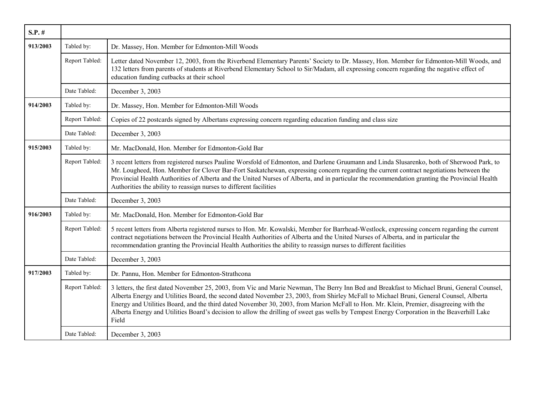| $S.P.$ # |                |                                                                                                                                                                                                                                                                                                                                                                                                                                                                                                                                                                                         |
|----------|----------------|-----------------------------------------------------------------------------------------------------------------------------------------------------------------------------------------------------------------------------------------------------------------------------------------------------------------------------------------------------------------------------------------------------------------------------------------------------------------------------------------------------------------------------------------------------------------------------------------|
| 913/2003 | Tabled by:     | Dr. Massey, Hon. Member for Edmonton-Mill Woods                                                                                                                                                                                                                                                                                                                                                                                                                                                                                                                                         |
|          | Report Tabled: | Letter dated November 12, 2003, from the Riverbend Elementary Parents' Society to Dr. Massey, Hon. Member for Edmonton-Mill Woods, and<br>132 letters from parents of students at Riverbend Elementary School to Sir/Madam, all expressing concern regarding the negative effect of<br>education funding cutbacks at their school                                                                                                                                                                                                                                                       |
|          | Date Tabled:   | December 3, 2003                                                                                                                                                                                                                                                                                                                                                                                                                                                                                                                                                                        |
| 914/2003 | Tabled by:     | Dr. Massey, Hon. Member for Edmonton-Mill Woods                                                                                                                                                                                                                                                                                                                                                                                                                                                                                                                                         |
|          | Report Tabled: | Copies of 22 postcards signed by Albertans expressing concern regarding education funding and class size                                                                                                                                                                                                                                                                                                                                                                                                                                                                                |
|          | Date Tabled:   | December 3, 2003                                                                                                                                                                                                                                                                                                                                                                                                                                                                                                                                                                        |
| 915/2003 | Tabled by:     | Mr. MacDonald, Hon. Member for Edmonton-Gold Bar                                                                                                                                                                                                                                                                                                                                                                                                                                                                                                                                        |
|          | Report Tabled: | 3 recent letters from registered nurses Pauline Worsfold of Edmonton, and Darlene Gruumann and Linda Slusarenko, both of Sherwood Park, to<br>Mr. Lougheed, Hon. Member for Clover Bar-Fort Saskatchewan, expressing concern regarding the current contract negotiations between the<br>Provincial Health Authorities of Alberta and the United Nurses of Alberta, and in particular the recommendation granting the Provincial Health<br>Authorities the ability to reassign nurses to different facilities                                                                            |
|          | Date Tabled:   | December 3, 2003                                                                                                                                                                                                                                                                                                                                                                                                                                                                                                                                                                        |
| 916/2003 | Tabled by:     | Mr. MacDonald, Hon. Member for Edmonton-Gold Bar                                                                                                                                                                                                                                                                                                                                                                                                                                                                                                                                        |
|          | Report Tabled: | 5 recent letters from Alberta registered nurses to Hon. Mr. Kowalski, Member for Barrhead-Westlock, expressing concern regarding the current<br>contract negotiations between the Provincial Health Authorities of Alberta and the United Nurses of Alberta, and in particular the<br>recommendation granting the Provincial Health Authorities the ability to reassign nurses to different facilities                                                                                                                                                                                  |
|          | Date Tabled:   | December 3, 2003                                                                                                                                                                                                                                                                                                                                                                                                                                                                                                                                                                        |
| 917/2003 | Tabled by:     | Dr. Pannu, Hon. Member for Edmonton-Strathcona                                                                                                                                                                                                                                                                                                                                                                                                                                                                                                                                          |
|          | Report Tabled: | 3 letters, the first dated November 25, 2003, from Vic and Marie Newman, The Berry Inn Bed and Breakfast to Michael Bruni, General Counsel,<br>Alberta Energy and Utilities Board, the second dated November 23, 2003, from Shirley McFall to Michael Bruni, General Counsel, Alberta<br>Energy and Utilities Board, and the third dated November 30, 2003, from Marion McFall to Hon. Mr. Klein, Premier, disagreeing with the<br>Alberta Energy and Utilities Board's decision to allow the drilling of sweet gas wells by Tempest Energy Corporation in the Beaverhill Lake<br>Field |
|          | Date Tabled:   | December 3, 2003                                                                                                                                                                                                                                                                                                                                                                                                                                                                                                                                                                        |